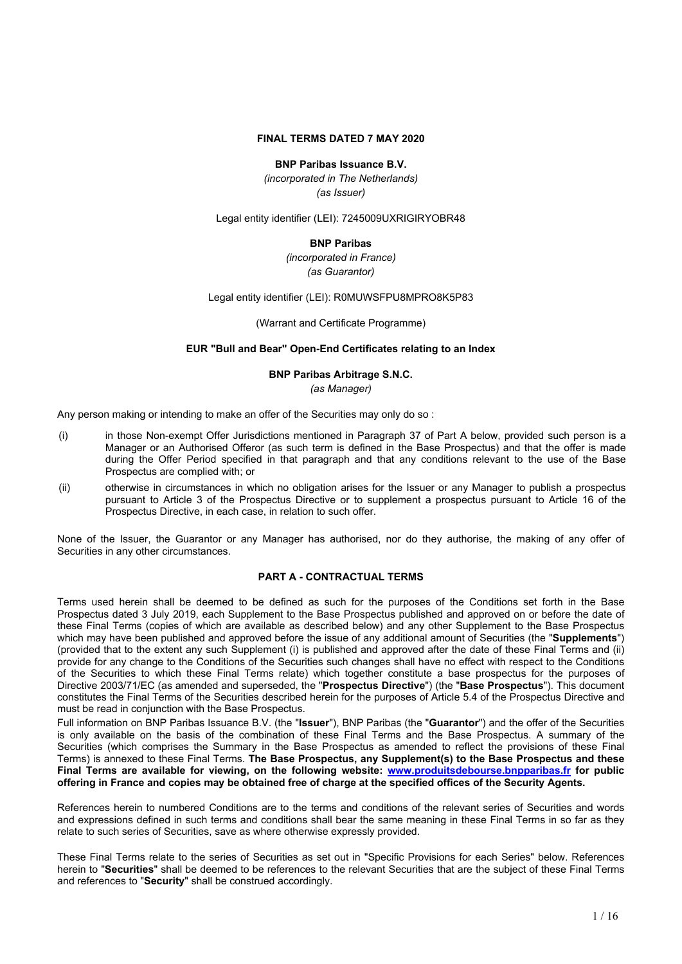## **FINAL TERMS DATED 7 MAY 2020**

#### **BNP Paribas Issuance B.V.**

*(incorporated in The Netherlands) (as Issuer)*

Legal entity identifier (LEI): 7245009UXRIGIRYOBR48

#### **BNP Paribas**

*(incorporated in France) (as Guarantor)*

Legal entity identifier (LEI): R0MUWSFPU8MPRO8K5P83

(Warrant and Certificate Programme)

### **EUR "Bull and Bear" Open-End Certificates relating to an Index**

#### **BNP Paribas Arbitrage S.N.C.**

*(as Manager)*

Any person making or intending to make an offer of the Securities may only do so :

- (i) in those Non-exempt Offer Jurisdictions mentioned in Paragraph 37 of Part A below, provided such person is a Manager or an Authorised Offeror (as such term is defined in the Base Prospectus) and that the offer is made during the Offer Period specified in that paragraph and that any conditions relevant to the use of the Base Prospectus are complied with; or
- (ii) otherwise in circumstances in which no obligation arises for the Issuer or any Manager to publish a prospectus pursuant to Article 3 of the Prospectus Directive or to supplement a prospectus pursuant to Article 16 of the Prospectus Directive, in each case, in relation to such offer.

None of the Issuer, the Guarantor or any Manager has authorised, nor do they authorise, the making of any offer of Securities in any other circumstances.

#### **PART A - CONTRACTUAL TERMS**

Terms used herein shall be deemed to be defined as such for the purposes of the Conditions set forth in the Base Prospectus dated 3 July 2019, each Supplement to the Base Prospectus published and approved on or before the date of these Final Terms (copies of which are available as described below) and any other Supplement to the Base Prospectus which may have been published and approved before the issue of any additional amount of Securities (the "**Supplements**") (provided that to the extent any such Supplement (i) is published and approved after the date of these Final Terms and (ii) provide for any change to the Conditions of the Securities such changes shall have no effect with respect to the Conditions of the Securities to which these Final Terms relate) which together constitute a base prospectus for the purposes of Directive 2003/71/EC (as amended and superseded, the "**Prospectus Directive**") (the "**Base Prospectus**"). This document constitutes the Final Terms of the Securities described herein for the purposes of Article 5.4 of the Prospectus Directive and must be read in conjunction with the Base Prospectus.

Full information on BNP Paribas Issuance B.V. (the "**Issuer**"), BNP Paribas (the "**Guarantor**") and the offer of the Securities is only available on the basis of the combination of these Final Terms and the Base Prospectus. A summary of the Securities (which comprises the Summary in the Base Prospectus as amended to reflect the provisions of these Final Terms) is annexed to these Final Terms. **The Base Prospectus, any Supplement(s) to the Base Prospectus and these Final Terms are available for viewing, on the following website: www.produitsdebourse.bnpparibas.fr for public** offering in France and copies may be obtained free of charge at the specified offices of the Security Agents.

References herein to numbered Conditions are to the terms and conditions of the relevant series of Securities and words and expressions defined in such terms and conditions shall bear the same meaning in these Final Terms in so far as they relate to such series of Securities, save as where otherwise expressly provided.

These Final Terms relate to the series of Securities as set out in "Specific Provisions for each Series" below. References herein to "**Securities**" shall be deemed to be references to the relevant Securities that are the subject of these Final Terms and references to "**Security**" shall be construed accordingly.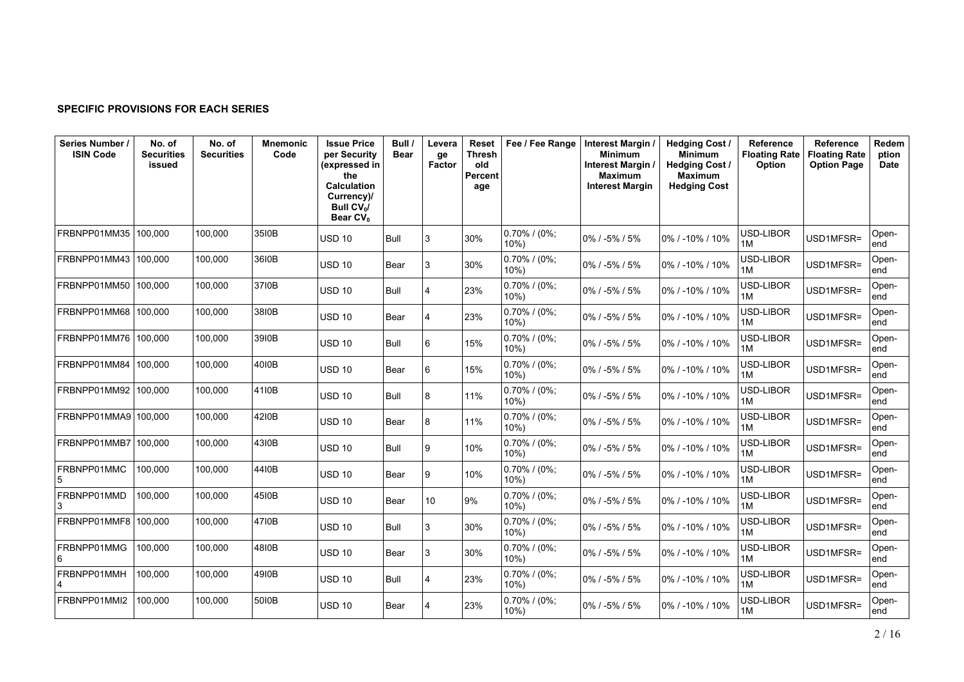## **SPECIFIC PROVISIONS FOR EACH SERIES**

| Series Number /<br><b>ISIN Code</b> | No. of<br><b>Securities</b><br>issued | No. of<br><b>Securities</b> | <b>Mnemonic</b><br>Code | <b>Issue Price</b><br>per Security<br>(expressed in<br>the<br><b>Calculation</b><br>Currency)/<br>Bull CV <sub>o</sub> /<br>Bear CV <sub>0</sub> | Bull /<br><b>Bear</b> | Levera<br>ge<br><b>Factor</b> | Reset<br>Thresh<br>old<br>Percent<br>age | Fee / Fee Range            | Interest Margin /<br><b>Minimum</b><br>Interest Margin /<br><b>Maximum</b><br><b>Interest Margin</b> | <b>Hedging Cost /</b><br><b>Minimum</b><br><b>Hedging Cost /</b><br><b>Maximum</b><br><b>Hedging Cost</b> | <b>Reference</b><br><b>Floating Rate</b><br>Option | Reference<br><b>Floating Rate</b><br><b>Option Page</b> | Redem<br>ption<br><b>Date</b> |
|-------------------------------------|---------------------------------------|-----------------------------|-------------------------|--------------------------------------------------------------------------------------------------------------------------------------------------|-----------------------|-------------------------------|------------------------------------------|----------------------------|------------------------------------------------------------------------------------------------------|-----------------------------------------------------------------------------------------------------------|----------------------------------------------------|---------------------------------------------------------|-------------------------------|
| FRBNPP01MM35                        | 100.000                               | 100.000                     | 35I0B                   | <b>USD 10</b>                                                                                                                                    | Bull                  | 3                             | 30%                                      | $0.70\%$ / (0%;<br>10%     | 0% / -5% / 5%                                                                                        | 0% / -10% / 10%                                                                                           | USD-LIBOR<br>1M                                    | USD1MFSR=                                               | Open-<br>end                  |
| FRBNPP01MM43                        | 100,000                               | 100,000                     | 36I0B                   | <b>USD 10</b>                                                                                                                                    | Bear                  | 13                            | 30%                                      | $0.70\%$ / (0%;<br>$10\%)$ | 0% / -5% / 5%                                                                                        | 0% / -10% / 10%                                                                                           | USD-LIBOR<br>1M                                    | USD1MFSR=                                               | Open-<br>end                  |
| FRBNPP01MM50                        | 100,000                               | 100,000                     | 3710B                   | <b>USD 10</b>                                                                                                                                    | Bull                  | 14                            | 23%                                      | 0.70% / (0%;<br>$10\%)$    | 0% / -5% / 5%                                                                                        | 0% / -10% / 10%                                                                                           | USD-LIBOR<br>1M                                    | USD1MFSR=                                               | Open-<br>end                  |
| FRBNPP01MM68                        | 100.000                               | 100.000                     | 38I0B                   | <b>USD 10</b>                                                                                                                                    | Bear                  | 14                            | 23%                                      | $0.70\%$ / (0%;<br>$10\%)$ | 0% / -5% / 5%                                                                                        | 0% / -10% / 10%                                                                                           | USD-LIBOR<br>1M                                    | USD1MFSR=                                               | Open-<br>end                  |
| FRBNPP01MM76                        | 100,000                               | 100,000                     | 39I0B                   | <b>USD 10</b>                                                                                                                                    | Bull                  | 16                            | 15%                                      | $0.70\%$ / (0%;<br>$10\%)$ | 0% / -5% / 5%                                                                                        | 0% / -10% / 10%                                                                                           | USD-LIBOR<br>1M                                    | USD1MFSR=                                               | Open-<br>end                  |
| FRBNPP01MM84                        | 100.000                               | 100.000                     | 4010B                   | <b>USD 10</b>                                                                                                                                    | Bear                  | 16                            | 15%                                      | 0.70% / (0%;<br>10%        | $0\%$ / -5% / 5%                                                                                     | 0% / -10% / 10%                                                                                           | USD-LIBOR<br>1M                                    | USD1MFSR=                                               | Open-<br>end                  |
| FRBNPP01MM92                        | 100,000                               | 100,000                     | 41I0B                   | <b>USD 10</b>                                                                                                                                    | Bull                  | 8                             | 11%                                      | $0.70\%$ / (0%;<br>$10\%)$ | 0% / -5% / 5%                                                                                        | 0% / -10% / 10%                                                                                           | USD-LIBOR<br>1M                                    | USD1MFSR=                                               | Open-<br>end                  |
| FRBNPP01MMA9 100,000                |                                       | 100.000                     | 4210B                   | <b>USD 10</b>                                                                                                                                    | Bear                  | 8                             | 11%                                      | $0.70\%$ / (0%;<br>10%     | 0% / -5% / 5%                                                                                        | 0% / -10% / 10%                                                                                           | USD-LIBOR<br>1M                                    | USD1MFSR=                                               | Open-<br>end                  |
| FRBNPP01MMB7                        | 100.000                               | 100.000                     | 4310B                   | <b>USD 10</b>                                                                                                                                    | Bull                  | l 9                           | 10%                                      | 0.70% / (0%;<br>$10\%)$    | 0% / -5% / 5%                                                                                        | 0% / -10% / 10%                                                                                           | USD-LIBOR<br>1M                                    | USD1MFSR=                                               | Open-<br>end                  |
| FRBNPP01MMC                         | 100,000                               | 100,000                     | 44I0B                   | <b>USD 10</b>                                                                                                                                    | Bear                  | l 9                           | 10%                                      | $0.70\%$ / (0%;<br>$10\%)$ | 0% / -5% / 5%                                                                                        | 0% / -10% / 10%                                                                                           | USD-LIBOR<br>1M                                    | USD1MFSR=                                               | Open-<br>end                  |
| FRBNPP01MMD                         | 100.000                               | 100.000                     | 4510B                   | <b>USD 10</b>                                                                                                                                    | Bear                  | 10 <sup>1</sup>               | 9%                                       | $0.70\%$ / (0%;<br>$10\%)$ | 0% / -5% / 5%                                                                                        | 0% / -10% / 10%                                                                                           | USD-LIBOR<br>1M                                    | USD1MFSR=                                               | Open-<br>end                  |
| FRBNPP01MMF8 100,000                |                                       | 100,000                     | 4710B                   | <b>USD 10</b>                                                                                                                                    | Bull                  | 13                            | 30%                                      | $0.70\%$ / (0%;<br>$10\%)$ | 0% / -5% / 5%                                                                                        | 0% / -10% / 10%                                                                                           | USD-LIBOR<br>1M                                    | USD1MFSR=                                               | Open-<br>end                  |
| FRBNPP01MMG<br>6                    | 100,000                               | 100.000                     | 4810B                   | <b>USD 10</b>                                                                                                                                    | Bear                  | 13                            | 30%                                      | 0.70% / (0%;<br>10%        | 0% / -5% / 5%                                                                                        | 0% / -10% / 10%                                                                                           | USD-LIBOR<br>1M                                    | USD1MFSR=                                               | Open-<br>end                  |
| FRBNPP01MMH                         | 100,000                               | 100.000                     | 4910B                   | <b>USD 10</b>                                                                                                                                    | Bull                  | 14                            | 23%                                      | 0.70% / (0%;<br>10%        | 0% / -5% / 5%                                                                                        | 0% / -10% / 10%                                                                                           | USD-LIBOR<br>1M                                    | USD1MFSR=                                               | Open-<br>end                  |
| FRBNPP01MMI2                        | 100,000                               | 100,000                     | 5010B                   | <b>USD 10</b>                                                                                                                                    | Bear                  | 14                            | 23%                                      | $0.70\%$ / (0%;<br>10%)    | 0% / -5% / 5%                                                                                        | 0% / -10% / 10%                                                                                           | USD-LIBOR<br>1M                                    | USD1MFSR=                                               | Open-<br>end                  |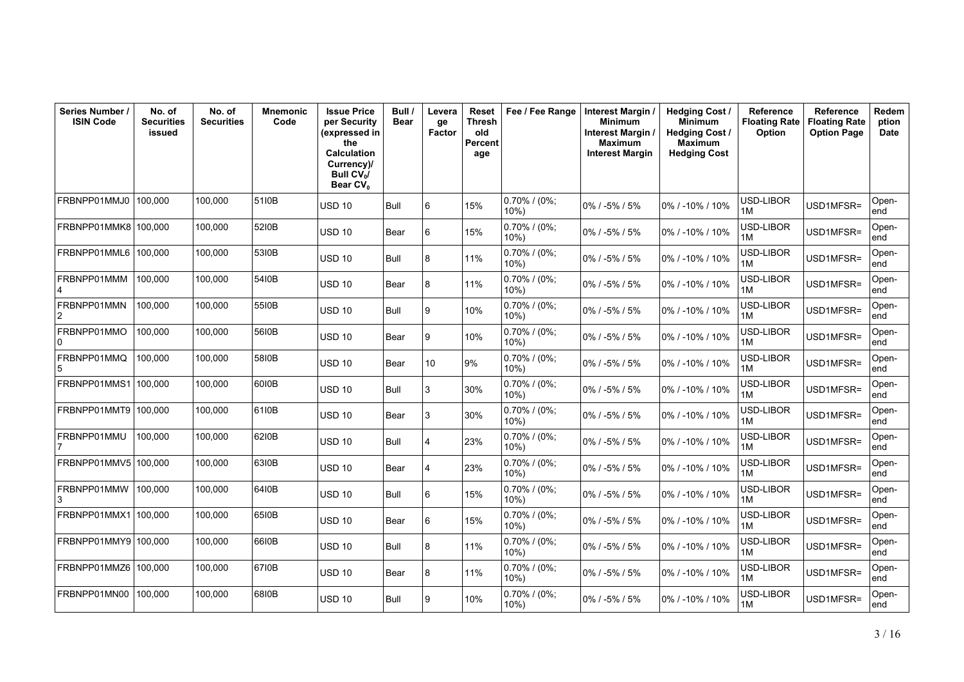| Series Number /<br><b>ISIN Code</b> | No. of<br><b>Securities</b><br>issued | No. of<br><b>Securities</b> | <b>Mnemonic</b><br>Code | <b>Issue Price</b><br>per Security<br>(expressed in<br>the<br><b>Calculation</b><br>Currency)/<br>Bull $CV_0/$<br>Bear CV <sub>0</sub> | Bull /<br><b>Bear</b> | Levera<br>ge<br>Factor | Reset<br>Thresh<br>old<br>Percent<br>age | Fee / Fee Range            | Interest Margin<br><b>Minimum</b><br>Interest Margin /<br>Maximum<br><b>Interest Margin</b> | <b>Hedging Cost/</b><br><b>Minimum</b><br><b>Hedging Cost /</b><br><b>Maximum</b><br><b>Hedging Cost</b> | Reference<br><b>Floating Rate</b><br>Option | Reference<br><b>Floating Rate</b><br><b>Option Page</b> | Redem<br>ption<br>Date |
|-------------------------------------|---------------------------------------|-----------------------------|-------------------------|----------------------------------------------------------------------------------------------------------------------------------------|-----------------------|------------------------|------------------------------------------|----------------------------|---------------------------------------------------------------------------------------------|----------------------------------------------------------------------------------------------------------|---------------------------------------------|---------------------------------------------------------|------------------------|
| FRBNPP01MMJ0                        | 100,000                               | 100.000                     | 5110B                   | USD 10                                                                                                                                 | Bull                  | 6                      | 15%                                      | $0.70\%$ / (0%;<br>$10%$ ) | 0% / -5% / 5%                                                                               | 0% / -10% / 10%                                                                                          | USD-LIBOR<br>1M                             | USD1MFSR=                                               | Open-<br>end           |
| FRBNPP01MMK8                        | 100,000                               | 100,000                     | 5210B                   | <b>USD 10</b>                                                                                                                          | Bear                  | 6                      | 15%                                      | $0.70\%$ / (0%;<br>10%)    | 0% / -5% / 5%                                                                               | 0% / -10% / 10%                                                                                          | USD-LIBOR<br>1M                             | USD1MFSR=                                               | Open-<br>end           |
| FRBNPP01MML6                        | 100.000                               | 100.000                     | 5310B                   | <b>USD 10</b>                                                                                                                          | Bull                  | 8                      | 11%                                      | $0.70\%$ / (0%;<br>10%)    | 0% / -5% / 5%                                                                               | 0% / -10% / 10%                                                                                          | USD-LIBOR<br>1M                             | USD1MFSR=                                               | Open-<br>end           |
| FRBNPP01MMM<br>4                    | 100,000                               | 100,000                     | 5410B                   | <b>USD 10</b>                                                                                                                          | Bear                  | 8                      | 11%                                      | $0.70\%$ / (0%;<br>10%     | 0%/-5%/5%                                                                                   | 0% / -10% / 10%                                                                                          | USD-LIBOR<br>1M                             | USD1MFSR=                                               | Open-<br>end           |
| FRBNPP01MMN<br>2                    | 100.000                               | 100.000                     | 5510B                   | USD 10                                                                                                                                 | Bull                  | 9                      | 10%                                      | $0.70\%$ / (0%;<br>$10\%)$ | 0% / -5% / 5%                                                                               | 0% / -10% / 10%                                                                                          | USD-LIBOR<br>1M                             | USD1MFSR=                                               | Open-<br>end           |
| FRBNPP01MMO<br>$\Omega$             | 100.000                               | 100.000                     | 56I0B                   | <b>USD 10</b>                                                                                                                          | Bear                  | 9                      | 10%                                      | $0.70\%$ / (0%;<br>$10%$ ) | 0% / -5% / 5%                                                                               | $0\%$ / -10% / 10%                                                                                       | USD-LIBOR<br>1M                             | USD1MFSR=                                               | Open-<br>end           |
| FRBNPP01MMQ<br>5                    | 100,000                               | 100,000                     | 5810B                   | <b>USD 10</b>                                                                                                                          | Bear                  | 10                     | 9%                                       | $0.70\%$ / (0%;<br>10%)    | 0% / -5% / 5%                                                                               | 0% / -10% / 10%                                                                                          | USD-LIBOR<br>1M                             | USD1MFSR=                                               | Open-<br>end           |
| FRBNPP01MMS1                        | 100,000                               | 100.000                     | 6010B                   | <b>USD 10</b>                                                                                                                          | Bull                  | 3                      | 30%                                      | $0.70\%$ / (0%;<br>$10\%)$ | 0% / -5% / 5%                                                                               | 0% / -10% / 10%                                                                                          | USD-LIBOR<br>1M                             | USD1MFSR=                                               | Open-<br>end           |
| FRBNPP01MMT9                        | 100,000                               | 100,000                     | 61I0B                   | <b>USD 10</b>                                                                                                                          | Bear                  | 3                      | 30%                                      | 0.70% / (0%;<br>10%)       | 0% / -5% / 5%                                                                               | 0% / -10% / 10%                                                                                          | USD-LIBOR<br>1M                             | USD1MFSR=                                               | Open-<br>end           |
| FRBNPP01MMU                         | 100.000                               | 100.000                     | 6210B                   | <b>USD 10</b>                                                                                                                          | Bull                  | 4                      | 23%                                      | $0.70\%$ / (0%;<br>10%)    | 0% / -5% / 5%                                                                               | 0% / -10% / 10%                                                                                          | USD-LIBOR<br>1M                             | USD1MFSR=                                               | Open-<br>end           |
| FRBNPP01MMV5                        | 100.000                               | 100.000                     | 6310B                   | <b>USD 10</b>                                                                                                                          | Bear                  | 4                      | 23%                                      | $0.70\%$ / (0%;<br>10%     | 0% / -5% / 5%                                                                               | 0% / -10% / 10%                                                                                          | USD-LIBOR<br>1M                             | USD1MFSR=                                               | Open-<br>end           |
| FRBNPP01MMW<br>3                    | 100.000                               | 100.000                     | 64I0B                   | <b>USD 10</b>                                                                                                                          | Bull                  | 6                      | 15%                                      | $0.70\%$ / (0%;<br>$10\%)$ | 0% / -5% / 5%                                                                               | 0% / -10% / 10%                                                                                          | USD-LIBOR<br>1M                             | USD1MFSR=                                               | Open-<br>end           |
| FRBNPP01MMX1                        | 100,000                               | 100,000                     | 6510B                   | <b>USD 10</b>                                                                                                                          | Bear                  | 6                      | 15%                                      | $0.70\%$ / (0%;<br>10%     | $0\%$ / -5% / 5%                                                                            | $0\%$ / -10% / 10%                                                                                       | USD-LIBOR<br>1M                             | USD1MFSR=                                               | Open-<br>end           |
| FRBNPP01MMY9                        | 100,000                               | 100,000                     | 66I0B                   | <b>USD 10</b>                                                                                                                          | Bull                  | 8                      | 11%                                      | 0.70% / (0%;<br>10%)       | 0% / -5% / 5%                                                                               | 0% / -10% / 10%                                                                                          | USD-LIBOR<br>1M                             | USD1MFSR=                                               | Open-<br>end           |
| FRBNPP01MMZ6                        | 100,000                               | 100.000                     | 6710B                   | <b>USD 10</b>                                                                                                                          | Bear                  | 8                      | 11%                                      | $0.70\%$ / (0%;<br>10%     | $0\%$ / -5% / 5%                                                                            | 0% / -10% / 10%                                                                                          | USD-LIBOR<br>1M                             | USD1MFSR=                                               | Open-<br>end           |
| FRBNPP01MN00                        | 100,000                               | 100,000                     | 6810B                   | <b>USD 10</b>                                                                                                                          | Bull                  | 9                      | 10%                                      | $0.70\%$ / (0%;<br>10%)    | 0% / -5% / 5%                                                                               | 0% / -10% / 10%                                                                                          | USD-LIBOR<br>1M                             | USD1MFSR=                                               | Open-<br>end           |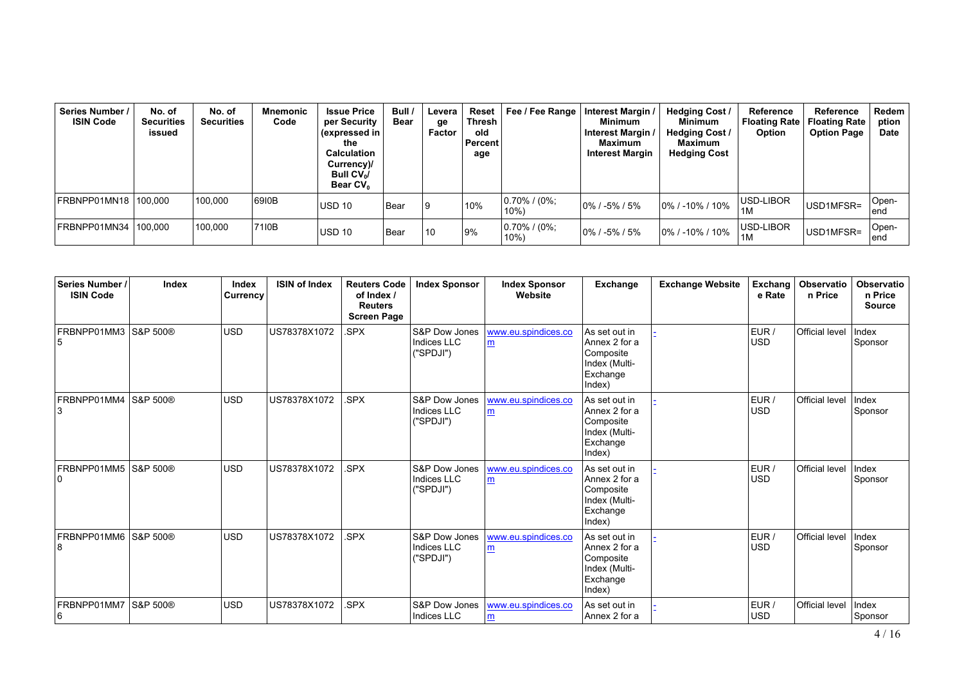| Series Number /<br><b>ISIN Code</b> | No. of<br><b>Securities</b><br>issued | No. of<br><b>Securities</b> | <b>Mnemonic</b><br>Code | <b>Issue Price</b><br>per Security<br>$\frac{1}{2}$ (expressed in $\frac{1}{2}$<br>the<br><b>Calculation</b><br>Currency)/<br>Bull $CV_0/$<br>Bear CV <sub>0</sub> | Bull /<br>Bear | Levera<br>ge<br>Factor | Reset<br>Thresh<br>old<br>Percent<br>age | Fee / Fee Range            | Interest Margin<br>Minimum<br>Interest Margin /<br>Maximum<br><b>Interest Margin</b> | <b>Hedging Cost /</b><br>Minimum<br><b>Hedging Cost /</b><br>Maximum<br><b>Hedging Cost</b> | Reference<br>Floating Rate  <br>Option | <b>Reference</b><br><b>Floating Rate</b><br><b>Option Page</b> | Redem<br>ption<br><b>Date</b> |
|-------------------------------------|---------------------------------------|-----------------------------|-------------------------|--------------------------------------------------------------------------------------------------------------------------------------------------------------------|----------------|------------------------|------------------------------------------|----------------------------|--------------------------------------------------------------------------------------|---------------------------------------------------------------------------------------------|----------------------------------------|----------------------------------------------------------------|-------------------------------|
| FRBNPP01MN18 100.000                |                                       | 100.000                     | 6910B                   | USD 10                                                                                                                                                             | l Bear         | 19                     | 10%                                      | $0.70\%$ / (0%;<br>$10\%$  | $10\%$ / -5% / 5%                                                                    | $10\%$ / -10% / 10%                                                                         | USD-LIBOR<br>1M                        | USD1MFSR=                                                      | Open-<br>lend                 |
| FRBNPP01MN34 100.000                |                                       | 100.000                     | 7110B                   | <b>USD 10</b>                                                                                                                                                      | l Bear         | 10                     | 9%                                       | $0.70\%$ / (0%;<br>$10\%)$ | $0\%$ / -5% / 5%                                                                     | $10\%$ / -10% / 10%                                                                         | USD-LIBOR<br>1M                        | USD1MFSR=                                                      | Open-<br>lend                 |

| Series Number /<br><b>ISIN Code</b> | Index    | Index<br><b>Currency</b> | <b>ISIN of Index</b> | <b>Reuters Code</b><br>of Index /<br><b>Reuters</b><br><b>Screen Page</b> | <b>Index Sponsor</b>                                 | <b>Index Sponsor</b><br>Website | Exchange                                                                           | <b>Exchange Website</b> | Exchang<br>e Rate   | Observatio<br>n Price | <b>Observatio</b><br>n Price<br><b>Source</b> |
|-------------------------------------|----------|--------------------------|----------------------|---------------------------------------------------------------------------|------------------------------------------------------|---------------------------------|------------------------------------------------------------------------------------|-------------------------|---------------------|-----------------------|-----------------------------------------------|
| FRBNPP01MM3 S&P 500®                |          | <b>USD</b>               | US78378X1072         | SPX.                                                                      | <b>S&amp;P Dow Jones</b><br>Indices LLC<br>("SPDJI") | www.eu.spindices.co<br>m        | As set out in<br>Annex 2 for a<br>Composite<br>Index (Multi-<br>Exchange<br>Index) |                         | EUR /<br><b>USD</b> | <b>Official level</b> | Index<br>Sponsor                              |
| FRBNPP01MM4<br>3                    | S&P 500® | <b>USD</b>               | US78378X1072         | SPX.                                                                      | S&P Dow Jones<br>Indices LLC<br>("SPDJI")            | www.eu.spindices.co<br>m        | As set out in<br>Annex 2 for a<br>Composite<br>Index (Multi-<br>Exchange<br>Index) |                         | EUR /<br><b>USD</b> | <b>Official level</b> | Index<br>Sponsor                              |
| FRBNPP01MM5 S&P 500®<br>۱0          |          | <b>USD</b>               | US78378X1072         | SPX.                                                                      | S&P Dow Jones<br>Indices LLC<br>("SPDJI")            | www.eu.spindices.co<br>m        | As set out in<br>Annex 2 for a<br>Composite<br>Index (Multi-<br>Exchange<br>Index) |                         | EUR /<br><b>USD</b> | Official level        | Index<br>Sponsor                              |
| FRBNPP01MM6   S&P 500®<br>8         |          | <b>USD</b>               | US78378X1072         | SPX.                                                                      | S&P Dow Jones<br>Indices LLC<br>("SPDJI")            | www.eu.spindices.co<br>m        | As set out in<br>Annex 2 for a<br>Composite<br>Index (Multi-<br>Exchange<br>Index) |                         | EUR /<br><b>USD</b> | Official level        | Index<br>Sponsor                              |
| FRBNPP01MM7<br>16                   | S&P 500® | <b>USD</b>               | US78378X1072         | SPX.                                                                      | <b>S&amp;P Dow Jones</b><br>Indices LLC              | www.eu.spindices.co<br>m        | As set out in<br>Annex 2 for a                                                     |                         | EUR /<br><b>USD</b> | Official level        | Index<br>Sponsor                              |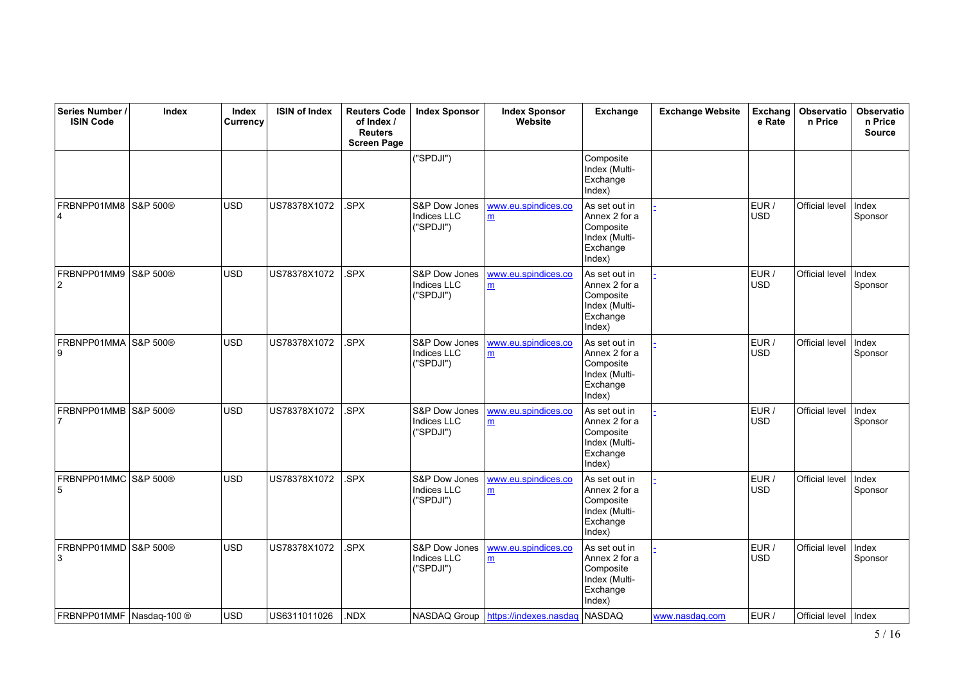| Series Number /<br><b>ISIN Code</b> | Index    | Index<br>Currency | <b>ISIN of Index</b> | <b>Reuters Code</b><br>of Index /<br><b>Reuters</b><br><b>Screen Page</b> | <b>Index Sponsor</b>                             | <b>Index Sponsor</b><br>Website       | Exchange                                                                           | <b>Exchange Website</b> | <b>Exchang</b><br>e Rate | Observatio<br>n Price | <b>Observatio</b><br>n Price<br><b>Source</b> |
|-------------------------------------|----------|-------------------|----------------------|---------------------------------------------------------------------------|--------------------------------------------------|---------------------------------------|------------------------------------------------------------------------------------|-------------------------|--------------------------|-----------------------|-----------------------------------------------|
|                                     |          |                   |                      |                                                                           | ("SPDJI")                                        |                                       | Composite<br>Index (Multi-<br>Exchange<br>Index)                                   |                         |                          |                       |                                               |
| FRBNPP01MM8<br>$\overline{4}$       | S&P 500® | <b>USD</b>        | US78378X1072         | .SPX                                                                      | S&P Dow Jones<br><b>Indices LLC</b><br>("SPDJI") | www.eu.spindices.co<br>m              | As set out in<br>Annex 2 for a<br>Composite<br>Index (Multi-<br>Exchange<br>Index) |                         | EUR /<br><b>USD</b>      | Official level        | Index<br>Sponsor                              |
| FRBNPP01MM9<br>$\overline{c}$       | S&P 500® | <b>USD</b>        | US78378X1072         | SPX.                                                                      | S&P Dow Jones<br>Indices LLC<br>("SPDJI")        | www.eu.spindices.co<br>m              | As set out in<br>Annex 2 for a<br>Composite<br>Index (Multi-<br>Exchange<br>Index) |                         | EUR /<br><b>USD</b>      | Official level        | Index<br>Sponsor                              |
| FRBNPP01MMA<br>9                    | S&P 500® | <b>USD</b>        | US78378X1072         | .SPX                                                                      | S&P Dow Jones<br><b>Indices LLC</b><br>("SPDJI") | www.eu.spindices.co<br>m              | As set out in<br>Annex 2 for a<br>Composite<br>Index (Multi-<br>Exchange<br>Index) |                         | EUR /<br><b>USD</b>      | Official level        | Index<br>Sponsor                              |
| FRBNPP01MMB S&P 500®<br>7           |          | <b>USD</b>        | US78378X1072         | .SPX                                                                      | S&P Dow Jones<br>Indices LLC<br>("SPDJI")        | www.eu.spindices.co<br>m              | As set out in<br>Annex 2 for a<br>Composite<br>Index (Multi-<br>Exchange<br>Index) |                         | EUR /<br>USD             | Official level        | Index<br>Sponsor                              |
| FRBNPP01MMC S&P 500®<br>5           |          | <b>USD</b>        | US78378X1072         | .SPX                                                                      | S&P Dow Jones<br>Indices LLC<br>("SPDJI")        | www.eu.spindices.co<br>m              | As set out in<br>Annex 2 for a<br>Composite<br>Index (Multi-<br>Exchange<br>Index) |                         | EUR /<br>USD             | Official level        | Index<br>Sponsor                              |
| FRBNPP01MMD<br>3                    | S&P 500® | <b>USD</b>        | US78378X1072         | .SPX                                                                      | S&P Dow Jones<br>Indices LLC<br>("SPDJI")        | www.eu.spindices.co<br>$\mathbf{m}$   | As set out in<br>Annex 2 for a<br>Composite<br>Index (Multi-<br>Exchange<br>Index) |                         | EUR /<br><b>USD</b>      | Official level        | Index<br>Sponsor                              |
| FRBNPP01MMF   Nasdaq-100 ®          |          | <b>USD</b>        | US6311011026         | NDX.                                                                      |                                                  | NASDAQ Group   https://indexes.nasdag | NASDAQ                                                                             | www.nasdag.com          | EUR /                    | Official level Index  |                                               |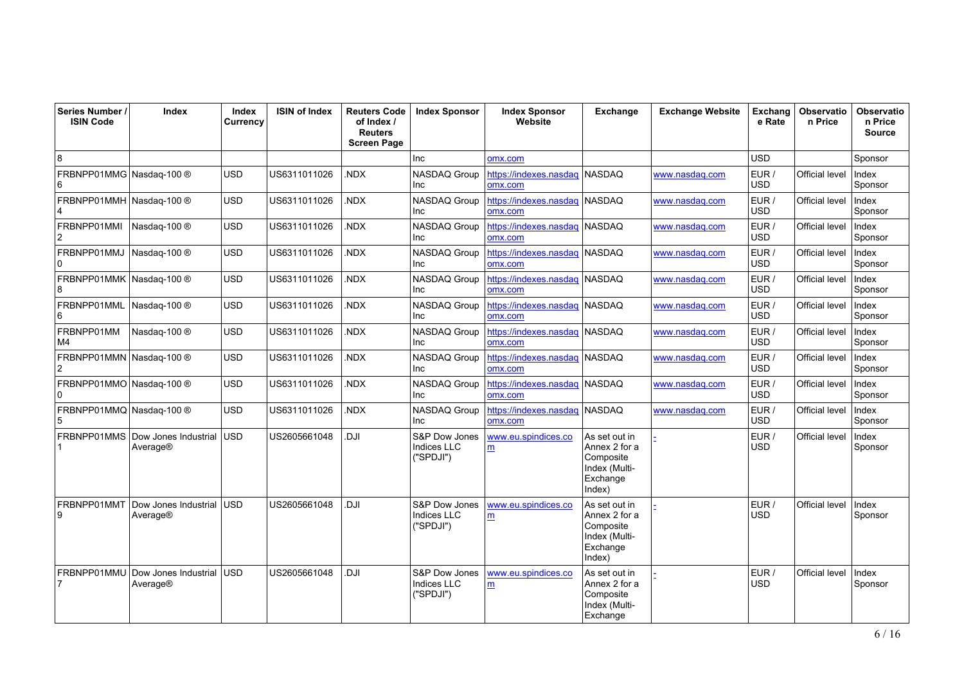| Series Number /<br><b>ISIN Code</b>        | Index                            | Index<br>Currency | <b>ISIN of Index</b> | <b>Reuters Code</b><br>of Index /<br><b>Reuters</b><br><b>Screen Page</b> | <b>Index Sponsor</b>                             | <b>Index Sponsor</b><br>Website   | <b>Exchange</b>                                                                    | <b>Exchange Website</b> | Exchang<br>e Rate   | Observatio<br>n Price | <b>Observatio</b><br>n Price<br><b>Source</b> |
|--------------------------------------------|----------------------------------|-------------------|----------------------|---------------------------------------------------------------------------|--------------------------------------------------|-----------------------------------|------------------------------------------------------------------------------------|-------------------------|---------------------|-----------------------|-----------------------------------------------|
| 8                                          |                                  |                   |                      |                                                                           | Inc                                              | omx.com                           |                                                                                    |                         | <b>USD</b>          |                       | Sponsor                                       |
| FRBNPP01MMG Nasdaq-100 ®<br>6              |                                  | USD               | US6311011026         | NDX.                                                                      | <b>NASDAQ Group</b><br>Inc                       | https://indexes.nasdaq<br>omx.com | <b>NASDAQ</b>                                                                      | www.nasdag.com          | EUR /<br><b>USD</b> | <b>Official level</b> | Index<br>Sponsor                              |
| FRBNPP01MMH Nasdaq-100 ®<br>4              |                                  | <b>USD</b>        | US6311011026         | NDX.                                                                      | NASDAQ Group<br>Inc                              | https://indexes.nasdaq<br>omx.com | NASDAQ                                                                             | www.nasdaq.com          | EUR /<br><b>USD</b> | Official level        | Index<br>Sponsor                              |
| FRBNPP01MMI<br>$\overline{2}$              | Nasdag-100 ®                     | <b>USD</b>        | US6311011026         | NDX.                                                                      | NASDAQ Group<br>Inc                              | https://indexes.nasdaq<br>omx.com | NASDAQ                                                                             | www.nasdag.com          | EUR /<br><b>USD</b> | Official level        | Index<br>Sponsor                              |
| FRBNPP01MMJ<br>0                           | Nasdag-100 ®                     | <b>USD</b>        | US6311011026         | NDX.                                                                      | NASDAQ Group<br>Inc                              | https://indexes.nasdaq<br>omx.com | <b>NASDAQ</b>                                                                      | www.nasdaq.com          | EUR /<br><b>USD</b> | Official level        | Index<br>Sponsor                              |
| FRBNPP01MMK Nasdaq-100 ®<br>8              |                                  | USD               | US6311011026         | NDX.                                                                      | <b>NASDAQ Group</b><br>Inc                       | https://indexes.nasdag<br>omx.com | <b>NASDAQ</b>                                                                      | www.nasdag.com          | EUR /<br><b>USD</b> | Official level        | Index<br>Sponsor                              |
| FRBNPP01MML<br>6                           | Nasdag-100 ®                     | USD               | US6311011026         | NDX.                                                                      | NASDAQ Group<br>Inc                              | https://indexes.nasdaq<br>omx.com | <b>NASDAQ</b>                                                                      | www.nasdag.com          | EUR /<br><b>USD</b> | Official level        | Index<br>Sponsor                              |
| FRBNPP01MM<br>M4                           | Nasdag-100 ®                     | <b>USD</b>        | US6311011026         | NDX.                                                                      | NASDAQ Group<br>Inc                              | https://indexes.nasdag<br>omx.com | <b>NASDAQ</b>                                                                      | www.nasdag.com          | EUR /<br><b>USD</b> | Official level        | Index<br>Sponsor                              |
| FRBNPP01MMN Nasdaq-100 ®<br>$\overline{2}$ |                                  | <b>USD</b>        | US6311011026         | NDX.                                                                      | NASDAQ Group<br>Inc                              | https://indexes.nasdaq<br>omx.com | <b>NASDAQ</b>                                                                      | www.nasdag.com          | EUR /<br><b>USD</b> | <b>Official level</b> | Index<br>Sponsor                              |
| FRBNPP01MMO Nasdaq-100 ®<br>10             |                                  | <b>USD</b>        | US6311011026         | NDX                                                                       | NASDAQ Group<br>Inc                              | https://indexes.nasdaq<br>omx.com | <b>NASDAQ</b>                                                                      | www.nasdaq.com          | EUR /<br><b>USD</b> | Official level        | Index<br>Sponsor                              |
| FRBNPP01MMQ Nasdaq-100 ®<br>5              |                                  | <b>USD</b>        | US6311011026         | NDX                                                                       | NASDAQ Group<br>Inc                              | https://indexes.nasdaq<br>omx.com | <b>NASDAQ</b>                                                                      | www.nasdag.com          | EUR /<br><b>USD</b> | Official level        | Index<br>Sponsor                              |
| FRBNPP01MMS                                | Dow Jones Industrial<br>Average® | <b>USD</b>        | US2605661048         | ILC.                                                                      | S&P Dow Jones<br><b>Indices LLC</b><br>("SPDJI") | www.eu.spindices.co<br>m          | As set out in<br>Annex 2 for a<br>Composite<br>Index (Multi-<br>Exchange<br>Index) |                         | EUR /<br><b>USD</b> | Official level        | Index<br>Sponsor                              |
| FRBNPP01MMT<br>9                           | Dow Jones Industrial<br>Average® | <b>USD</b>        | US2605661048         | IlG.                                                                      | S&P Dow Jones<br>Indices LLC<br>("SPDJI")        | www.eu.spindices.co<br>m          | As set out in<br>Annex 2 for a<br>Composite<br>Index (Multi-<br>Exchange<br>Index) |                         | EUR /<br><b>USD</b> | <b>Official level</b> | Index<br>Sponsor                              |
| FRBNPP01MMU                                | Dow Jones Industrial<br>Average® | <b>USD</b>        | US2605661048         | ILC.                                                                      | S&P Dow Jones<br>Indices LLC<br>("SPDJI")        | www.eu.spindices.co<br>m          | As set out in<br>Annex 2 for a<br>Composite<br>Index (Multi-<br>Exchange           |                         | EUR /<br><b>USD</b> | <b>Official level</b> | Index<br>Sponsor                              |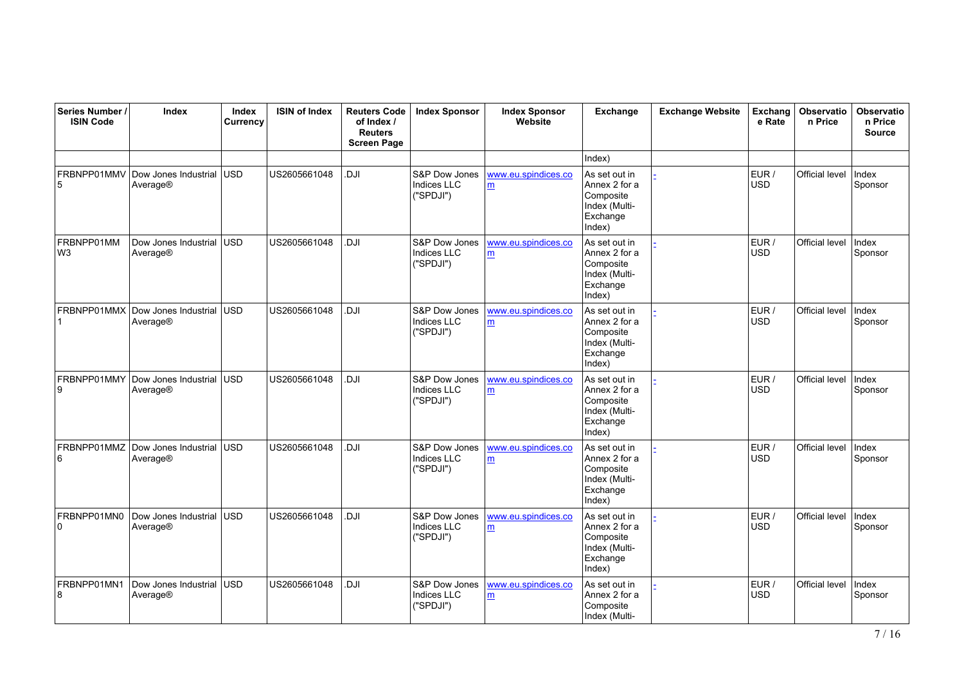| Series Number /<br><b>ISIN Code</b> | Index                            | Index<br>Currency | <b>ISIN of Index</b> | <b>Reuters Code</b><br>of Index /<br><b>Reuters</b><br><b>Screen Page</b> | <b>Index Sponsor</b>                             | <b>Index Sponsor</b><br>Website | Exchange                                                                           | <b>Exchange Website</b> | Exchang<br>e Rate   | <b>Observatio</b><br>n Price | <b>Observatio</b><br>n Price<br><b>Source</b> |
|-------------------------------------|----------------------------------|-------------------|----------------------|---------------------------------------------------------------------------|--------------------------------------------------|---------------------------------|------------------------------------------------------------------------------------|-------------------------|---------------------|------------------------------|-----------------------------------------------|
|                                     |                                  |                   |                      |                                                                           |                                                  |                                 | Index)                                                                             |                         |                     |                              |                                               |
| FRBNPP01MMV<br>5                    | Dow Jones Industrial<br>Average® | USD               | US2605661048         | <b>IU</b>                                                                 | S&P Dow Jones<br><b>Indices LLC</b><br>("SPDJI") | www.eu.spindices.co<br>m        | As set out in<br>Annex 2 for a<br>Composite<br>Index (Multi-<br>Exchange<br>Index) |                         | EUR /<br>USD        | Official level               | Index<br>Sponsor                              |
| FRBNPP01MM<br>W <sub>3</sub>        | Dow Jones Industrial<br>Average® | lusd.             | US2605661048         | <b>DJI</b>                                                                | S&P Dow Jones<br><b>Indices LLC</b><br>("SPDJI") | www.eu.spindices.co<br>m        | As set out in<br>Annex 2 for a<br>Composite<br>Index (Multi-<br>Exchange<br>Index) |                         | EUR /<br><b>USD</b> | Official level               | Index<br>Sponsor                              |
| FRBNPP01MMX                         | Dow Jones Industrial<br>Average® | lusd              | US2605661048         | Il D.                                                                     | S&P Dow Jones<br><b>Indices LLC</b><br>("SPDJI") | www.eu.spindices.co<br>m        | As set out in<br>Annex 2 for a<br>Composite<br>Index (Multi-<br>Exchange<br>Index) |                         | EUR /<br><b>USD</b> | Official level               | Index<br>Sponsor                              |
| FRBNPP01MMY<br>9                    | Dow Jones Industrial<br>Average® | USD               | US2605661048         | Il D.                                                                     | S&P Dow Jones<br>Indices LLC<br>("SPDJI")        | www.eu.spindices.co<br>m        | As set out in<br>Annex 2 for a<br>Composite<br>Index (Multi-<br>Exchange<br>Index) |                         | EUR /<br><b>USD</b> | Official level               | Index<br>Sponsor                              |
| FRBNPP01MMZ<br>6                    | Dow Jones Industrial<br>Average® | <b>USD</b>        | US2605661048         | Il D.                                                                     | S&P Dow Jones<br><b>Indices LLC</b><br>("SPDJI") | www.eu.spindices.co<br>m        | As set out in<br>Annex 2 for a<br>Composite<br>Index (Multi-<br>Exchange<br>Index) |                         | EUR /<br><b>USD</b> | Official level               | Index<br>Sponsor                              |
| FRBNPP01MN0<br>$\Omega$             | Dow Jones Industrial<br>Average® | USD               | US2605661048         | IlG.                                                                      | S&P Dow Jones<br><b>Indices LLC</b><br>("SPDJI") | www.eu.spindices.co<br>m        | As set out in<br>Annex 2 for a<br>Composite<br>Index (Multi-<br>Exchange<br>Index) |                         | EUR /<br><b>USD</b> | Official level               | Index<br>Sponsor                              |
| FRBNPP01MN1<br>8                    | Dow Jones Industrial<br>Average® | USD               | US2605661048         | <b>IU</b>                                                                 | S&P Dow Jones<br>Indices LLC<br>("SPDJI")        | www.eu.spindices.co<br>m        | As set out in<br>Annex 2 for a<br>Composite<br>Index (Multi-                       |                         | EUR /<br><b>USD</b> | Official level               | Index<br>Sponsor                              |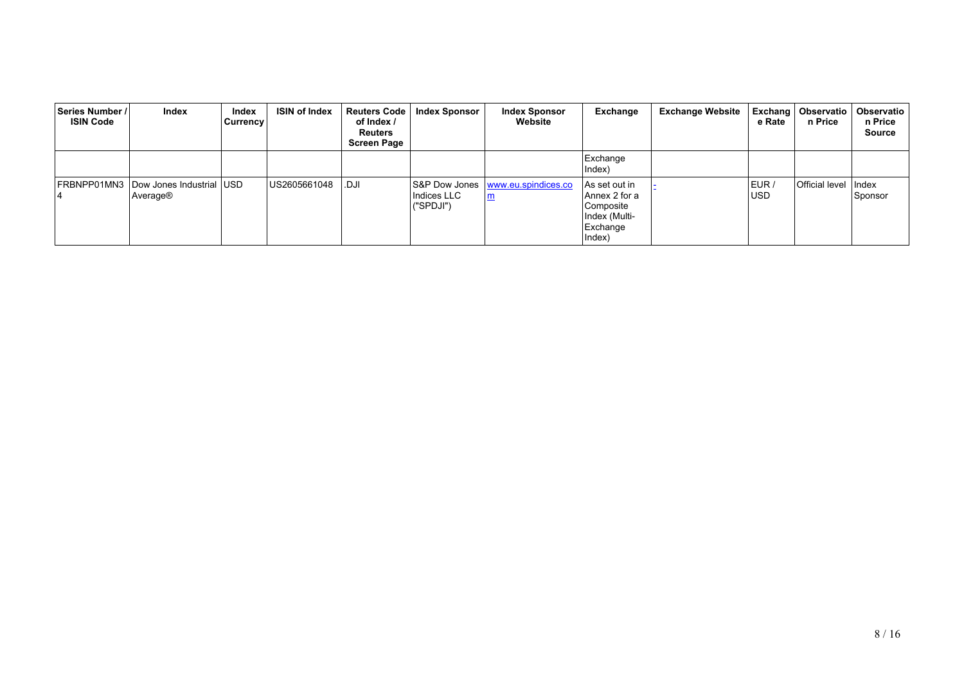| Series Number /<br><b>ISIN Code</b> | Index                                | Index<br>Currency | <b>ISIN of Index</b> | Reuters Code<br>of Index /<br><b>Reuters</b><br><b>Screen Page</b> | <b>Index Sponsor</b>     | <b>Index Sponsor</b><br>Website     | Exchange                                                                           | <b>Exchange Website</b> | e Rate              | Exchang   Observatio  <br>n Price | Observatio<br>n Price<br><b>Source</b> |
|-------------------------------------|--------------------------------------|-------------------|----------------------|--------------------------------------------------------------------|--------------------------|-------------------------------------|------------------------------------------------------------------------------------|-------------------------|---------------------|-----------------------------------|----------------------------------------|
|                                     |                                      |                   |                      |                                                                    |                          |                                     | Exchange<br>Index)                                                                 |                         |                     |                                   |                                        |
| FRBNPP01MN3                         | Dow Jones Industrial USD<br>Average® |                   | US2605661048         | <b>DJI</b>                                                         | Indices LLC<br>("SPDJI") | S&P Dow Jones   www.eu.spindices.co | As set out in<br>Annex 2 for a<br>Composite<br>Index (Multi-<br>Exchange<br>Index) |                         | EUR /<br><b>USD</b> | <b>Official level</b>             | Index<br>Sponsor                       |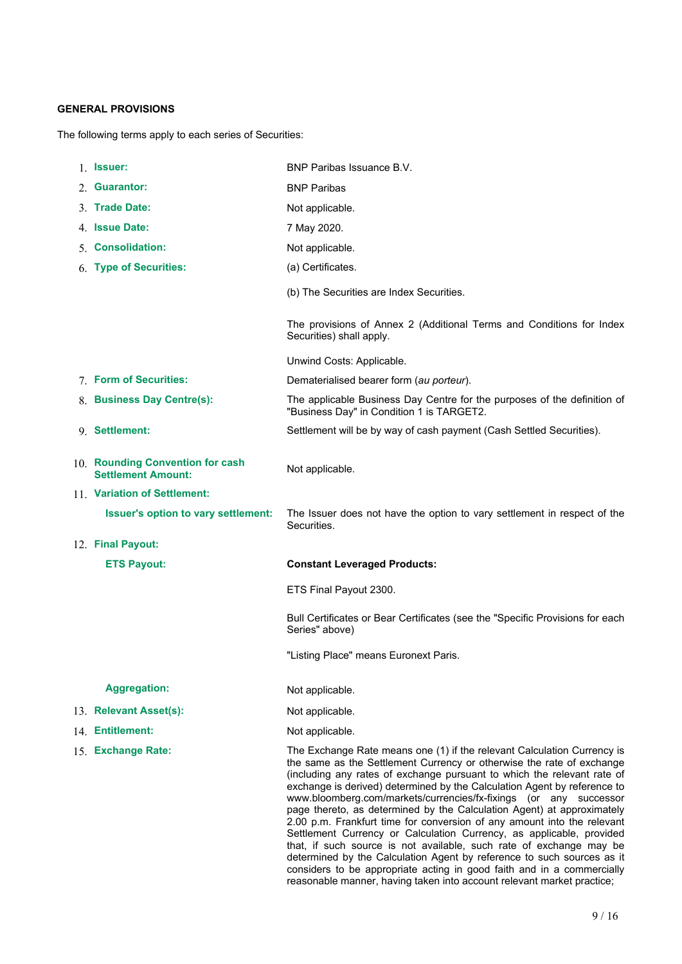# **GENERAL PROVISIONS**

The following terms apply to each series of Securities:

| 1. Issuer:                                                    | BNP Paribas Issuance B.V.                                                                                             |
|---------------------------------------------------------------|-----------------------------------------------------------------------------------------------------------------------|
| 2. Guarantor:                                                 | <b>BNP Paribas</b>                                                                                                    |
| 3. Trade Date:                                                | Not applicable.                                                                                                       |
| 4. Issue Date:                                                | 7 May 2020.                                                                                                           |
| 5. Consolidation:                                             | Not applicable.                                                                                                       |
| 6. Type of Securities:                                        | (a) Certificates.                                                                                                     |
|                                                               | (b) The Securities are Index Securities.                                                                              |
|                                                               | The provisions of Annex 2 (Additional Terms and Conditions for Index<br>Securities) shall apply.                      |
|                                                               | Unwind Costs: Applicable.                                                                                             |
| 7. Form of Securities:                                        | Dematerialised bearer form (au porteur).                                                                              |
| 8. Business Day Centre(s):                                    | The applicable Business Day Centre for the purposes of the definition of<br>"Business Day" in Condition 1 is TARGET2. |
| 9. Settlement:                                                | Settlement will be by way of cash payment (Cash Settled Securities).                                                  |
| 10. Rounding Convention for cash<br><b>Settlement Amount:</b> | Not applicable.                                                                                                       |
| 11. Variation of Settlement:                                  |                                                                                                                       |
| Issuer's option to vary settlement:                           | The Issuer does not have the option to vary settlement in respect of the                                              |
|                                                               | Securities.                                                                                                           |
| 12. Final Payout:                                             |                                                                                                                       |
| <b>ETS Payout:</b>                                            | <b>Constant Leveraged Products:</b>                                                                                   |
|                                                               | ETS Final Payout 2300.                                                                                                |
|                                                               | Bull Certificates or Bear Certificates (see the "Specific Provisions for each<br>Series" above)                       |
|                                                               | "Listing Place" means Euronext Paris.                                                                                 |
| <b>Aggregation:</b>                                           | Not applicable.                                                                                                       |
| 13. Relevant Asset(s):                                        | Not applicable.                                                                                                       |
| 14. Entitlement:<br>15. Exchange Rate:                        | Not applicable.<br>The Exchange Rate means one (1) if the relevant Calculation Currency is                            |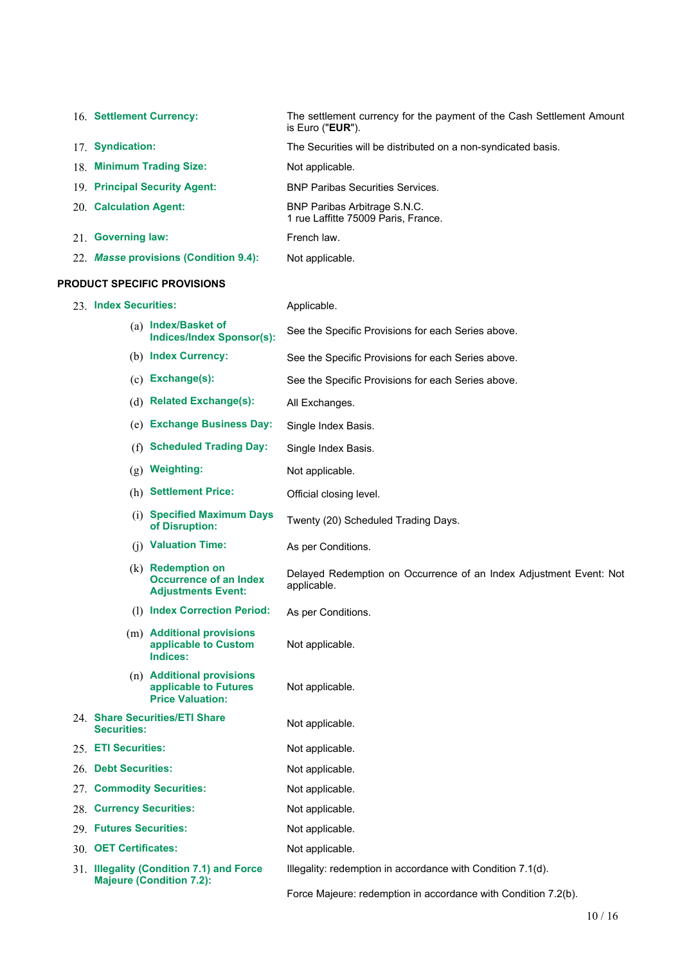|     | 16. Settlement Currency:           |                                                                                   | The settlement currency for the payment of the Cash Settlement Amount<br>is Euro (" <b>EUR</b> "). |  |  |  |  |  |
|-----|------------------------------------|-----------------------------------------------------------------------------------|----------------------------------------------------------------------------------------------------|--|--|--|--|--|
|     | 17. Syndication:                   |                                                                                   | The Securities will be distributed on a non-syndicated basis.                                      |  |  |  |  |  |
|     |                                    | 18. Minimum Trading Size:                                                         | Not applicable.                                                                                    |  |  |  |  |  |
|     |                                    | 19. Principal Security Agent:                                                     | <b>BNP Paribas Securities Services.</b>                                                            |  |  |  |  |  |
|     | 20. Calculation Agent:             |                                                                                   | BNP Paribas Arbitrage S.N.C.<br>1 rue Laffitte 75009 Paris, France.                                |  |  |  |  |  |
|     | 21. Governing law:                 |                                                                                   | French law.                                                                                        |  |  |  |  |  |
|     |                                    | 22. Masse provisions (Condition 9.4):                                             | Not applicable.                                                                                    |  |  |  |  |  |
|     | <b>PRODUCT SPECIFIC PROVISIONS</b> |                                                                                   |                                                                                                    |  |  |  |  |  |
|     | 23. Index Securities:              |                                                                                   | Applicable.                                                                                        |  |  |  |  |  |
|     |                                    | (a) Index/Basket of<br><b>Indices/Index Sponsor(s):</b>                           | See the Specific Provisions for each Series above.                                                 |  |  |  |  |  |
|     |                                    | (b) Index Currency:                                                               | See the Specific Provisions for each Series above.                                                 |  |  |  |  |  |
|     |                                    | (c) Exchange(s):                                                                  | See the Specific Provisions for each Series above.                                                 |  |  |  |  |  |
|     |                                    | (d) Related Exchange(s):                                                          | All Exchanges.                                                                                     |  |  |  |  |  |
|     |                                    | (e) Exchange Business Day:                                                        | Single Index Basis.                                                                                |  |  |  |  |  |
|     | (f)                                | <b>Scheduled Trading Day:</b>                                                     | Single Index Basis.                                                                                |  |  |  |  |  |
|     |                                    | (g) Weighting:                                                                    | Not applicable.                                                                                    |  |  |  |  |  |
|     |                                    | (h) Settlement Price:                                                             | Official closing level.                                                                            |  |  |  |  |  |
|     |                                    | (i) Specified Maximum Days<br>of Disruption:                                      | Twenty (20) Scheduled Trading Days.                                                                |  |  |  |  |  |
|     |                                    | (j) Valuation Time:                                                               | As per Conditions.                                                                                 |  |  |  |  |  |
|     |                                    | $(k)$ Redemption on<br><b>Occurrence of an Index</b><br><b>Adjustments Event:</b> | Delayed Redemption on Occurrence of an Index Adjustment Event: Not<br>applicable.                  |  |  |  |  |  |
|     |                                    | (1) Index Correction Period:                                                      | As per Conditions.                                                                                 |  |  |  |  |  |
|     |                                    | (m) Additional provisions<br>applicable to Custom<br>Indices:                     | Not applicable.                                                                                    |  |  |  |  |  |
|     |                                    | (n) Additional provisions<br>applicable to Futures<br><b>Price Valuation:</b>     | Not applicable.                                                                                    |  |  |  |  |  |
|     | <b>Securities:</b>                 | 24. Share Securities/ETI Share                                                    | Not applicable.                                                                                    |  |  |  |  |  |
|     | 25. ETI Securities:                |                                                                                   | Not applicable.                                                                                    |  |  |  |  |  |
| 26. | <b>Debt Securities:</b>            |                                                                                   | Not applicable.                                                                                    |  |  |  |  |  |
| 27. |                                    | <b>Commodity Securities:</b>                                                      | Not applicable.                                                                                    |  |  |  |  |  |
| 28. | <b>Currency Securities:</b>        |                                                                                   | Not applicable.                                                                                    |  |  |  |  |  |
|     | 29. Futures Securities:            |                                                                                   | Not applicable.                                                                                    |  |  |  |  |  |
|     | 30. OET Certificates:              |                                                                                   | Not applicable.                                                                                    |  |  |  |  |  |
|     |                                    | 31. Illegality (Condition 7.1) and Force                                          | Illegality: redemption in accordance with Condition 7.1(d).                                        |  |  |  |  |  |
|     | <b>Majeure (Condition 7.2):</b>    |                                                                                   | Force Majeure: redemption in accordance with Condition 7.2(b).                                     |  |  |  |  |  |

10 / 16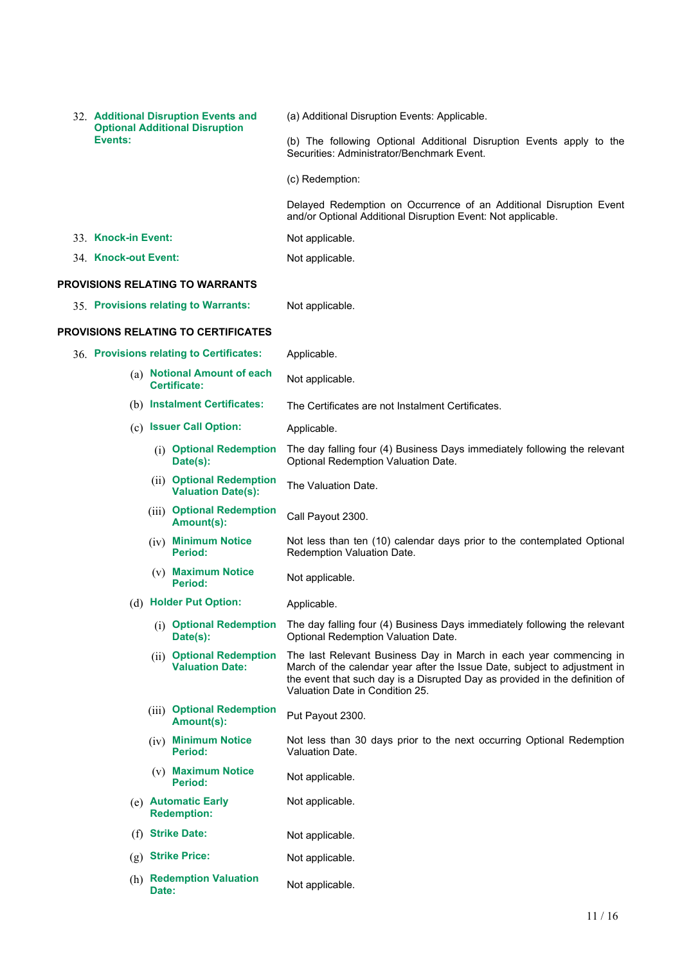|                      |       | 32. Additional Disruption Events and<br><b>Optional Additional Disruption</b> | (a) Additional Disruption Events: Applicable.                                                                                                                                                                                                                     |
|----------------------|-------|-------------------------------------------------------------------------------|-------------------------------------------------------------------------------------------------------------------------------------------------------------------------------------------------------------------------------------------------------------------|
| Events:              |       |                                                                               | (b) The following Optional Additional Disruption Events apply to the<br>Securities: Administrator/Benchmark Event.                                                                                                                                                |
|                      |       |                                                                               | (c) Redemption:                                                                                                                                                                                                                                                   |
|                      |       |                                                                               | Delayed Redemption on Occurrence of an Additional Disruption Event<br>and/or Optional Additional Disruption Event: Not applicable.                                                                                                                                |
| 33. Knock-in Event:  |       |                                                                               | Not applicable.                                                                                                                                                                                                                                                   |
| 34. Knock-out Event: |       |                                                                               | Not applicable.                                                                                                                                                                                                                                                   |
|                      |       | PROVISIONS RELATING TO WARRANTS                                               |                                                                                                                                                                                                                                                                   |
|                      |       | 35. Provisions relating to Warrants:                                          | Not applicable.                                                                                                                                                                                                                                                   |
|                      |       | PROVISIONS RELATING TO CERTIFICATES                                           |                                                                                                                                                                                                                                                                   |
|                      |       | 36. Provisions relating to Certificates:                                      | Applicable.                                                                                                                                                                                                                                                       |
|                      |       | (a) Notional Amount of each<br>Certificate:                                   | Not applicable.                                                                                                                                                                                                                                                   |
|                      |       | (b) Instalment Certificates:                                                  | The Certificates are not Instalment Certificates.                                                                                                                                                                                                                 |
|                      |       | (c) Issuer Call Option:                                                       | Applicable.                                                                                                                                                                                                                                                       |
|                      |       | (i) Optional Redemption<br>Date(s):                                           | The day falling four (4) Business Days immediately following the relevant<br>Optional Redemption Valuation Date.                                                                                                                                                  |
|                      |       | (ii) Optional Redemption<br><b>Valuation Date(s):</b>                         | The Valuation Date.                                                                                                                                                                                                                                               |
|                      |       | (iii) Optional Redemption<br>Amount(s):                                       | Call Payout 2300.                                                                                                                                                                                                                                                 |
|                      |       | (iv) Minimum Notice<br>Period:                                                | Not less than ten (10) calendar days prior to the contemplated Optional<br>Redemption Valuation Date.                                                                                                                                                             |
|                      |       | (v) Maximum Notice<br><b>Period:</b>                                          | Not applicable.                                                                                                                                                                                                                                                   |
|                      |       | (d) Holder Put Option:                                                        | Applicable.                                                                                                                                                                                                                                                       |
|                      |       | Date(s):                                                                      | (i) Optional Redemption The day falling four (4) Business Days immediately following the relevant<br>Optional Redemption Valuation Date.                                                                                                                          |
|                      |       | (ii) Optional Redemption<br><b>Valuation Date:</b>                            | The last Relevant Business Day in March in each year commencing in<br>March of the calendar year after the Issue Date, subject to adjustment in<br>the event that such day is a Disrupted Day as provided in the definition of<br>Valuation Date in Condition 25. |
|                      |       | (iii) Optional Redemption<br>Amount(s):                                       | Put Payout 2300.                                                                                                                                                                                                                                                  |
|                      |       | (iv) Minimum Notice<br>Period:                                                | Not less than 30 days prior to the next occurring Optional Redemption<br>Valuation Date.                                                                                                                                                                          |
|                      |       | (v) Maximum Notice<br><b>Period:</b>                                          | Not applicable.                                                                                                                                                                                                                                                   |
|                      |       | (e) Automatic Early<br><b>Redemption:</b>                                     | Not applicable.                                                                                                                                                                                                                                                   |
| (f)                  |       | <b>Strike Date:</b>                                                           | Not applicable.                                                                                                                                                                                                                                                   |
| (g)                  |       | <b>Strike Price:</b>                                                          | Not applicable.                                                                                                                                                                                                                                                   |
|                      | Date: | (h) Redemption Valuation                                                      | Not applicable.                                                                                                                                                                                                                                                   |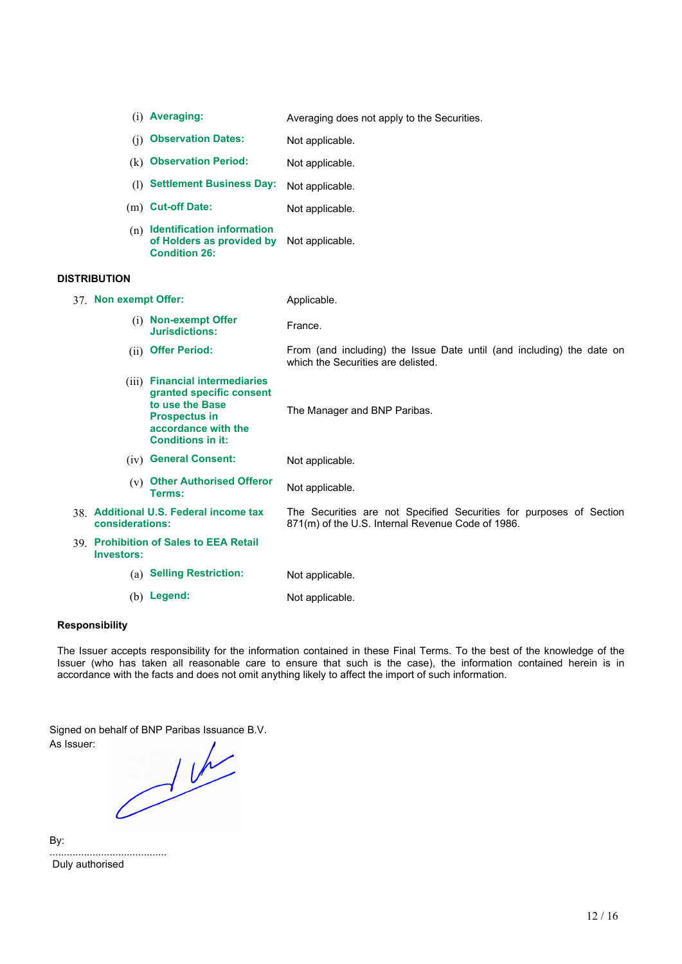|                       | (i) Averaging:                                                                                                                                           | Averaging does not apply to the Securities.                                                                              |
|-----------------------|----------------------------------------------------------------------------------------------------------------------------------------------------------|--------------------------------------------------------------------------------------------------------------------------|
| (i)                   | <b>Observation Dates:</b>                                                                                                                                | Not applicable.                                                                                                          |
|                       | (k) Observation Period:                                                                                                                                  | Not applicable.                                                                                                          |
|                       | (1) Settlement Business Day:                                                                                                                             | Not applicable.                                                                                                          |
|                       | (m) Cut-off Date:                                                                                                                                        | Not applicable.                                                                                                          |
|                       | (n) Identification information<br>of Holders as provided by<br><b>Condition 26:</b>                                                                      | Not applicable.                                                                                                          |
| <b>DISTRIBUTION</b>   |                                                                                                                                                          |                                                                                                                          |
| 37. Non exempt Offer: |                                                                                                                                                          | Applicable.                                                                                                              |
|                       | (i) Non-exempt Offer<br><b>Jurisdictions:</b>                                                                                                            | France.                                                                                                                  |
|                       | (ii) Offer Period:                                                                                                                                       | From (and including) the Issue Date until (and including) the date on<br>which the Securities are delisted.              |
|                       | (iii) Financial intermediaries<br>granted specific consent<br>to use the Base<br><b>Prospectus in</b><br>accordance with the<br><b>Conditions in it:</b> | The Manager and BNP Paribas.                                                                                             |
|                       | (iv) General Consent:                                                                                                                                    | Not applicable.                                                                                                          |
|                       | (v) Other Authorised Offeror<br>Terms:                                                                                                                   | Not applicable.                                                                                                          |
| considerations:       | 38. Additional U.S. Federal income tax                                                                                                                   | The Securities are not Specified Securities for purposes of Section<br>871(m) of the U.S. Internal Revenue Code of 1986. |
| <b>Investors:</b>     | 39. Prohibition of Sales to EEA Retail                                                                                                                   |                                                                                                                          |
|                       | (a) Selling Restriction:                                                                                                                                 | Not applicable.                                                                                                          |
|                       | (b) Legend:                                                                                                                                              | Not applicable.                                                                                                          |

## **Responsibility**

The Issuer accepts responsibility for the information contained in these Final Terms. To the best of the knowledge of the Issuer (who has taken all reasonable care to ensure that such is the case), the information contained herein is in accordance with the facts and does not omit anything likely to affect the import of such information.

As Issuer:

Signed on behalf of BNP Paribas Issuance B.V.

By:

......................................... Duly authorised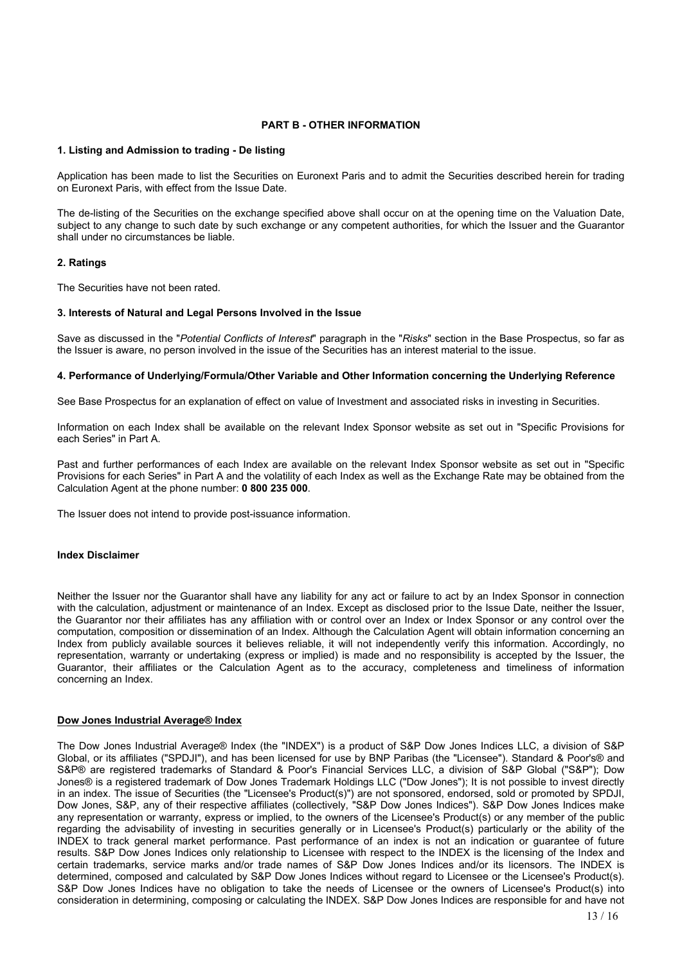## **PART B - OTHER INFORMATION**

#### **1. Listing and Admission to trading - De listing**

Application has been made to list the Securities on Euronext Paris and to admit the Securities described herein for trading on Euronext Paris, with effect from the Issue Date.

The de-listing of the Securities on the exchange specified above shall occur on at the opening time on the Valuation Date, subject to any change to such date by such exchange or any competent authorities, for which the Issuer and the Guarantor shall under no circumstances be liable.

#### **2. Ratings**

The Securities have not been rated.

#### **3. Interests of Natural and Legal Persons Involved in the Issue**

Save as discussed in the "*Potential Conflicts of Interest*" paragraph in the "*Risks*" section in the Base Prospectus, so far as the Issuer is aware, no person involved in the issue of the Securities has an interest material to the issue.

#### **4. Performance of Underlying/Formula/Other Variable and Other Information concerning the Underlying Reference**

See Base Prospectus for an explanation of effect on value of Investment and associated risks in investing in Securities.

Information on each Index shall be available on the relevant Index Sponsor website as set out in "Specific Provisions for each Series" in Part A.

Past and further performances of each Index are available on the relevant Index Sponsor website as set out in "Specific Provisions for each Series" in Part A and the volatility of each Index as well as the Exchange Rate may be obtained from the Calculation Agent at the phone number: **0 800 235 000**.

The Issuer does not intend to provide post-issuance information.

#### **Index Disclaimer**

Neither the Issuer nor the Guarantor shall have any liability for any act or failure to act by an Index Sponsor in connection with the calculation, adjustment or maintenance of an Index. Except as disclosed prior to the Issue Date, neither the Issuer, the Guarantor nor their affiliates has any affiliation with or control over an Index or Index Sponsor or any control over the computation, composition or dissemination of an Index. Although the Calculation Agent will obtain information concerning an Index from publicly available sources it believes reliable, it will not independently verify this information. Accordingly, no representation, warranty or undertaking (express or implied) is made and no responsibility is accepted by the Issuer, the Guarantor, their affiliates or the Calculation Agent as to the accuracy, completeness and timeliness of information concerning an Index.

### **Dow Jones Industrial Average® Index**

The Dow Jones Industrial Average® Index (the "INDEX") is a product of S&P Dow Jones Indices LLC, a division of S&P Global, or its affiliates ("SPDJI"), and has been licensed for use by BNP Paribas (the "Licensee"). Standard & Poor's® and S&P® are registered trademarks of Standard & Poor's Financial Services LLC, a division of S&P Global ("S&P"); Dow Jones® is a registered trademark of Dow Jones Trademark Holdings LLC ("Dow Jones"); It is not possible to invest directly in an index. The issue of Securities (the "Licensee's Product(s)") are not sponsored, endorsed, sold or promoted by SPDJI, Dow Jones, S&P, any of their respective affiliates (collectively, "S&P Dow Jones Indices"). S&P Dow Jones Indices make any representation or warranty, express or implied, to the owners of the Licensee's Product(s) or any member of the public regarding the advisability of investing in securities generally or in Licensee's Product(s) particularly or the ability of the INDEX to track general market performance. Past performance of an index is not an indication or guarantee of future results. S&P Dow Jones Indices only relationship to Licensee with respect to the INDEX is the licensing of the Index and certain trademarks, service marks and/or trade names of S&P Dow Jones Indices and/or its licensors. The INDEX is determined, composed and calculated by S&P Dow Jones Indices without regard to Licensee or the Licensee's Product(s). S&P Dow Jones Indices have no obligation to take the needs of Licensee or the owners of Licensee's Product(s) into consideration in determining, composing or calculating the INDEX. S&P Dow Jones Indices are responsible for and have not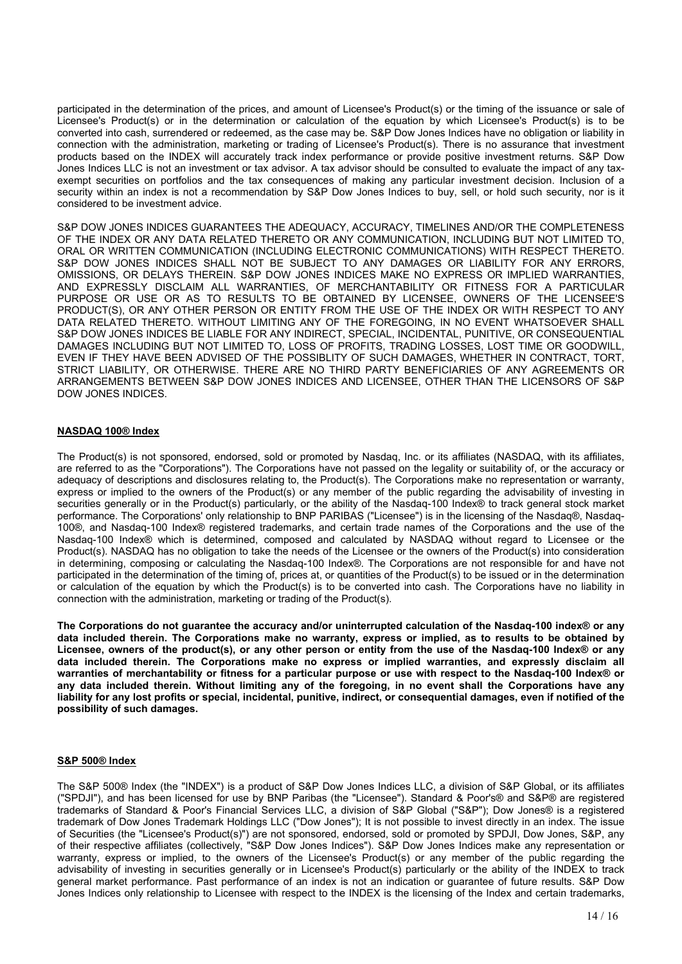participated in the determination of the prices, and amount of Licensee's Product(s) or the timing of the issuance or sale of Licensee's Product(s) or in the determination or calculation of the equation by which Licensee's Product(s) is to be converted into cash, surrendered or redeemed, as the case may be. S&P Dow Jones Indices have no obligation or liability in connection with the administration, marketing or trading of Licensee's Product(s). There is no assurance that investment products based on the INDEX will accurately track index performance or provide positive investment returns. S&P Dow Jones Indices LLC is not an investment or tax advisor. A tax advisor should be consulted to evaluate the impact of any taxexempt securities on portfolios and the tax consequences of making any particular investment decision. Inclusion of a security within an index is not a recommendation by S&P Dow Jones Indices to buy, sell, or hold such security, nor is it considered to be investment advice.

S&P DOW JONES INDICES GUARANTEES THE ADEQUACY, ACCURACY, TIMELINES AND/OR THE COMPLETENESS OF THE INDEX OR ANY DATA RELATED THERETO OR ANY COMMUNICATION, INCLUDING BUT NOT LIMITED TO, ORAL OR WRITTEN COMMUNICATION (INCLUDING ELECTRONIC COMMUNICATIONS) WITH RESPECT THERETO. S&P DOW JONES INDICES SHALL NOT BE SUBJECT TO ANY DAMAGES OR LIABILITY FOR ANY ERRORS, OMISSIONS, OR DELAYS THEREIN. S&P DOW JONES INDICES MAKE NO EXPRESS OR IMPLIED WARRANTIES, AND EXPRESSLY DISCLAIM ALL WARRANTIES, OF MERCHANTABILITY OR FITNESS FOR A PARTICULAR PURPOSE OR USE OR AS TO RESULTS TO BE OBTAINED BY LICENSEE, OWNERS OF THE LICENSEE'S PRODUCT(S), OR ANY OTHER PERSON OR ENTITY FROM THE USE OF THE INDEX OR WITH RESPECT TO ANY DATA RELATED THERETO. WITHOUT LIMITING ANY OF THE FOREGOING, IN NO EVENT WHATSOEVER SHALL S&P DOW JONES INDICES BE LIABLE FOR ANY INDIRECT, SPECIAL, INCIDENTAL, PUNITIVE, OR CONSEQUENTIAL DAMAGES INCLUDING BUT NOT LIMITED TO, LOSS OF PROFITS, TRADING LOSSES, LOST TIME OR GOODWILL, EVEN IF THEY HAVE BEEN ADVISED OF THE POSSIBLITY OF SUCH DAMAGES, WHETHER IN CONTRACT, TORT, STRICT LIABILITY, OR OTHERWISE. THERE ARE NO THIRD PARTY BENEFICIARIES OF ANY AGREEMENTS OR ARRANGEMENTS BETWEEN S&P DOW JONES INDICES AND LICENSEE, OTHER THAN THE LICENSORS OF S&P DOW JONES INDICES.

## **NASDAQ 100® Index**

The Product(s) is not sponsored, endorsed, sold or promoted by Nasdaq, Inc. or its affiliates (NASDAQ, with its affiliates, are referred to as the "Corporations"). The Corporations have not passed on the legality or suitability of, or the accuracy or adequacy of descriptions and disclosures relating to, the Product(s). The Corporations make no representation or warranty, express or implied to the owners of the Product(s) or any member of the public regarding the advisability of investing in securities generally or in the Product(s) particularly, or the ability of the Nasdaq-100 Index® to track general stock market performance. The Corporations' only relationship to BNP PARIBAS ("Licensee") is in the licensing of the Nasdaq®, Nasdaq-100®, and Nasdaq-100 Index® registered trademarks, and certain trade names of the Corporations and the use of the Nasdaq-100 Index® which is determined, composed and calculated by NASDAQ without regard to Licensee or the Product(s). NASDAQ has no obligation to take the needs of the Licensee or the owners of the Product(s) into consideration in determining, composing or calculating the Nasdaq-100 Index®. The Corporations are not responsible for and have not participated in the determination of the timing of, prices at, or quantities of the Product(s) to be issued or in the determination or calculation of the equation by which the Product(s) is to be converted into cash. The Corporations have no liability in connection with the administration, marketing or trading of the Product(s).

**The Corporations do not guarantee the accuracy and/or uninterrupted calculation of the Nasdaq-100 index® or any** data included therein. The Corporations make no warranty, express or implied, as to results to be obtained by Licensee, owners of the product(s), or any other person or entity from the use of the Nasdag-100 Index® or any **data included therein. The Corporations make no express or implied warranties, and expressly disclaim all** warranties of merchantability or fitness for a particular purpose or use with respect to the Nasdaq-100 Index® or any data included therein. Without limiting any of the foregoing, in no event shall the Corporations have any liability for any lost profits or special, incidental, punitive, indirect, or consequential damages, even if notified of the **possibility of such damages.**

### **S&P 500® Index**

The S&P 500® Index (the "INDEX") is a product of S&P Dow Jones Indices LLC, a division of S&P Global, or its affiliates ("SPDJI"), and has been licensed for use by BNP Paribas (the "Licensee"). Standard & Poor's® and S&P® are registered trademarks of Standard & Poor's Financial Services LLC, a division of S&P Global ("S&P"); Dow Jones® is a registered trademark of Dow Jones Trademark Holdings LLC ("Dow Jones"); It is not possible to invest directly in an index. The issue of Securities (the "Licensee's Product(s)") are not sponsored, endorsed, sold or promoted by SPDJI, Dow Jones, S&P, any of their respective affiliates (collectively, "S&P Dow Jones Indices"). S&P Dow Jones Indices make any representation or warranty, express or implied, to the owners of the Licensee's Product(s) or any member of the public regarding the advisability of investing in securities generally or in Licensee's Product(s) particularly or the ability of the INDEX to track general market performance. Past performance of an index is not an indication or guarantee of future results. S&P Dow Jones Indices only relationship to Licensee with respect to the INDEX is the licensing of the Index and certain trademarks,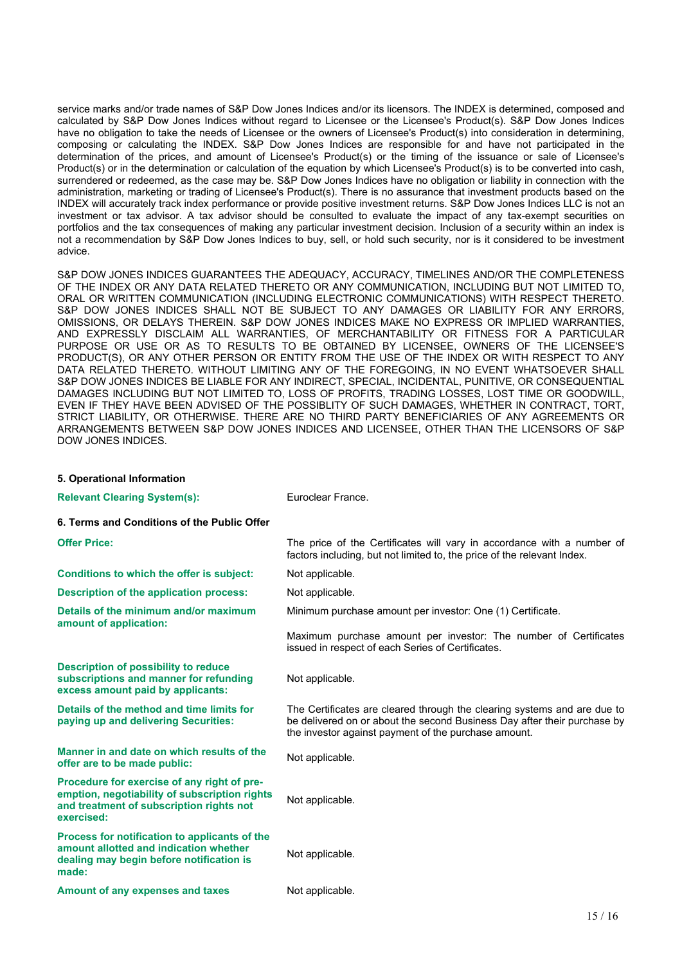service marks and/or trade names of S&P Dow Jones Indices and/or its licensors. The INDEX is determined, composed and calculated by S&P Dow Jones Indices without regard to Licensee or the Licensee's Product(s). S&P Dow Jones Indices have no obligation to take the needs of Licensee or the owners of Licensee's Product(s) into consideration in determining, composing or calculating the INDEX. S&P Dow Jones Indices are responsible for and have not participated in the determination of the prices, and amount of Licensee's Product(s) or the timing of the issuance or sale of Licensee's Product(s) or in the determination or calculation of the equation by which Licensee's Product(s) is to be converted into cash, surrendered or redeemed, as the case may be. S&P Dow Jones Indices have no obligation or liability in connection with the administration, marketing or trading of Licensee's Product(s). There is no assurance that investment products based on the INDEX will accurately track index performance or provide positive investment returns. S&P Dow Jones Indices LLC is not an investment or tax advisor. A tax advisor should be consulted to evaluate the impact of any tax-exempt securities on portfolios and the tax consequences of making any particular investment decision. Inclusion of a security within an index is not a recommendation by S&P Dow Jones Indices to buy, sell, or hold such security, nor is it considered to be investment advice.

S&P DOW JONES INDICES GUARANTEES THE ADEQUACY, ACCURACY, TIMELINES AND/OR THE COMPLETENESS OF THE INDEX OR ANY DATA RELATED THERETO OR ANY COMMUNICATION, INCLUDING BUT NOT LIMITED TO, ORAL OR WRITTEN COMMUNICATION (INCLUDING ELECTRONIC COMMUNICATIONS) WITH RESPECT THERETO. S&P DOW JONES INDICES SHALL NOT BE SUBJECT TO ANY DAMAGES OR LIABILITY FOR ANY ERRORS, OMISSIONS, OR DELAYS THEREIN. S&P DOW JONES INDICES MAKE NO EXPRESS OR IMPLIED WARRANTIES, AND EXPRESSLY DISCLAIM ALL WARRANTIES, OF MERCHANTABILITY OR FITNESS FOR A PARTICULAR PURPOSE OR USE OR AS TO RESULTS TO BE OBTAINED BY LICENSEE, OWNERS OF THE LICENSEE'S PRODUCT(S), OR ANY OTHER PERSON OR ENTITY FROM THE USE OF THE INDEX OR WITH RESPECT TO ANY DATA RELATED THERETO. WITHOUT LIMITING ANY OF THE FOREGOING, IN NO EVENT WHATSOEVER SHALL S&P DOW JONES INDICES BE LIABLE FOR ANY INDIRECT, SPECIAL, INCIDENTAL, PUNITIVE, OR CONSEQUENTIAL DAMAGES INCLUDING BUT NOT LIMITED TO, LOSS OF PROFITS, TRADING LOSSES, LOST TIME OR GOODWILL, EVEN IF THEY HAVE BEEN ADVISED OF THE POSSIBLITY OF SUCH DAMAGES, WHETHER IN CONTRACT, TORT, STRICT LIABILITY, OR OTHERWISE. THERE ARE NO THIRD PARTY BENEFICIARIES OF ANY AGREEMENTS OR ARRANGEMENTS BETWEEN S&P DOW JONES INDICES AND LICENSEE, OTHER THAN THE LICENSORS OF S&P DOW JONES INDICES.

| 5. Operational Information                                                                                                                             |                                                                                                                                                                                                              |
|--------------------------------------------------------------------------------------------------------------------------------------------------------|--------------------------------------------------------------------------------------------------------------------------------------------------------------------------------------------------------------|
| <b>Relevant Clearing System(s):</b>                                                                                                                    | Euroclear France.                                                                                                                                                                                            |
| 6. Terms and Conditions of the Public Offer                                                                                                            |                                                                                                                                                                                                              |
| <b>Offer Price:</b>                                                                                                                                    | The price of the Certificates will vary in accordance with a number of<br>factors including, but not limited to, the price of the relevant Index.                                                            |
| <b>Conditions to which the offer is subject:</b>                                                                                                       | Not applicable.                                                                                                                                                                                              |
| <b>Description of the application process:</b>                                                                                                         | Not applicable.                                                                                                                                                                                              |
| Details of the minimum and/or maximum<br>amount of application:                                                                                        | Minimum purchase amount per investor: One (1) Certificate.                                                                                                                                                   |
|                                                                                                                                                        | Maximum purchase amount per investor: The number of Certificates<br>issued in respect of each Series of Certificates.                                                                                        |
| <b>Description of possibility to reduce</b><br>subscriptions and manner for refunding<br>excess amount paid by applicants:                             | Not applicable.                                                                                                                                                                                              |
| Details of the method and time limits for<br>paying up and delivering Securities:                                                                      | The Certificates are cleared through the clearing systems and are due to<br>be delivered on or about the second Business Day after their purchase by<br>the investor against payment of the purchase amount. |
| Manner in and date on which results of the<br>offer are to be made public:                                                                             | Not applicable.                                                                                                                                                                                              |
| Procedure for exercise of any right of pre-<br>emption, negotiability of subscription rights<br>and treatment of subscription rights not<br>exercised: | Not applicable.                                                                                                                                                                                              |
| Process for notification to applicants of the<br>amount allotted and indication whether<br>dealing may begin before notification is<br>made:           | Not applicable.                                                                                                                                                                                              |
| Amount of any expenses and taxes                                                                                                                       | Not applicable.                                                                                                                                                                                              |
|                                                                                                                                                        |                                                                                                                                                                                                              |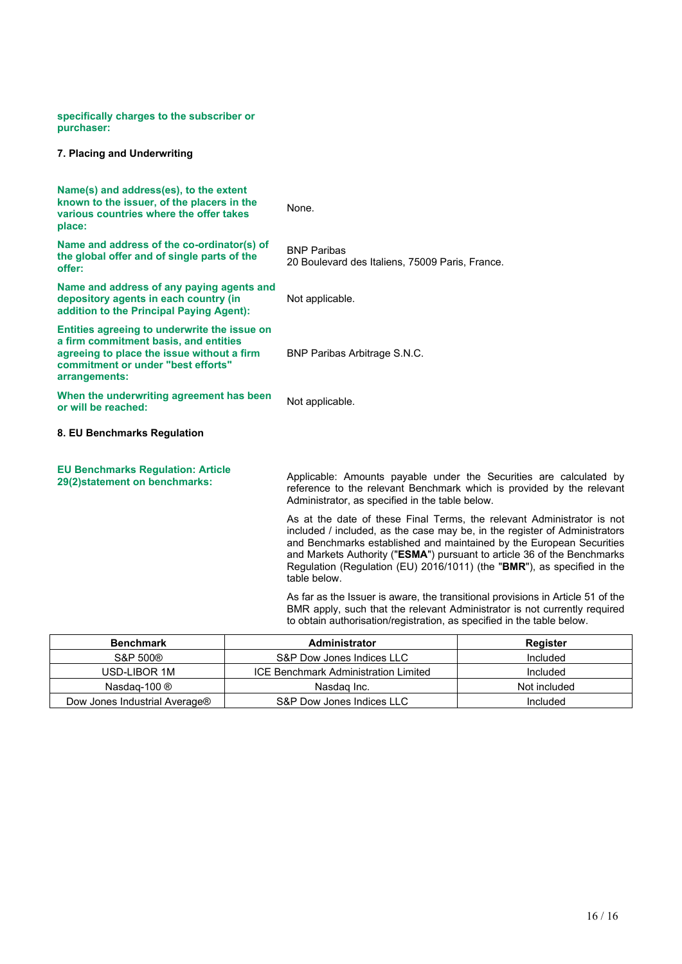**specifically charges to the subscriber or purchaser:**

## **7. Placing and Underwriting**

| Name(s) and address(es), to the extent<br>known to the issuer, of the placers in the<br>various countries where the offer takes<br>place:                                                  | None.                                                                                                                                                                                                                                                                                                                                                                                              |
|--------------------------------------------------------------------------------------------------------------------------------------------------------------------------------------------|----------------------------------------------------------------------------------------------------------------------------------------------------------------------------------------------------------------------------------------------------------------------------------------------------------------------------------------------------------------------------------------------------|
| Name and address of the co-ordinator(s) of<br>the global offer and of single parts of the<br>offer:                                                                                        | <b>BNP Paribas</b><br>20 Boulevard des Italiens, 75009 Paris, France.                                                                                                                                                                                                                                                                                                                              |
| Name and address of any paying agents and<br>depository agents in each country (in<br>addition to the Principal Paying Agent):                                                             | Not applicable.                                                                                                                                                                                                                                                                                                                                                                                    |
| Entities agreeing to underwrite the issue on<br>a firm commitment basis, and entities<br>agreeing to place the issue without a firm<br>commitment or under "best efforts"<br>arrangements: | <b>BNP Paribas Arbitrage S.N.C.</b>                                                                                                                                                                                                                                                                                                                                                                |
| When the underwriting agreement has been<br>or will be reached:                                                                                                                            | Not applicable.                                                                                                                                                                                                                                                                                                                                                                                    |
| 8. EU Benchmarks Regulation                                                                                                                                                                |                                                                                                                                                                                                                                                                                                                                                                                                    |
| <b>EU Benchmarks Regulation: Article</b><br>29(2)statement on benchmarks:                                                                                                                  | Applicable: Amounts payable under the Securities are calculated by<br>reference to the relevant Benchmark which is provided by the relevant<br>Administrator, as specified in the table below.                                                                                                                                                                                                     |
|                                                                                                                                                                                            | As at the date of these Final Terms, the relevant Administrator is not<br>included / included, as the case may be, in the register of Administrators<br>and Benchmarks established and maintained by the European Securities<br>and Markets Authority ("ESMA") pursuant to article 36 of the Benchmarks<br>Regulation (Regulation (EU) 2016/1011) (the "BMR"), as specified in the<br>table below. |
|                                                                                                                                                                                            | As far as the Issuer is aware, the transitional provisions in Article 51 of the<br>BMR apply, such that the relevant Administrator is not currently required<br>to obtain authorisation/registration, as specified in the table below.                                                                                                                                                             |
|                                                                                                                                                                                            |                                                                                                                                                                                                                                                                                                                                                                                                    |

| <b>Benchmark</b>              | <b>Administrator</b>                 | Register     |
|-------------------------------|--------------------------------------|--------------|
| S&P 500®                      | S&P Dow Jones Indices LLC            | Included     |
| USD-LIBOR 1M                  | ICE Benchmark Administration Limited | Included     |
| Nasdag-100 $\circledR$        | Nasdag Inc.                          | Not included |
| Dow Jones Industrial Average® | S&P Dow Jones Indices LLC            | Included     |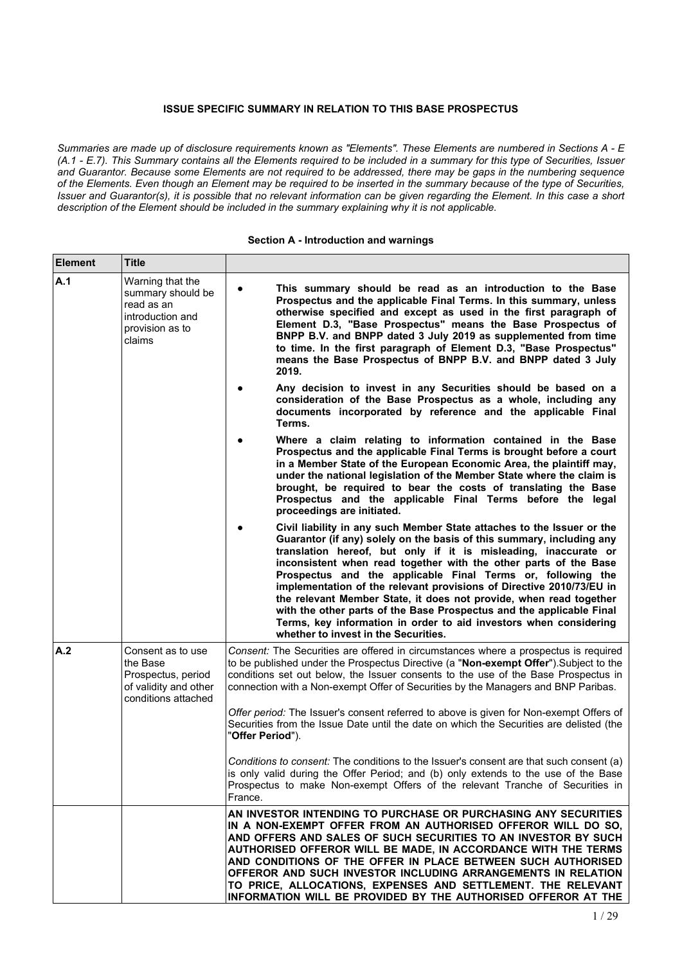# **ISSUE SPECIFIC SUMMARY IN RELATION TO THIS BASE PROSPECTUS**

Summaries are made up of disclosure requirements known as "Elements". These Elements are numbered in Sections A - E (A.1 - E.7). This Summary contains all the Elements required to be included in a summary for this type of Securities, Issuer and Guarantor. Because some Elements are not required to be addressed, there may be gaps in the numbering sequence of the Elements. Even though an Element may be required to be inserted in the summary because of the type of Securities, Issuer and Guarantor(s), it is possible that no relevant information can be given regarding the Element. In this case a short *description of the Element should be included in the summary explaining why it is not applicable.*

## **Section A - Introduction and warnings**

| Element | Title                                                                                                |                                                                                                                                                                                                                                                                                                                                                                                                                                                                                                                                                                                                                                                                                          |
|---------|------------------------------------------------------------------------------------------------------|------------------------------------------------------------------------------------------------------------------------------------------------------------------------------------------------------------------------------------------------------------------------------------------------------------------------------------------------------------------------------------------------------------------------------------------------------------------------------------------------------------------------------------------------------------------------------------------------------------------------------------------------------------------------------------------|
| A.1     | Warning that the<br>summary should be<br>read as an<br>introduction and<br>provision as to<br>claims | This summary should be read as an introduction to the Base<br>$\bullet$<br>Prospectus and the applicable Final Terms. In this summary, unless<br>otherwise specified and except as used in the first paragraph of<br>Element D.3, "Base Prospectus" means the Base Prospectus of<br>BNPP B.V. and BNPP dated 3 July 2019 as supplemented from time<br>to time. In the first paragraph of Element D.3, "Base Prospectus"<br>means the Base Prospectus of BNPP B.V. and BNPP dated 3 July<br>2019.                                                                                                                                                                                         |
|         |                                                                                                      | Any decision to invest in any Securities should be based on a<br>consideration of the Base Prospectus as a whole, including any<br>documents incorporated by reference and the applicable Final<br>Terms.                                                                                                                                                                                                                                                                                                                                                                                                                                                                                |
|         |                                                                                                      | Where a claim relating to information contained in the Base<br>Prospectus and the applicable Final Terms is brought before a court<br>in a Member State of the European Economic Area, the plaintiff may,<br>under the national legislation of the Member State where the claim is<br>brought, be required to bear the costs of translating the Base<br>Prospectus and the applicable Final Terms before the legal<br>proceedings are initiated.                                                                                                                                                                                                                                         |
|         |                                                                                                      | Civil liability in any such Member State attaches to the Issuer or the<br>Guarantor (if any) solely on the basis of this summary, including any<br>translation hereof, but only if it is misleading, inaccurate or<br>inconsistent when read together with the other parts of the Base<br>Prospectus and the applicable Final Terms or, following the<br>implementation of the relevant provisions of Directive 2010/73/EU in<br>the relevant Member State, it does not provide, when read together<br>with the other parts of the Base Prospectus and the applicable Final<br>Terms, key information in order to aid investors when considering<br>whether to invest in the Securities. |
| A.2     | Consent as to use<br>the Base<br>Prospectus, period<br>of validity and other<br>conditions attached  | Consent: The Securities are offered in circumstances where a prospectus is required<br>to be published under the Prospectus Directive (a "Non-exempt Offer"). Subject to the<br>conditions set out below, the Issuer consents to the use of the Base Prospectus in<br>connection with a Non-exempt Offer of Securities by the Managers and BNP Paribas.<br>Offer period: The Issuer's consent referred to above is given for Non-exempt Offers of<br>Securities from the Issue Date until the date on which the Securities are delisted (the<br>"Offer Period").                                                                                                                         |
|         |                                                                                                      | Conditions to consent: The conditions to the Issuer's consent are that such consent (a)<br>is only valid during the Offer Period; and (b) only extends to the use of the Base<br>Prospectus to make Non-exempt Offers of the relevant Tranche of Securities in<br>France.                                                                                                                                                                                                                                                                                                                                                                                                                |
|         |                                                                                                      | AN INVESTOR INTENDING TO PURCHASE OR PURCHASING ANY SECURITIES<br>IN A NON-EXEMPT OFFER FROM AN AUTHORISED OFFEROR WILL DO SO.<br>AND OFFERS AND SALES OF SUCH SECURITIES TO AN INVESTOR BY SUCH<br>AUTHORISED OFFEROR WILL BE MADE, IN ACCORDANCE WITH THE TERMS<br>AND CONDITIONS OF THE OFFER IN PLACE BETWEEN SUCH AUTHORISED<br>OFFEROR AND SUCH INVESTOR INCLUDING ARRANGEMENTS IN RELATION<br>TO PRICE, ALLOCATIONS, EXPENSES AND SETTLEMENT. THE RELEVANT<br>INFORMATION WILL BE PROVIDED BY THE AUTHORISED OFFEROR AT THE                                                                                                                                                       |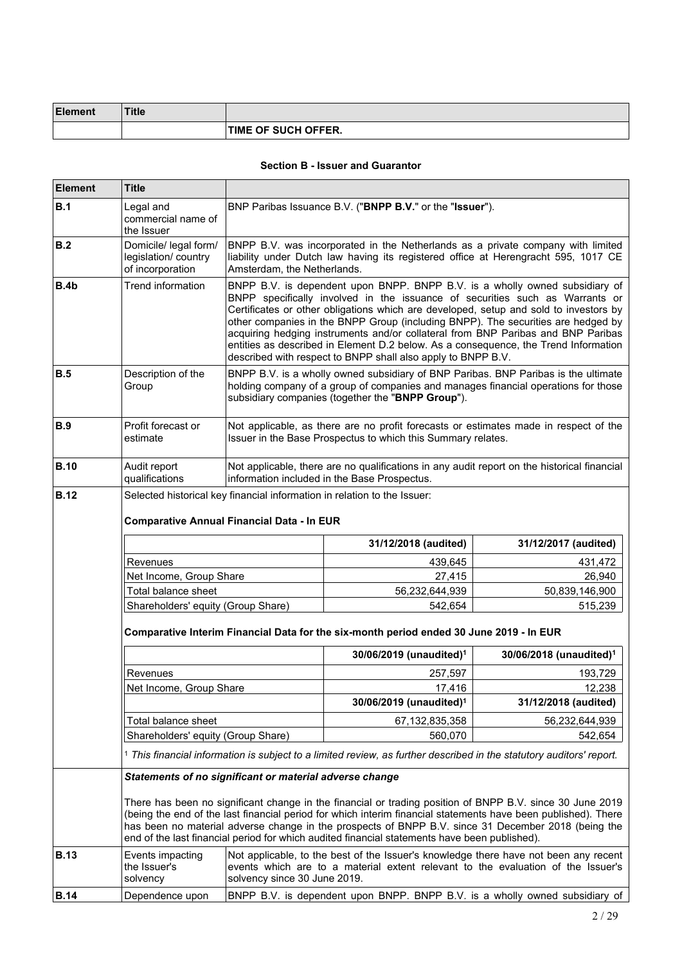| Element | <b>Title</b> |                            |
|---------|--------------|----------------------------|
|         |              | <b>TIME OF SUCH OFFER.</b> |

## **Section B - Issuer and Guarantor**

| <b>Element</b> | Title                                                                                                                                                                                                                                                                                                                                                                                                                               |                                                                                                                                                                                                                                                                                                                                                                                                                                                                                                                                                                                     |                                                                                                                                                                                                                               |                                                                             |  |
|----------------|-------------------------------------------------------------------------------------------------------------------------------------------------------------------------------------------------------------------------------------------------------------------------------------------------------------------------------------------------------------------------------------------------------------------------------------|-------------------------------------------------------------------------------------------------------------------------------------------------------------------------------------------------------------------------------------------------------------------------------------------------------------------------------------------------------------------------------------------------------------------------------------------------------------------------------------------------------------------------------------------------------------------------------------|-------------------------------------------------------------------------------------------------------------------------------------------------------------------------------------------------------------------------------|-----------------------------------------------------------------------------|--|
| B.1            | Legal and<br>commercial name of<br>the Issuer                                                                                                                                                                                                                                                                                                                                                                                       | BNP Paribas Issuance B.V. ("BNPP B.V." or the "Issuer").                                                                                                                                                                                                                                                                                                                                                                                                                                                                                                                            |                                                                                                                                                                                                                               |                                                                             |  |
| B.2            | Domicile/ legal form/<br>legislation/ country<br>of incorporation                                                                                                                                                                                                                                                                                                                                                                   |                                                                                                                                                                                                                                                                                                                                                                                                                                                                                                                                                                                     | BNPP B.V. was incorporated in the Netherlands as a private company with limited<br>liability under Dutch law having its registered office at Herengracht 595, 1017 CE<br>Amsterdam, the Netherlands.                          |                                                                             |  |
| B.4b           | <b>Trend information</b>                                                                                                                                                                                                                                                                                                                                                                                                            | BNPP B.V. is dependent upon BNPP. BNPP B.V. is a wholly owned subsidiary of<br>BNPP specifically involved in the issuance of securities such as Warrants or<br>Certificates or other obligations which are developed, setup and sold to investors by<br>other companies in the BNPP Group (including BNPP). The securities are hedged by<br>acquiring hedging instruments and/or collateral from BNP Paribas and BNP Paribas<br>entities as described in Element D.2 below. As a consequence, the Trend Information<br>described with respect to BNPP shall also apply to BNPP B.V. |                                                                                                                                                                                                                               |                                                                             |  |
| <b>B.5</b>     | Description of the<br>Group                                                                                                                                                                                                                                                                                                                                                                                                         |                                                                                                                                                                                                                                                                                                                                                                                                                                                                                                                                                                                     | BNPP B.V. is a wholly owned subsidiary of BNP Paribas. BNP Paribas is the ultimate<br>holding company of a group of companies and manages financial operations for those<br>subsidiary companies (together the "BNPP Group"). |                                                                             |  |
| <b>B.9</b>     | Profit forecast or<br>estimate                                                                                                                                                                                                                                                                                                                                                                                                      |                                                                                                                                                                                                                                                                                                                                                                                                                                                                                                                                                                                     | Not applicable, as there are no profit forecasts or estimates made in respect of the<br>Issuer in the Base Prospectus to which this Summary relates.                                                                          |                                                                             |  |
| <b>B.10</b>    | Audit report<br>qualifications                                                                                                                                                                                                                                                                                                                                                                                                      |                                                                                                                                                                                                                                                                                                                                                                                                                                                                                                                                                                                     | Not applicable, there are no qualifications in any audit report on the historical financial<br>information included in the Base Prospectus.                                                                                   |                                                                             |  |
| <b>B.12</b>    | Selected historical key financial information in relation to the Issuer:<br><b>Comparative Annual Financial Data - In EUR</b>                                                                                                                                                                                                                                                                                                       |                                                                                                                                                                                                                                                                                                                                                                                                                                                                                                                                                                                     |                                                                                                                                                                                                                               |                                                                             |  |
|                |                                                                                                                                                                                                                                                                                                                                                                                                                                     |                                                                                                                                                                                                                                                                                                                                                                                                                                                                                                                                                                                     | 31/12/2018 (audited)                                                                                                                                                                                                          | 31/12/2017 (audited)                                                        |  |
|                | Revenues                                                                                                                                                                                                                                                                                                                                                                                                                            |                                                                                                                                                                                                                                                                                                                                                                                                                                                                                                                                                                                     | 439,645                                                                                                                                                                                                                       | 431,472                                                                     |  |
|                | Net Income, Group Share                                                                                                                                                                                                                                                                                                                                                                                                             |                                                                                                                                                                                                                                                                                                                                                                                                                                                                                                                                                                                     | 27,415                                                                                                                                                                                                                        | 26,940                                                                      |  |
|                | Total balance sheet                                                                                                                                                                                                                                                                                                                                                                                                                 |                                                                                                                                                                                                                                                                                                                                                                                                                                                                                                                                                                                     | 56,232,644,939                                                                                                                                                                                                                | 50,839,146,900                                                              |  |
|                | Shareholders' equity (Group Share)                                                                                                                                                                                                                                                                                                                                                                                                  |                                                                                                                                                                                                                                                                                                                                                                                                                                                                                                                                                                                     | 542,654                                                                                                                                                                                                                       | 515,239                                                                     |  |
|                | Comparative Interim Financial Data for the six-month period ended 30 June 2019 - In EUR                                                                                                                                                                                                                                                                                                                                             |                                                                                                                                                                                                                                                                                                                                                                                                                                                                                                                                                                                     |                                                                                                                                                                                                                               |                                                                             |  |
|                |                                                                                                                                                                                                                                                                                                                                                                                                                                     |                                                                                                                                                                                                                                                                                                                                                                                                                                                                                                                                                                                     | 30/06/2019 (unaudited) <sup>1</sup>                                                                                                                                                                                           | 30/06/2018 (unaudited) <sup>1</sup>                                         |  |
|                | Revenues                                                                                                                                                                                                                                                                                                                                                                                                                            |                                                                                                                                                                                                                                                                                                                                                                                                                                                                                                                                                                                     | 257,597                                                                                                                                                                                                                       | 193,729                                                                     |  |
|                | Net Income, Group Share                                                                                                                                                                                                                                                                                                                                                                                                             |                                                                                                                                                                                                                                                                                                                                                                                                                                                                                                                                                                                     | 17,416                                                                                                                                                                                                                        | 12,238                                                                      |  |
|                |                                                                                                                                                                                                                                                                                                                                                                                                                                     |                                                                                                                                                                                                                                                                                                                                                                                                                                                                                                                                                                                     | 30/06/2019 (unaudited) <sup>1</sup>                                                                                                                                                                                           | 31/12/2018 (audited)                                                        |  |
|                | Total balance sheet                                                                                                                                                                                                                                                                                                                                                                                                                 |                                                                                                                                                                                                                                                                                                                                                                                                                                                                                                                                                                                     | 67,132,835,358                                                                                                                                                                                                                | 56,232,644,939                                                              |  |
|                | Shareholders' equity (Group Share)                                                                                                                                                                                                                                                                                                                                                                                                  |                                                                                                                                                                                                                                                                                                                                                                                                                                                                                                                                                                                     | 560,070                                                                                                                                                                                                                       | 542,654                                                                     |  |
|                |                                                                                                                                                                                                                                                                                                                                                                                                                                     |                                                                                                                                                                                                                                                                                                                                                                                                                                                                                                                                                                                     | 1 This financial information is subject to a limited review, as further described in the statutory auditors' report.                                                                                                          |                                                                             |  |
|                | Statements of no significant or material adverse change                                                                                                                                                                                                                                                                                                                                                                             |                                                                                                                                                                                                                                                                                                                                                                                                                                                                                                                                                                                     |                                                                                                                                                                                                                               |                                                                             |  |
|                | There has been no significant change in the financial or trading position of BNPP B.V. since 30 June 2019<br>(being the end of the last financial period for which interim financial statements have been published). There<br>has been no material adverse change in the prospects of BNPP B.V. since 31 December 2018 (being the<br>end of the last financial period for which audited financial statements have been published). |                                                                                                                                                                                                                                                                                                                                                                                                                                                                                                                                                                                     |                                                                                                                                                                                                                               |                                                                             |  |
| <b>B.13</b>    | Events impacting<br>the Issuer's<br>solvency                                                                                                                                                                                                                                                                                                                                                                                        | Not applicable, to the best of the Issuer's knowledge there have not been any recent<br>events which are to a material extent relevant to the evaluation of the Issuer's<br>solvency since 30 June 2019.                                                                                                                                                                                                                                                                                                                                                                            |                                                                                                                                                                                                                               |                                                                             |  |
| <b>B.14</b>    | Dependence upon                                                                                                                                                                                                                                                                                                                                                                                                                     |                                                                                                                                                                                                                                                                                                                                                                                                                                                                                                                                                                                     |                                                                                                                                                                                                                               | BNPP B.V. is dependent upon BNPP. BNPP B.V. is a wholly owned subsidiary of |  |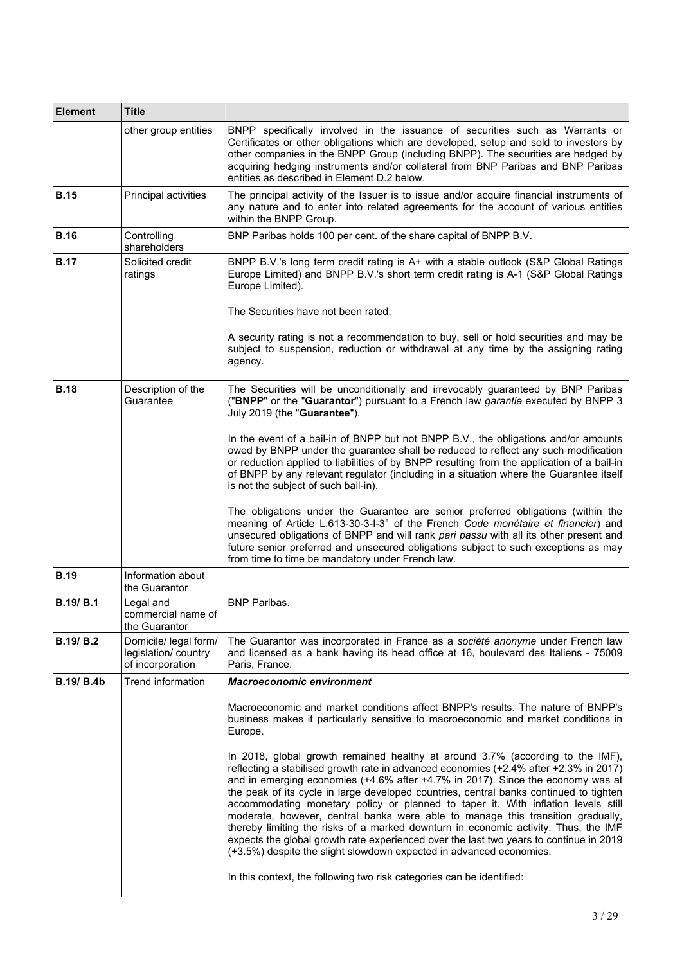| <b>Element</b>    | <b>Title</b>                                                     |                                                                                                                                                                                                                                                                                                                                                                                                                                                                                                                                                                                                                                                                                                                                                                                      |  |
|-------------------|------------------------------------------------------------------|--------------------------------------------------------------------------------------------------------------------------------------------------------------------------------------------------------------------------------------------------------------------------------------------------------------------------------------------------------------------------------------------------------------------------------------------------------------------------------------------------------------------------------------------------------------------------------------------------------------------------------------------------------------------------------------------------------------------------------------------------------------------------------------|--|
|                   | other group entities                                             | BNPP specifically involved in the issuance of securities such as Warrants or<br>Certificates or other obligations which are developed, setup and sold to investors by<br>other companies in the BNPP Group (including BNPP). The securities are hedged by<br>acquiring hedging instruments and/or collateral from BNP Paribas and BNP Paribas<br>entities as described in Element D.2 below.                                                                                                                                                                                                                                                                                                                                                                                         |  |
| <b>B.15</b>       | Principal activities                                             | The principal activity of the Issuer is to issue and/or acquire financial instruments of<br>any nature and to enter into related agreements for the account of various entities<br>within the BNPP Group.                                                                                                                                                                                                                                                                                                                                                                                                                                                                                                                                                                            |  |
| <b>B.16</b>       | Controlling<br>shareholders                                      | BNP Paribas holds 100 per cent. of the share capital of BNPP B.V.                                                                                                                                                                                                                                                                                                                                                                                                                                                                                                                                                                                                                                                                                                                    |  |
| <b>B.17</b>       | Solicited credit<br>ratings                                      | BNPP B.V.'s long term credit rating is A+ with a stable outlook (S&P Global Ratings<br>Europe Limited) and BNPP B.V.'s short term credit rating is A-1 (S&P Global Ratings<br>Europe Limited).                                                                                                                                                                                                                                                                                                                                                                                                                                                                                                                                                                                       |  |
|                   |                                                                  | The Securities have not been rated.                                                                                                                                                                                                                                                                                                                                                                                                                                                                                                                                                                                                                                                                                                                                                  |  |
|                   |                                                                  | A security rating is not a recommendation to buy, sell or hold securities and may be<br>subject to suspension, reduction or withdrawal at any time by the assigning rating<br>agency.                                                                                                                                                                                                                                                                                                                                                                                                                                                                                                                                                                                                |  |
| <b>B.18</b>       | Description of the<br>Guarantee                                  | The Securities will be unconditionally and irrevocably guaranteed by BNP Paribas<br>("BNPP" or the "Guarantor") pursuant to a French law garantie executed by BNPP 3<br>July 2019 (the "Guarantee").                                                                                                                                                                                                                                                                                                                                                                                                                                                                                                                                                                                 |  |
|                   |                                                                  | In the event of a bail-in of BNPP but not BNPP B.V., the obligations and/or amounts<br>owed by BNPP under the guarantee shall be reduced to reflect any such modification<br>or reduction applied to liabilities of by BNPP resulting from the application of a bail-in<br>of BNPP by any relevant regulator (including in a situation where the Guarantee itself<br>is not the subject of such bail-in).                                                                                                                                                                                                                                                                                                                                                                            |  |
|                   |                                                                  | The obligations under the Guarantee are senior preferred obligations (within the<br>meaning of Article L.613-30-3-I-3° of the French Code monétaire et financier) and<br>unsecured obligations of BNPP and will rank pari passu with all its other present and<br>future senior preferred and unsecured obligations subject to such exceptions as may<br>from time to time be mandatory under French law.                                                                                                                                                                                                                                                                                                                                                                            |  |
| <b>B.19</b>       | Information about<br>the Guarantor                               |                                                                                                                                                                                                                                                                                                                                                                                                                                                                                                                                                                                                                                                                                                                                                                                      |  |
| <b>B.19/ B.1</b>  | Legal and<br>commercial name of<br>the Guarantor                 | <b>BNP Paribas.</b>                                                                                                                                                                                                                                                                                                                                                                                                                                                                                                                                                                                                                                                                                                                                                                  |  |
| <b>B.19/ B.2</b>  | Domicile/ legal form/<br>legislation/country<br>of incorporation | The Guarantor was incorporated in France as a société anonyme under French law<br>and licensed as a bank having its head office at 16, boulevard des Italiens - 75009<br>Paris, France.                                                                                                                                                                                                                                                                                                                                                                                                                                                                                                                                                                                              |  |
| <b>B.19/ B.4b</b> | Trend information                                                | <b>Macroeconomic environment</b>                                                                                                                                                                                                                                                                                                                                                                                                                                                                                                                                                                                                                                                                                                                                                     |  |
|                   |                                                                  | Macroeconomic and market conditions affect BNPP's results. The nature of BNPP's<br>business makes it particularly sensitive to macroeconomic and market conditions in<br>Europe.                                                                                                                                                                                                                                                                                                                                                                                                                                                                                                                                                                                                     |  |
|                   |                                                                  | In 2018, global growth remained healthy at around 3.7% (according to the IMF),<br>reflecting a stabilised growth rate in advanced economies (+2.4% after +2.3% in 2017)<br>and in emerging economies (+4.6% after +4.7% in 2017). Since the economy was at<br>the peak of its cycle in large developed countries, central banks continued to tighten<br>accommodating monetary policy or planned to taper it. With inflation levels still<br>moderate, however, central banks were able to manage this transition gradually,<br>thereby limiting the risks of a marked downturn in economic activity. Thus, the IMF<br>expects the global growth rate experienced over the last two years to continue in 2019<br>(+3.5%) despite the slight slowdown expected in advanced economies. |  |
|                   |                                                                  | In this context, the following two risk categories can be identified:                                                                                                                                                                                                                                                                                                                                                                                                                                                                                                                                                                                                                                                                                                                |  |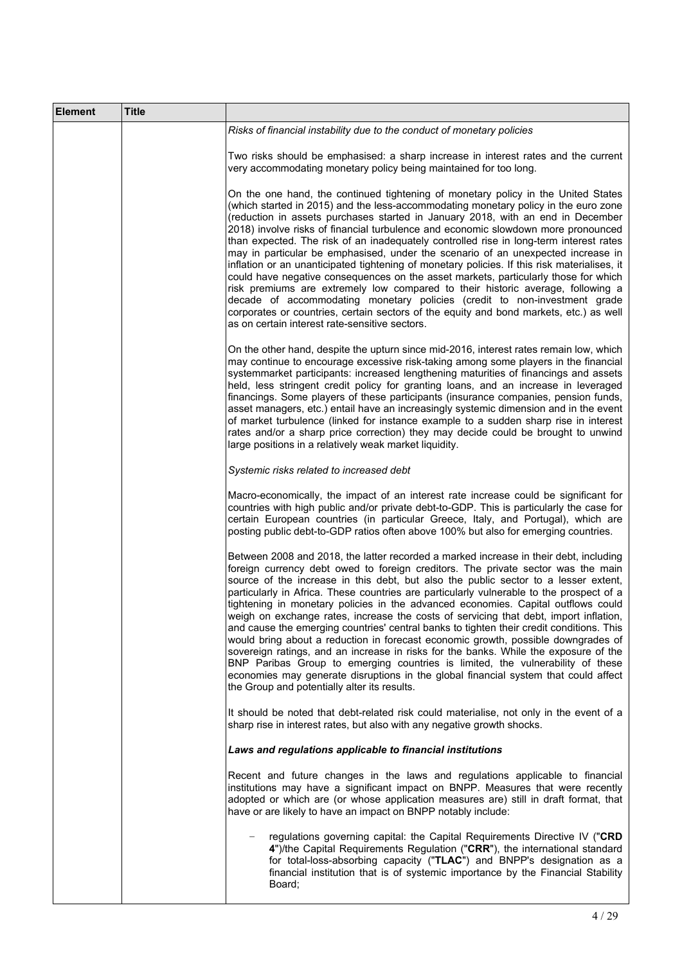| <b>Element</b> | <b>Title</b> |                                                                                                                                                                                                                                                                                                                                                                                                                                                                                                                                                                                                                                                                                                                                                                                                                                                                                                                                                                                                                                              |
|----------------|--------------|----------------------------------------------------------------------------------------------------------------------------------------------------------------------------------------------------------------------------------------------------------------------------------------------------------------------------------------------------------------------------------------------------------------------------------------------------------------------------------------------------------------------------------------------------------------------------------------------------------------------------------------------------------------------------------------------------------------------------------------------------------------------------------------------------------------------------------------------------------------------------------------------------------------------------------------------------------------------------------------------------------------------------------------------|
|                |              | Risks of financial instability due to the conduct of monetary policies                                                                                                                                                                                                                                                                                                                                                                                                                                                                                                                                                                                                                                                                                                                                                                                                                                                                                                                                                                       |
|                |              | Two risks should be emphasised: a sharp increase in interest rates and the current<br>very accommodating monetary policy being maintained for too long.                                                                                                                                                                                                                                                                                                                                                                                                                                                                                                                                                                                                                                                                                                                                                                                                                                                                                      |
|                |              | On the one hand, the continued tightening of monetary policy in the United States<br>(which started in 2015) and the less-accommodating monetary policy in the euro zone<br>(reduction in assets purchases started in January 2018, with an end in December<br>2018) involve risks of financial turbulence and economic slowdown more pronounced<br>than expected. The risk of an inadequately controlled rise in long-term interest rates<br>may in particular be emphasised, under the scenario of an unexpected increase in<br>inflation or an unanticipated tightening of monetary policies. If this risk materialises, it<br>could have negative consequences on the asset markets, particularly those for which<br>risk premiums are extremely low compared to their historic average, following a<br>decade of accommodating monetary policies (credit to non-investment grade<br>corporates or countries, certain sectors of the equity and bond markets, etc.) as well<br>as on certain interest rate-sensitive sectors.            |
|                |              | On the other hand, despite the upturn since mid-2016, interest rates remain low, which<br>may continue to encourage excessive risk-taking among some players in the financial<br>systemmarket participants: increased lengthening maturities of financings and assets<br>held, less stringent credit policy for granting loans, and an increase in leveraged<br>financings. Some players of these participants (insurance companies, pension funds,<br>asset managers, etc.) entail have an increasingly systemic dimension and in the event<br>of market turbulence (linked for instance example to a sudden sharp rise in interest<br>rates and/or a sharp price correction) they may decide could be brought to unwind<br>large positions in a relatively weak market liquidity.                                                                                                                                                                                                                                                          |
|                |              | Systemic risks related to increased debt                                                                                                                                                                                                                                                                                                                                                                                                                                                                                                                                                                                                                                                                                                                                                                                                                                                                                                                                                                                                     |
|                |              | Macro-economically, the impact of an interest rate increase could be significant for<br>countries with high public and/or private debt-to-GDP. This is particularly the case for<br>certain European countries (in particular Greece, Italy, and Portugal), which are<br>posting public debt-to-GDP ratios often above 100% but also for emerging countries.                                                                                                                                                                                                                                                                                                                                                                                                                                                                                                                                                                                                                                                                                 |
|                |              | Between 2008 and 2018, the latter recorded a marked increase in their debt, including<br>foreign currency debt owed to foreign creditors. The private sector was the main<br>source of the increase in this debt, but also the public sector to a lesser extent,<br>particularly in Africa. These countries are particularly vulnerable to the prospect of a<br>tightening in monetary policies in the advanced economies. Capital outflows could<br>weigh on exchange rates, increase the costs of servicing that debt, import inflation,<br>and cause the emerging countries' central banks to tighten their credit conditions. This<br>would bring about a reduction in forecast economic growth, possible downgrades of<br>sovereign ratings, and an increase in risks for the banks. While the exposure of the<br>BNP Paribas Group to emerging countries is limited, the vulnerability of these<br>economies may generate disruptions in the global financial system that could affect<br>the Group and potentially alter its results. |
|                |              | It should be noted that debt-related risk could materialise, not only in the event of a<br>sharp rise in interest rates, but also with any negative growth shocks.                                                                                                                                                                                                                                                                                                                                                                                                                                                                                                                                                                                                                                                                                                                                                                                                                                                                           |
|                |              | Laws and regulations applicable to financial institutions                                                                                                                                                                                                                                                                                                                                                                                                                                                                                                                                                                                                                                                                                                                                                                                                                                                                                                                                                                                    |
|                |              | Recent and future changes in the laws and regulations applicable to financial<br>institutions may have a significant impact on BNPP. Measures that were recently<br>adopted or which are (or whose application measures are) still in draft format, that<br>have or are likely to have an impact on BNPP notably include:                                                                                                                                                                                                                                                                                                                                                                                                                                                                                                                                                                                                                                                                                                                    |
|                |              | regulations governing capital: the Capital Requirements Directive IV ("CRD<br>4")/the Capital Requirements Regulation ("CRR"), the international standard<br>for total-loss-absorbing capacity ("TLAC") and BNPP's designation as a<br>financial institution that is of systemic importance by the Financial Stability<br>Board;                                                                                                                                                                                                                                                                                                                                                                                                                                                                                                                                                                                                                                                                                                             |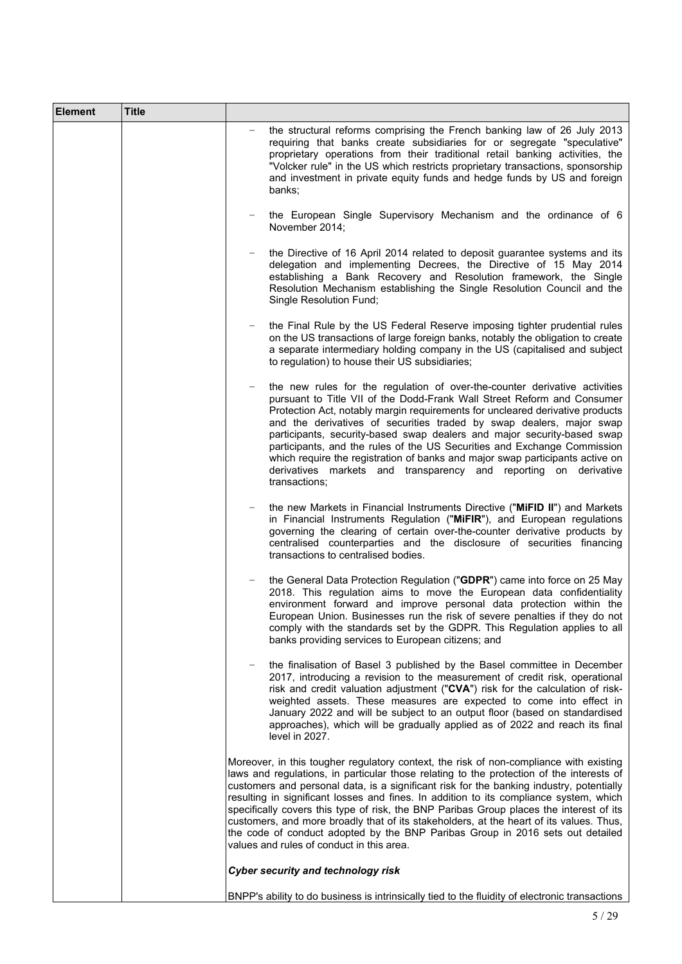| <b>Element</b> | <b>Title</b> |                                                                                                                                                                                                                                                                                                                                                                                                                                                                                                                                                                                                                                                                                               |
|----------------|--------------|-----------------------------------------------------------------------------------------------------------------------------------------------------------------------------------------------------------------------------------------------------------------------------------------------------------------------------------------------------------------------------------------------------------------------------------------------------------------------------------------------------------------------------------------------------------------------------------------------------------------------------------------------------------------------------------------------|
|                |              | the structural reforms comprising the French banking law of 26 July 2013<br>requiring that banks create subsidiaries for or segregate "speculative"<br>proprietary operations from their traditional retail banking activities, the<br>"Volcker rule" in the US which restricts proprietary transactions, sponsorship<br>and investment in private equity funds and hedge funds by US and foreign<br>banks;                                                                                                                                                                                                                                                                                   |
|                |              | the European Single Supervisory Mechanism and the ordinance of 6<br>November 2014;                                                                                                                                                                                                                                                                                                                                                                                                                                                                                                                                                                                                            |
|                |              | the Directive of 16 April 2014 related to deposit guarantee systems and its<br>delegation and implementing Decrees, the Directive of 15 May 2014<br>establishing a Bank Recovery and Resolution framework, the Single<br>Resolution Mechanism establishing the Single Resolution Council and the<br>Single Resolution Fund;                                                                                                                                                                                                                                                                                                                                                                   |
|                |              | the Final Rule by the US Federal Reserve imposing tighter prudential rules<br>on the US transactions of large foreign banks, notably the obligation to create<br>a separate intermediary holding company in the US (capitalised and subject<br>to regulation) to house their US subsidiaries;                                                                                                                                                                                                                                                                                                                                                                                                 |
|                |              | the new rules for the regulation of over-the-counter derivative activities<br>pursuant to Title VII of the Dodd-Frank Wall Street Reform and Consumer<br>Protection Act, notably margin requirements for uncleared derivative products<br>and the derivatives of securities traded by swap dealers, major swap<br>participants, security-based swap dealers and major security-based swap<br>participants, and the rules of the US Securities and Exchange Commission<br>which require the registration of banks and major swap participants active on<br>derivatives markets and transparency and reporting on derivative<br>transactions;                                                   |
|                |              | the new Markets in Financial Instruments Directive ("MiFID II") and Markets<br>in Financial Instruments Regulation ("MiFIR"), and European regulations<br>governing the clearing of certain over-the-counter derivative products by<br>centralised counterparties and the disclosure of securities financing<br>transactions to centralised bodies.                                                                                                                                                                                                                                                                                                                                           |
|                |              | the General Data Protection Regulation ("GDPR") came into force on 25 May<br>2018. This regulation aims to move the European data confidentiality<br>environment forward and improve personal data protection within the<br>European Union. Businesses run the risk of severe penalties if they do not<br>comply with the standards set by the GDPR. This Regulation applies to all<br>banks providing services to European citizens; and                                                                                                                                                                                                                                                     |
|                |              | the finalisation of Basel 3 published by the Basel committee in December<br>2017, introducing a revision to the measurement of credit risk, operational<br>risk and credit valuation adjustment ("CVA") risk for the calculation of risk-<br>weighted assets. These measures are expected to come into effect in<br>January 2022 and will be subject to an output floor (based on standardised<br>approaches), which will be gradually applied as of 2022 and reach its final<br>level in 2027.                                                                                                                                                                                               |
|                |              | Moreover, in this tougher regulatory context, the risk of non-compliance with existing<br>laws and regulations, in particular those relating to the protection of the interests of<br>customers and personal data, is a significant risk for the banking industry, potentially<br>resulting in significant losses and fines. In addition to its compliance system, which<br>specifically covers this type of risk, the BNP Paribas Group places the interest of its<br>customers, and more broadly that of its stakeholders, at the heart of its values. Thus,<br>the code of conduct adopted by the BNP Paribas Group in 2016 sets out detailed<br>values and rules of conduct in this area. |
|                |              | <b>Cyber security and technology risk</b>                                                                                                                                                                                                                                                                                                                                                                                                                                                                                                                                                                                                                                                     |
|                |              | BNPP's ability to do business is intrinsically tied to the fluidity of electronic transactions                                                                                                                                                                                                                                                                                                                                                                                                                                                                                                                                                                                                |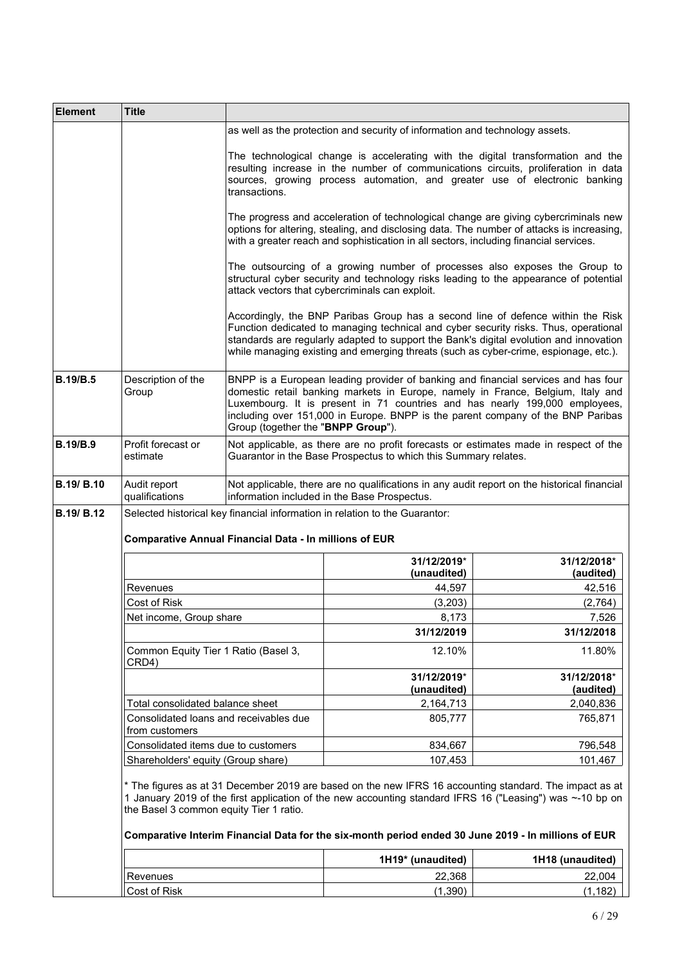| <b>Element</b>    | <b>Title</b>                                                                                                                                 |                                    |                                                                                                     |                                                                                                                                                                                                                                                                                                                                         |
|-------------------|----------------------------------------------------------------------------------------------------------------------------------------------|------------------------------------|-----------------------------------------------------------------------------------------------------|-----------------------------------------------------------------------------------------------------------------------------------------------------------------------------------------------------------------------------------------------------------------------------------------------------------------------------------------|
|                   |                                                                                                                                              |                                    | as well as the protection and security of information and technology assets.                        |                                                                                                                                                                                                                                                                                                                                         |
|                   |                                                                                                                                              | transactions.                      |                                                                                                     | The technological change is accelerating with the digital transformation and the<br>resulting increase in the number of communications circuits, proliferation in data<br>sources, growing process automation, and greater use of electronic banking                                                                                    |
|                   |                                                                                                                                              |                                    | with a greater reach and sophistication in all sectors, including financial services.               | The progress and acceleration of technological change are giving cybercriminals new<br>options for altering, stealing, and disclosing data. The number of attacks is increasing,                                                                                                                                                        |
|                   |                                                                                                                                              |                                    | attack vectors that cybercriminals can exploit.                                                     | The outsourcing of a growing number of processes also exposes the Group to<br>structural cyber security and technology risks leading to the appearance of potential                                                                                                                                                                     |
|                   |                                                                                                                                              |                                    | while managing existing and emerging threats (such as cyber-crime, espionage, etc.).                | Accordingly, the BNP Paribas Group has a second line of defence within the Risk<br>Function dedicated to managing technical and cyber security risks. Thus, operational<br>standards are regularly adapted to support the Bank's digital evolution and innovation                                                                       |
| <b>B.19/B.5</b>   | Description of the<br>Group                                                                                                                  | Group (together the "BNPP Group"). |                                                                                                     | BNPP is a European leading provider of banking and financial services and has four<br>domestic retail banking markets in Europe, namely in France, Belgium, Italy and<br>Luxembourg. It is present in 71 countries and has nearly 199,000 employees,<br>including over 151,000 in Europe. BNPP is the parent company of the BNP Paribas |
| <b>B.19/B.9</b>   | Profit forecast or<br>estimate                                                                                                               |                                    | Guarantor in the Base Prospectus to which this Summary relates.                                     | Not applicable, as there are no profit forecasts or estimates made in respect of the                                                                                                                                                                                                                                                    |
| <b>B.19/ B.10</b> | Audit report<br>qualifications                                                                                                               |                                    | information included in the Base Prospectus.                                                        | Not applicable, there are no qualifications in any audit report on the historical financial                                                                                                                                                                                                                                             |
| <b>B.19/ B.12</b> | Selected historical key financial information in relation to the Guarantor:<br><b>Comparative Annual Financial Data - In millions of EUR</b> |                                    |                                                                                                     |                                                                                                                                                                                                                                                                                                                                         |
|                   |                                                                                                                                              |                                    | 31/12/2019*                                                                                         | 31/12/2018*                                                                                                                                                                                                                                                                                                                             |
|                   |                                                                                                                                              |                                    | (unaudited)                                                                                         | (audited)                                                                                                                                                                                                                                                                                                                               |
|                   | Revenues                                                                                                                                     |                                    | 44,597                                                                                              | 42,516                                                                                                                                                                                                                                                                                                                                  |
|                   | Cost of Risk                                                                                                                                 |                                    | (3,203)                                                                                             | (2,764)                                                                                                                                                                                                                                                                                                                                 |
|                   | Net income, Group share                                                                                                                      |                                    | 8,173                                                                                               | 7,526                                                                                                                                                                                                                                                                                                                                   |
|                   |                                                                                                                                              |                                    | 31/12/2019                                                                                          | 31/12/2018                                                                                                                                                                                                                                                                                                                              |
|                   | Common Equity Tier 1 Ratio (Basel 3,<br>CRD4)                                                                                                |                                    | 12.10%                                                                                              | 11.80%                                                                                                                                                                                                                                                                                                                                  |
|                   |                                                                                                                                              |                                    | 31/12/2019*                                                                                         | 31/12/2018*                                                                                                                                                                                                                                                                                                                             |
|                   |                                                                                                                                              |                                    | (unaudited)                                                                                         | (audited)                                                                                                                                                                                                                                                                                                                               |
|                   | Total consolidated balance sheet                                                                                                             |                                    | 2,164,713                                                                                           | 2,040,836                                                                                                                                                                                                                                                                                                                               |
|                   | Consolidated loans and receivables due<br>from customers                                                                                     |                                    | 805.777                                                                                             | 765,871                                                                                                                                                                                                                                                                                                                                 |
|                   | Consolidated items due to customers                                                                                                          |                                    | 834,667                                                                                             | 796,548                                                                                                                                                                                                                                                                                                                                 |
|                   | Shareholders' equity (Group share)                                                                                                           |                                    | 107,453                                                                                             | 101,467                                                                                                                                                                                                                                                                                                                                 |
|                   | the Basel 3 common equity Tier 1 ratio.                                                                                                      |                                    |                                                                                                     | * The figures as at 31 December 2019 are based on the new IFRS 16 accounting standard. The impact as at<br>1 January 2019 of the first application of the new accounting standard IFRS 16 ("Leasing") was ~-10 bp on                                                                                                                    |
|                   |                                                                                                                                              |                                    | Comparative Interim Financial Data for the six-month period ended 30 June 2019 - In millions of EUR |                                                                                                                                                                                                                                                                                                                                         |
|                   |                                                                                                                                              |                                    | 1H19* (unaudited)                                                                                   | 1H18 (unaudited)                                                                                                                                                                                                                                                                                                                        |
|                   | Revenues                                                                                                                                     |                                    | 22,368                                                                                              | 22,004                                                                                                                                                                                                                                                                                                                                  |
|                   | Cost of Risk                                                                                                                                 |                                    | (1,390)                                                                                             | (1, 182)                                                                                                                                                                                                                                                                                                                                |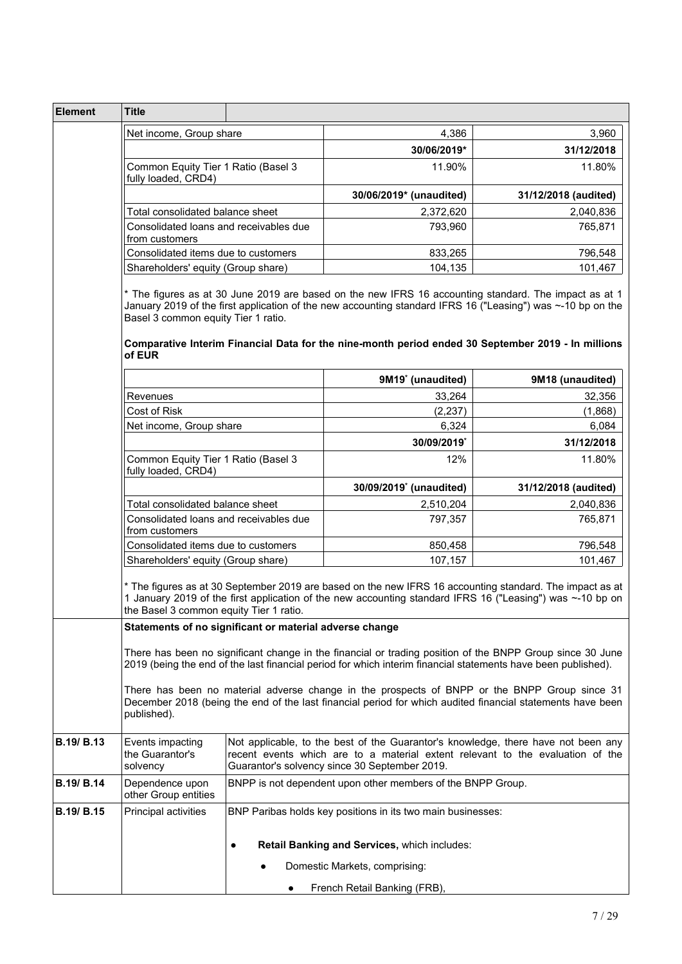| Element           | <b>Title</b>                                                                                                                                                                                                                                                                                                                                                                |   |                                                                                                                                                                                                                                                                                                                             |                                                                                                                                                                     |
|-------------------|-----------------------------------------------------------------------------------------------------------------------------------------------------------------------------------------------------------------------------------------------------------------------------------------------------------------------------------------------------------------------------|---|-----------------------------------------------------------------------------------------------------------------------------------------------------------------------------------------------------------------------------------------------------------------------------------------------------------------------------|---------------------------------------------------------------------------------------------------------------------------------------------------------------------|
|                   | Net income, Group share                                                                                                                                                                                                                                                                                                                                                     |   | 4,386                                                                                                                                                                                                                                                                                                                       | 3,960                                                                                                                                                               |
|                   | Common Equity Tier 1 Ratio (Basel 3<br>fully loaded, CRD4)                                                                                                                                                                                                                                                                                                                  |   | 30/06/2019*                                                                                                                                                                                                                                                                                                                 | 31/12/2018                                                                                                                                                          |
|                   |                                                                                                                                                                                                                                                                                                                                                                             |   | 11.90%                                                                                                                                                                                                                                                                                                                      | 11.80%                                                                                                                                                              |
|                   |                                                                                                                                                                                                                                                                                                                                                                             |   | 30/06/2019* (unaudited)                                                                                                                                                                                                                                                                                                     | 31/12/2018 (audited)                                                                                                                                                |
|                   | Total consolidated balance sheet                                                                                                                                                                                                                                                                                                                                            |   | 2,372,620                                                                                                                                                                                                                                                                                                                   | 2,040,836                                                                                                                                                           |
|                   | Consolidated loans and receivables due                                                                                                                                                                                                                                                                                                                                      |   | 793,960                                                                                                                                                                                                                                                                                                                     | 765,871                                                                                                                                                             |
|                   | from customers                                                                                                                                                                                                                                                                                                                                                              |   |                                                                                                                                                                                                                                                                                                                             |                                                                                                                                                                     |
|                   | Consolidated items due to customers                                                                                                                                                                                                                                                                                                                                         |   | 833,265                                                                                                                                                                                                                                                                                                                     | 796,548                                                                                                                                                             |
|                   | Shareholders' equity (Group share)                                                                                                                                                                                                                                                                                                                                          |   | 104,135                                                                                                                                                                                                                                                                                                                     | 101,467                                                                                                                                                             |
|                   | * The figures as at 30 June 2019 are based on the new IFRS 16 accounting standard. The impact as at 1<br>January 2019 of the first application of the new accounting standard IFRS 16 ("Leasing") was ~-10 bp on the<br>Basel 3 common equity Tier 1 ratio.<br>Comparative Interim Financial Data for the nine-month period ended 30 September 2019 - In millions<br>of EUR |   |                                                                                                                                                                                                                                                                                                                             |                                                                                                                                                                     |
|                   |                                                                                                                                                                                                                                                                                                                                                                             |   | 9M19 <sup>*</sup> (unaudited)                                                                                                                                                                                                                                                                                               | 9M18 (unaudited)                                                                                                                                                    |
|                   | Revenues                                                                                                                                                                                                                                                                                                                                                                    |   | 33,264                                                                                                                                                                                                                                                                                                                      | 32,356                                                                                                                                                              |
|                   | Cost of Risk                                                                                                                                                                                                                                                                                                                                                                |   | (2, 237)                                                                                                                                                                                                                                                                                                                    | (1,868)                                                                                                                                                             |
|                   | Net income, Group share                                                                                                                                                                                                                                                                                                                                                     |   | 6,324                                                                                                                                                                                                                                                                                                                       | 6,084                                                                                                                                                               |
|                   | Common Equity Tier 1 Ratio (Basel 3<br>fully loaded, CRD4)                                                                                                                                                                                                                                                                                                                  |   | 30/09/2019*                                                                                                                                                                                                                                                                                                                 | 31/12/2018                                                                                                                                                          |
|                   |                                                                                                                                                                                                                                                                                                                                                                             |   | 12%                                                                                                                                                                                                                                                                                                                         | 11.80%                                                                                                                                                              |
|                   |                                                                                                                                                                                                                                                                                                                                                                             |   | 30/09/2019 <sup>*</sup> (unaudited)                                                                                                                                                                                                                                                                                         | 31/12/2018 (audited)                                                                                                                                                |
|                   | Total consolidated balance sheet                                                                                                                                                                                                                                                                                                                                            |   | 2,510,204                                                                                                                                                                                                                                                                                                                   | 2,040,836                                                                                                                                                           |
|                   | Consolidated loans and receivables due<br>from customers                                                                                                                                                                                                                                                                                                                    |   | 797,357                                                                                                                                                                                                                                                                                                                     | 765,871                                                                                                                                                             |
|                   | Consolidated items due to customers                                                                                                                                                                                                                                                                                                                                         |   | 850,458                                                                                                                                                                                                                                                                                                                     | 796,548                                                                                                                                                             |
|                   | Shareholders' equity (Group share)                                                                                                                                                                                                                                                                                                                                          |   | 107,157                                                                                                                                                                                                                                                                                                                     | 101,467                                                                                                                                                             |
|                   | * The figures as at 30 September 2019 are based on the new IFRS 16 accounting standard. The impact as at<br>1 January 2019 of the first application of the new accounting standard IFRS 16 ("Leasing") was ~-10 bp on<br>the Basel 3 common equity Tier 1 ratio.                                                                                                            |   |                                                                                                                                                                                                                                                                                                                             |                                                                                                                                                                     |
|                   | Statements of no significant or material adverse change                                                                                                                                                                                                                                                                                                                     |   |                                                                                                                                                                                                                                                                                                                             |                                                                                                                                                                     |
|                   | published).                                                                                                                                                                                                                                                                                                                                                                 |   | There has been no significant change in the financial or trading position of the BNPP Group since 30 June<br>2019 (being the end of the last financial period for which interim financial statements have been published).<br>There has been no material adverse change in the prospects of BNPP or the BNPP Group since 31 | December 2018 (being the end of the last financial period for which audited financial statements have been                                                          |
| B.19/ B.13        | Events impacting<br>the Guarantor's<br>solvency                                                                                                                                                                                                                                                                                                                             |   | Guarantor's solvency since 30 September 2019.                                                                                                                                                                                                                                                                               | Not applicable, to the best of the Guarantor's knowledge, there have not been any<br>recent events which are to a material extent relevant to the evaluation of the |
| B.19/ B.14        | Dependence upon<br>other Group entities                                                                                                                                                                                                                                                                                                                                     |   | BNPP is not dependent upon other members of the BNPP Group.                                                                                                                                                                                                                                                                 |                                                                                                                                                                     |
| <b>B.19/ B.15</b> | <b>Principal activities</b>                                                                                                                                                                                                                                                                                                                                                 |   | BNP Paribas holds key positions in its two main businesses:                                                                                                                                                                                                                                                                 |                                                                                                                                                                     |
|                   |                                                                                                                                                                                                                                                                                                                                                                             | ٠ | Retail Banking and Services, which includes:                                                                                                                                                                                                                                                                                |                                                                                                                                                                     |
|                   |                                                                                                                                                                                                                                                                                                                                                                             |   | Domestic Markets, comprising:                                                                                                                                                                                                                                                                                               |                                                                                                                                                                     |
|                   |                                                                                                                                                                                                                                                                                                                                                                             |   | French Retail Banking (FRB),                                                                                                                                                                                                                                                                                                |                                                                                                                                                                     |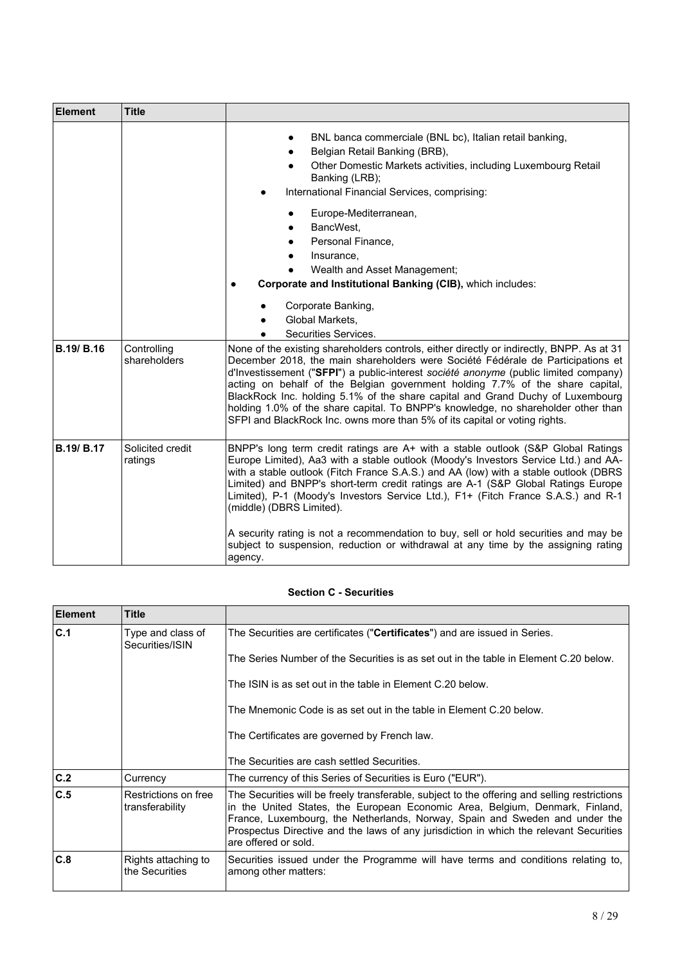| Element           | <b>Title</b>                |                                                                                                                                                                                                                                                                                                                                                                                                                                                                                                                                                                                                            |  |
|-------------------|-----------------------------|------------------------------------------------------------------------------------------------------------------------------------------------------------------------------------------------------------------------------------------------------------------------------------------------------------------------------------------------------------------------------------------------------------------------------------------------------------------------------------------------------------------------------------------------------------------------------------------------------------|--|
|                   |                             | BNL banca commerciale (BNL bc), Italian retail banking,<br>Belgian Retail Banking (BRB),<br>Other Domestic Markets activities, including Luxembourg Retail<br>Banking (LRB);<br>International Financial Services, comprising:                                                                                                                                                                                                                                                                                                                                                                              |  |
|                   |                             | Europe-Mediterranean,<br>BancWest.<br>Personal Finance,<br>Insurance,<br>Wealth and Asset Management;<br>Corporate and Institutional Banking (CIB), which includes:<br>$\bullet$                                                                                                                                                                                                                                                                                                                                                                                                                           |  |
|                   |                             | Corporate Banking,<br>Global Markets.<br>Securities Services.                                                                                                                                                                                                                                                                                                                                                                                                                                                                                                                                              |  |
| <b>B.19/ B.16</b> | Controlling<br>shareholders | None of the existing shareholders controls, either directly or indirectly, BNPP. As at 31<br>December 2018, the main shareholders were Société Fédérale de Participations et<br>d'Investissement ("SFPI") a public-interest société anonyme (public limited company)<br>acting on behalf of the Belgian government holding 7.7% of the share capital,<br>BlackRock Inc. holding 5.1% of the share capital and Grand Duchy of Luxembourg<br>holding 1.0% of the share capital. To BNPP's knowledge, no shareholder other than<br>SFPI and BlackRock Inc. owns more than 5% of its capital or voting rights. |  |
| <b>B.19/ B.17</b> | Solicited credit<br>ratings | BNPP's long term credit ratings are A+ with a stable outlook (S&P Global Ratings<br>Europe Limited), Aa3 with a stable outlook (Moody's Investors Service Ltd.) and AA-<br>with a stable outlook (Fitch France S.A.S.) and AA (low) with a stable outlook (DBRS<br>Limited) and BNPP's short-term credit ratings are A-1 (S&P Global Ratings Europe<br>Limited), P-1 (Moody's Investors Service Ltd.), F1+ (Fitch France S.A.S.) and R-1<br>(middle) (DBRS Limited).                                                                                                                                       |  |
|                   |                             | A security rating is not a recommendation to buy, sell or hold securities and may be<br>subject to suspension, reduction or withdrawal at any time by the assigning rating<br>agency.                                                                                                                                                                                                                                                                                                                                                                                                                      |  |

## **Section C - Securities**

| Element | <b>Title</b>                            |                                                                                                                                                                                                                                                                                                                                                                               |  |  |  |  |  |  |
|---------|-----------------------------------------|-------------------------------------------------------------------------------------------------------------------------------------------------------------------------------------------------------------------------------------------------------------------------------------------------------------------------------------------------------------------------------|--|--|--|--|--|--|
| C.1     | Type and class of<br>Securities/ISIN    | The Securities are certificates (" <b>Certificates</b> ") and are issued in Series.                                                                                                                                                                                                                                                                                           |  |  |  |  |  |  |
|         |                                         | The Series Number of the Securities is as set out in the table in Element C.20 below.                                                                                                                                                                                                                                                                                         |  |  |  |  |  |  |
|         |                                         | The ISIN is as set out in the table in Element C.20 below.                                                                                                                                                                                                                                                                                                                    |  |  |  |  |  |  |
|         |                                         | The Mnemonic Code is as set out in the table in Element C.20 below.                                                                                                                                                                                                                                                                                                           |  |  |  |  |  |  |
|         |                                         | The Certificates are governed by French law.                                                                                                                                                                                                                                                                                                                                  |  |  |  |  |  |  |
|         |                                         | The Securities are cash settled Securities.                                                                                                                                                                                                                                                                                                                                   |  |  |  |  |  |  |
| C.2     | Currency                                | The currency of this Series of Securities is Euro ("EUR").                                                                                                                                                                                                                                                                                                                    |  |  |  |  |  |  |
| C.5     | Restrictions on free<br>transferability | The Securities will be freely transferable, subject to the offering and selling restrictions<br>in the United States, the European Economic Area, Belgium, Denmark, Finland,<br>France, Luxembourg, the Netherlands, Norway, Spain and Sweden and under the<br>Prospectus Directive and the laws of any jurisdiction in which the relevant Securities<br>are offered or sold. |  |  |  |  |  |  |
| C.8     | Rights attaching to<br>the Securities   | Securities issued under the Programme will have terms and conditions relating to,<br>among other matters:                                                                                                                                                                                                                                                                     |  |  |  |  |  |  |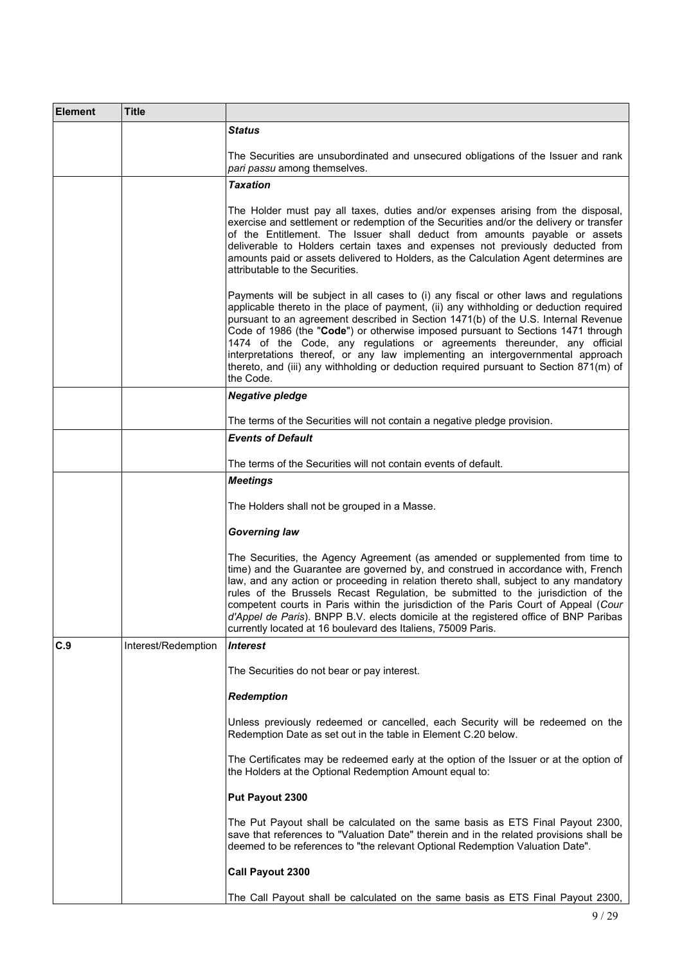| <b>Element</b> | Title               |                                                                                                                                                                                                                                                                                                                                                                                                                                                                                                                                                                                                                                |
|----------------|---------------------|--------------------------------------------------------------------------------------------------------------------------------------------------------------------------------------------------------------------------------------------------------------------------------------------------------------------------------------------------------------------------------------------------------------------------------------------------------------------------------------------------------------------------------------------------------------------------------------------------------------------------------|
|                |                     | Status                                                                                                                                                                                                                                                                                                                                                                                                                                                                                                                                                                                                                         |
|                |                     | The Securities are unsubordinated and unsecured obligations of the Issuer and rank<br>pari passu among themselves.                                                                                                                                                                                                                                                                                                                                                                                                                                                                                                             |
|                |                     | Taxation                                                                                                                                                                                                                                                                                                                                                                                                                                                                                                                                                                                                                       |
|                |                     | The Holder must pay all taxes, duties and/or expenses arising from the disposal,<br>exercise and settlement or redemption of the Securities and/or the delivery or transfer<br>of the Entitlement. The Issuer shall deduct from amounts payable or assets<br>deliverable to Holders certain taxes and expenses not previously deducted from<br>amounts paid or assets delivered to Holders, as the Calculation Agent determines are<br>attributable to the Securities.                                                                                                                                                         |
|                |                     | Payments will be subject in all cases to (i) any fiscal or other laws and regulations<br>applicable thereto in the place of payment, (ii) any withholding or deduction required<br>pursuant to an agreement described in Section 1471(b) of the U.S. Internal Revenue<br>Code of 1986 (the "Code") or otherwise imposed pursuant to Sections 1471 through<br>1474 of the Code, any regulations or agreements thereunder, any official<br>interpretations thereof, or any law implementing an intergovernmental approach<br>thereto, and (iii) any withholding or deduction required pursuant to Section 871(m) of<br>the Code. |
|                |                     | <b>Negative pledge</b>                                                                                                                                                                                                                                                                                                                                                                                                                                                                                                                                                                                                         |
|                |                     | The terms of the Securities will not contain a negative pledge provision.                                                                                                                                                                                                                                                                                                                                                                                                                                                                                                                                                      |
|                |                     | <b>Events of Default</b>                                                                                                                                                                                                                                                                                                                                                                                                                                                                                                                                                                                                       |
|                |                     | The terms of the Securities will not contain events of default.                                                                                                                                                                                                                                                                                                                                                                                                                                                                                                                                                                |
|                |                     | <b>Meetings</b>                                                                                                                                                                                                                                                                                                                                                                                                                                                                                                                                                                                                                |
|                |                     | The Holders shall not be grouped in a Masse.                                                                                                                                                                                                                                                                                                                                                                                                                                                                                                                                                                                   |
|                |                     | Governing law                                                                                                                                                                                                                                                                                                                                                                                                                                                                                                                                                                                                                  |
|                |                     | The Securities, the Agency Agreement (as amended or supplemented from time to<br>time) and the Guarantee are governed by, and construed in accordance with, French<br>law, and any action or proceeding in relation thereto shall, subject to any mandatory<br>rules of the Brussels Recast Regulation, be submitted to the jurisdiction of the<br>competent courts in Paris within the jurisdiction of the Paris Court of Appeal (Cour<br>d'Appel de Paris). BNPP B.V. elects domicile at the registered office of BNP Paribas<br>currently located at 16 boulevard des Italiens, 75009 Paris.                                |
| C.9            | Interest/Redemption | <b>Interest</b>                                                                                                                                                                                                                                                                                                                                                                                                                                                                                                                                                                                                                |
|                |                     | The Securities do not bear or pay interest.                                                                                                                                                                                                                                                                                                                                                                                                                                                                                                                                                                                    |
|                |                     | <b>Redemption</b>                                                                                                                                                                                                                                                                                                                                                                                                                                                                                                                                                                                                              |
|                |                     | Unless previously redeemed or cancelled, each Security will be redeemed on the<br>Redemption Date as set out in the table in Element C.20 below.                                                                                                                                                                                                                                                                                                                                                                                                                                                                               |
|                |                     | The Certificates may be redeemed early at the option of the Issuer or at the option of<br>the Holders at the Optional Redemption Amount equal to:                                                                                                                                                                                                                                                                                                                                                                                                                                                                              |
|                |                     | Put Payout 2300                                                                                                                                                                                                                                                                                                                                                                                                                                                                                                                                                                                                                |
|                |                     | The Put Payout shall be calculated on the same basis as ETS Final Payout 2300,<br>save that references to "Valuation Date" therein and in the related provisions shall be<br>deemed to be references to "the relevant Optional Redemption Valuation Date".                                                                                                                                                                                                                                                                                                                                                                     |
|                |                     | Call Payout 2300                                                                                                                                                                                                                                                                                                                                                                                                                                                                                                                                                                                                               |
|                |                     | The Call Payout shall be calculated on the same basis as ETS Final Payout 2300,                                                                                                                                                                                                                                                                                                                                                                                                                                                                                                                                                |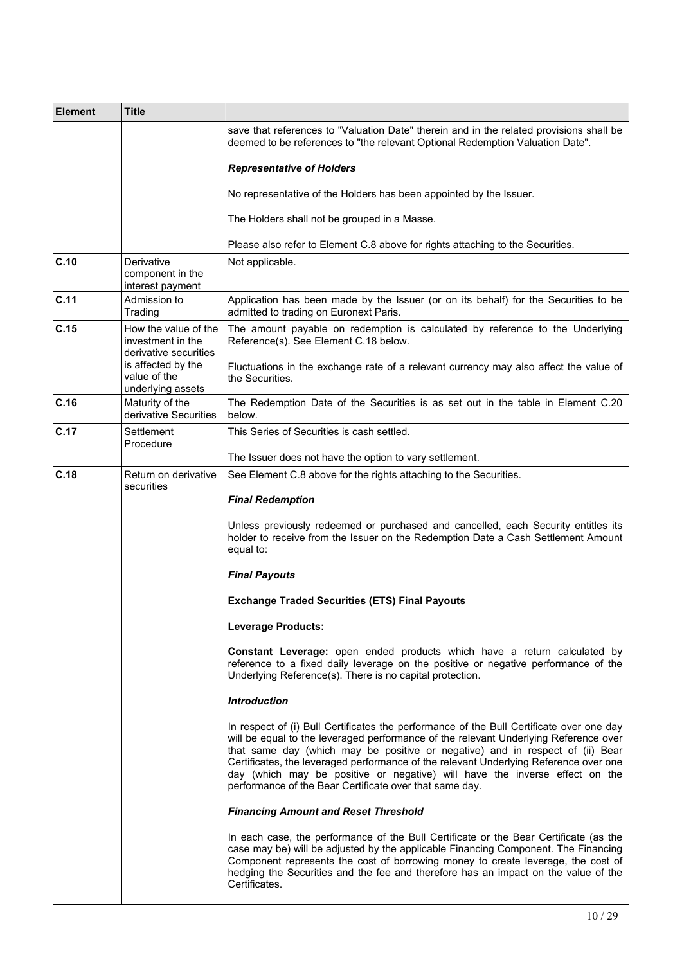| <b>Element</b> | <b>Title</b>                                                       |                                                                                                                                                                                                                                                                                                                                                                                                                                                                                                      |
|----------------|--------------------------------------------------------------------|------------------------------------------------------------------------------------------------------------------------------------------------------------------------------------------------------------------------------------------------------------------------------------------------------------------------------------------------------------------------------------------------------------------------------------------------------------------------------------------------------|
|                |                                                                    | save that references to "Valuation Date" therein and in the related provisions shall be<br>deemed to be references to "the relevant Optional Redemption Valuation Date".                                                                                                                                                                                                                                                                                                                             |
|                |                                                                    | <b>Representative of Holders</b>                                                                                                                                                                                                                                                                                                                                                                                                                                                                     |
|                |                                                                    | No representative of the Holders has been appointed by the Issuer.                                                                                                                                                                                                                                                                                                                                                                                                                                   |
|                |                                                                    | The Holders shall not be grouped in a Masse.                                                                                                                                                                                                                                                                                                                                                                                                                                                         |
|                |                                                                    | Please also refer to Element C.8 above for rights attaching to the Securities.                                                                                                                                                                                                                                                                                                                                                                                                                       |
| C.10           | Derivative<br>component in the<br>interest payment                 | Not applicable.                                                                                                                                                                                                                                                                                                                                                                                                                                                                                      |
| C.11           | Admission to<br>Trading                                            | Application has been made by the Issuer (or on its behalf) for the Securities to be<br>admitted to trading on Euronext Paris.                                                                                                                                                                                                                                                                                                                                                                        |
| C.15           | How the value of the<br>investment in the<br>derivative securities | The amount payable on redemption is calculated by reference to the Underlying<br>Reference(s). See Element C.18 below.                                                                                                                                                                                                                                                                                                                                                                               |
|                | is affected by the<br>value of the<br>underlying assets            | Fluctuations in the exchange rate of a relevant currency may also affect the value of<br>the Securities.                                                                                                                                                                                                                                                                                                                                                                                             |
| C.16           | Maturity of the<br>derivative Securities                           | The Redemption Date of the Securities is as set out in the table in Element C.20<br>below.                                                                                                                                                                                                                                                                                                                                                                                                           |
| C.17           | Settlement<br>Procedure                                            | This Series of Securities is cash settled.                                                                                                                                                                                                                                                                                                                                                                                                                                                           |
|                |                                                                    | The Issuer does not have the option to vary settlement.                                                                                                                                                                                                                                                                                                                                                                                                                                              |
| C.18           | Return on derivative<br>securities                                 | See Element C.8 above for the rights attaching to the Securities.<br><b>Final Redemption</b>                                                                                                                                                                                                                                                                                                                                                                                                         |
|                |                                                                    |                                                                                                                                                                                                                                                                                                                                                                                                                                                                                                      |
|                |                                                                    | Unless previously redeemed or purchased and cancelled, each Security entitles its<br>holder to receive from the Issuer on the Redemption Date a Cash Settlement Amount<br>equal to:                                                                                                                                                                                                                                                                                                                  |
|                |                                                                    | <b>Final Payouts</b>                                                                                                                                                                                                                                                                                                                                                                                                                                                                                 |
|                |                                                                    | <b>Exchange Traded Securities (ETS) Final Payouts</b>                                                                                                                                                                                                                                                                                                                                                                                                                                                |
|                |                                                                    | <b>Leverage Products:</b>                                                                                                                                                                                                                                                                                                                                                                                                                                                                            |
|                |                                                                    | <b>Constant Leverage:</b> open ended products which have a return calculated by<br>reference to a fixed daily leverage on the positive or negative performance of the<br>Underlying Reference(s). There is no capital protection.                                                                                                                                                                                                                                                                    |
|                |                                                                    | <b>Introduction</b>                                                                                                                                                                                                                                                                                                                                                                                                                                                                                  |
|                |                                                                    | In respect of (i) Bull Certificates the performance of the Bull Certificate over one day<br>will be equal to the leveraged performance of the relevant Underlying Reference over<br>that same day (which may be positive or negative) and in respect of (ii) Bear<br>Certificates, the leveraged performance of the relevant Underlying Reference over one<br>day (which may be positive or negative) will have the inverse effect on the<br>performance of the Bear Certificate over that same day. |
|                |                                                                    | <b>Financing Amount and Reset Threshold</b>                                                                                                                                                                                                                                                                                                                                                                                                                                                          |
|                |                                                                    | In each case, the performance of the Bull Certificate or the Bear Certificate (as the<br>case may be) will be adjusted by the applicable Financing Component. The Financing<br>Component represents the cost of borrowing money to create leverage, the cost of<br>hedging the Securities and the fee and therefore has an impact on the value of the<br>Certificates.                                                                                                                               |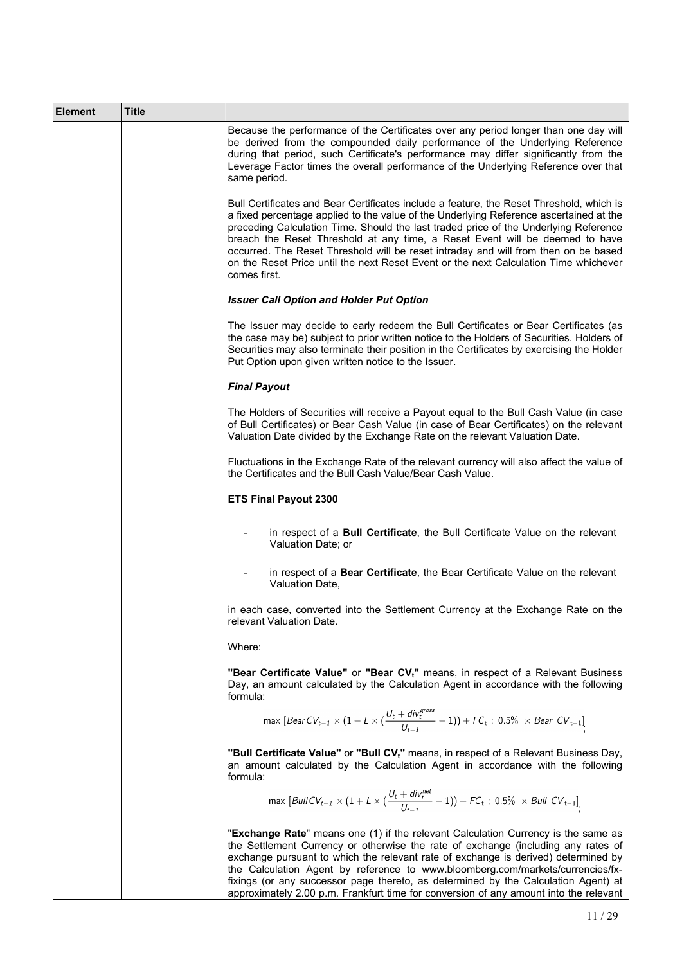| <b>Element</b> | Title |                                                                                                                                                                                                                                                                                                                                                                                                                                                                                                                                                           |
|----------------|-------|-----------------------------------------------------------------------------------------------------------------------------------------------------------------------------------------------------------------------------------------------------------------------------------------------------------------------------------------------------------------------------------------------------------------------------------------------------------------------------------------------------------------------------------------------------------|
|                |       | Because the performance of the Certificates over any period longer than one day will<br>be derived from the compounded daily performance of the Underlying Reference<br>during that period, such Certificate's performance may differ significantly from the<br>Leverage Factor times the overall performance of the Underlying Reference over that<br>same period.                                                                                                                                                                                       |
|                |       | Bull Certificates and Bear Certificates include a feature, the Reset Threshold, which is<br>a fixed percentage applied to the value of the Underlying Reference ascertained at the<br>preceding Calculation Time. Should the last traded price of the Underlying Reference<br>breach the Reset Threshold at any time, a Reset Event will be deemed to have<br>occurred. The Reset Threshold will be reset intraday and will from then on be based<br>on the Reset Price until the next Reset Event or the next Calculation Time whichever<br>comes first. |
|                |       | <b>Issuer Call Option and Holder Put Option</b>                                                                                                                                                                                                                                                                                                                                                                                                                                                                                                           |
|                |       | The Issuer may decide to early redeem the Bull Certificates or Bear Certificates (as<br>the case may be) subject to prior written notice to the Holders of Securities. Holders of<br>Securities may also terminate their position in the Certificates by exercising the Holder<br>Put Option upon given written notice to the Issuer.                                                                                                                                                                                                                     |
|                |       | <b>Final Payout</b>                                                                                                                                                                                                                                                                                                                                                                                                                                                                                                                                       |
|                |       | The Holders of Securities will receive a Payout equal to the Bull Cash Value (in case<br>of Bull Certificates) or Bear Cash Value (in case of Bear Certificates) on the relevant<br>Valuation Date divided by the Exchange Rate on the relevant Valuation Date.                                                                                                                                                                                                                                                                                           |
|                |       | Fluctuations in the Exchange Rate of the relevant currency will also affect the value of<br>the Certificates and the Bull Cash Value/Bear Cash Value.                                                                                                                                                                                                                                                                                                                                                                                                     |
|                |       | <b>ETS Final Payout 2300</b>                                                                                                                                                                                                                                                                                                                                                                                                                                                                                                                              |
|                |       | in respect of a Bull Certificate, the Bull Certificate Value on the relevant<br>Valuation Date; or                                                                                                                                                                                                                                                                                                                                                                                                                                                        |
|                |       | in respect of a Bear Certificate, the Bear Certificate Value on the relevant<br>Valuation Date.                                                                                                                                                                                                                                                                                                                                                                                                                                                           |
|                |       | in each case, converted into the Settlement Currency at the Exchange Rate on the<br>relevant Valuation Date.                                                                                                                                                                                                                                                                                                                                                                                                                                              |
|                |       | Where:                                                                                                                                                                                                                                                                                                                                                                                                                                                                                                                                                    |
|                |       | "Bear Certificate Value" or "Bear CV <sub>t</sub> " means, in respect of a Relevant Business<br>Day, an amount calculated by the Calculation Agent in accordance with the following<br>formula:                                                                                                                                                                                                                                                                                                                                                           |
|                |       | max $[BearCV_{t-1} \times (1 - L \times (\frac{U_t + div_t^{cross}}{U_{t-1}} - 1)) + FC_t$ ; 0.5% $\times$ Bear $CV_{t-1}$ ]                                                                                                                                                                                                                                                                                                                                                                                                                              |
|                |       | "Bull Certificate Value" or "Bull CV <sub>t</sub> " means, in respect of a Relevant Business Day,<br>an amount calculated by the Calculation Agent in accordance with the following<br>formula:                                                                                                                                                                                                                                                                                                                                                           |
|                |       | max $[BullCV_{t-1} \times (1 + L \times (\frac{U_t + div_t^{net}}{U_{t-1}} - 1)) + FC_t$ ; 0.5% $\times$ Bull $CV_{t-1}$ .                                                                                                                                                                                                                                                                                                                                                                                                                                |
|                |       | "Exchange Rate" means one (1) if the relevant Calculation Currency is the same as<br>the Settlement Currency or otherwise the rate of exchange (including any rates of<br>exchange pursuant to which the relevant rate of exchange is derived) determined by<br>the Calculation Agent by reference to www.bloomberg.com/markets/currencies/fx-<br>fixings (or any successor page thereto, as determined by the Calculation Agent) at<br>approximately 2.00 p.m. Frankfurt time for conversion of any amount into the relevant                             |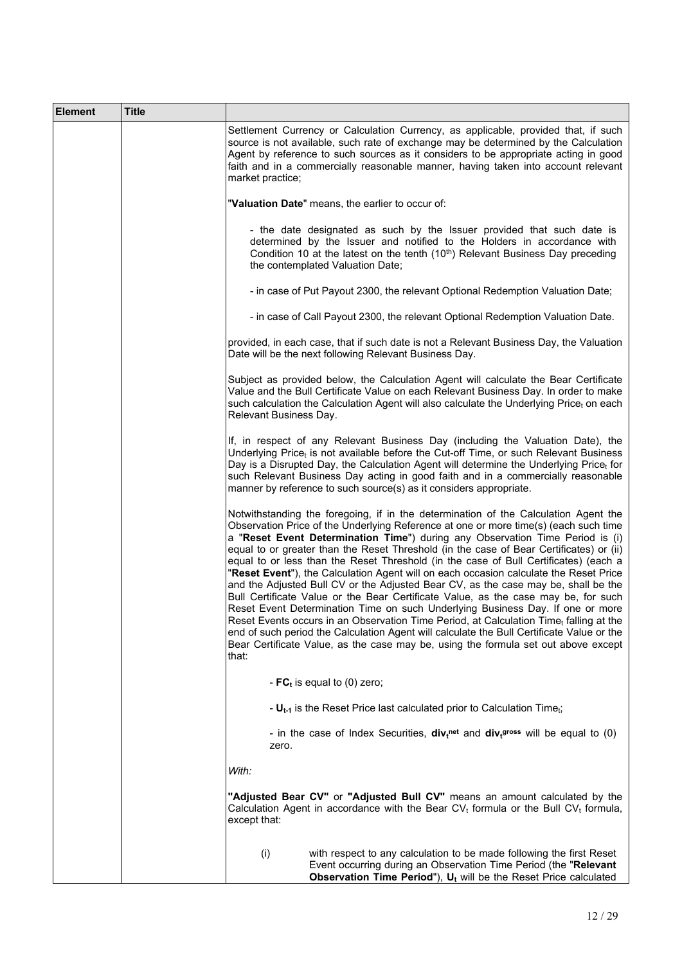| <b>Element</b> | <b>Title</b> |                                                                                                                                                                                                                                                                                                                                                                                                                                                                                                                                                                                                                                                                                                                                                                                                                                                                                                                                                                                                                                                                                              |
|----------------|--------------|----------------------------------------------------------------------------------------------------------------------------------------------------------------------------------------------------------------------------------------------------------------------------------------------------------------------------------------------------------------------------------------------------------------------------------------------------------------------------------------------------------------------------------------------------------------------------------------------------------------------------------------------------------------------------------------------------------------------------------------------------------------------------------------------------------------------------------------------------------------------------------------------------------------------------------------------------------------------------------------------------------------------------------------------------------------------------------------------|
|                |              | Settlement Currency or Calculation Currency, as applicable, provided that, if such<br>source is not available, such rate of exchange may be determined by the Calculation<br>Agent by reference to such sources as it considers to be appropriate acting in good<br>faith and in a commercially reasonable manner, having taken into account relevant<br>market practice;                                                                                                                                                                                                                                                                                                                                                                                                                                                                                                                                                                                                                                                                                                                    |
|                |              | "Valuation Date" means, the earlier to occur of:                                                                                                                                                                                                                                                                                                                                                                                                                                                                                                                                                                                                                                                                                                                                                                                                                                                                                                                                                                                                                                             |
|                |              | - the date designated as such by the Issuer provided that such date is<br>determined by the Issuer and notified to the Holders in accordance with<br>Condition 10 at the latest on the tenth (10 <sup>th</sup> ) Relevant Business Day preceding<br>the contemplated Valuation Date;                                                                                                                                                                                                                                                                                                                                                                                                                                                                                                                                                                                                                                                                                                                                                                                                         |
|                |              | - in case of Put Payout 2300, the relevant Optional Redemption Valuation Date;                                                                                                                                                                                                                                                                                                                                                                                                                                                                                                                                                                                                                                                                                                                                                                                                                                                                                                                                                                                                               |
|                |              | - in case of Call Payout 2300, the relevant Optional Redemption Valuation Date.                                                                                                                                                                                                                                                                                                                                                                                                                                                                                                                                                                                                                                                                                                                                                                                                                                                                                                                                                                                                              |
|                |              | provided, in each case, that if such date is not a Relevant Business Day, the Valuation<br>Date will be the next following Relevant Business Day.                                                                                                                                                                                                                                                                                                                                                                                                                                                                                                                                                                                                                                                                                                                                                                                                                                                                                                                                            |
|                |              | Subject as provided below, the Calculation Agent will calculate the Bear Certificate<br>Value and the Bull Certificate Value on each Relevant Business Day. In order to make<br>such calculation the Calculation Agent will also calculate the Underlying Price <sub>t</sub> on each<br>Relevant Business Day.                                                                                                                                                                                                                                                                                                                                                                                                                                                                                                                                                                                                                                                                                                                                                                               |
|                |              | If, in respect of any Relevant Business Day (including the Valuation Date), the<br>Underlying Price <sub>t</sub> is not available before the Cut-off Time, or such Relevant Business<br>Day is a Disrupted Day, the Calculation Agent will determine the Underlying Pricet for<br>such Relevant Business Day acting in good faith and in a commercially reasonable<br>manner by reference to such source(s) as it considers appropriate.                                                                                                                                                                                                                                                                                                                                                                                                                                                                                                                                                                                                                                                     |
|                |              | Notwithstanding the foregoing, if in the determination of the Calculation Agent the<br>Observation Price of the Underlying Reference at one or more time(s) (each such time<br>a "Reset Event Determination Time") during any Observation Time Period is (i)<br>equal to or greater than the Reset Threshold (in the case of Bear Certificates) or (ii)<br>equal to or less than the Reset Threshold (in the case of Bull Certificates) (each a<br>"Reset Event"), the Calculation Agent will on each occasion calculate the Reset Price<br>and the Adjusted Bull CV or the Adjusted Bear CV, as the case may be, shall be the<br>Bull Certificate Value or the Bear Certificate Value, as the case may be, for such<br>Reset Event Determination Time on such Underlying Business Day. If one or more<br>Reset Events occurs in an Observation Time Period, at Calculation Time, falling at the<br>end of such period the Calculation Agent will calculate the Bull Certificate Value or the<br>Bear Certificate Value, as the case may be, using the formula set out above except<br>that: |
|                |              | - $FC_t$ is equal to (0) zero;                                                                                                                                                                                                                                                                                                                                                                                                                                                                                                                                                                                                                                                                                                                                                                                                                                                                                                                                                                                                                                                               |
|                |              | - $U_{t-1}$ is the Reset Price last calculated prior to Calculation Time <sub>t</sub> ;                                                                                                                                                                                                                                                                                                                                                                                                                                                                                                                                                                                                                                                                                                                                                                                                                                                                                                                                                                                                      |
|                |              | - in the case of Index Securities, $div_t^{net}$ and $div_t^{gross}$ will be equal to (0)<br>zero.                                                                                                                                                                                                                                                                                                                                                                                                                                                                                                                                                                                                                                                                                                                                                                                                                                                                                                                                                                                           |
|                |              | With:                                                                                                                                                                                                                                                                                                                                                                                                                                                                                                                                                                                                                                                                                                                                                                                                                                                                                                                                                                                                                                                                                        |
|                |              | "Adjusted Bear CV" or "Adjusted Bull CV" means an amount calculated by the<br>Calculation Agent in accordance with the Bear $CV_t$ formula or the Bull $CV_t$ formula,<br>except that:                                                                                                                                                                                                                                                                                                                                                                                                                                                                                                                                                                                                                                                                                                                                                                                                                                                                                                       |
|                |              | (i)<br>with respect to any calculation to be made following the first Reset<br>Event occurring during an Observation Time Period (the "Relevant<br>Observation Time Period"), $U_t$ will be the Reset Price calculated                                                                                                                                                                                                                                                                                                                                                                                                                                                                                                                                                                                                                                                                                                                                                                                                                                                                       |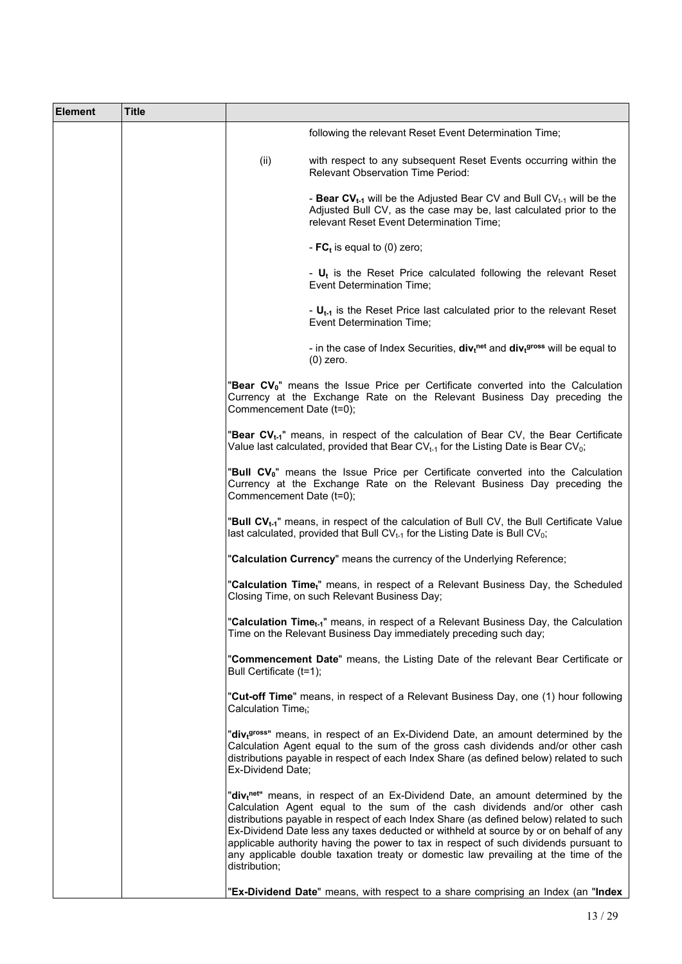| <b>Element</b> | Title |                                 |                                                                                                                                                                                                                                                                                                                                                                                                                                                                                                                                                |
|----------------|-------|---------------------------------|------------------------------------------------------------------------------------------------------------------------------------------------------------------------------------------------------------------------------------------------------------------------------------------------------------------------------------------------------------------------------------------------------------------------------------------------------------------------------------------------------------------------------------------------|
|                |       |                                 | following the relevant Reset Event Determination Time;                                                                                                                                                                                                                                                                                                                                                                                                                                                                                         |
|                |       | (ii)                            | with respect to any subsequent Reset Events occurring within the<br><b>Relevant Observation Time Period:</b>                                                                                                                                                                                                                                                                                                                                                                                                                                   |
|                |       |                                 | - Bear CV <sub>t-1</sub> will be the Adjusted Bear CV and Bull CV <sub>t-1</sub> will be the<br>Adjusted Bull CV, as the case may be, last calculated prior to the<br>relevant Reset Event Determination Time;                                                                                                                                                                                                                                                                                                                                 |
|                |       |                                 | - $FC_t$ is equal to (0) zero;                                                                                                                                                                                                                                                                                                                                                                                                                                                                                                                 |
|                |       |                                 | - $U_t$ is the Reset Price calculated following the relevant Reset<br>Event Determination Time;                                                                                                                                                                                                                                                                                                                                                                                                                                                |
|                |       |                                 | - $U_{t-1}$ is the Reset Price last calculated prior to the relevant Reset<br><b>Event Determination Time:</b>                                                                                                                                                                                                                                                                                                                                                                                                                                 |
|                |       |                                 | - in the case of Index Securities, $div_t^{net}$ and $div_t^{gross}$ will be equal to<br>$(0)$ zero.                                                                                                                                                                                                                                                                                                                                                                                                                                           |
|                |       | Commencement Date (t=0);        | "Bear CV <sub>0</sub> " means the Issue Price per Certificate converted into the Calculation<br>Currency at the Exchange Rate on the Relevant Business Day preceding the                                                                                                                                                                                                                                                                                                                                                                       |
|                |       |                                 | "Bear CV <sub>t-1</sub> " means, in respect of the calculation of Bear CV, the Bear Certificate<br>Value last calculated, provided that Bear CV $_{t-1}$ for the Listing Date is Bear CV <sub>0</sub> ;                                                                                                                                                                                                                                                                                                                                        |
|                |       | Commencement Date (t=0);        | "Bull CV <sub>0</sub> " means the Issue Price per Certificate converted into the Calculation<br>Currency at the Exchange Rate on the Relevant Business Day preceding the                                                                                                                                                                                                                                                                                                                                                                       |
|                |       |                                 | "Bull CV <sub>t-1</sub> " means, in respect of the calculation of Bull CV, the Bull Certificate Value<br>last calculated, provided that Bull $CV_{t-1}$ for the Listing Date is Bull CV <sub>0</sub> ;                                                                                                                                                                                                                                                                                                                                         |
|                |       |                                 | "Calculation Currency" means the currency of the Underlying Reference;                                                                                                                                                                                                                                                                                                                                                                                                                                                                         |
|                |       |                                 | "Calculation Time <sub>t</sub> " means, in respect of a Relevant Business Day, the Scheduled<br>Closing Time, on such Relevant Business Day;                                                                                                                                                                                                                                                                                                                                                                                                   |
|                |       |                                 | "Calculation Time <sub>t-1</sub> " means, in respect of a Relevant Business Day, the Calculation<br>Time on the Relevant Business Day immediately preceding such day;                                                                                                                                                                                                                                                                                                                                                                          |
|                |       | Bull Certificate (t=1);         | "Commencement Date" means, the Listing Date of the relevant Bear Certificate or                                                                                                                                                                                                                                                                                                                                                                                                                                                                |
|                |       | Calculation Time <sub>t</sub> ; | "Cut-off Time" means, in respect of a Relevant Business Day, one (1) hour following                                                                                                                                                                                                                                                                                                                                                                                                                                                            |
|                |       | Ex-Dividend Date;               | "div <sub>t</sub> gross" means, in respect of an Ex-Dividend Date, an amount determined by the<br>Calculation Agent equal to the sum of the gross cash dividends and/or other cash<br>distributions payable in respect of each Index Share (as defined below) related to such                                                                                                                                                                                                                                                                  |
|                |       | distribution;                   | "div <sub>t</sub> net" means, in respect of an Ex-Dividend Date, an amount determined by the<br>Calculation Agent equal to the sum of the cash dividends and/or other cash<br>distributions payable in respect of each Index Share (as defined below) related to such<br>Ex-Dividend Date less any taxes deducted or withheld at source by or on behalf of any<br>applicable authority having the power to tax in respect of such dividends pursuant to<br>any applicable double taxation treaty or domestic law prevailing at the time of the |
|                |       |                                 | "Ex-Dividend Date" means, with respect to a share comprising an Index (an "Index                                                                                                                                                                                                                                                                                                                                                                                                                                                               |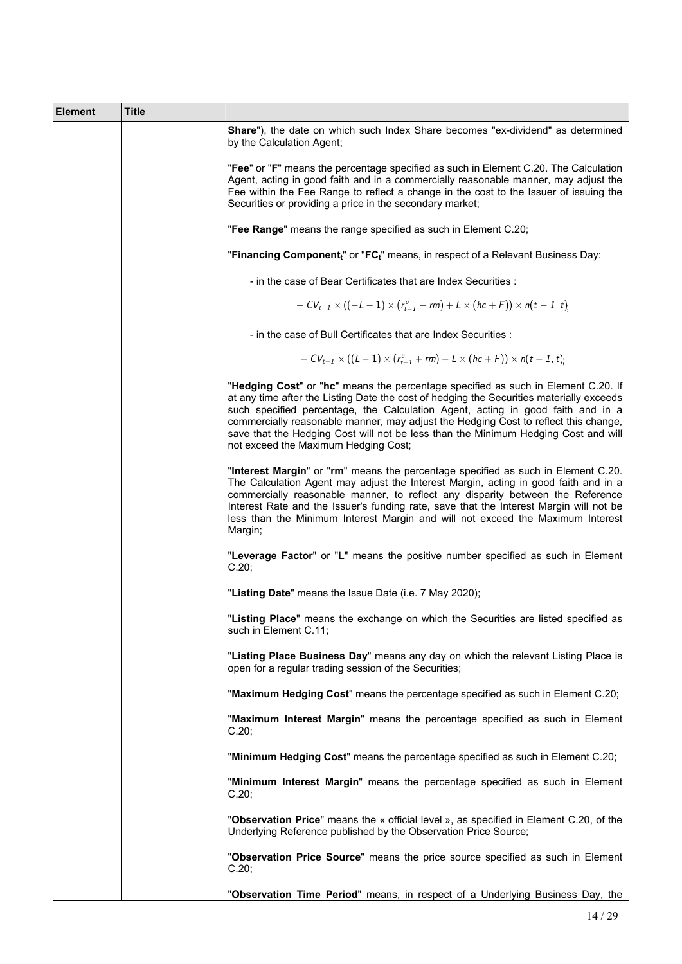| <b>Element</b> | <b>Title</b> |                                                                                                                                                                                                                                                                                                                                                                                                                                                                                       |
|----------------|--------------|---------------------------------------------------------------------------------------------------------------------------------------------------------------------------------------------------------------------------------------------------------------------------------------------------------------------------------------------------------------------------------------------------------------------------------------------------------------------------------------|
|                |              | Share"), the date on which such Index Share becomes "ex-dividend" as determined<br>by the Calculation Agent;                                                                                                                                                                                                                                                                                                                                                                          |
|                |              | "Fee" or "F" means the percentage specified as such in Element C.20. The Calculation<br>Agent, acting in good faith and in a commercially reasonable manner, may adjust the<br>Fee within the Fee Range to reflect a change in the cost to the Issuer of issuing the<br>Securities or providing a price in the secondary market;                                                                                                                                                      |
|                |              | "Fee Range" means the range specified as such in Element C.20;                                                                                                                                                                                                                                                                                                                                                                                                                        |
|                |              | "Financing Component <sub>t</sub> " or "FC <sub>t</sub> " means, in respect of a Relevant Business Day:                                                                                                                                                                                                                                                                                                                                                                               |
|                |              | - in the case of Bear Certificates that are Index Securities :                                                                                                                                                                                                                                                                                                                                                                                                                        |
|                |              | $-CV_{t-1} \times ((-L-1) \times (r_{t-1}^u - rm) + L \times (hc + F)) \times n(t-1, t).$                                                                                                                                                                                                                                                                                                                                                                                             |
|                |              | - in the case of Bull Certificates that are Index Securities :                                                                                                                                                                                                                                                                                                                                                                                                                        |
|                |              | $-CV_{t-1} \times ((L-1) \times (r_{t-1}^u + rm) + L \times (hc+F)) \times n(t-1, t)$ .                                                                                                                                                                                                                                                                                                                                                                                               |
|                |              | "Hedging Cost" or "hc" means the percentage specified as such in Element C.20. If<br>at any time after the Listing Date the cost of hedging the Securities materially exceeds<br>such specified percentage, the Calculation Agent, acting in good faith and in a<br>commercially reasonable manner, may adjust the Hedging Cost to reflect this change,<br>save that the Hedging Cost will not be less than the Minimum Hedging Cost and will<br>not exceed the Maximum Hedging Cost; |
|                |              | "Interest Margin" or "rm" means the percentage specified as such in Element C.20.<br>The Calculation Agent may adjust the Interest Margin, acting in good faith and in a<br>commercially reasonable manner, to reflect any disparity between the Reference<br>Interest Rate and the Issuer's funding rate, save that the Interest Margin will not be<br>less than the Minimum Interest Margin and will not exceed the Maximum Interest<br>Margin;                                     |
|                |              | "Leverage Factor" or "L" means the positive number specified as such in Element<br>C.20;                                                                                                                                                                                                                                                                                                                                                                                              |
|                |              | "Listing Date" means the Issue Date (i.e. 7 May 2020);                                                                                                                                                                                                                                                                                                                                                                                                                                |
|                |              | "Listing Place" means the exchange on which the Securities are listed specified as<br>such in Element C.11;                                                                                                                                                                                                                                                                                                                                                                           |
|                |              | "Listing Place Business Day" means any day on which the relevant Listing Place is<br>open for a regular trading session of the Securities;                                                                                                                                                                                                                                                                                                                                            |
|                |              | "Maximum Hedging Cost" means the percentage specified as such in Element C.20;                                                                                                                                                                                                                                                                                                                                                                                                        |
|                |              | "Maximum Interest Margin" means the percentage specified as such in Element<br>C.20;                                                                                                                                                                                                                                                                                                                                                                                                  |
|                |              | "Minimum Hedging Cost" means the percentage specified as such in Element C.20;                                                                                                                                                                                                                                                                                                                                                                                                        |
|                |              | "Minimum Interest Margin" means the percentage specified as such in Element<br>C.20;                                                                                                                                                                                                                                                                                                                                                                                                  |
|                |              | "Observation Price" means the « official level », as specified in Element C.20, of the<br>Underlying Reference published by the Observation Price Source;                                                                                                                                                                                                                                                                                                                             |
|                |              | "Observation Price Source" means the price source specified as such in Element<br>C.20;                                                                                                                                                                                                                                                                                                                                                                                               |
|                |              | "Observation Time Period" means, in respect of a Underlying Business Day, the                                                                                                                                                                                                                                                                                                                                                                                                         |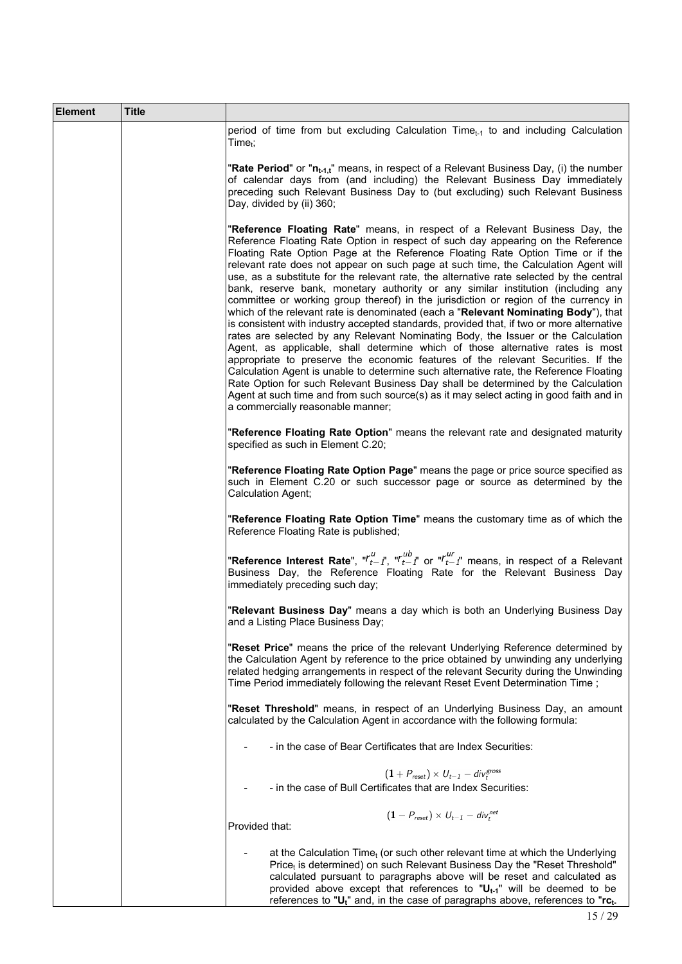| <b>Element</b> | <b>Title</b> |                                                                                                                                                                                                                                                                                                                                                                                                                                                                                                                                                                                                                                                                                                                                                                                                                                                                                                                                                                                                                                                                                                                                                                                                                                                                                                                                                                                |
|----------------|--------------|--------------------------------------------------------------------------------------------------------------------------------------------------------------------------------------------------------------------------------------------------------------------------------------------------------------------------------------------------------------------------------------------------------------------------------------------------------------------------------------------------------------------------------------------------------------------------------------------------------------------------------------------------------------------------------------------------------------------------------------------------------------------------------------------------------------------------------------------------------------------------------------------------------------------------------------------------------------------------------------------------------------------------------------------------------------------------------------------------------------------------------------------------------------------------------------------------------------------------------------------------------------------------------------------------------------------------------------------------------------------------------|
|                |              | period of time from but excluding Calculation Time $_{t-1}$ to and including Calculation<br>Time <sub>t</sub> ;                                                                                                                                                                                                                                                                                                                                                                                                                                                                                                                                                                                                                                                                                                                                                                                                                                                                                                                                                                                                                                                                                                                                                                                                                                                                |
|                |              | "Rate Period" or " $n_{t-1,t}$ " means, in respect of a Relevant Business Day, (i) the number<br>of calendar days from (and including) the Relevant Business Day immediately<br>preceding such Relevant Business Day to (but excluding) such Relevant Business<br>Day, divided by (ii) 360;                                                                                                                                                                                                                                                                                                                                                                                                                                                                                                                                                                                                                                                                                                                                                                                                                                                                                                                                                                                                                                                                                    |
|                |              | "Reference Floating Rate" means, in respect of a Relevant Business Day, the<br>Reference Floating Rate Option in respect of such day appearing on the Reference<br>Floating Rate Option Page at the Reference Floating Rate Option Time or if the<br>relevant rate does not appear on such page at such time, the Calculation Agent will<br>use, as a substitute for the relevant rate, the alternative rate selected by the central<br>bank, reserve bank, monetary authority or any similar institution (including any<br>committee or working group thereof) in the jurisdiction or region of the currency in<br>which of the relevant rate is denominated (each a "Relevant Nominating Body"), that<br>is consistent with industry accepted standards, provided that, if two or more alternative<br>rates are selected by any Relevant Nominating Body, the Issuer or the Calculation<br>Agent, as applicable, shall determine which of those alternative rates is most<br>appropriate to preserve the economic features of the relevant Securities. If the<br>Calculation Agent is unable to determine such alternative rate, the Reference Floating<br>Rate Option for such Relevant Business Day shall be determined by the Calculation<br>Agent at such time and from such source(s) as it may select acting in good faith and in<br>a commercially reasonable manner; |
|                |              | "Reference Floating Rate Option" means the relevant rate and designated maturity<br>specified as such in Element C.20;                                                                                                                                                                                                                                                                                                                                                                                                                                                                                                                                                                                                                                                                                                                                                                                                                                                                                                                                                                                                                                                                                                                                                                                                                                                         |
|                |              | "Reference Floating Rate Option Page" means the page or price source specified as<br>such in Element C.20 or such successor page or source as determined by the<br>Calculation Agent;                                                                                                                                                                                                                                                                                                                                                                                                                                                                                                                                                                                                                                                                                                                                                                                                                                                                                                                                                                                                                                                                                                                                                                                          |
|                |              | "Reference Floating Rate Option Time" means the customary time as of which the<br>Reference Floating Rate is published;                                                                                                                                                                                                                                                                                                                                                                                                                                                                                                                                                                                                                                                                                                                                                                                                                                                                                                                                                                                                                                                                                                                                                                                                                                                        |
|                |              | "Reference Interest Rate", " $r_{t-1}^u$ ", " $r_{t-1}^{ub}$ " or " $r_{t-1}^{ur}$ " means, in respect of a Relevant<br>Business Day, the Reference Floating Rate for the Relevant Business Day<br>immediately preceding such day;                                                                                                                                                                                                                                                                                                                                                                                                                                                                                                                                                                                                                                                                                                                                                                                                                                                                                                                                                                                                                                                                                                                                             |
|                |              | "Relevant Business Day" means a day which is both an Underlying Business Day<br>and a Listing Place Business Day;                                                                                                                                                                                                                                                                                                                                                                                                                                                                                                                                                                                                                                                                                                                                                                                                                                                                                                                                                                                                                                                                                                                                                                                                                                                              |
|                |              | "Reset Price" means the price of the relevant Underlying Reference determined by<br>the Calculation Agent by reference to the price obtained by unwinding any underlying<br>related hedging arrangements in respect of the relevant Security during the Unwinding<br>Time Period immediately following the relevant Reset Event Determination Time;                                                                                                                                                                                                                                                                                                                                                                                                                                                                                                                                                                                                                                                                                                                                                                                                                                                                                                                                                                                                                            |
|                |              | "Reset Threshold" means, in respect of an Underlying Business Day, an amount<br>calculated by the Calculation Agent in accordance with the following formula:                                                                                                                                                                                                                                                                                                                                                                                                                                                                                                                                                                                                                                                                                                                                                                                                                                                                                                                                                                                                                                                                                                                                                                                                                  |
|                |              | - in the case of Bear Certificates that are Index Securities:                                                                                                                                                                                                                                                                                                                                                                                                                                                                                                                                                                                                                                                                                                                                                                                                                                                                                                                                                                                                                                                                                                                                                                                                                                                                                                                  |
|                |              | $(1 + P_{reset}) \times U_{t-1} - div_t^{gross}$                                                                                                                                                                                                                                                                                                                                                                                                                                                                                                                                                                                                                                                                                                                                                                                                                                                                                                                                                                                                                                                                                                                                                                                                                                                                                                                               |
|                |              | - in the case of Bull Certificates that are Index Securities:                                                                                                                                                                                                                                                                                                                                                                                                                                                                                                                                                                                                                                                                                                                                                                                                                                                                                                                                                                                                                                                                                                                                                                                                                                                                                                                  |
|                |              | $(1 - P_{reset}) \times U_{t-1} - div_t^{net}$<br>Provided that:                                                                                                                                                                                                                                                                                                                                                                                                                                                                                                                                                                                                                                                                                                                                                                                                                                                                                                                                                                                                                                                                                                                                                                                                                                                                                                               |
|                |              | at the Calculation Time $t$ (or such other relevant time at which the Underlying<br>Price <sub>t</sub> is determined) on such Relevant Business Day the "Reset Threshold"<br>calculated pursuant to paragraphs above will be reset and calculated as<br>provided above except that references to " $U_{t-1}$ " will be deemed to be<br>references to " $U_t$ " and, in the case of paragraphs above, references to " $rc_t$ .                                                                                                                                                                                                                                                                                                                                                                                                                                                                                                                                                                                                                                                                                                                                                                                                                                                                                                                                                  |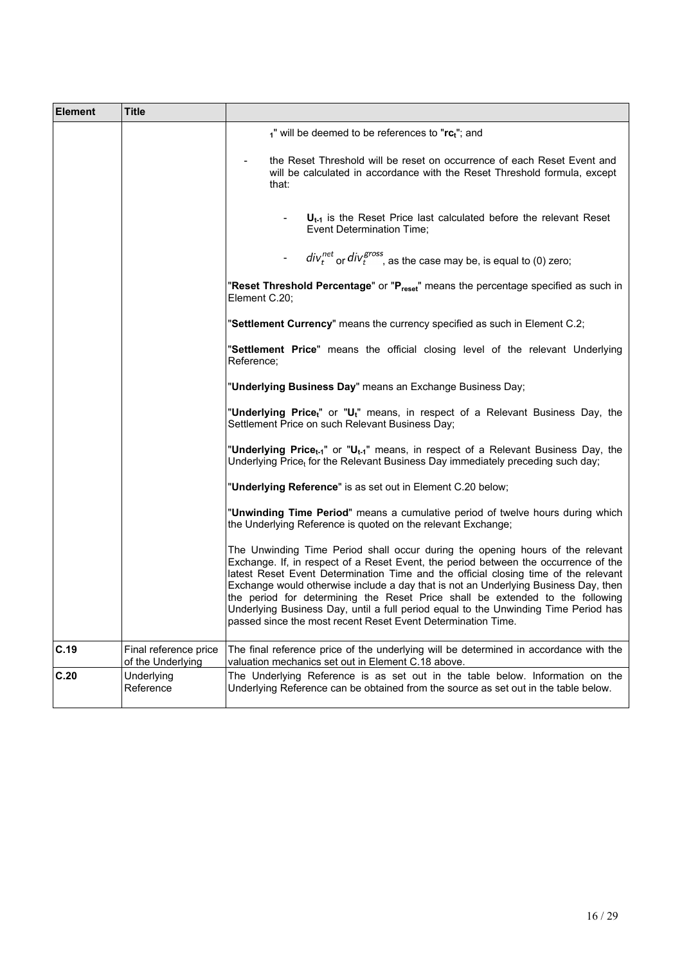| <b>Element</b> | <b>Title</b>                               |                                                                                                                                                                                                                                                                                                                                                                                                                                                                                                                                                                                             |  |  |  |  |  |  |  |
|----------------|--------------------------------------------|---------------------------------------------------------------------------------------------------------------------------------------------------------------------------------------------------------------------------------------------------------------------------------------------------------------------------------------------------------------------------------------------------------------------------------------------------------------------------------------------------------------------------------------------------------------------------------------------|--|--|--|--|--|--|--|
|                |                                            | $1$ " will be deemed to be references to " $rc_t$ "; and                                                                                                                                                                                                                                                                                                                                                                                                                                                                                                                                    |  |  |  |  |  |  |  |
|                |                                            | the Reset Threshold will be reset on occurrence of each Reset Event and<br>will be calculated in accordance with the Reset Threshold formula, except<br>that:                                                                                                                                                                                                                                                                                                                                                                                                                               |  |  |  |  |  |  |  |
|                |                                            | $U_{t-1}$ is the Reset Price last calculated before the relevant Reset<br>Event Determination Time;                                                                                                                                                                                                                                                                                                                                                                                                                                                                                         |  |  |  |  |  |  |  |
|                |                                            | $div_t^{net}$ or $div_t^{gross}$ , as the case may be, is equal to (0) zero;                                                                                                                                                                                                                                                                                                                                                                                                                                                                                                                |  |  |  |  |  |  |  |
|                |                                            | "Reset Threshold Percentage" or "P <sub>reset</sub> " means the percentage specified as such in<br>Element C.20;                                                                                                                                                                                                                                                                                                                                                                                                                                                                            |  |  |  |  |  |  |  |
|                |                                            | "Settlement Currency" means the currency specified as such in Element C.2;                                                                                                                                                                                                                                                                                                                                                                                                                                                                                                                  |  |  |  |  |  |  |  |
|                |                                            | "Settlement Price" means the official closing level of the relevant Underlying<br>Reference;                                                                                                                                                                                                                                                                                                                                                                                                                                                                                                |  |  |  |  |  |  |  |
|                |                                            | "Underlying Business Day" means an Exchange Business Day;                                                                                                                                                                                                                                                                                                                                                                                                                                                                                                                                   |  |  |  |  |  |  |  |
|                |                                            | "Underlying Price <sub>t</sub> " or "U <sub>t</sub> " means, in respect of a Relevant Business Day, the<br>Settlement Price on such Relevant Business Day;                                                                                                                                                                                                                                                                                                                                                                                                                                  |  |  |  |  |  |  |  |
|                |                                            | "Underlying Price <sub>t-1</sub> " or "U <sub>t-1</sub> " means, in respect of a Relevant Business Day, the<br>Underlying Price <sub>t</sub> for the Relevant Business Day immediately preceding such day;                                                                                                                                                                                                                                                                                                                                                                                  |  |  |  |  |  |  |  |
|                |                                            | "Underlying Reference" is as set out in Element C.20 below;                                                                                                                                                                                                                                                                                                                                                                                                                                                                                                                                 |  |  |  |  |  |  |  |
|                |                                            | "Unwinding Time Period" means a cumulative period of twelve hours during which<br>the Underlying Reference is quoted on the relevant Exchange;                                                                                                                                                                                                                                                                                                                                                                                                                                              |  |  |  |  |  |  |  |
|                |                                            | The Unwinding Time Period shall occur during the opening hours of the relevant<br>Exchange. If, in respect of a Reset Event, the period between the occurrence of the<br>latest Reset Event Determination Time and the official closing time of the relevant<br>Exchange would otherwise include a day that is not an Underlying Business Day, then<br>the period for determining the Reset Price shall be extended to the following<br>Underlying Business Day, until a full period equal to the Unwinding Time Period has<br>passed since the most recent Reset Event Determination Time. |  |  |  |  |  |  |  |
| C.19           | Final reference price<br>of the Underlying | The final reference price of the underlying will be determined in accordance with the<br>valuation mechanics set out in Element C.18 above.                                                                                                                                                                                                                                                                                                                                                                                                                                                 |  |  |  |  |  |  |  |
| C.20           | Underlying<br>Reference                    | The Underlying Reference is as set out in the table below. Information on the<br>Underlying Reference can be obtained from the source as set out in the table below.                                                                                                                                                                                                                                                                                                                                                                                                                        |  |  |  |  |  |  |  |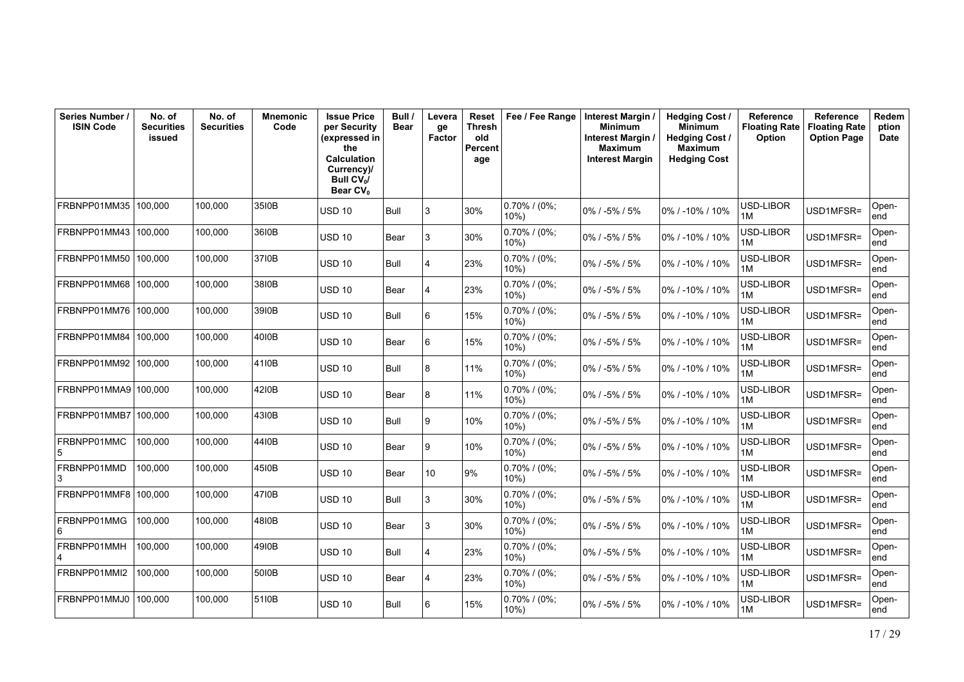| Series Number /<br><b>ISIN Code</b> | No. of<br><b>Securities</b><br>issued | No. of<br><b>Securities</b> | <b>Mnemonic</b><br>Code | <b>Issue Price</b><br>per Security<br>(expressed in<br>the<br><b>Calculation</b><br>Currency)/<br><b>Bull CV</b> <sub>N</sub><br>Bear CV <sub>0</sub> | Bull /<br>Bear | Levera<br>ge<br>Factor | Reset<br>Thresh<br>old<br>Percent<br>age | Fee / Fee Range            | Interest Margin /<br><b>Minimum</b><br>Interest Margin<br><b>Maximum</b><br><b>Interest Margin</b> | <b>Hedging Cost /</b><br><b>Minimum</b><br><b>Hedging Cost /</b><br><b>Maximum</b><br><b>Hedging Cost</b> | <b>Reference</b><br><b>Floating Rate</b><br><b>Option</b> | Reference<br><b>Floating Rate</b><br><b>Option Page</b> | Redem<br>ption<br>Date |
|-------------------------------------|---------------------------------------|-----------------------------|-------------------------|-------------------------------------------------------------------------------------------------------------------------------------------------------|----------------|------------------------|------------------------------------------|----------------------------|----------------------------------------------------------------------------------------------------|-----------------------------------------------------------------------------------------------------------|-----------------------------------------------------------|---------------------------------------------------------|------------------------|
| FRBNPP01MM35                        | 100,000                               | 100,000                     | 35I0B                   | <b>USD 10</b>                                                                                                                                         | Bull           | Ι3                     | 30%                                      | $0.70\%$ / (0%;<br>$10%$ ) | 0% / -5% / 5%                                                                                      | 0% / -10% / 10%                                                                                           | USD-LIBOR<br>1M                                           | USD1MFSR=                                               | Open-<br>end           |
| FRBNPP01MM43   100.000              |                                       | 100,000                     | 3610B                   | <b>USD 10</b>                                                                                                                                         | Bear           | 3                      | 30%                                      | $0.70\%$ / (0%;<br>$10\%$  | 0% / -5% / 5%                                                                                      | 0% / -10% / 10%                                                                                           | USD-LIBOR<br>1M                                           | USD1MFSR=                                               | Open-<br>end           |
| FRBNPP01MM50                        | 100.000                               | 100.000                     | 3710B                   | <b>USD 10</b>                                                                                                                                         | Bull           | 4                      | 23%                                      | $0.70\%$ / (0%;<br>$10%$ ) | 0% / -5% / 5%                                                                                      | 0% / -10% / 10%                                                                                           | USD-LIBOR<br>1M                                           | USD1MFSR=                                               | Open-<br>end           |
| FRBNPP01MM68   100.000              |                                       | 100.000                     | 38I0B                   | <b>USD 10</b>                                                                                                                                         | <b>Bear</b>    | 4                      | 23%                                      | $0.70\%$ / (0%;<br>10%     | 0% / -5% / 5%                                                                                      | 0% / -10% / 10%                                                                                           | USD-LIBOR<br>1M                                           | USD1MFSR=                                               | Open-<br>end           |
| FRBNPP01MM76 100,000                |                                       | 100.000                     | 39I0B                   | <b>USD 10</b>                                                                                                                                         | Bull           | 6                      | 15%                                      | 0.70% / (0%;<br>$10\%$     | 0% / -5% / 5%                                                                                      | 0% / -10% / 10%                                                                                           | USD-LIBOR<br>1M                                           | USD1MFSR=                                               | Open-<br>end           |
| FRBNPP01MM84                        | 100.000                               | 100.000                     | 4010B                   | <b>USD 10</b>                                                                                                                                         | Bear           | 6                      | 15%                                      | $0.70\%$ / (0%;<br>10%     | 0% / -5% / 5%                                                                                      | 0% / -10% / 10%                                                                                           | USD-LIBOR<br>1M                                           | USD1MFSR=                                               | Open-<br>end           |
| FRBNPP01MM92                        | 100,000                               | 100,000                     | 41I0B                   | <b>USD 10</b>                                                                                                                                         | <b>Bull</b>    | 8                      | 11%                                      | 0.70% / (0%;<br>$10\%)$    | 0% / -5% / 5%                                                                                      | 0% / -10% / 10%                                                                                           | USD-LIBOR<br>1M                                           | USD1MFSR=                                               | Open-<br>end           |
| FRBNPP01MMA9100.000                 |                                       | 100.000                     | 4210B                   | <b>USD 10</b>                                                                                                                                         | Bear           | 8                      | 11%                                      | $0.70\%$ / (0%;<br>$10%$ ) | 0% / -5% / 5%                                                                                      | 0% / -10% / 10%                                                                                           | USD-LIBOR<br>1M                                           | USD1MFSR=                                               | Open-<br>end           |
| FRBNPP01MMB7 100,000                |                                       | 100.000                     | 4310B                   | <b>USD 10</b>                                                                                                                                         | Bull           | Ι9                     | 10%                                      | $0.70\%$ / (0%;<br>$10%$ ) | 0% / -5% / 5%                                                                                      | 0% / -10% / 10%                                                                                           | USD-LIBOR<br>1M                                           | USD1MFSR=                                               | Open-<br>end           |
| FRBNPP01MMC<br>5                    | 100,000                               | 100,000                     | 4410B                   | <b>USD 10</b>                                                                                                                                         | Bear           | و ا                    | 10%                                      | $0.70\%$ / (0%;<br>10%     | 0% / -5% / 5%                                                                                      | 0% / -10% / 10%                                                                                           | USD-LIBOR<br>1M                                           | USD1MFSR=                                               | Open-<br>end           |
| FRBNPP01MMD<br>3                    | 100.000                               | 100.000                     | 4510B                   | <b>USD 10</b>                                                                                                                                         | Bear           | 10                     | 9%                                       | 0.70% / (0%;<br>10%        | 0% / -5% / 5%                                                                                      | 0% / -10% / 10%                                                                                           | USD-LIBOR<br>1M                                           | USD1MFSR=                                               | Open-<br>end           |
| FRBNPP01MMF8                        | 100,000                               | 100,000                     | 4710B                   | <b>USD 10</b>                                                                                                                                         | Bull           | 3                      | 30%                                      | $0.70\%$ / (0%;<br>$10\%)$ | 0% / -5% / 5%                                                                                      | 0% / -10% / 10%                                                                                           | USD-LIBOR<br>1M                                           | USD1MFSR=                                               | Open-<br>end           |
| FRBNPP01MMG<br>6                    | 100.000                               | 100.000                     | 4810B                   | <b>USD 10</b>                                                                                                                                         | Bear           | 3                      | 30%                                      | $0.70\%$ / (0%;<br>10%     | $0\%$ / -5% / 5%                                                                                   | 0% / -10% / 10%                                                                                           | USD-LIBOR<br>1M                                           | USD1MFSR=                                               | Open-<br>end           |
| FRBNPP01MMH                         | 100,000                               | 100,000                     | 4910B                   | <b>USD 10</b>                                                                                                                                         | Bull           | 4                      | 23%                                      | 0.70% / (0%;<br>$10\%)$    | 0% / -5% / 5%                                                                                      | 0% / -10% / 10%                                                                                           | USD-LIBOR<br>1M                                           | USD1MFSR=                                               | Open-<br>end           |
| FRBNPP01MMI2                        | 100,000                               | 100,000                     | 5010B                   | <b>USD 10</b>                                                                                                                                         | Bear           | 4                      | 23%                                      | $0.70\%$ / (0%;<br>$10\%)$ | 0% / -5% / 5%                                                                                      | 0% / -10% / 10%                                                                                           | USD-LIBOR<br>1M                                           | USD1MFSR=                                               | Open-<br>end           |
| FRBNPP01MMJ0                        | 100.000                               | 100,000                     | 5110B                   | <b>USD 10</b>                                                                                                                                         | Bull           | 6                      | 15%                                      | $0.70\%$ / (0%;<br>$10%$ ) | $0\%$ / -5% / 5%                                                                                   | 0% / -10% / 10%                                                                                           | USD-LIBOR<br>1M                                           | USD1MFSR=                                               | Open-<br>end           |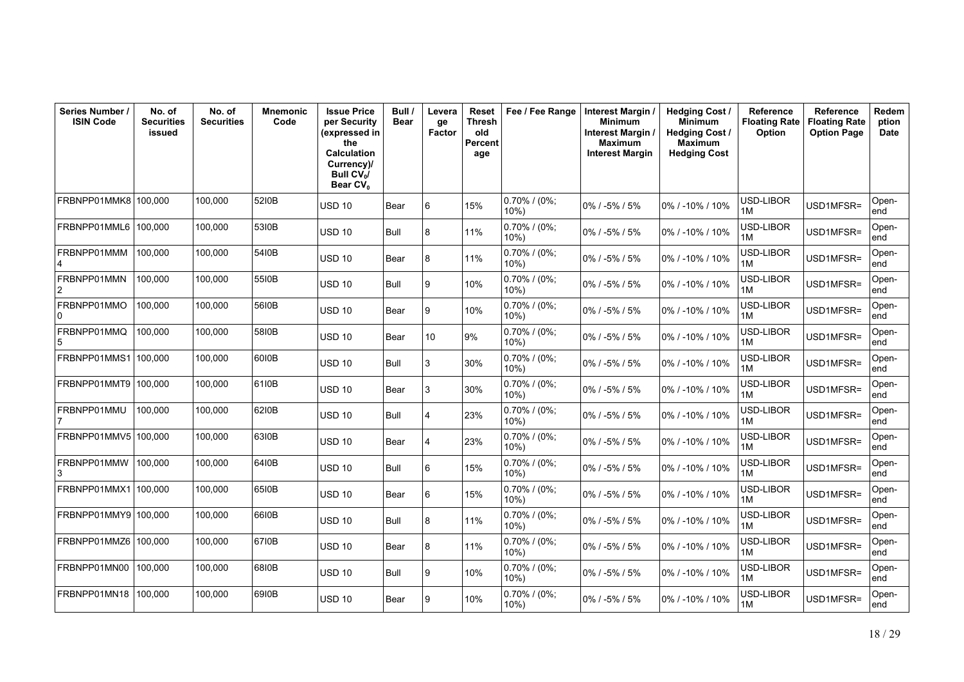| Series Number /<br><b>ISIN Code</b> | No. of<br><b>Securities</b><br>issued | No. of<br><b>Securities</b> | <b>Mnemonic</b><br>Code | <b>Issue Price</b><br>per Security<br>(expressed in<br>the<br><b>Calculation</b><br>Currency)/<br>Bull $CV_0/$<br>Bear CV <sub>0</sub> | Bull /<br><b>Bear</b> | Levera<br>ge<br>Factor | Reset<br>Thresh<br>old<br>Percent<br>age | Fee / Fee Range            | Interest Margin<br><b>Minimum</b><br>Interest Margin /<br>Maximum<br><b>Interest Margin</b> | <b>Hedging Cost/</b><br><b>Minimum</b><br><b>Hedging Cost /</b><br><b>Maximum</b><br><b>Hedging Cost</b> | Reference<br><b>Floating Rate</b><br>Option | Reference<br><b>Floating Rate</b><br><b>Option Page</b> | Redem<br>ption<br>Date |
|-------------------------------------|---------------------------------------|-----------------------------|-------------------------|----------------------------------------------------------------------------------------------------------------------------------------|-----------------------|------------------------|------------------------------------------|----------------------------|---------------------------------------------------------------------------------------------|----------------------------------------------------------------------------------------------------------|---------------------------------------------|---------------------------------------------------------|------------------------|
| FRBNPP01MMK8                        | 100,000                               | 100.000                     | 5210B                   | USD 10                                                                                                                                 | Bear                  | 6                      | 15%                                      | $0.70\%$ / (0%;<br>$10%$ ) | 0% / -5% / 5%                                                                               | 0% / -10% / 10%                                                                                          | USD-LIBOR<br>1M                             | USD1MFSR=                                               | Open-<br>end           |
| FRBNPP01MML6                        | 100,000                               | 100,000                     | 5310B                   | <b>USD 10</b>                                                                                                                          | Bull                  | 8                      | 11%                                      | $0.70\%$ / (0%;<br>10%)    | 0% / -5% / 5%                                                                               | 0% / -10% / 10%                                                                                          | USD-LIBOR<br>1M                             | USD1MFSR=                                               | Open-<br>end           |
| FRBNPP01MMM<br>4                    | 100,000                               | 100.000                     | 5410B                   | <b>USD 10</b>                                                                                                                          | Bear                  | 8                      | 11%                                      | $0.70\%$ / (0%;<br>10%)    | 0% / -5% / 5%                                                                               | 0% / -10% / 10%                                                                                          | USD-LIBOR<br>1M                             | USD1MFSR=                                               | Open-<br>end           |
| FRBNPP01MMN                         | 100,000                               | 100,000                     | 5510B                   | <b>USD 10</b>                                                                                                                          | Bull                  | 9                      | 10%                                      | $0.70\%$ / (0%;<br>10%     | 0% / -5% / 5%                                                                               | 0% / -10% / 10%                                                                                          | USD-LIBOR<br>1M                             | USD1MFSR=                                               | Open-<br>end           |
| FRBNPP01MMO<br>0                    | 100,000                               | 100.000                     | 5610B                   | USD 10                                                                                                                                 | Bear                  | 9                      | 10%                                      | $0.70\%$ / (0%;<br>$10\%)$ | 0% / -5% / 5%                                                                               | 0% / -10% / 10%                                                                                          | USD-LIBOR<br>1M                             | USD1MFSR=                                               | Open-<br>end           |
| FRBNPP01MMQ                         | 100.000                               | 100.000                     | 5810B                   | <b>USD 10</b>                                                                                                                          | Bear                  | 10                     | 9%                                       | $0.70\%$ / (0%;<br>10%)    | 0% / -5% / 5%                                                                               | $0\%$ / -10% / 10%                                                                                       | USD-LIBOR<br>1M                             | USD1MFSR=                                               | Open-<br>end           |
| FRBNPP01MMS1                        | 100,000                               | 100,000                     | 60I0B                   | <b>USD 10</b>                                                                                                                          | Bull                  | 3                      | 30%                                      | $0.70\%$ / (0%;<br>10%)    | 0% / -5% / 5%                                                                               | 0% / -10% / 10%                                                                                          | USD-LIBOR<br>1M                             | USD1MFSR=                                               | Open-<br>end           |
| FRBNPP01MMT9                        | 100,000                               | 100.000                     | 61I0B                   | <b>USD 10</b>                                                                                                                          | Bear                  | 3                      | 30%                                      | $0.70\%$ / (0%;<br>$10\%)$ | 0% / -5% / 5%                                                                               | 0% / -10% / 10%                                                                                          | USD-LIBOR<br>1M                             | USD1MFSR=                                               | Open-<br>end           |
| FRBNPP01MMU                         | 100,000                               | 100,000                     | 62I0B                   | <b>USD 10</b>                                                                                                                          | Bull                  | 4                      | 23%                                      | 0.70% / (0%;<br>10%)       | 0% / -5% / 5%                                                                               | 0% / -10% / 10%                                                                                          | USD-LIBOR<br>1M                             | USD1MFSR=                                               | Open-<br>end           |
| FRBNPP01MMV5                        | 100.000                               | 100.000                     | 63I0B                   | <b>USD 10</b>                                                                                                                          | Bear                  | 4                      | 23%                                      | $0.70\%$ / (0%;<br>10%)    | 0% / -5% / 5%                                                                               | 0% / -10% / 10%                                                                                          | USD-LIBOR<br>1M                             | USD1MFSR=                                               | Open-<br>end           |
| FRBNPP01MMW<br>3                    | 100,000                               | 100.000                     | 6410B                   | <b>USD 10</b>                                                                                                                          | Bull                  | 6                      | 15%                                      | 0.70% / (0%;<br>10%        | 0% / -5% / 5%                                                                               | 0% / -10% / 10%                                                                                          | USD-LIBOR<br>1M                             | USD1MFSR=                                               | Open-<br>end           |
| FRBNPP01MMX1                        | 100.000                               | 100.000                     | 65I0B                   | <b>USD 10</b>                                                                                                                          | Bear                  | 6                      | 15%                                      | 0.70% / (0%;<br>$10\%)$    | 0% / -5% / 5%                                                                               | 0% / -10% / 10%                                                                                          | USD-LIBOR<br>1M                             | USD1MFSR=                                               | Open-<br>end           |
| FRBNPP01MMY9                        | 100,000                               | 100,000                     | 66I0B                   | <b>USD 10</b>                                                                                                                          | Bull                  | 8                      | 11%                                      | $0.70\%$ / (0%;<br>10%     | $0\%$ / -5% / 5%                                                                            | $0\%$ / -10% / 10%                                                                                       | USD-LIBOR<br>1M                             | USD1MFSR=                                               | Open-<br>end           |
| FRBNPP01MMZ6                        | 100,000                               | 100,000                     | 6710B                   | <b>USD 10</b>                                                                                                                          | Bear                  | 8                      | 11%                                      | 0.70% / (0%;<br>10%)       | 0% / -5% / 5%                                                                               | 0% / -10% / 10%                                                                                          | USD-LIBOR<br>1M                             | USD1MFSR=                                               | Open-<br>end           |
| FRBNPP01MN00                        | 100,000                               | 100.000                     | 6810B                   | <b>USD 10</b>                                                                                                                          | Bull                  | 9                      | 10%                                      | $0.70\%$ / (0%;<br>10%     | $0\%$ / -5% / 5%                                                                            | 0% / -10% / 10%                                                                                          | USD-LIBOR<br>1M                             | USD1MFSR=                                               | Open-<br>end           |
| FRBNPP01MN18                        | 100,000                               | 100,000                     | 6910B                   | <b>USD 10</b>                                                                                                                          | Bear                  | 9                      | 10%                                      | $0.70\%$ / (0%;<br>10%)    | 0% / -5% / 5%                                                                               | 0% / -10% / 10%                                                                                          | USD-LIBOR<br>1M                             | USD1MFSR=                                               | Open-<br>end           |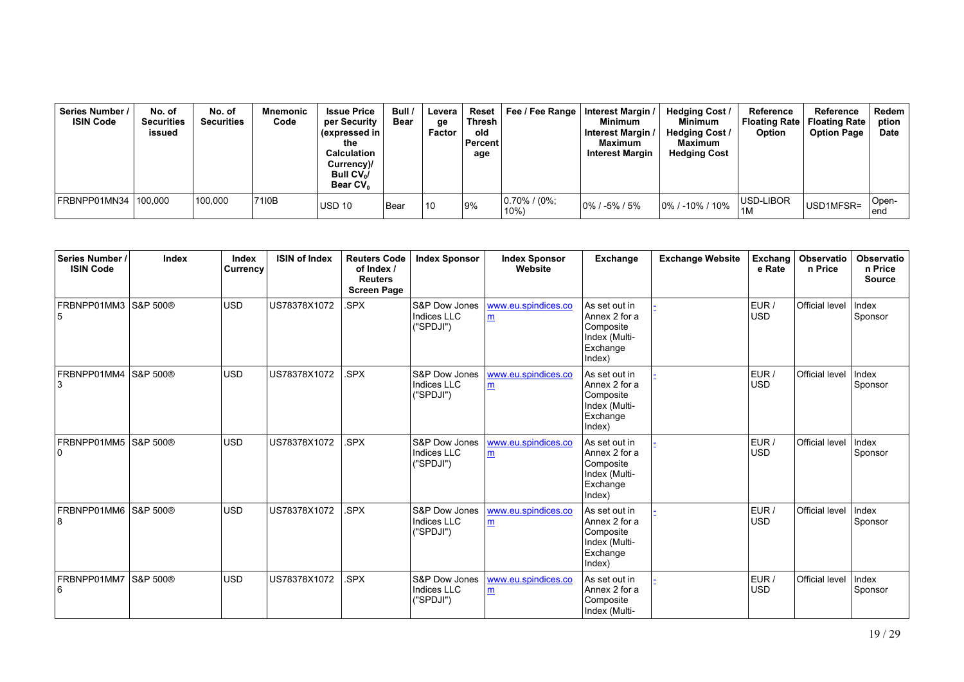| Series Number /<br><b>ISIN Code</b> | No. of<br><b>Securities</b><br>issued | No. of<br><b>Securities</b> | Mnemonic<br>Code | <b>Issue Price</b><br>per Security<br>(expressed in  <br>the<br><b>Calculation</b><br>Currency)/<br>Bull $CV_0/$<br>Bear CV <sub>o</sub> | Bull /<br><b>Bear</b> | Levera<br>ge<br>Factor | Reset  <br>Thresh<br>old<br>Percent<br>age | Fee / Fee Range   Interest Margin / | <b>Minimum</b><br>Interest Margin<br>Maximum<br><b>Interest Margin</b> | <b>Hedging Cost /</b><br>Minimum<br><b>Hedging Cost /</b><br>Maximum<br><b>Hedging Cost</b> | Reference<br>Option | Reference<br>Floating Rate   Floating Rate<br><b>Option Page</b> | Redem<br>ption<br><b>Date</b> |
|-------------------------------------|---------------------------------------|-----------------------------|------------------|------------------------------------------------------------------------------------------------------------------------------------------|-----------------------|------------------------|--------------------------------------------|-------------------------------------|------------------------------------------------------------------------|---------------------------------------------------------------------------------------------|---------------------|------------------------------------------------------------------|-------------------------------|
| FRBNPP01MN34 100.000                |                                       | 100.000                     | 7110B            | <b>USD 10</b>                                                                                                                            | l Bear                | 10                     | 9%                                         | $ 0.70\% $ (0%;<br>10%              | $10\%$ / -5% / 5%                                                      | $10\%$ / -10% / 10%                                                                         | USD-LIBOR<br>1M     | USD1MFSR=                                                        | Open-<br>lend                 |

| Series Number /<br><b>ISIN Code</b> | Index               | Index<br>Currency | <b>ISIN of Index</b> | <b>Reuters Code</b><br>of Index /<br><b>Reuters</b><br><b>Screen Page</b> | <b>Index Sponsor</b>                                 | <b>Index Sponsor</b><br>Website | Exchange                                                                           | <b>Exchange Website</b> | Exchang<br>e Rate   | <b>Observatio</b><br>n Price | <b>Observatio</b><br>n Price<br><b>Source</b> |
|-------------------------------------|---------------------|-------------------|----------------------|---------------------------------------------------------------------------|------------------------------------------------------|---------------------------------|------------------------------------------------------------------------------------|-------------------------|---------------------|------------------------------|-----------------------------------------------|
| FRBNPP01MM3 S&P 500®                |                     | <b>USD</b>        | US78378X1072         | SPX.                                                                      | S&P Dow Jones<br>Indices LLC<br>("SPDJI")            | www.eu.spindices.co<br>m        | As set out in<br>Annex 2 for a<br>Composite<br>Index (Multi-<br>Exchange<br>Index) |                         | EUR /<br><b>USD</b> | <b>Official level</b>        | Index<br>Sponsor                              |
| FRBNPP01MM4 S&P 500®                |                     | <b>USD</b>        | US78378X1072         | SPX.                                                                      | S&P Dow Jones<br><b>Indices LLC</b><br>("SPDJI")     | www.eu.spindices.co<br>m        | As set out in<br>Annex 2 for a<br>Composite<br>Index (Multi-<br>Exchange<br>Index) |                         | EUR /<br><b>USD</b> | <b>Official level</b>        | Index<br>Sponsor                              |
| FRBNPP01MM5 S&P 500®<br>10          |                     | <b>USD</b>        | US78378X1072         | SPX.                                                                      | <b>S&amp;P Dow Jones</b><br>Indices LLC<br>("SPDJI") | www.eu.spindices.co<br>m        | As set out in<br>Annex 2 for a<br>Composite<br>Index (Multi-<br>Exchange<br>Index) |                         | EUR /<br><b>USD</b> | <b>Official level</b>        | Index<br>Sponsor                              |
| FRBNPP01MM6 S&P 500®<br>8           |                     | <b>USD</b>        | US78378X1072         | SPX.                                                                      | S&P Dow Jones<br>Indices LLC<br>("SPDJI")            | www.eu.spindices.co<br>m        | As set out in<br>Annex 2 for a<br>Composite<br>Index (Multi-<br>Exchange<br>Index) |                         | EUR /<br><b>USD</b> | <b>Official level</b>        | Index<br>Sponsor                              |
| FRBNPP01MM7<br>16                   | <b>S&amp;P 500®</b> | <b>USD</b>        | US78378X1072         | SPX.                                                                      | <b>S&amp;P Dow Jones</b><br>Indices LLC<br>("SPDJI") | www.eu.spindices.co<br>m        | As set out in<br>Annex 2 for a<br>Composite<br>Index (Multi-                       |                         | EUR/<br><b>USD</b>  | Official level               | Index<br>Sponsor                              |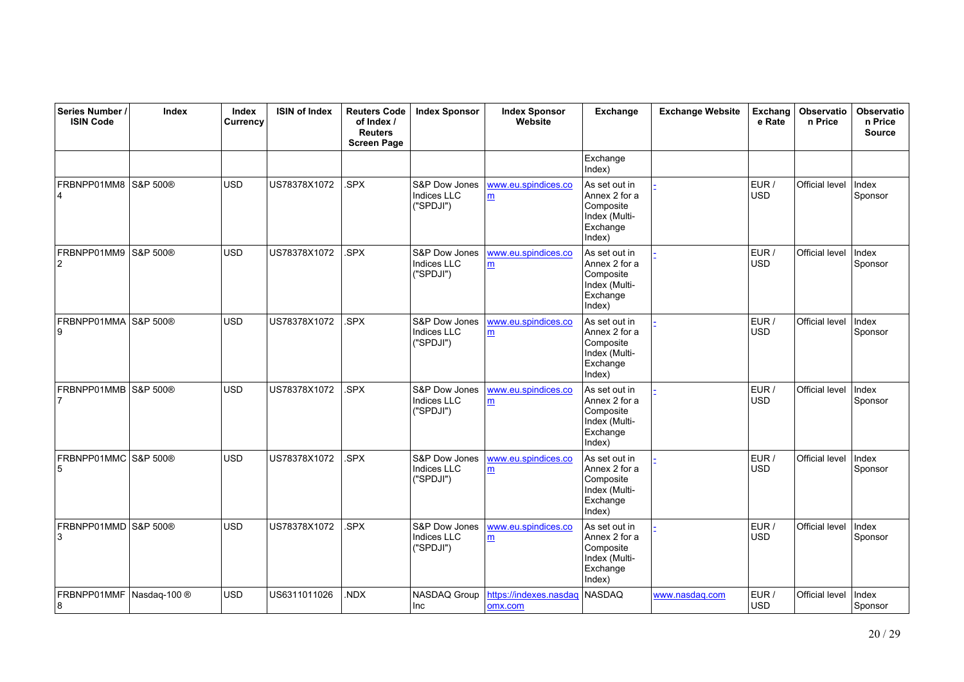| Series Number /<br><b>ISIN Code</b> | Index        | Index<br>Currency | <b>ISIN of Index</b> | <b>Reuters Code</b><br>of Index /<br><b>Reuters</b><br><b>Screen Page</b> | <b>Index Sponsor</b>                             | <b>Index Sponsor</b><br>Website        | Exchange                                                                           | <b>Exchange Website</b> | Exchang<br>e Rate   | Observatio<br>n Price | Observatio<br>n Price<br><b>Source</b> |
|-------------------------------------|--------------|-------------------|----------------------|---------------------------------------------------------------------------|--------------------------------------------------|----------------------------------------|------------------------------------------------------------------------------------|-------------------------|---------------------|-----------------------|----------------------------------------|
|                                     |              |                   |                      |                                                                           |                                                  |                                        | Exchange<br>Index)                                                                 |                         |                     |                       |                                        |
| FRBNPP01MM8                         | S&P 500®     | <b>USD</b>        | US78378X1072         | .SPX                                                                      | S&P Dow Jones<br><b>Indices LLC</b><br>("SPDJI") | www.eu.spindices.co<br>m               | As set out in<br>Annex 2 for a<br>Composite<br>Index (Multi-<br>Exchange<br>Index) |                         | EUR /<br><b>USD</b> | Official level        | Index<br>Sponsor                       |
| FRBNPP01MM9<br>$\overline{2}$       | S&P 500®     | <b>USD</b>        | US78378X1072         | .SPX                                                                      | S&P Dow Jones<br>Indices LLC<br>("SPDJI")        | www.eu.spindices.co<br>$\underline{m}$ | As set out in<br>Annex 2 for a<br>Composite<br>Index (Multi-<br>Exchange<br>Index) |                         | EUR /<br><b>USD</b> | Official level        | Index<br>Sponsor                       |
| FRBNPP01MMA S&P 500®<br>9           |              | <b>USD</b>        | US78378X1072         | .SPX                                                                      | S&P Dow Jones<br><b>Indices LLC</b><br>("SPDJI") | www.eu.spindices.co<br>m               | As set out in<br>Annex 2 for a<br>Composite<br>Index (Multi-<br>Exchange<br>Index) |                         | EUR /<br>USD        | Official level        | Index<br>Sponsor                       |
| FRBNPP01MMB S&P 500®                |              | <b>USD</b>        | US78378X1072         | .SPX                                                                      | S&P Dow Jones<br>Indices LLC<br>("SPDJI")        | www.eu.spindices.co<br>m               | As set out in<br>Annex 2 for a<br>Composite<br>Index (Multi-<br>Exchange<br>Index) |                         | EUR /<br><b>USD</b> | Official level        | <b>Index</b><br>Sponsor                |
| FRBNPP01MMC S&P 500®<br>5           |              | <b>USD</b>        | US78378X1072         | .SPX                                                                      | S&P Dow Jones<br><b>Indices LLC</b><br>("SPDJI") | www.eu.spindices.co<br>m               | As set out in<br>Annex 2 for a<br>Composite<br>Index (Multi-<br>Exchange<br>Index) |                         | EUR /<br><b>USD</b> | Official level        | Index<br>Sponsor                       |
| FRBNPP01MMD S&P 500®<br>3           |              | <b>USD</b>        | US78378X1072         | .SPX                                                                      | S&P Dow Jones<br><b>Indices LLC</b><br>("SPDJI") | www.eu.spindices.co<br>$\underline{m}$ | As set out in<br>Annex 2 for a<br>Composite<br>Index (Multi-<br>Exchange<br>Index) |                         | EUR /<br><b>USD</b> | Official level        | Index<br>Sponsor                       |
| FRBNPP01MMF<br>8                    | Nasdaq-100 ® | <b>USD</b>        | US6311011026         | .NDX                                                                      | NASDAQ Group<br>Inc                              | https://indexes.nasdao<br>omx.com      | <b>NASDAQ</b>                                                                      | www.nasdaq.com          | EUR /<br><b>USD</b> | Official level        | Index<br>Sponsor                       |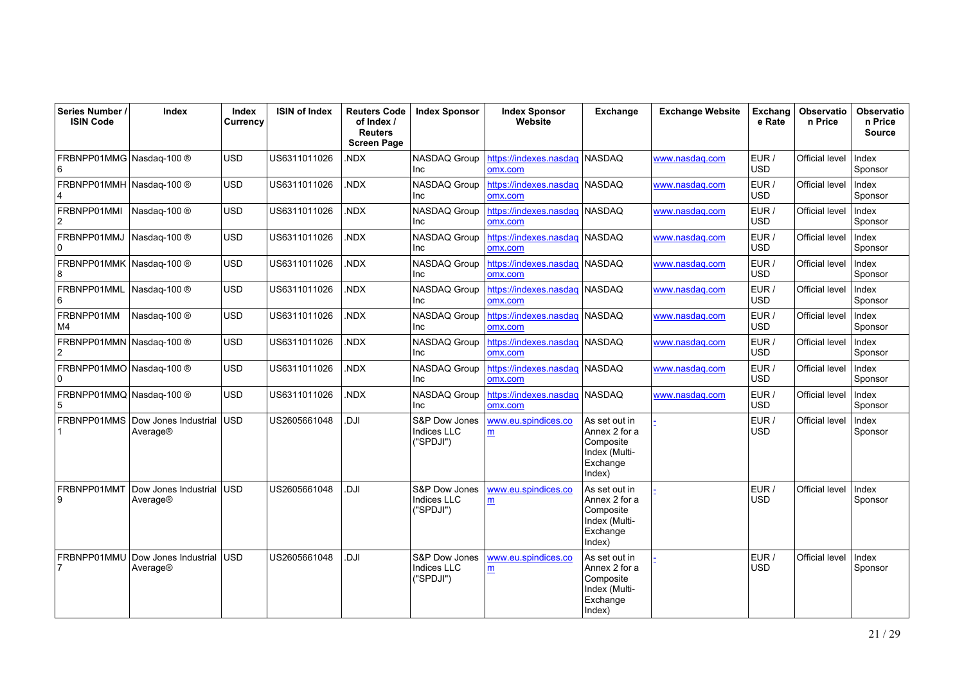| Series Number /<br><b>ISIN Code</b> | Index                            | Index<br>Currency | <b>ISIN of Index</b> | <b>Reuters Code</b><br>of Index /<br><b>Reuters</b><br><b>Screen Page</b> | <b>Index Sponsor</b>                             | <b>Index Sponsor</b><br>Website          | Exchange                                                                           | <b>Exchange Website</b> | Exchang<br>e Rate   | <b>Observatio</b><br>n Price | <b>Observatio</b><br>n Price<br><b>Source</b> |
|-------------------------------------|----------------------------------|-------------------|----------------------|---------------------------------------------------------------------------|--------------------------------------------------|------------------------------------------|------------------------------------------------------------------------------------|-------------------------|---------------------|------------------------------|-----------------------------------------------|
| FRBNPP01MMG Nasdaq-100 ®<br>6       |                                  | <b>USD</b>        | US6311011026         | NDX.                                                                      | NASDAQ Group<br><b>Inc</b>                       | https://indexes.nasdaq<br>omx.com        | NASDAQ                                                                             | www.nasdaq.com          | EUR /<br><b>USD</b> | Official level               | Index<br>Sponsor                              |
| FRBNPP01MMH Nasdaq-100 ®<br>4       |                                  | <b>USD</b>        | US6311011026         | NDX.                                                                      | NASDAQ Group<br>Inc                              | https://indexes.nasdaq NASDAQ<br>omx.com |                                                                                    | www.nasdag.com          | EUR /<br><b>USD</b> | Official level               | Index<br>Sponsor                              |
| FRBNPP01MMI<br>2                    | Nasdag-100 ®                     | <b>USD</b>        | US6311011026         | NDX.                                                                      | NASDAQ Group<br>Inc                              | https://indexes.nasdaq NASDAQ<br>omx.com |                                                                                    | www.nasdag.com          | EUR /<br><b>USD</b> | Official level               | Index<br>Sponsor                              |
| FRBNPP01MMJ<br>0                    | Nasdaq-100 ®                     | <b>USD</b>        | US6311011026         | NDX.                                                                      | NASDAQ Group<br>Inc                              | https://indexes.nasdaq NASDAQ<br>omx.com |                                                                                    | www.nasdag.com          | EUR /<br><b>USD</b> | Official level               | Index<br>Sponsor                              |
| FRBNPP01MMK   Nasdaq-100 ®<br>8     |                                  | USD               | US6311011026         | NDX.                                                                      | NASDAQ Group<br>Inc                              | https://indexes.nasdaq<br>omx.com        | NASDAQ                                                                             | www.nasdaq.com          | EUR /<br><b>USD</b> | Official level               | Index<br>Sponsor                              |
| FRBNPP01MML<br>6                    | Nasdag-100 ®                     | <b>USD</b>        | US6311011026         | .NDX                                                                      | NASDAQ Group<br><b>Inc</b>                       | https://indexes.nasdaq<br>omx.com        | NASDAQ                                                                             | www.nasdag.com          | EUR /<br><b>USD</b> | Official level               | Index<br>Sponsor                              |
| FRBNPP01MM<br>M4                    | Nasdag-100 ®                     | <b>USD</b>        | US6311011026         | NDX.                                                                      | NASDAQ Group<br>Inc                              | https://indexes.nasdaq<br>omx.com        | NASDAQ                                                                             | www.nasdaq.com          | EUR /<br><b>USD</b> | Official level               | Index<br>Sponsor                              |
| FRBNPP01MMN Nasdaq-100 ®<br>2       |                                  | <b>USD</b>        | US6311011026         | NDX.                                                                      | NASDAQ Group<br>Inc                              | https://indexes.nasdaq<br>omx.com        | NASDAQ                                                                             | www.nasdaq.com          | EUR /<br><b>USD</b> | Official level               | Index<br>Sponsor                              |
| FRBNPP01MMO Nasdaq-100 ®<br>0       |                                  | <b>USD</b>        | US6311011026         | NDX.                                                                      | NASDAQ Group<br>Inc                              | https://indexes.nasdaq<br>omx.com        | NASDAQ                                                                             | www.nasdag.com          | EUR /<br><b>USD</b> | Official level               | Index<br>Sponsor                              |
| FRBNPP01MMQ Nasdaq-100 ®<br>5       |                                  | <b>USD</b>        | US6311011026         | NDX.                                                                      | NASDAQ Group<br>Inc                              | https://indexes.nasdaq<br>omx.com        | <b>NASDAQ</b>                                                                      | www.nasdaq.com          | EUR /<br><b>USD</b> | Official level               | Index<br>Sponsor                              |
| FRBNPP01MMS                         | Dow Jones Industrial<br>Average® | <b>USD</b>        | US2605661048         | IU.                                                                       | S&P Dow Jones<br><b>Indices LLC</b><br>("SPDJI") | www.eu.spindices.co<br>m                 | As set out in<br>Annex 2 for a<br>Composite<br>Index (Multi-<br>Exchange<br>Index) |                         | EUR /<br><b>USD</b> | Official level               | Index<br>Sponsor                              |
| FRBNPP01MMT<br>9                    | Dow Jones Industrial<br>Average® | lusd              | US2605661048         | ILC.                                                                      | S&P Dow Jones<br><b>Indices LLC</b><br>("SPDJI") | www.eu.spindices.co<br>m                 | As set out in<br>Annex 2 for a<br>Composite<br>Index (Multi-<br>Exchange<br>Index) |                         | EUR /<br><b>USD</b> | Official level               | Index<br>Sponsor                              |
| FRBNPP01MMU                         | Dow Jones Industrial<br>Average® | lusd              | US2605661048         | <b>IU.</b>                                                                | S&P Dow Jones<br><b>Indices LLC</b><br>("SPDJI") | www.eu.spindices.co<br>m                 | As set out in<br>Annex 2 for a<br>Composite<br>Index (Multi-<br>Exchange<br>Index) |                         | EUR /<br><b>USD</b> | Official level               | Index<br>Sponsor                              |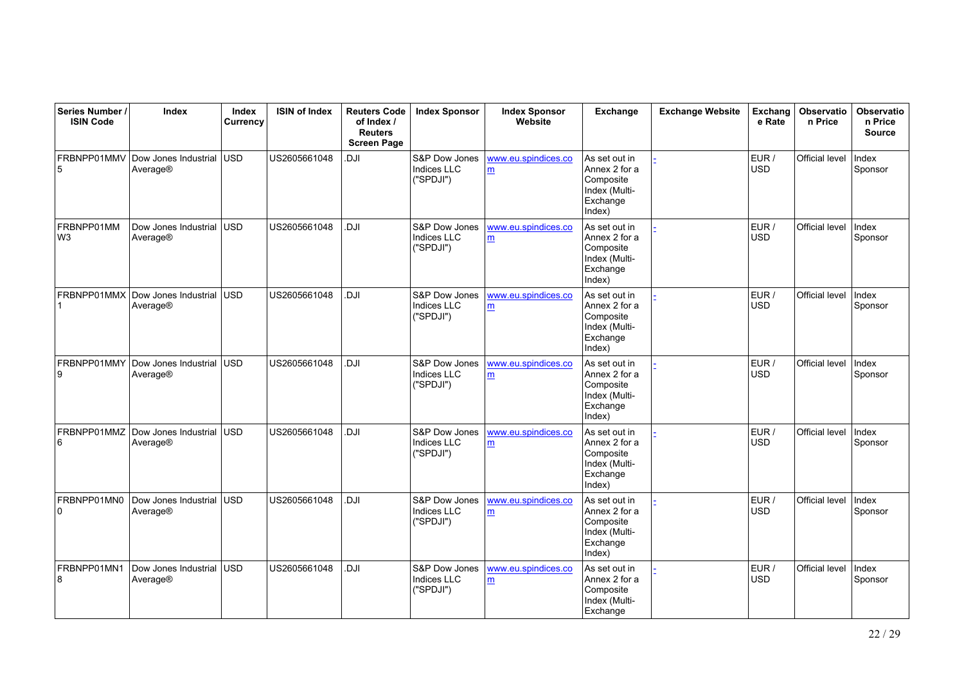| Series Number /<br><b>ISIN Code</b> | Index                            | Index<br>Currency | <b>ISIN of Index</b> | <b>Reuters Code</b><br>of Index /<br><b>Reuters</b><br><b>Screen Page</b> | <b>Index Sponsor</b>                             | <b>Index Sponsor</b><br>Website | Exchange                                                                           | <b>Exchange Website</b> | Exchang<br>e Rate   | Observatio<br>n Price | <b>Observatio</b><br>n Price<br><b>Source</b> |
|-------------------------------------|----------------------------------|-------------------|----------------------|---------------------------------------------------------------------------|--------------------------------------------------|---------------------------------|------------------------------------------------------------------------------------|-------------------------|---------------------|-----------------------|-----------------------------------------------|
| FRBNPP01MMV<br>5                    | Dow Jones Industrial<br>Average® | lusd.             | US2605661048         | DJI                                                                       | S&P Dow Jones<br>Indices LLC<br>("SPDJI")        | www.eu.spindices.co<br>m        | As set out in<br>Annex 2 for a<br>Composite<br>Index (Multi-<br>Exchange<br>Index) |                         | EUR /<br><b>USD</b> | Official level        | Index<br>Sponsor                              |
| FRBNPP01MM<br>W <sub>3</sub>        | Dow Jones Industrial<br>Average® | lusd.             | US2605661048         | Il D.                                                                     | S&P Dow Jones<br>Indices LLC<br>("SPDJI")        | www.eu.spindices.co<br>m        | As set out in<br>Annex 2 for a<br>Composite<br>Index (Multi-<br>Exchange<br>Index) |                         | EUR /<br><b>USD</b> | Official level        | Index<br>Sponsor                              |
| FRBNPP01MMX                         | Dow Jones Industrial<br>Average® | lusd.             | US2605661048         | Il D.                                                                     | S&P Dow Jones<br><b>Indices LLC</b><br>("SPDJI") | www.eu.spindices.co<br>m        | As set out in<br>Annex 2 for a<br>Composite<br>Index (Multi-<br>Exchange<br>Index) |                         | EUR /<br><b>USD</b> | Official level        | Index<br>Sponsor                              |
| FRBNPP01MMY<br>9                    | Dow Jones Industrial<br>Average® | <b>USD</b>        | US2605661048         | Il D                                                                      | S&P Dow Jones<br><b>Indices LLC</b><br>("SPDJI") | www.eu.spindices.co<br>m        | As set out in<br>Annex 2 for a<br>Composite<br>Index (Multi-<br>Exchange<br>Index) |                         | EUR /<br>USD        | Official level        | Index<br>Sponsor                              |
| FRBNPP01MMZ<br>6                    | Dow Jones Industrial<br>Average® | lusd.             | US2605661048         | Il D                                                                      | S&P Dow Jones<br><b>Indices LLC</b><br>("SPDJI") | www.eu.spindices.co<br>m        | As set out in<br>Annex 2 for a<br>Composite<br>Index (Multi-<br>Exchange<br>Index) |                         | EUR /<br>USD        | Official level        | Index<br>Sponsor                              |
| FRBNPP01MN0<br>0                    | Dow Jones Industrial<br>Average® | <b>USD</b>        | US2605661048         | Il D.                                                                     | S&P Dow Jones<br><b>Indices LLC</b><br>("SPDJI") | www.eu.spindices.co<br>m        | As set out in<br>Annex 2 for a<br>Composite<br>Index (Multi-<br>Exchange<br>Index) |                         | EUR /<br><b>USD</b> | Official level        | Index<br>Sponsor                              |
| FRBNPP01MN1<br>8                    | Dow Jones Industrial<br>Average® | <b>USD</b>        | US2605661048         | DJI                                                                       | S&P Dow Jones<br><b>Indices LLC</b><br>("SPDJI") | www.eu.spindices.co<br>m        | As set out in<br>Annex 2 for a<br>Composite<br>Index (Multi-<br>Exchange           |                         | EUR /<br><b>USD</b> | Official level        | Index<br>Sponsor                              |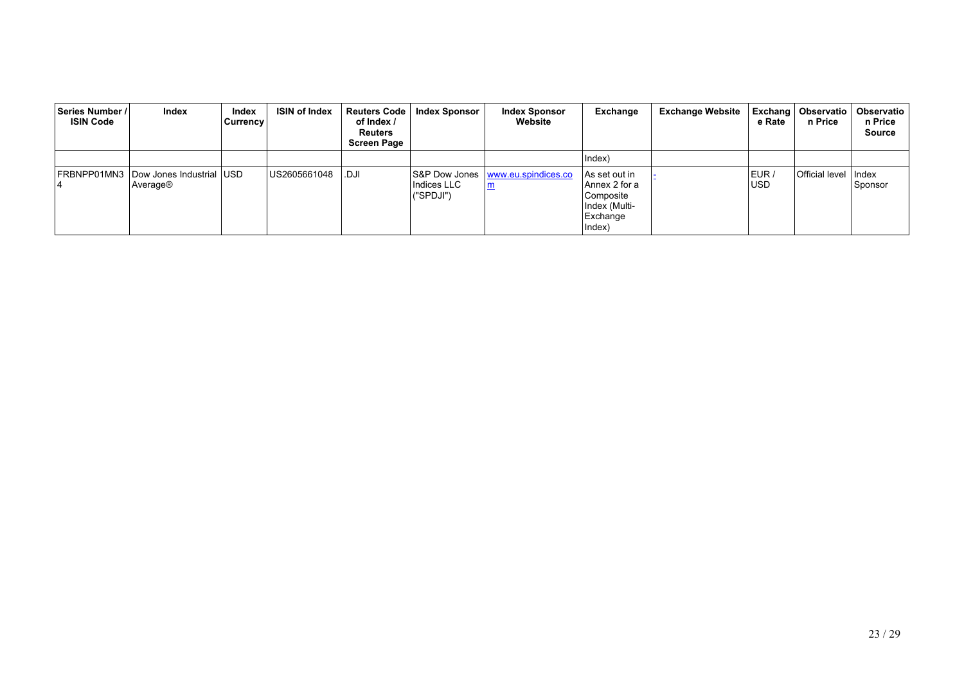| ∣Series Number / I<br><b>ISIN Code</b> | Index                                            | Index<br>Currency | <b>ISIN of Index</b> | <b>Reuters Code</b><br>of Index /<br><b>Reuters</b><br><b>Screen Page</b> | <b>Index Sponsor</b>       | <b>Index Sponsor</b><br>Website                        | Exchange                                                                            | <b>Exchange Website</b> | e Rate              | Exchang   Observatio  <br>n Price | Observatio<br>n Price<br><b>Source</b> |
|----------------------------------------|--------------------------------------------------|-------------------|----------------------|---------------------------------------------------------------------------|----------------------------|--------------------------------------------------------|-------------------------------------------------------------------------------------|-------------------------|---------------------|-----------------------------------|----------------------------------------|
|                                        |                                                  |                   |                      |                                                                           |                            |                                                        | Index)                                                                              |                         |                     |                                   |                                        |
|                                        | FRBNPP01MN3 Dow Jones Industrial USD<br>Average® |                   | US2605661048         | .DJI                                                                      | Indices LLC<br>l ("SPDJI") | S&P Dow Jones   www.eu.spindices.co<br>$\underline{m}$ | ∣As set out in<br>Annex 2 for a<br>Composite<br>Index (Multi-<br>Exchange<br>Index) |                         | EUR /<br><b>USD</b> | Official level                    | <b>Index</b><br>Sponsor                |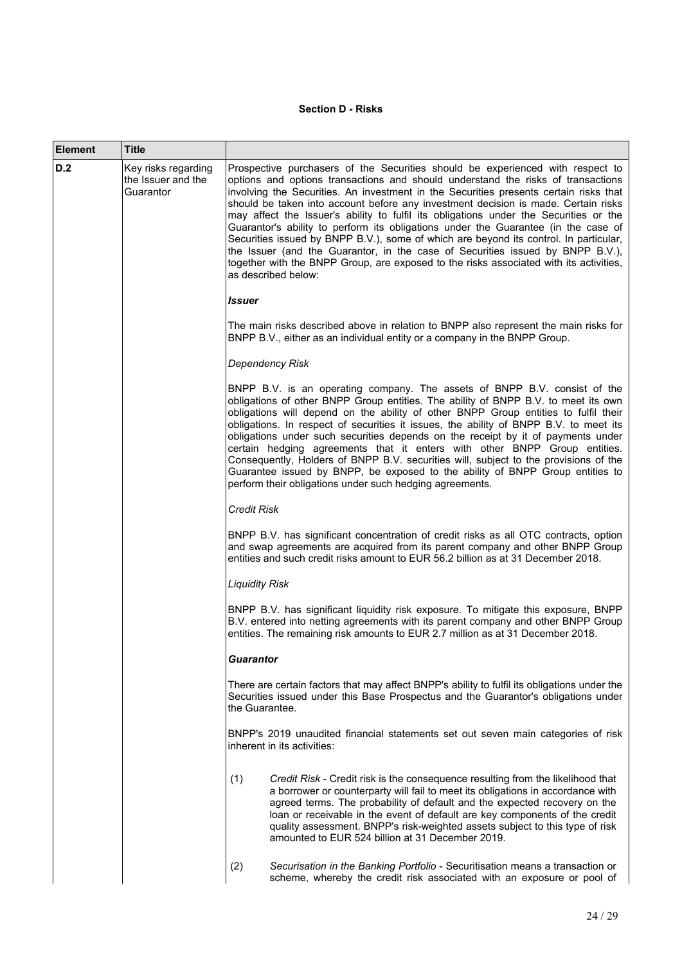# **Section D - Risks**

| Element | <b>Title</b>                                           |                                                                                                                                                                                                                                                                                                                                                                                                                                                                                                                                                                                                                                                                                                                                                                                                                              |
|---------|--------------------------------------------------------|------------------------------------------------------------------------------------------------------------------------------------------------------------------------------------------------------------------------------------------------------------------------------------------------------------------------------------------------------------------------------------------------------------------------------------------------------------------------------------------------------------------------------------------------------------------------------------------------------------------------------------------------------------------------------------------------------------------------------------------------------------------------------------------------------------------------------|
| D.2     | Key risks regarding<br>the Issuer and the<br>Guarantor | Prospective purchasers of the Securities should be experienced with respect to<br>options and options transactions and should understand the risks of transactions<br>involving the Securities. An investment in the Securities presents certain risks that<br>should be taken into account before any investment decision is made. Certain risks<br>may affect the Issuer's ability to fulfil its obligations under the Securities or the<br>Guarantor's ability to perform its obligations under the Guarantee (in the case of<br>Securities issued by BNPP B.V.), some of which are beyond its control. In particular,<br>the Issuer (and the Guarantor, in the case of Securities issued by BNPP B.V.),<br>together with the BNPP Group, are exposed to the risks associated with its activities,<br>as described below: |
|         |                                                        | Issuer                                                                                                                                                                                                                                                                                                                                                                                                                                                                                                                                                                                                                                                                                                                                                                                                                       |
|         |                                                        | The main risks described above in relation to BNPP also represent the main risks for<br>BNPP B.V., either as an individual entity or a company in the BNPP Group.                                                                                                                                                                                                                                                                                                                                                                                                                                                                                                                                                                                                                                                            |
|         |                                                        | <b>Dependency Risk</b>                                                                                                                                                                                                                                                                                                                                                                                                                                                                                                                                                                                                                                                                                                                                                                                                       |
|         |                                                        | BNPP B.V. is an operating company. The assets of BNPP B.V. consist of the<br>obligations of other BNPP Group entities. The ability of BNPP B.V. to meet its own<br>obligations will depend on the ability of other BNPP Group entities to fulfil their<br>obligations. In respect of securities it issues, the ability of BNPP B.V. to meet its<br>obligations under such securities depends on the receipt by it of payments under<br>certain hedging agreements that it enters with other BNPP Group entities.<br>Consequently, Holders of BNPP B.V. securities will, subject to the provisions of the<br>Guarantee issued by BNPP, be exposed to the ability of BNPP Group entities to<br>perform their obligations under such hedging agreements.                                                                        |
|         |                                                        | <b>Credit Risk</b>                                                                                                                                                                                                                                                                                                                                                                                                                                                                                                                                                                                                                                                                                                                                                                                                           |
|         |                                                        | BNPP B.V. has significant concentration of credit risks as all OTC contracts, option<br>and swap agreements are acquired from its parent company and other BNPP Group<br>entities and such credit risks amount to EUR 56.2 billion as at 31 December 2018.                                                                                                                                                                                                                                                                                                                                                                                                                                                                                                                                                                   |
|         |                                                        | <b>Liquidity Risk</b>                                                                                                                                                                                                                                                                                                                                                                                                                                                                                                                                                                                                                                                                                                                                                                                                        |
|         |                                                        | BNPP B.V. has significant liquidity risk exposure. To mitigate this exposure, BNPP<br>B.V. entered into netting agreements with its parent company and other BNPP Group<br>entities. The remaining risk amounts to EUR 2.7 million as at 31 December 2018.                                                                                                                                                                                                                                                                                                                                                                                                                                                                                                                                                                   |
|         |                                                        | Guarantor                                                                                                                                                                                                                                                                                                                                                                                                                                                                                                                                                                                                                                                                                                                                                                                                                    |
|         |                                                        | There are certain factors that may affect BNPP's ability to fulfil its obligations under the<br>Securities issued under this Base Prospectus and the Guarantor's obligations under<br>the Guarantee.                                                                                                                                                                                                                                                                                                                                                                                                                                                                                                                                                                                                                         |
|         |                                                        | BNPP's 2019 unaudited financial statements set out seven main categories of risk<br>inherent in its activities:                                                                                                                                                                                                                                                                                                                                                                                                                                                                                                                                                                                                                                                                                                              |
|         |                                                        | (1)<br>Credit Risk - Credit risk is the consequence resulting from the likelihood that<br>a borrower or counterparty will fail to meet its obligations in accordance with<br>agreed terms. The probability of default and the expected recovery on the<br>loan or receivable in the event of default are key components of the credit<br>quality assessment. BNPP's risk-weighted assets subject to this type of risk<br>amounted to EUR 524 billion at 31 December 2019.                                                                                                                                                                                                                                                                                                                                                    |
|         |                                                        | (2)<br>Securisation in the Banking Portfolio - Securitisation means a transaction or<br>scheme, whereby the credit risk associated with an exposure or pool of                                                                                                                                                                                                                                                                                                                                                                                                                                                                                                                                                                                                                                                               |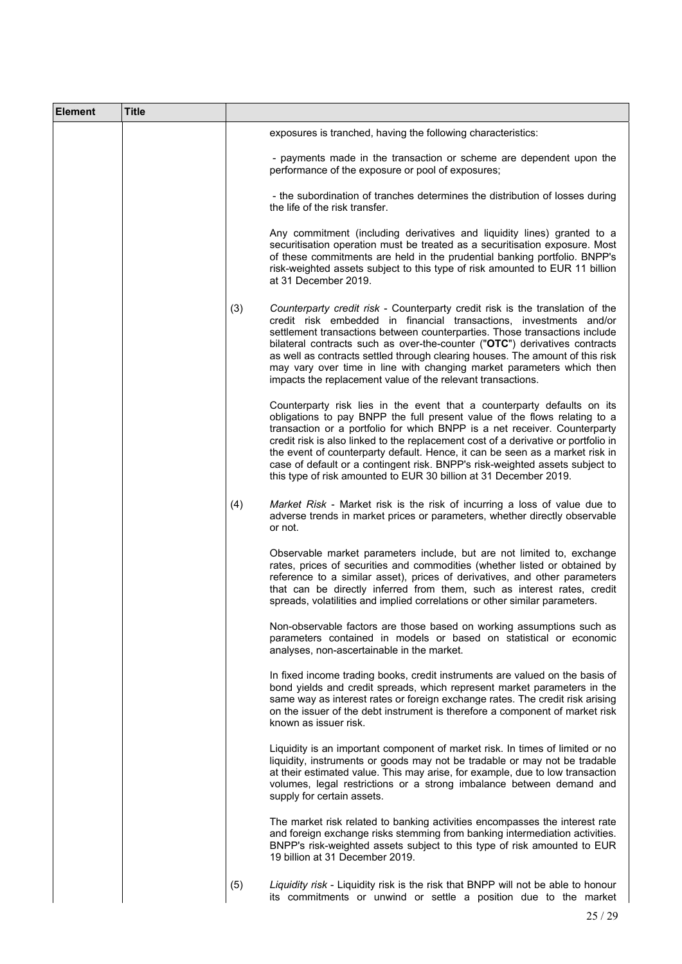| <b>Element</b> | <b>Title</b> |     |                                                                                                                                                                                                                                                                                                                                                                                                                                                                                                                                                              |
|----------------|--------------|-----|--------------------------------------------------------------------------------------------------------------------------------------------------------------------------------------------------------------------------------------------------------------------------------------------------------------------------------------------------------------------------------------------------------------------------------------------------------------------------------------------------------------------------------------------------------------|
|                |              |     | exposures is tranched, having the following characteristics:                                                                                                                                                                                                                                                                                                                                                                                                                                                                                                 |
|                |              |     | - payments made in the transaction or scheme are dependent upon the<br>performance of the exposure or pool of exposures;                                                                                                                                                                                                                                                                                                                                                                                                                                     |
|                |              |     | - the subordination of tranches determines the distribution of losses during<br>the life of the risk transfer.                                                                                                                                                                                                                                                                                                                                                                                                                                               |
|                |              |     | Any commitment (including derivatives and liquidity lines) granted to a<br>securitisation operation must be treated as a securitisation exposure. Most<br>of these commitments are held in the prudential banking portfolio. BNPP's<br>risk-weighted assets subject to this type of risk amounted to EUR 11 billion<br>at 31 December 2019.                                                                                                                                                                                                                  |
|                |              | (3) | Counterparty credit risk - Counterparty credit risk is the translation of the<br>credit risk embedded in financial transactions, investments and/or<br>settlement transactions between counterparties. Those transactions include<br>bilateral contracts such as over-the-counter ("OTC") derivatives contracts<br>as well as contracts settled through clearing houses. The amount of this risk<br>may vary over time in line with changing market parameters which then<br>impacts the replacement value of the relevant transactions.                     |
|                |              |     | Counterparty risk lies in the event that a counterparty defaults on its<br>obligations to pay BNPP the full present value of the flows relating to a<br>transaction or a portfolio for which BNPP is a net receiver. Counterparty<br>credit risk is also linked to the replacement cost of a derivative or portfolio in<br>the event of counterparty default. Hence, it can be seen as a market risk in<br>case of default or a contingent risk. BNPP's risk-weighted assets subject to<br>this type of risk amounted to EUR 30 billion at 31 December 2019. |
|                |              | (4) | Market Risk - Market risk is the risk of incurring a loss of value due to<br>adverse trends in market prices or parameters, whether directly observable<br>or not.                                                                                                                                                                                                                                                                                                                                                                                           |
|                |              |     | Observable market parameters include, but are not limited to, exchange<br>rates, prices of securities and commodities (whether listed or obtained by<br>reference to a similar asset), prices of derivatives, and other parameters<br>that can be directly inferred from them, such as interest rates, credit<br>spreads, volatilities and implied correlations or other similar parameters.                                                                                                                                                                 |
|                |              |     | Non-observable factors are those based on working assumptions such as<br>parameters contained in models or based on statistical or economic<br>analyses, non-ascertainable in the market.                                                                                                                                                                                                                                                                                                                                                                    |
|                |              |     | In fixed income trading books, credit instruments are valued on the basis of<br>bond yields and credit spreads, which represent market parameters in the<br>same way as interest rates or foreign exchange rates. The credit risk arising<br>on the issuer of the debt instrument is therefore a component of market risk<br>known as issuer risk.                                                                                                                                                                                                           |
|                |              |     | Liquidity is an important component of market risk. In times of limited or no<br>liquidity, instruments or goods may not be tradable or may not be tradable<br>at their estimated value. This may arise, for example, due to low transaction<br>volumes, legal restrictions or a strong imbalance between demand and<br>supply for certain assets.                                                                                                                                                                                                           |
|                |              |     | The market risk related to banking activities encompasses the interest rate<br>and foreign exchange risks stemming from banking intermediation activities.<br>BNPP's risk-weighted assets subject to this type of risk amounted to EUR<br>19 billion at 31 December 2019.                                                                                                                                                                                                                                                                                    |
|                |              | (5) | Liquidity risk - Liquidity risk is the risk that BNPP will not be able to honour<br>its commitments or unwind or settle a position due to the market                                                                                                                                                                                                                                                                                                                                                                                                         |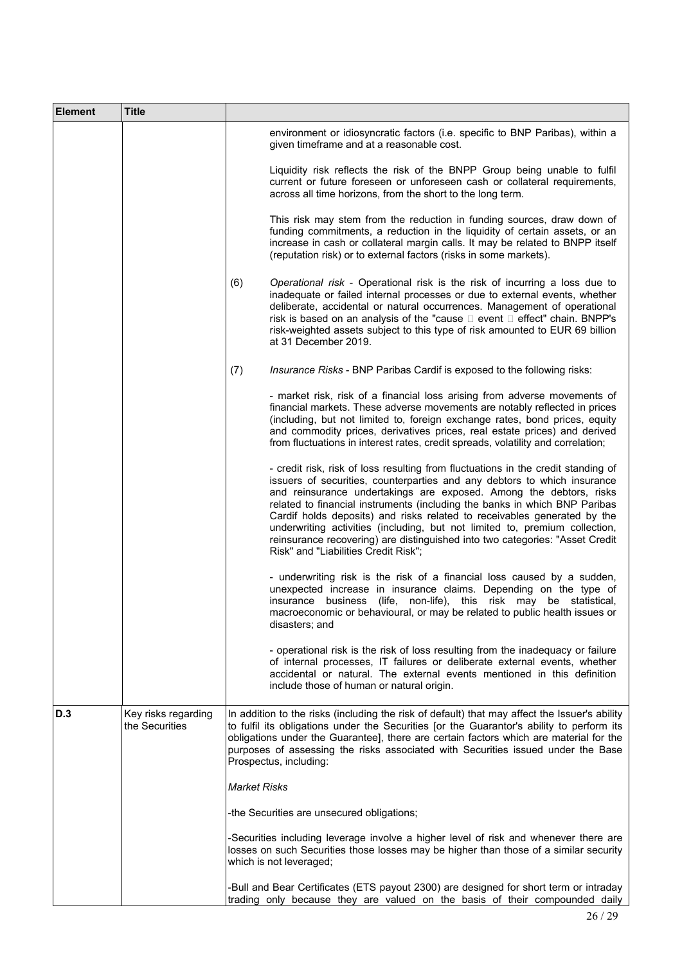| <b>Element</b> | <b>Title</b>                          |                                                                                                                                                                                                                                                                                                                                                                                                                                                                                                                                                                                                      |
|----------------|---------------------------------------|------------------------------------------------------------------------------------------------------------------------------------------------------------------------------------------------------------------------------------------------------------------------------------------------------------------------------------------------------------------------------------------------------------------------------------------------------------------------------------------------------------------------------------------------------------------------------------------------------|
|                |                                       | environment or idiosyncratic factors (i.e. specific to BNP Paribas), within a<br>given timeframe and at a reasonable cost.                                                                                                                                                                                                                                                                                                                                                                                                                                                                           |
|                |                                       | Liquidity risk reflects the risk of the BNPP Group being unable to fulfil<br>current or future foreseen or unforeseen cash or collateral requirements,<br>across all time horizons, from the short to the long term.                                                                                                                                                                                                                                                                                                                                                                                 |
|                |                                       | This risk may stem from the reduction in funding sources, draw down of<br>funding commitments, a reduction in the liquidity of certain assets, or an<br>increase in cash or collateral margin calls. It may be related to BNPP itself<br>(reputation risk) or to external factors (risks in some markets).                                                                                                                                                                                                                                                                                           |
|                |                                       | (6)<br>Operational risk - Operational risk is the risk of incurring a loss due to<br>inadequate or failed internal processes or due to external events, whether<br>deliberate, accidental or natural occurrences. Management of operational<br>risk is based on an analysis of the "cause □ event □ effect" chain. BNPP's<br>risk-weighted assets subject to this type of risk amounted to EUR 69 billion<br>at 31 December 2019.                                                                                                                                                                    |
|                |                                       | Insurance Risks - BNP Paribas Cardif is exposed to the following risks:<br>(7)                                                                                                                                                                                                                                                                                                                                                                                                                                                                                                                       |
|                |                                       | - market risk, risk of a financial loss arising from adverse movements of<br>financial markets. These adverse movements are notably reflected in prices<br>(including, but not limited to, foreign exchange rates, bond prices, equity<br>and commodity prices, derivatives prices, real estate prices) and derived<br>from fluctuations in interest rates, credit spreads, volatility and correlation;                                                                                                                                                                                              |
|                |                                       | - credit risk, risk of loss resulting from fluctuations in the credit standing of<br>issuers of securities, counterparties and any debtors to which insurance<br>and reinsurance undertakings are exposed. Among the debtors, risks<br>related to financial instruments (including the banks in which BNP Paribas<br>Cardif holds deposits) and risks related to receivables generated by the<br>underwriting activities (including, but not limited to, premium collection,<br>reinsurance recovering) are distinguished into two categories: "Asset Credit<br>Risk" and "Liabilities Credit Risk"; |
|                |                                       | - underwriting risk is the risk of a financial loss caused by a sudden,<br>unexpected increase in insurance claims. Depending on the type of<br>insurance business (life, non-life), this risk may be statistical,<br>macroeconomic or behavioural, or may be related to public health issues or<br>disasters; and                                                                                                                                                                                                                                                                                   |
|                |                                       | - operational risk is the risk of loss resulting from the inadequacy or failure<br>of internal processes, IT failures or deliberate external events, whether<br>accidental or natural. The external events mentioned in this definition<br>include those of human or natural origin.                                                                                                                                                                                                                                                                                                                 |
| D.3            | Key risks regarding<br>the Securities | In addition to the risks (including the risk of default) that may affect the Issuer's ability<br>to fulfil its obligations under the Securities [or the Guarantor's ability to perform its<br>obligations under the Guarantee], there are certain factors which are material for the<br>purposes of assessing the risks associated with Securities issued under the Base<br>Prospectus, including:                                                                                                                                                                                                   |
|                |                                       | <b>Market Risks</b>                                                                                                                                                                                                                                                                                                                                                                                                                                                                                                                                                                                  |
|                |                                       | -the Securities are unsecured obligations;                                                                                                                                                                                                                                                                                                                                                                                                                                                                                                                                                           |
|                |                                       | -Securities including leverage involve a higher level of risk and whenever there are<br>losses on such Securities those losses may be higher than those of a similar security<br>which is not leveraged;                                                                                                                                                                                                                                                                                                                                                                                             |
|                |                                       | -Bull and Bear Certificates (ETS payout 2300) are designed for short term or intraday<br>trading only because they are valued on the basis of their compounded daily                                                                                                                                                                                                                                                                                                                                                                                                                                 |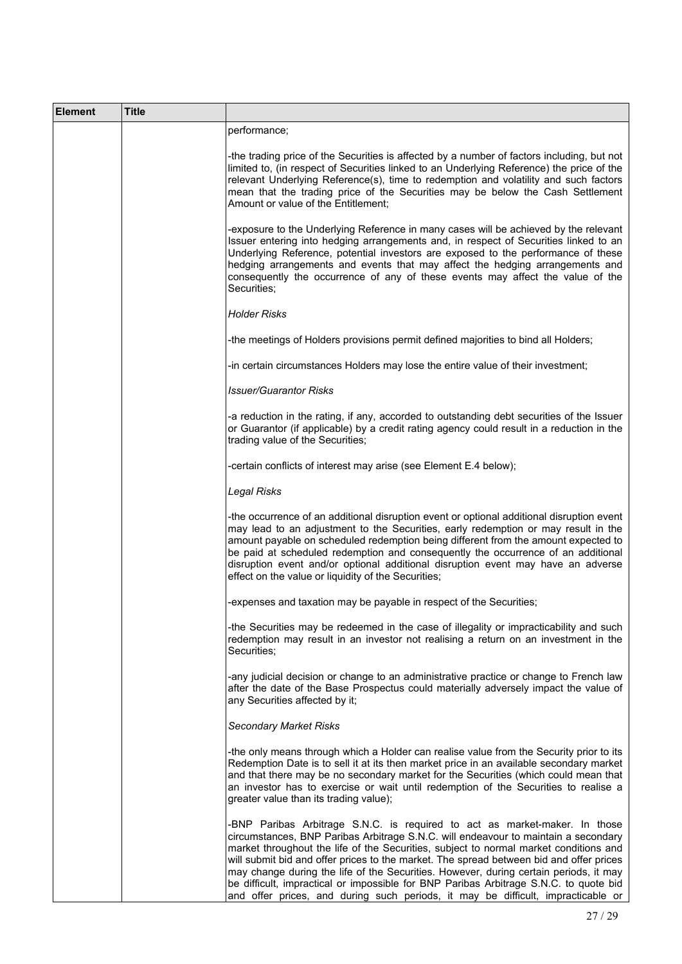| <b>Element</b> | Title |                                                                                                                                                                                                                                                                                                                                                                                                                                                                                                                                                                                                                            |
|----------------|-------|----------------------------------------------------------------------------------------------------------------------------------------------------------------------------------------------------------------------------------------------------------------------------------------------------------------------------------------------------------------------------------------------------------------------------------------------------------------------------------------------------------------------------------------------------------------------------------------------------------------------------|
|                |       | performance;                                                                                                                                                                                                                                                                                                                                                                                                                                                                                                                                                                                                               |
|                |       | -the trading price of the Securities is affected by a number of factors including, but not<br>limited to, (in respect of Securities linked to an Underlying Reference) the price of the<br>relevant Underlying Reference(s), time to redemption and volatility and such factors<br>mean that the trading price of the Securities may be below the Cash Settlement<br>Amount or value of the Entitlement;                                                                                                                                                                                                                   |
|                |       | -exposure to the Underlying Reference in many cases will be achieved by the relevant<br>Issuer entering into hedging arrangements and, in respect of Securities linked to an<br>Underlying Reference, potential investors are exposed to the performance of these<br>hedging arrangements and events that may affect the hedging arrangements and<br>consequently the occurrence of any of these events may affect the value of the<br>Securities;                                                                                                                                                                         |
|                |       | <b>Holder Risks</b>                                                                                                                                                                                                                                                                                                                                                                                                                                                                                                                                                                                                        |
|                |       | -the meetings of Holders provisions permit defined majorities to bind all Holders;                                                                                                                                                                                                                                                                                                                                                                                                                                                                                                                                         |
|                |       | -in certain circumstances Holders may lose the entire value of their investment;                                                                                                                                                                                                                                                                                                                                                                                                                                                                                                                                           |
|                |       | <b>Issuer/Guarantor Risks</b>                                                                                                                                                                                                                                                                                                                                                                                                                                                                                                                                                                                              |
|                |       | -a reduction in the rating, if any, accorded to outstanding debt securities of the Issuer<br>or Guarantor (if applicable) by a credit rating agency could result in a reduction in the<br>trading value of the Securities;                                                                                                                                                                                                                                                                                                                                                                                                 |
|                |       | -certain conflicts of interest may arise (see Element E.4 below);                                                                                                                                                                                                                                                                                                                                                                                                                                                                                                                                                          |
|                |       | Legal Risks                                                                                                                                                                                                                                                                                                                                                                                                                                                                                                                                                                                                                |
|                |       | -the occurrence of an additional disruption event or optional additional disruption event<br>may lead to an adjustment to the Securities, early redemption or may result in the<br>amount payable on scheduled redemption being different from the amount expected to<br>be paid at scheduled redemption and consequently the occurrence of an additional<br>disruption event and/or optional additional disruption event may have an adverse<br>effect on the value or liquidity of the Securities;                                                                                                                       |
|                |       | -expenses and taxation may be payable in respect of the Securities;                                                                                                                                                                                                                                                                                                                                                                                                                                                                                                                                                        |
|                |       | -the Securities may be redeemed in the case of illegality or impracticability and such<br>redemption may result in an investor not realising a return on an investment in the<br>Securities;                                                                                                                                                                                                                                                                                                                                                                                                                               |
|                |       | -any judicial decision or change to an administrative practice or change to French law<br>after the date of the Base Prospectus could materially adversely impact the value of<br>any Securities affected by it;                                                                                                                                                                                                                                                                                                                                                                                                           |
|                |       | <b>Secondary Market Risks</b>                                                                                                                                                                                                                                                                                                                                                                                                                                                                                                                                                                                              |
|                |       | -the only means through which a Holder can realise value from the Security prior to its<br>Redemption Date is to sell it at its then market price in an available secondary market<br>and that there may be no secondary market for the Securities (which could mean that<br>an investor has to exercise or wait until redemption of the Securities to realise a<br>greater value than its trading value);                                                                                                                                                                                                                 |
|                |       | -BNP Paribas Arbitrage S.N.C. is required to act as market-maker. In those<br>circumstances, BNP Paribas Arbitrage S.N.C. will endeavour to maintain a secondary<br>market throughout the life of the Securities, subject to normal market conditions and<br>will submit bid and offer prices to the market. The spread between bid and offer prices<br>may change during the life of the Securities. However, during certain periods, it may<br>be difficult, impractical or impossible for BNP Paribas Arbitrage S.N.C. to quote bid<br>and offer prices, and during such periods, it may be difficult, impracticable or |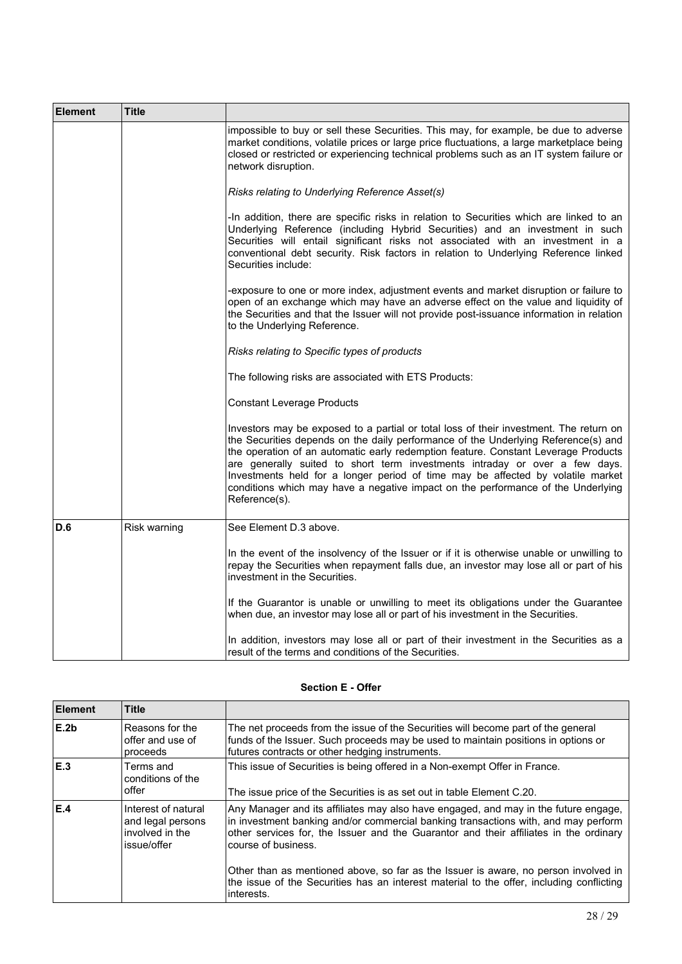| <b>Element</b> | Title        |                                                                                                                                                                                                                                                                                                                                                                                                                                                                                                                                           |
|----------------|--------------|-------------------------------------------------------------------------------------------------------------------------------------------------------------------------------------------------------------------------------------------------------------------------------------------------------------------------------------------------------------------------------------------------------------------------------------------------------------------------------------------------------------------------------------------|
|                |              | impossible to buy or sell these Securities. This may, for example, be due to adverse<br>market conditions, volatile prices or large price fluctuations, a large marketplace being<br>closed or restricted or experiencing technical problems such as an IT system failure or<br>network disruption.                                                                                                                                                                                                                                       |
|                |              | Risks relating to Underlying Reference Asset(s)                                                                                                                                                                                                                                                                                                                                                                                                                                                                                           |
|                |              | -In addition, there are specific risks in relation to Securities which are linked to an<br>Underlying Reference (including Hybrid Securities) and an investment in such<br>Securities will entail significant risks not associated with an investment in a<br>conventional debt security. Risk factors in relation to Underlying Reference linked<br>Securities include:                                                                                                                                                                  |
|                |              | -exposure to one or more index, adjustment events and market disruption or failure to<br>open of an exchange which may have an adverse effect on the value and liquidity of<br>the Securities and that the Issuer will not provide post-issuance information in relation<br>to the Underlying Reference.                                                                                                                                                                                                                                  |
|                |              | Risks relating to Specific types of products                                                                                                                                                                                                                                                                                                                                                                                                                                                                                              |
|                |              | The following risks are associated with ETS Products:                                                                                                                                                                                                                                                                                                                                                                                                                                                                                     |
|                |              | <b>Constant Leverage Products</b>                                                                                                                                                                                                                                                                                                                                                                                                                                                                                                         |
|                |              | Investors may be exposed to a partial or total loss of their investment. The return on<br>the Securities depends on the daily performance of the Underlying Reference(s) and<br>the operation of an automatic early redemption feature. Constant Leverage Products<br>are generally suited to short term investments intraday or over a few days.<br>Investments held for a longer period of time may be affected by volatile market<br>conditions which may have a negative impact on the performance of the Underlying<br>Reference(s). |
| D.6            | Risk warning | See Element D.3 above.                                                                                                                                                                                                                                                                                                                                                                                                                                                                                                                    |
|                |              | In the event of the insolvency of the Issuer or if it is otherwise unable or unwilling to<br>repay the Securities when repayment falls due, an investor may lose all or part of his<br>investment in the Securities.                                                                                                                                                                                                                                                                                                                      |
|                |              | If the Guarantor is unable or unwilling to meet its obligations under the Guarantee<br>when due, an investor may lose all or part of his investment in the Securities.                                                                                                                                                                                                                                                                                                                                                                    |
|                |              | In addition, investors may lose all or part of their investment in the Securities as a<br>result of the terms and conditions of the Securities.                                                                                                                                                                                                                                                                                                                                                                                           |

# **Section E - Offer**

| Element          | <b>Title</b>                                                               |                                                                                                                                                                                                                                                                                           |
|------------------|----------------------------------------------------------------------------|-------------------------------------------------------------------------------------------------------------------------------------------------------------------------------------------------------------------------------------------------------------------------------------------|
| E.2 <sub>b</sub> | Reasons for the<br>offer and use of<br>proceeds                            | The net proceeds from the issue of the Securities will become part of the general<br>funds of the Issuer. Such proceeds may be used to maintain positions in options or<br>futures contracts or other hedging instruments.                                                                |
| E.3              | Terms and<br>conditions of the<br>offer                                    | This issue of Securities is being offered in a Non-exempt Offer in France.<br>The issue price of the Securities is as set out in table Element C.20.                                                                                                                                      |
| E.4              | Interest of natural<br>and legal persons<br>involved in the<br>issue/offer | Any Manager and its affiliates may also have engaged, and may in the future engage,<br>in investment banking and/or commercial banking transactions with, and may perform<br>other services for, the Issuer and the Guarantor and their affiliates in the ordinary<br>course of business. |
|                  |                                                                            | Other than as mentioned above, so far as the Issuer is aware, no person involved in<br>the issue of the Securities has an interest material to the offer, including conflicting<br>linterests.                                                                                            |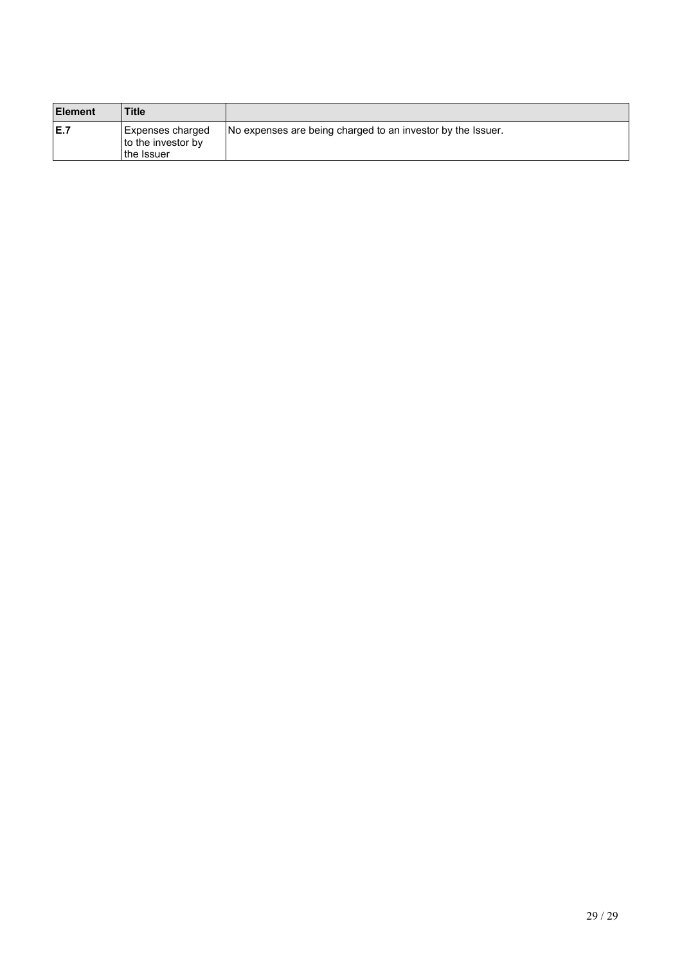| <b>Element</b> | <b>Title</b>                                          |                                                             |
|----------------|-------------------------------------------------------|-------------------------------------------------------------|
| E.7            | Expenses charged<br>to the investor by<br>∣the Issuer | No expenses are being charged to an investor by the Issuer. |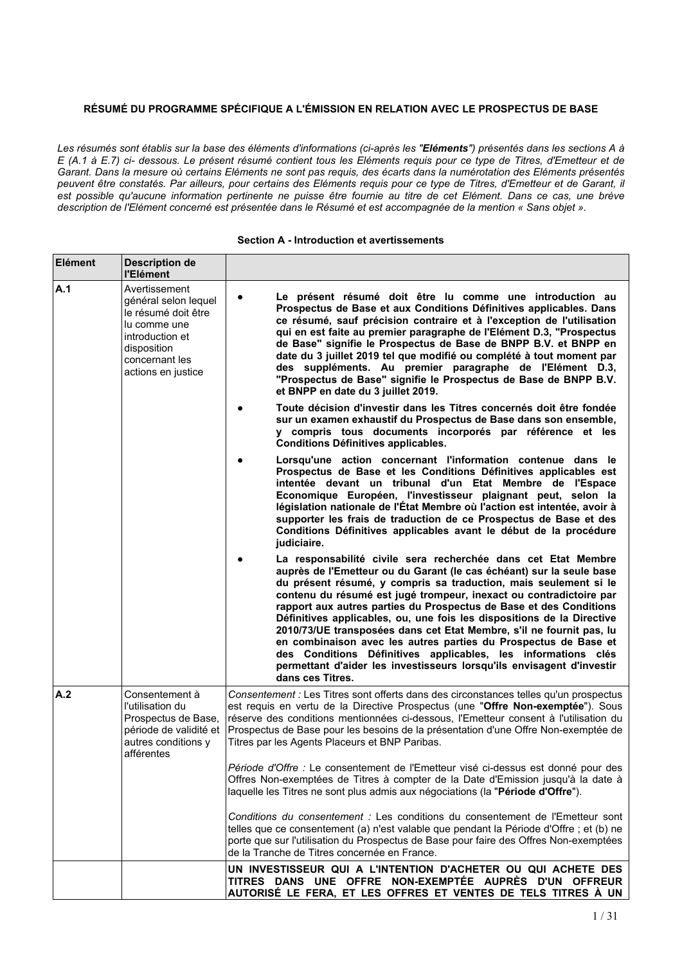# **RÉSUMÉ DU PROGRAMME SPÉCIFIQUE A L'ÉMISSION EN RELATION AVEC LE PROSPECTUS DE BASE**

Les résumés sont établis sur la base des éléments d'informations (ci-après les "Eléments") présentés dans les sections A à E (A.1 à E.7) ci- dessous. Le présent résumé contient tous les Eléments requis pour ce type de Titres, d'Emetteur et de Garant. Dans la mesure où certains Eléments ne sont pas requis, des écarts dans la numérotation des Eléments présentés peuvent être constatés. Par ailleurs, pour certains des Eléments requis pour ce type de Titres, d'Emetteur et de Garant, il est possible au'aucune information pertinente ne puisse être fournie au titre de cet Elément. Dans ce cas, une brève description de l'Elément concerné est présentée dans le Résumé et est accompagnée de la mention « Sans objet ».

| Elément | <b>Description de</b><br>l'Elément                                                                                                                     |                                                                                                                                                                                                                                                                                                                                                                                                                                                                                                                                                                                                                                                                                                                                          |
|---------|--------------------------------------------------------------------------------------------------------------------------------------------------------|------------------------------------------------------------------------------------------------------------------------------------------------------------------------------------------------------------------------------------------------------------------------------------------------------------------------------------------------------------------------------------------------------------------------------------------------------------------------------------------------------------------------------------------------------------------------------------------------------------------------------------------------------------------------------------------------------------------------------------------|
| A.1     | Avertissement<br>général selon lequel<br>le résumé doit être<br>lu comme une<br>introduction et<br>disposition<br>concernant les<br>actions en justice | Le présent résumé doit être lu comme une introduction au<br>Prospectus de Base et aux Conditions Définitives applicables. Dans<br>ce résumé, sauf précision contraire et à l'exception de l'utilisation<br>qui en est faite au premier paragraphe de l'Elément D.3, "Prospectus<br>de Base" signifie le Prospectus de Base de BNPP B.V. et BNPP en<br>date du 3 juillet 2019 tel que modifié ou complété à tout moment par<br>des suppléments. Au premier paragraphe de l'Elément D.3,<br>"Prospectus de Base" signifie le Prospectus de Base de BNPP B.V.<br>et BNPP en date du 3 juillet 2019.                                                                                                                                         |
|         |                                                                                                                                                        | Toute décision d'investir dans les Titres concernés doit être fondée<br>sur un examen exhaustif du Prospectus de Base dans son ensemble,<br>y compris tous documents incorporés par référence et les<br><b>Conditions Définitives applicables.</b>                                                                                                                                                                                                                                                                                                                                                                                                                                                                                       |
|         |                                                                                                                                                        | Lorsqu'une action concernant l'information contenue dans le<br>Prospectus de Base et les Conditions Définitives applicables est<br>intentée devant un tribunal d'un Etat Membre de l'Espace<br>Economique Européen, l'investisseur plaignant peut, selon la<br>législation nationale de l'État Membre où l'action est intentée, avoir à<br>supporter les frais de traduction de ce Prospectus de Base et des<br>Conditions Définitives applicables avant le début de la procédure<br>judiciaire.                                                                                                                                                                                                                                         |
|         |                                                                                                                                                        | La responsabilité civile sera recherchée dans cet Etat Membre<br>auprès de l'Emetteur ou du Garant (le cas échéant) sur la seule base<br>du présent résumé, y compris sa traduction, mais seulement si le<br>contenu du résumé est jugé trompeur, inexact ou contradictoire par<br>rapport aux autres parties du Prospectus de Base et des Conditions<br>Définitives applicables, ou, une fois les dispositions de la Directive<br>2010/73/UE transposées dans cet Etat Membre, s'il ne fournit pas, lu<br>en combinaison avec les autres parties du Prospectus de Base et<br>des Conditions Définitives applicables, les informations clés<br>permettant d'aider les investisseurs lorsqu'ils envisagent d'investir<br>dans ces Titres. |
| A.2     | Consentement à<br>l'utilisation du<br>Prospectus de Base,<br>période de validité et<br>autres conditions y<br>afférentes                               | Consentement : Les Titres sont offerts dans des circonstances telles qu'un prospectus<br>est requis en vertu de la Directive Prospectus (une "Offre Non-exemptée"). Sous<br>réserve des conditions mentionnées ci-dessous, l'Emetteur consent à l'utilisation du<br>Prospectus de Base pour les besoins de la présentation d'une Offre Non-exemptée de<br>Titres par les Agents Placeurs et BNP Paribas.                                                                                                                                                                                                                                                                                                                                 |
|         |                                                                                                                                                        | Période d'Offre : Le consentement de l'Emetteur visé ci-dessus est donné pour des<br>Offres Non-exemptées de Titres à compter de la Date d'Emission jusqu'à la date à<br>laquelle les Titres ne sont plus admis aux négociations (la "Période d'Offre").                                                                                                                                                                                                                                                                                                                                                                                                                                                                                 |
|         |                                                                                                                                                        | Conditions du consentement : Les conditions du consentement de l'Emetteur sont<br>telles que ce consentement (a) n'est valable que pendant la Période d'Offre ; et (b) ne<br>porte que sur l'utilisation du Prospectus de Base pour faire des Offres Non-exemptées<br>de la Tranche de Titres concernée en France.                                                                                                                                                                                                                                                                                                                                                                                                                       |
|         |                                                                                                                                                        | UN INVESTISSEUR QUI A L'INTENTION D'ACHETER OU QUI ACHETE DES<br>TITRES DANS UNE OFFRE NON-EXEMPTÉE AUPRÈS D'UN OFFREUR<br>AUTORISÉ LE FERA, ET LES OFFRES ET VENTES DE TELS TITRES À UN                                                                                                                                                                                                                                                                                                                                                                                                                                                                                                                                                 |

#### **Section A - Introduction et avertissements**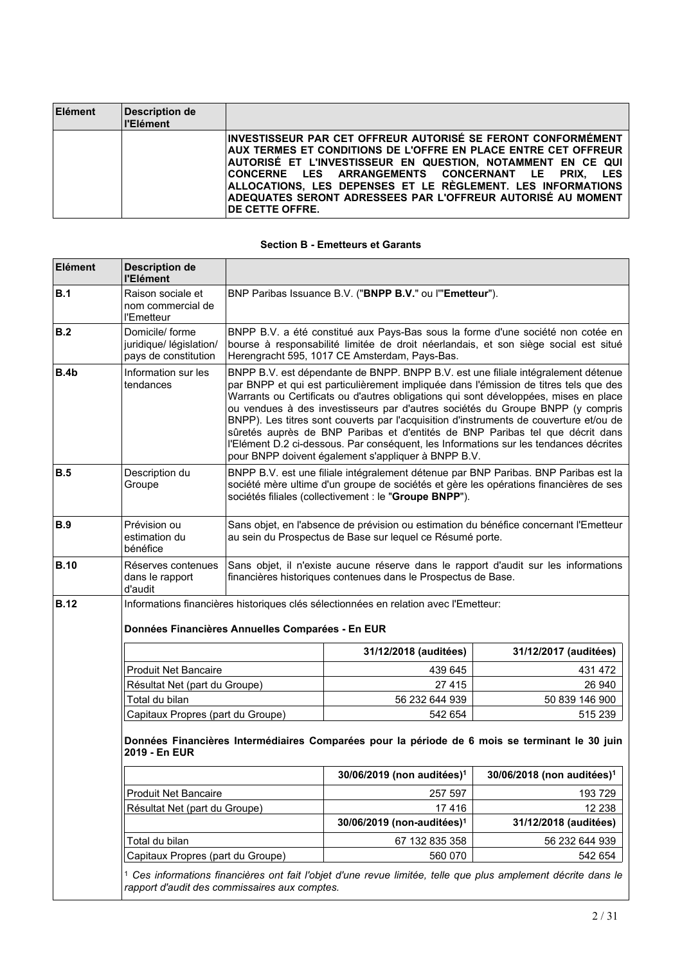| Elément | Description de<br>ll'Elément |                                                                                                                                                                                                                                                                                                                                                                                                             |
|---------|------------------------------|-------------------------------------------------------------------------------------------------------------------------------------------------------------------------------------------------------------------------------------------------------------------------------------------------------------------------------------------------------------------------------------------------------------|
|         |                              | INVESTISSEUR PAR CET OFFREUR AUTORISÉ SE FERONT CONFORMÉMENT<br>AUX TERMES ET CONDITIONS DE L'OFFRE EN PLACE ENTRE CET OFFREUR<br>AUTORISÉ ET L'INVESTISSEUR EN QUESTION. NOTAMMENT EN CE QUI<br>CONCERNE LES ARRANGEMENTS CONCERNANT LE PRIX. LES<br>ALLOCATIONS, LES DEPENSES ET LE RÈGLEMENT. LES INFORMATIONS<br>ADEQUATES SERONT ADRESSEES PAR L'OFFREUR AUTORISÉ AU MOMENT<br><b>IDE CETTE OFFRE.</b> |

# **Section B - Emetteurs et Garants**

| Elément     | <b>Description de</b><br>l'Elément                                |                                                                                                                                                                                                                                                                                                                                                                                                                                                                                                                                                                                                                                                                                 |                                                                                                                                                                                                                                        |                                                                                 |
|-------------|-------------------------------------------------------------------|---------------------------------------------------------------------------------------------------------------------------------------------------------------------------------------------------------------------------------------------------------------------------------------------------------------------------------------------------------------------------------------------------------------------------------------------------------------------------------------------------------------------------------------------------------------------------------------------------------------------------------------------------------------------------------|----------------------------------------------------------------------------------------------------------------------------------------------------------------------------------------------------------------------------------------|---------------------------------------------------------------------------------|
| B.1         | Raison sociale et<br>nom commercial de<br>l'Emetteur              | BNP Paribas Issuance B.V. ("BNPP B.V." ou l"Emetteur").                                                                                                                                                                                                                                                                                                                                                                                                                                                                                                                                                                                                                         |                                                                                                                                                                                                                                        |                                                                                 |
| B.2         | Domicile/forme<br>juridique/ législation/<br>pays de constitution |                                                                                                                                                                                                                                                                                                                                                                                                                                                                                                                                                                                                                                                                                 | BNPP B.V. a été constitué aux Pays-Bas sous la forme d'une société non cotée en<br>bourse à responsabilité limitée de droit néerlandais, et son siège social est situé<br>Herengracht 595, 1017 CE Amsterdam, Pays-Bas.                |                                                                                 |
| B.4b        | Information sur les<br>tendances                                  | BNPP B.V. est dépendante de BNPP. BNPP B.V. est une filiale intégralement détenue<br>par BNPP et qui est particulièrement impliquée dans l'émission de titres tels que des<br>Warrants ou Certificats ou d'autres obligations qui sont développées, mises en place<br>ou vendues à des investisseurs par d'autres sociétés du Groupe BNPP (y compris<br>BNPP). Les titres sont couverts par l'acquisition d'instruments de couverture et/ou de<br>sûretés auprès de BNP Paribas et d'entités de BNP Paribas tel que décrit dans<br>l'Elément D.2 ci-dessous. Par conséquent, les Informations sur les tendances décrites<br>pour BNPP doivent également s'appliquer à BNPP B.V. |                                                                                                                                                                                                                                        |                                                                                 |
| B.5         | Description du<br>Groupe                                          |                                                                                                                                                                                                                                                                                                                                                                                                                                                                                                                                                                                                                                                                                 | BNPP B.V. est une filiale intégralement détenue par BNP Paribas. BNP Paribas est la<br>société mère ultime d'un groupe de sociétés et gère les opérations financières de ses<br>sociétés filiales (collectivement : le "Groupe BNPP"). |                                                                                 |
| <b>B.9</b>  | Prévision ou<br>estimation du<br>bénéfice                         |                                                                                                                                                                                                                                                                                                                                                                                                                                                                                                                                                                                                                                                                                 | Sans objet, en l'absence de prévision ou estimation du bénéfice concernant l'Emetteur<br>au sein du Prospectus de Base sur lequel ce Résumé porte.                                                                                     |                                                                                 |
| <b>B.10</b> | Réserves contenues<br>dans le rapport<br>d'audit                  |                                                                                                                                                                                                                                                                                                                                                                                                                                                                                                                                                                                                                                                                                 | Sans objet, il n'existe aucune réserve dans le rapport d'audit sur les informations<br>financières historiques contenues dans le Prospectus de Base.                                                                                   |                                                                                 |
| <b>B.12</b> |                                                                   | Données Financières Annuelles Comparées - En EUR                                                                                                                                                                                                                                                                                                                                                                                                                                                                                                                                                                                                                                | Informations financières historiques clés sélectionnées en relation avec l'Emetteur:                                                                                                                                                   |                                                                                 |
|             |                                                                   |                                                                                                                                                                                                                                                                                                                                                                                                                                                                                                                                                                                                                                                                                 | 31/12/2018 (auditées)                                                                                                                                                                                                                  | 31/12/2017 (auditées)                                                           |
|             | <b>Produit Net Bancaire</b>                                       |                                                                                                                                                                                                                                                                                                                                                                                                                                                                                                                                                                                                                                                                                 | 439 645                                                                                                                                                                                                                                | 431 472                                                                         |
|             | Résultat Net (part du Groupe)                                     |                                                                                                                                                                                                                                                                                                                                                                                                                                                                                                                                                                                                                                                                                 | 27 4 15                                                                                                                                                                                                                                | 26 940                                                                          |
|             | Total du bilan                                                    |                                                                                                                                                                                                                                                                                                                                                                                                                                                                                                                                                                                                                                                                                 | 56 232 644 939                                                                                                                                                                                                                         | 50 839 146 900                                                                  |
|             | Capitaux Propres (part du Groupe)                                 |                                                                                                                                                                                                                                                                                                                                                                                                                                                                                                                                                                                                                                                                                 | 542 654                                                                                                                                                                                                                                | 515 239                                                                         |
|             | 2019 - En EUR                                                     |                                                                                                                                                                                                                                                                                                                                                                                                                                                                                                                                                                                                                                                                                 | Données Financières Intermédiaires Comparées pour la période de 6 mois se terminant le 30 juin                                                                                                                                         |                                                                                 |
|             |                                                                   |                                                                                                                                                                                                                                                                                                                                                                                                                                                                                                                                                                                                                                                                                 |                                                                                                                                                                                                                                        | $30/06/2019$ (non auditées) <sup>1</sup> 30/06/2018 (non auditées) <sup>1</sup> |
|             | <b>Produit Net Bancaire</b>                                       |                                                                                                                                                                                                                                                                                                                                                                                                                                                                                                                                                                                                                                                                                 | 257 597                                                                                                                                                                                                                                | 193729                                                                          |
|             | Résultat Net (part du Groupe)                                     |                                                                                                                                                                                                                                                                                                                                                                                                                                                                                                                                                                                                                                                                                 | 17416                                                                                                                                                                                                                                  | 12 2 38                                                                         |
|             |                                                                   |                                                                                                                                                                                                                                                                                                                                                                                                                                                                                                                                                                                                                                                                                 | 30/06/2019 (non-auditées) <sup>1</sup>                                                                                                                                                                                                 | 31/12/2018 (auditées)                                                           |
|             | Total du bilan                                                    |                                                                                                                                                                                                                                                                                                                                                                                                                                                                                                                                                                                                                                                                                 | 67 132 835 358                                                                                                                                                                                                                         | 56 232 644 939                                                                  |
|             | Capitaux Propres (part du Groupe)                                 |                                                                                                                                                                                                                                                                                                                                                                                                                                                                                                                                                                                                                                                                                 | 560 070                                                                                                                                                                                                                                | 542 654                                                                         |
|             |                                                                   | rapport d'audit des commissaires aux comptes.                                                                                                                                                                                                                                                                                                                                                                                                                                                                                                                                                                                                                                   | <sup>1</sup> Ces informations financières ont fait l'objet d'une revue limitée, telle que plus amplement décrite dans le                                                                                                               |                                                                                 |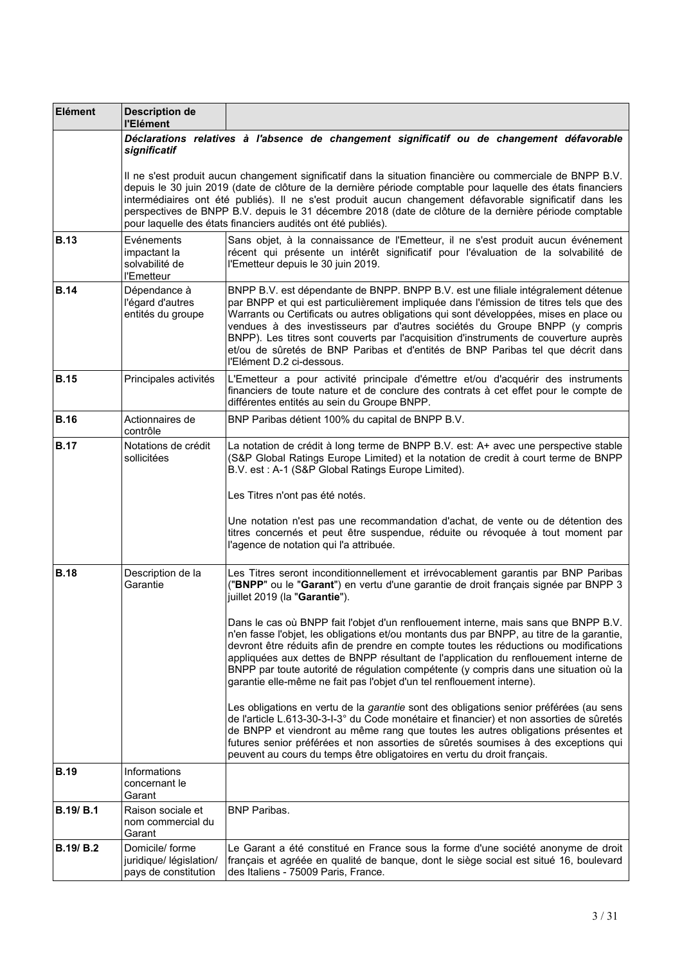| Elément          | <b>Description de</b><br>l'Elément                                 |                                                                                                                                                                                                                                                                                                                                                                                                                                                                                                                                                            |
|------------------|--------------------------------------------------------------------|------------------------------------------------------------------------------------------------------------------------------------------------------------------------------------------------------------------------------------------------------------------------------------------------------------------------------------------------------------------------------------------------------------------------------------------------------------------------------------------------------------------------------------------------------------|
|                  | significatif                                                       | Déclarations relatives à l'absence de changement significatif ou de changement défavorable                                                                                                                                                                                                                                                                                                                                                                                                                                                                 |
|                  |                                                                    | Il ne s'est produit aucun changement significatif dans la situation financière ou commerciale de BNPP B.V.<br>depuis le 30 juin 2019 (date de clôture de la dernière période comptable pour laquelle des états financiers<br>intermédiaires ont été publiés). Il ne s'est produit aucun changement défavorable significatif dans les<br>perspectives de BNPP B.V. depuis le 31 décembre 2018 (date de clôture de la dernière période comptable<br>pour laquelle des états financiers audités ont été publiés).                                             |
| <b>B.13</b>      | Evénements<br>impactant la<br>solvabilité de<br>l'Emetteur         | Sans objet, à la connaissance de l'Emetteur, il ne s'est produit aucun événement<br>récent qui présente un intérêt significatif pour l'évaluation de la solvabilité de<br>l'Emetteur depuis le 30 juin 2019.                                                                                                                                                                                                                                                                                                                                               |
| <b>B.14</b>      | Dépendance à<br>l'égard d'autres<br>entités du groupe              | BNPP B.V. est dépendante de BNPP. BNPP B.V. est une filiale intégralement détenue<br>par BNPP et qui est particulièrement impliquée dans l'émission de titres tels que des<br>Warrants ou Certificats ou autres obligations qui sont développées, mises en place ou<br>vendues à des investisseurs par d'autres sociétés du Groupe BNPP (y compris<br>BNPP). Les titres sont couverts par l'acquisition d'instruments de couverture auprès<br>et/ou de sûretés de BNP Paribas et d'entités de BNP Paribas tel que décrit dans<br>l'Elément D.2 ci-dessous. |
| <b>B.15</b>      | Principales activités                                              | L'Emetteur a pour activité principale d'émettre et/ou d'acquérir des instruments<br>financiers de toute nature et de conclure des contrats à cet effet pour le compte de<br>différentes entités au sein du Groupe BNPP.                                                                                                                                                                                                                                                                                                                                    |
| <b>B.16</b>      | Actionnaires de<br>contrôle                                        | BNP Paribas détient 100% du capital de BNPP B.V.                                                                                                                                                                                                                                                                                                                                                                                                                                                                                                           |
| <b>B.17</b>      | Notations de crédit<br>sollicitées                                 | La notation de crédit à long terme de BNPP B.V. est: A+ avec une perspective stable<br>(S&P Global Ratings Europe Limited) et la notation de credit à court terme de BNPP<br>B.V. est: A-1 (S&P Global Ratings Europe Limited).                                                                                                                                                                                                                                                                                                                            |
|                  |                                                                    | Les Titres n'ont pas été notés.                                                                                                                                                                                                                                                                                                                                                                                                                                                                                                                            |
|                  |                                                                    | Une notation n'est pas une recommandation d'achat, de vente ou de détention des<br>titres concernés et peut être suspendue, réduite ou révoquée à tout moment par<br>l'agence de notation qui l'a attribuée.                                                                                                                                                                                                                                                                                                                                               |
| <b>B.18</b>      | Description de la<br>Garantie                                      | Les Titres seront inconditionnellement et irrévocablement garantis par BNP Paribas<br>("BNPP" ou le "Garant") en vertu d'une garantie de droit français signée par BNPP 3<br>juillet 2019 (la "Garantie").                                                                                                                                                                                                                                                                                                                                                 |
|                  |                                                                    | Dans le cas où BNPP fait l'objet d'un renflouement interne, mais sans que BNPP B.V.<br>n'en fasse l'objet, les obligations et/ou montants dus par BNPP, au titre de la garantie,<br>devront être réduits afin de prendre en compte toutes les réductions ou modifications<br>appliquées aux dettes de BNPP résultant de l'application du renflouement interne de<br>BNPP par toute autorité de régulation compétente (y compris dans une situation où la<br>garantie elle-même ne fait pas l'objet d'un tel renflouement interne).                         |
|                  |                                                                    | Les obligations en vertu de la garantie sont des obligations senior préférées (au sens<br>de l'article L.613-30-3-I-3° du Code monétaire et financier) et non assorties de sûretés<br>de BNPP et viendront au même rang que toutes les autres obligations présentes et<br>futures senior préférées et non assorties de sûretés soumises à des exceptions qui<br>peuvent au cours du temps être obligatoires en vertu du droit français.                                                                                                                    |
| <b>B.19</b>      | Informations<br>concernant le<br>Garant                            |                                                                                                                                                                                                                                                                                                                                                                                                                                                                                                                                                            |
| <b>B.19/ B.1</b> | Raison sociale et<br>nom commercial du<br>Garant                   | <b>BNP Paribas.</b>                                                                                                                                                                                                                                                                                                                                                                                                                                                                                                                                        |
| <b>B.19/ B.2</b> | Domicile/ forme<br>juridique/ législation/<br>pays de constitution | Le Garant a été constitué en France sous la forme d'une société anonyme de droit<br>français et agréée en qualité de banque, dont le siège social est situé 16, boulevard<br>des Italiens - 75009 Paris, France.                                                                                                                                                                                                                                                                                                                                           |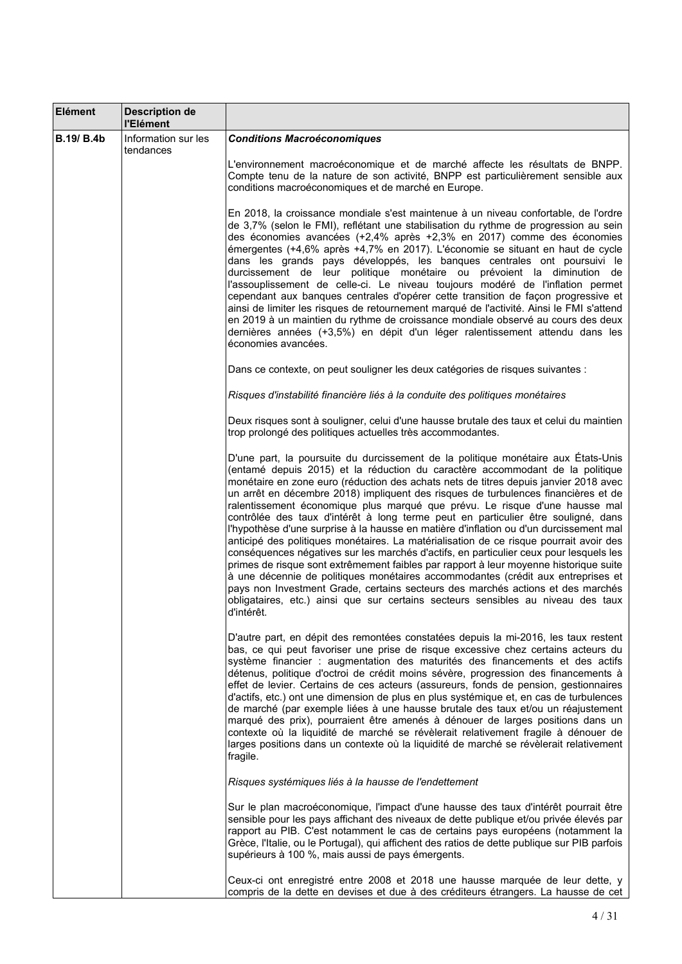| Elément           | <b>Description de</b><br>l'Elément |                                                                                                                                                                                                                                                                                                                                                                                                                                                                                                                                                                                                                                                                                                                                                                                                                                                                                                                                                                                                                                                                                                                                                                      |
|-------------------|------------------------------------|----------------------------------------------------------------------------------------------------------------------------------------------------------------------------------------------------------------------------------------------------------------------------------------------------------------------------------------------------------------------------------------------------------------------------------------------------------------------------------------------------------------------------------------------------------------------------------------------------------------------------------------------------------------------------------------------------------------------------------------------------------------------------------------------------------------------------------------------------------------------------------------------------------------------------------------------------------------------------------------------------------------------------------------------------------------------------------------------------------------------------------------------------------------------|
| <b>B.19/ B.4b</b> | Information sur les<br>tendances   | <b>Conditions Macroéconomiques</b>                                                                                                                                                                                                                                                                                                                                                                                                                                                                                                                                                                                                                                                                                                                                                                                                                                                                                                                                                                                                                                                                                                                                   |
|                   |                                    | L'environnement macroéconomique et de marché affecte les résultats de BNPP.<br>Compte tenu de la nature de son activité, BNPP est particulièrement sensible aux<br>conditions macroéconomiques et de marché en Europe.                                                                                                                                                                                                                                                                                                                                                                                                                                                                                                                                                                                                                                                                                                                                                                                                                                                                                                                                               |
|                   |                                    | En 2018, la croissance mondiale s'est maintenue à un niveau confortable, de l'ordre<br>de 3,7% (selon le FMI), reflétant une stabilisation du rythme de progression au sein<br>des économies avancées (+2,4% après +2,3% en 2017) comme des économies<br>émergentes (+4,6% après +4,7% en 2017). L'économie se situant en haut de cycle<br>dans les grands pays développés, les banques centrales ont poursuivi le<br>durcissement de leur politique monétaire ou prévoient la diminution de<br>l'assouplissement de celle-ci. Le niveau toujours modéré de l'inflation permet<br>cependant aux banques centrales d'opérer cette transition de façon progressive et<br>ainsi de limiter les risques de retournement marqué de l'activité. Ainsi le FMI s'attend<br>en 2019 à un maintien du rythme de croissance mondiale observé au cours des deux<br>dernières années (+3,5%) en dépit d'un léger ralentissement attendu dans les<br>économies avancées.                                                                                                                                                                                                           |
|                   |                                    | Dans ce contexte, on peut souligner les deux catégories de risques suivantes :                                                                                                                                                                                                                                                                                                                                                                                                                                                                                                                                                                                                                                                                                                                                                                                                                                                                                                                                                                                                                                                                                       |
|                   |                                    | Risques d'instabilité financière liés à la conduite des politiques monétaires                                                                                                                                                                                                                                                                                                                                                                                                                                                                                                                                                                                                                                                                                                                                                                                                                                                                                                                                                                                                                                                                                        |
|                   |                                    | Deux risques sont à souligner, celui d'une hausse brutale des taux et celui du maintien<br>trop prolongé des politiques actuelles très accommodantes.                                                                                                                                                                                                                                                                                                                                                                                                                                                                                                                                                                                                                                                                                                                                                                                                                                                                                                                                                                                                                |
|                   |                                    | D'une part, la poursuite du durcissement de la politique monétaire aux États-Unis<br>(entamé depuis 2015) et la réduction du caractère accommodant de la politique<br>monétaire en zone euro (réduction des achats nets de titres depuis janvier 2018 avec<br>un arrêt en décembre 2018) impliquent des risques de turbulences financières et de<br>ralentissement économique plus marqué que prévu. Le risque d'une hausse mal<br>contrôlée des taux d'intérêt à long terme peut en particulier être souligné, dans<br>l'hypothèse d'une surprise à la hausse en matière d'inflation ou d'un durcissement mal<br>anticipé des politiques monétaires. La matérialisation de ce risque pourrait avoir des<br>conséquences négatives sur les marchés d'actifs, en particulier ceux pour lesquels les<br>primes de risque sont extrêmement faibles par rapport à leur moyenne historique suite<br>à une décennie de politiques monétaires accommodantes (crédit aux entreprises et<br>pays non Investment Grade, certains secteurs des marchés actions et des marchés<br>obligataires, etc.) ainsi que sur certains secteurs sensibles au niveau des taux<br>d'intérêt. |
|                   |                                    | D'autre part, en dépit des remontées constatées depuis la mi-2016, les taux restent<br>bas, ce qui peut favoriser une prise de risque excessive chez certains acteurs du<br>système financier : augmentation des maturités des financements et des actifs<br>détenus, politique d'octroi de crédit moins sévère, progression des financements à<br>effet de levier. Certains de ces acteurs (assureurs, fonds de pension, gestionnaires<br>d'actifs, etc.) ont une dimension de plus en plus systémique et, en cas de turbulences<br>de marché (par exemple liées à une hausse brutale des taux et/ou un réajustement<br>marqué des prix), pourraient être amenés à dénouer de larges positions dans un<br>contexte où la liquidité de marché se révèlerait relativement fragile à dénouer de<br>larges positions dans un contexte où la liquidité de marché se révèlerait relativement<br>fragile.                                                                                                                                                                                                                                                                  |
|                   |                                    | Risques systémiques liés à la hausse de l'endettement                                                                                                                                                                                                                                                                                                                                                                                                                                                                                                                                                                                                                                                                                                                                                                                                                                                                                                                                                                                                                                                                                                                |
|                   |                                    | Sur le plan macroéconomique, l'impact d'une hausse des taux d'intérêt pourrait être<br>sensible pour les pays affichant des niveaux de dette publique et/ou privée élevés par<br>rapport au PIB. C'est notamment le cas de certains pays européens (notamment la<br>Grèce, l'Italie, ou le Portugal), qui affichent des ratios de dette publique sur PIB parfois<br>supérieurs à 100 %, mais aussi de pays émergents.                                                                                                                                                                                                                                                                                                                                                                                                                                                                                                                                                                                                                                                                                                                                                |
|                   |                                    | Ceux-ci ont enregistré entre 2008 et 2018 une hausse marquée de leur dette, y<br>compris de la dette en devises et due à des créditeurs étrangers. La hausse de cet                                                                                                                                                                                                                                                                                                                                                                                                                                                                                                                                                                                                                                                                                                                                                                                                                                                                                                                                                                                                  |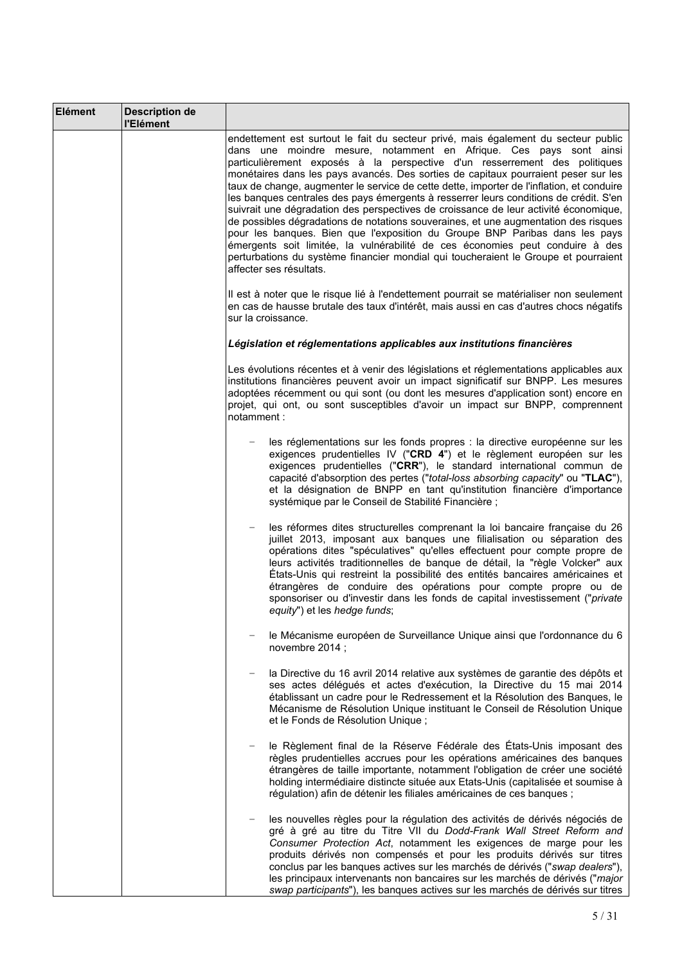| <b>Elément</b> | <b>Description de</b><br>l'Elément |                                                                                                                                                                                                                                                                                                                                                                                                                                                                                                                                                                                                                                                                                                                                                                                                                                                                                                                                                                                     |
|----------------|------------------------------------|-------------------------------------------------------------------------------------------------------------------------------------------------------------------------------------------------------------------------------------------------------------------------------------------------------------------------------------------------------------------------------------------------------------------------------------------------------------------------------------------------------------------------------------------------------------------------------------------------------------------------------------------------------------------------------------------------------------------------------------------------------------------------------------------------------------------------------------------------------------------------------------------------------------------------------------------------------------------------------------|
|                |                                    | endettement est surtout le fait du secteur privé, mais également du secteur public<br>dans une moindre mesure, notamment en Afrique. Ces pays sont ainsi<br>particulièrement exposés à la perspective d'un resserrement des politiques<br>monétaires dans les pays avancés. Des sorties de capitaux pourraient peser sur les<br>taux de change, augmenter le service de cette dette, importer de l'inflation, et conduire<br>les banques centrales des pays émergents à resserrer leurs conditions de crédit. S'en<br>suivrait une dégradation des perspectives de croissance de leur activité économique,<br>de possibles dégradations de notations souveraines, et une augmentation des risques<br>pour les banques. Bien que l'exposition du Groupe BNP Paribas dans les pays<br>émergents soit limitée, la vulnérabilité de ces économies peut conduire à des<br>perturbations du système financier mondial qui toucheraient le Groupe et pourraient<br>affecter ses résultats. |
|                |                                    | Il est à noter que le risque lié à l'endettement pourrait se matérialiser non seulement<br>en cas de hausse brutale des taux d'intérêt, mais aussi en cas d'autres chocs négatifs<br>sur la croissance.                                                                                                                                                                                                                                                                                                                                                                                                                                                                                                                                                                                                                                                                                                                                                                             |
|                |                                    | Législation et réglementations applicables aux institutions financières                                                                                                                                                                                                                                                                                                                                                                                                                                                                                                                                                                                                                                                                                                                                                                                                                                                                                                             |
|                |                                    | Les évolutions récentes et à venir des législations et réglementations applicables aux<br>institutions financières peuvent avoir un impact significatif sur BNPP. Les mesures<br>adoptées récemment ou qui sont (ou dont les mesures d'application sont) encore en<br>projet, qui ont, ou sont susceptibles d'avoir un impact sur BNPP, comprennent<br>notamment :                                                                                                                                                                                                                                                                                                                                                                                                                                                                                                                                                                                                                  |
|                |                                    | les réglementations sur les fonds propres : la directive européenne sur les<br>exigences prudentielles IV ("CRD 4") et le règlement européen sur les<br>exigences prudentielles ("CRR"), le standard international commun de<br>capacité d'absorption des pertes ("total-loss absorbing capacity" ou "TLAC"),<br>et la désignation de BNPP en tant qu'institution financière d'importance<br>systémique par le Conseil de Stabilité Financière ;                                                                                                                                                                                                                                                                                                                                                                                                                                                                                                                                    |
|                |                                    | les réformes dites structurelles comprenant la loi bancaire française du 26<br>$\overline{\phantom{m}}$<br>juillet 2013, imposant aux banques une filialisation ou séparation des<br>opérations dites "spéculatives" qu'elles effectuent pour compte propre de<br>leurs activités traditionnelles de banque de détail, la "règle Volcker" aux<br>États-Unis qui restreint la possibilité des entités bancaires américaines et<br>étrangères de conduire des opérations pour compte propre ou de<br>sponsoriser ou d'investir dans les fonds de capital investissement ("private<br>equity") et les hedge funds;                                                                                                                                                                                                                                                                                                                                                                     |
|                |                                    | le Mécanisme européen de Surveillance Unique ainsi que l'ordonnance du 6<br>novembre 2014;                                                                                                                                                                                                                                                                                                                                                                                                                                                                                                                                                                                                                                                                                                                                                                                                                                                                                          |
|                |                                    | la Directive du 16 avril 2014 relative aux systèmes de garantie des dépôts et<br>$\qquad \qquad -$<br>ses actes délégués et actes d'exécution, la Directive du 15 mai 2014<br>établissant un cadre pour le Redressement et la Résolution des Banques, le<br>Mécanisme de Résolution Unique instituant le Conseil de Résolution Unique<br>et le Fonds de Résolution Unique ;                                                                                                                                                                                                                                                                                                                                                                                                                                                                                                                                                                                                         |
|                |                                    | le Règlement final de la Réserve Fédérale des États-Unis imposant des<br>règles prudentielles accrues pour les opérations américaines des banques<br>étrangères de taille importante, notamment l'obligation de créer une société<br>holding intermédiaire distincte située aux Etats-Unis (capitalisée et soumise à<br>régulation) afin de détenir les filiales américaines de ces banques ;                                                                                                                                                                                                                                                                                                                                                                                                                                                                                                                                                                                       |
|                |                                    | les nouvelles règles pour la régulation des activités de dérivés négociés de<br>gré à gré au titre du Titre VII du Dodd-Frank Wall Street Reform and<br>Consumer Protection Act, notamment les exigences de marge pour les<br>produits dérivés non compensés et pour les produits dérivés sur titres<br>conclus par les banques actives sur les marchés de dérivés ("swap dealers"),<br>les principaux intervenants non bancaires sur les marchés de dérivés ("major<br>swap participants"), les banques actives sur les marchés de dérivés sur titres                                                                                                                                                                                                                                                                                                                                                                                                                              |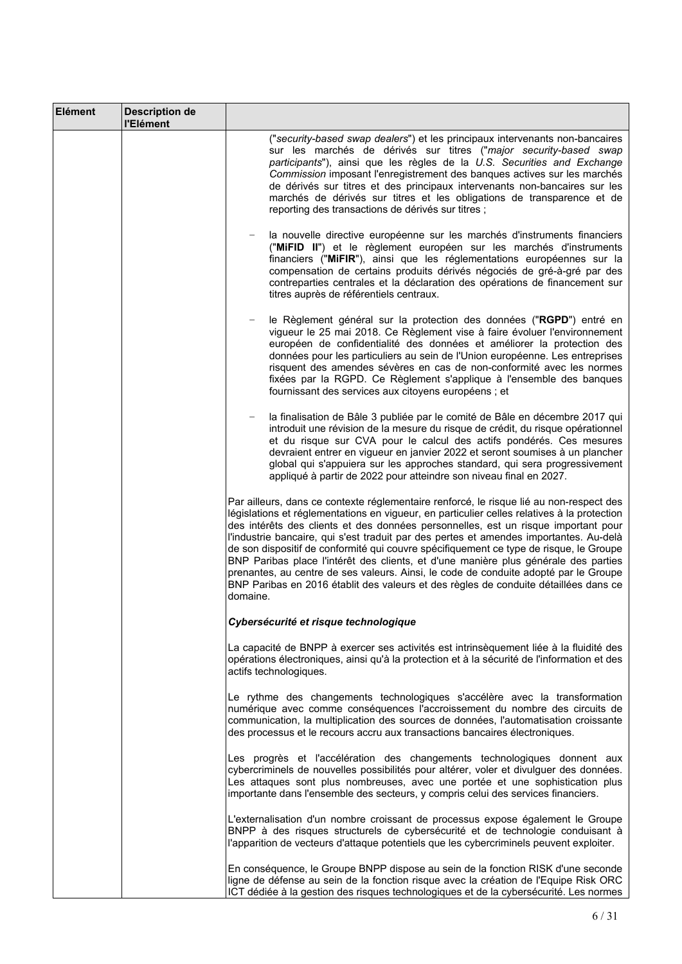| Elément | <b>Description de</b><br>l'Elément |                                                                                                                                                                                                                                                                                                                                                                                                                                                                                                                                                                                                                                                                                                                                                     |
|---------|------------------------------------|-----------------------------------------------------------------------------------------------------------------------------------------------------------------------------------------------------------------------------------------------------------------------------------------------------------------------------------------------------------------------------------------------------------------------------------------------------------------------------------------------------------------------------------------------------------------------------------------------------------------------------------------------------------------------------------------------------------------------------------------------------|
|         |                                    | ("security-based swap dealers") et les principaux intervenants non-bancaires<br>sur les marchés de dérivés sur titres ("major security-based swap<br>participants"), ainsi que les règles de la U.S. Securities and Exchange<br>Commission imposant l'enregistrement des banques actives sur les marchés<br>de dérivés sur titres et des principaux intervenants non-bancaires sur les<br>marchés de dérivés sur titres et les obligations de transparence et de<br>reporting des transactions de dérivés sur titres ;                                                                                                                                                                                                                              |
|         |                                    | la nouvelle directive européenne sur les marchés d'instruments financiers<br>("MIFID II") et le règlement européen sur les marchés d'instruments<br>financiers ("MiFIR"), ainsi que les réglementations européennes sur la<br>compensation de certains produits dérivés négociés de gré-à-gré par des<br>contreparties centrales et la déclaration des opérations de financement sur<br>titres auprès de référentiels centraux.                                                                                                                                                                                                                                                                                                                     |
|         |                                    | le Règlement général sur la protection des données ("RGPD") entré en<br>vigueur le 25 mai 2018. Ce Règlement vise à faire évoluer l'environnement<br>européen de confidentialité des données et améliorer la protection des<br>données pour les particuliers au sein de l'Union européenne. Les entreprises<br>risquent des amendes sévères en cas de non-conformité avec les normes<br>fixées par la RGPD. Ce Règlement s'applique à l'ensemble des banques<br>fournissant des services aux citoyens européens ; et                                                                                                                                                                                                                                |
|         |                                    | la finalisation de Bâle 3 publiée par le comité de Bâle en décembre 2017 qui<br>introduit une révision de la mesure du risque de crédit, du risque opérationnel<br>et du risque sur CVA pour le calcul des actifs pondérés. Ces mesures<br>devraient entrer en vigueur en janvier 2022 et seront soumises à un plancher<br>global qui s'appuiera sur les approches standard, qui sera progressivement<br>appliqué à partir de 2022 pour atteindre son niveau final en 2027.                                                                                                                                                                                                                                                                         |
|         |                                    | Par ailleurs, dans ce contexte réglementaire renforcé, le risque lié au non-respect des<br>législations et réglementations en vigueur, en particulier celles relatives à la protection<br>des intérêts des clients et des données personnelles, est un risque important pour<br>l'industrie bancaire, qui s'est traduit par des pertes et amendes importantes. Au-delà<br>de son dispositif de conformité qui couvre spécifiquement ce type de risque, le Groupe<br>BNP Paribas place l'intérêt des clients, et d'une manière plus générale des parties<br>prenantes, au centre de ses valeurs. Ainsi, le code de conduite adopté par le Groupe<br>BNP Paribas en 2016 établit des valeurs et des règles de conduite détaillées dans ce<br>domaine. |
|         |                                    | Cybersécurité et risque technologique                                                                                                                                                                                                                                                                                                                                                                                                                                                                                                                                                                                                                                                                                                               |
|         |                                    | La capacité de BNPP à exercer ses activités est intrinsèquement liée à la fluidité des<br>opérations électroniques, ainsi qu'à la protection et à la sécurité de l'information et des<br>actifs technologiques.                                                                                                                                                                                                                                                                                                                                                                                                                                                                                                                                     |
|         |                                    | Le rythme des changements technologiques s'accélère avec la transformation<br>numérique avec comme conséquences l'accroissement du nombre des circuits de<br>communication, la multiplication des sources de données, l'automatisation croissante<br>des processus et le recours accru aux transactions bancaires électroniques.                                                                                                                                                                                                                                                                                                                                                                                                                    |
|         |                                    | Les progrès et l'accélération des changements technologiques donnent aux<br>cybercriminels de nouvelles possibilités pour altérer, voler et divulguer des données.<br>Les attaques sont plus nombreuses, avec une portée et une sophistication plus<br>importante dans l'ensemble des secteurs, y compris celui des services financiers.                                                                                                                                                                                                                                                                                                                                                                                                            |
|         |                                    | L'externalisation d'un nombre croissant de processus expose également le Groupe<br>BNPP à des risques structurels de cybersécurité et de technologie conduisant à<br>l'apparition de vecteurs d'attaque potentiels que les cybercriminels peuvent exploiter.                                                                                                                                                                                                                                                                                                                                                                                                                                                                                        |
|         |                                    | En conséquence, le Groupe BNPP dispose au sein de la fonction RISK d'une seconde<br>ligne de défense au sein de la fonction risque avec la création de l'Equipe Risk ORC<br>ICT dédiée à la gestion des risques technologiques et de la cybersécurité. Les normes                                                                                                                                                                                                                                                                                                                                                                                                                                                                                   |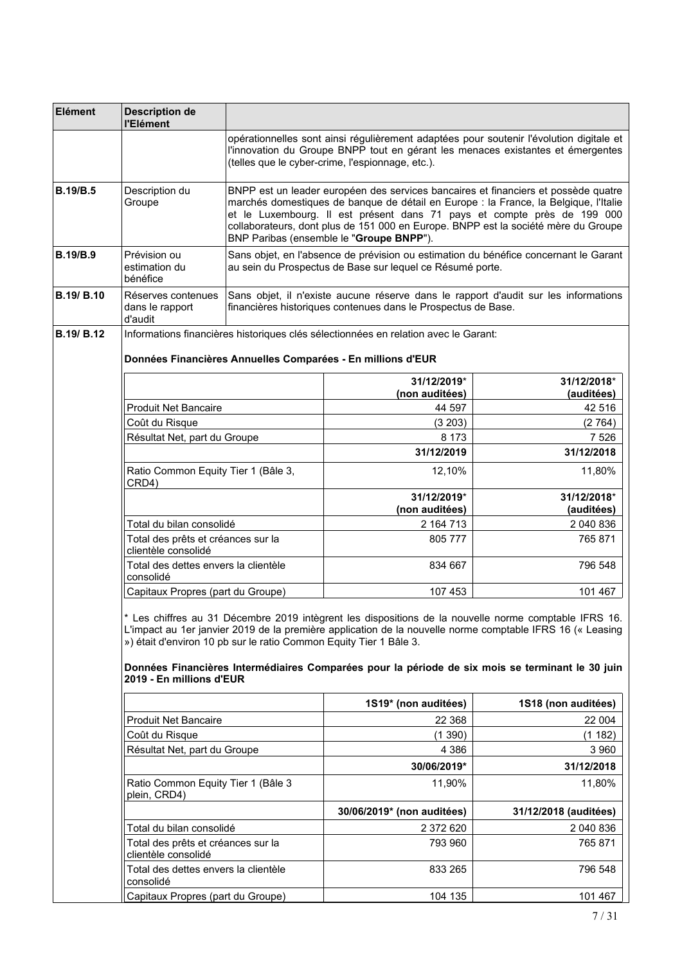| Elément           | <b>Description de</b><br>l'Elément                        |                                                                    |                                                                                                                                                                                                                        |                                                                                                                                                                                                                                                                                                                        |
|-------------------|-----------------------------------------------------------|--------------------------------------------------------------------|------------------------------------------------------------------------------------------------------------------------------------------------------------------------------------------------------------------------|------------------------------------------------------------------------------------------------------------------------------------------------------------------------------------------------------------------------------------------------------------------------------------------------------------------------|
|                   |                                                           |                                                                    | (telles que le cyber-crime, l'espionnage, etc.).                                                                                                                                                                       | opérationnelles sont ainsi régulièrement adaptées pour soutenir l'évolution digitale et<br>l'innovation du Groupe BNPP tout en gérant les menaces existantes et émergentes                                                                                                                                             |
| <b>B.19/B.5</b>   | Description du<br>Groupe                                  |                                                                    | BNPP est un leader européen des services bancaires et financiers et possède quatre<br>marchés domestiques de banque de détail en Europe : la France, la Belgique, l'Italie<br>BNP Paribas (ensemble le "Groupe BNPP"). | et le Luxembourg. Il est présent dans 71 pays et compte près de 199 000<br>collaborateurs, dont plus de 151 000 en Europe. BNPP est la société mère du Groupe                                                                                                                                                          |
| <b>B.19/B.9</b>   | Prévision ou<br>estimation du<br>bénéfice                 |                                                                    | au sein du Prospectus de Base sur lequel ce Résumé porte.                                                                                                                                                              | Sans objet, en l'absence de prévision ou estimation du bénéfice concernant le Garant                                                                                                                                                                                                                                   |
| <b>B.19/ B.10</b> | Réserves contenues<br>dans le rapport<br>d'audit          |                                                                    | financières historiques contenues dans le Prospectus de Base.                                                                                                                                                          | Sans objet, il n'existe aucune réserve dans le rapport d'audit sur les informations                                                                                                                                                                                                                                    |
| <b>B.19/ B.12</b> |                                                           |                                                                    | Informations financières historiques clés sélectionnées en relation avec le Garant:                                                                                                                                    |                                                                                                                                                                                                                                                                                                                        |
|                   |                                                           |                                                                    | Données Financières Annuelles Comparées - En millions d'EUR                                                                                                                                                            |                                                                                                                                                                                                                                                                                                                        |
|                   |                                                           |                                                                    | 31/12/2019*                                                                                                                                                                                                            | 31/12/2018*                                                                                                                                                                                                                                                                                                            |
|                   | <b>Produit Net Bancaire</b>                               |                                                                    | (non auditées)<br>44 597                                                                                                                                                                                               | (auditées)<br>42 516                                                                                                                                                                                                                                                                                                   |
|                   | Coût du Risque                                            |                                                                    | (3 203)                                                                                                                                                                                                                | (2764)                                                                                                                                                                                                                                                                                                                 |
|                   | Résultat Net, part du Groupe                              |                                                                    | 8 1 7 3                                                                                                                                                                                                                | 7 5 2 6                                                                                                                                                                                                                                                                                                                |
|                   |                                                           |                                                                    | 31/12/2019                                                                                                                                                                                                             | 31/12/2018                                                                                                                                                                                                                                                                                                             |
|                   | Ratio Common Equity Tier 1 (Bâle 3,<br>CRD4)              |                                                                    | 12,10%                                                                                                                                                                                                                 | 11,80%                                                                                                                                                                                                                                                                                                                 |
|                   |                                                           |                                                                    | 31/12/2019*<br>(non auditées)                                                                                                                                                                                          | 31/12/2018*<br>(auditées)                                                                                                                                                                                                                                                                                              |
|                   | Total du bilan consolidé                                  |                                                                    | 2 164 713                                                                                                                                                                                                              | 2 040 836                                                                                                                                                                                                                                                                                                              |
|                   | Total des prêts et créances sur la<br>clientèle consolidé |                                                                    | 805 777                                                                                                                                                                                                                | 765 871                                                                                                                                                                                                                                                                                                                |
|                   | Total des dettes envers la clientèle<br>consolidé         |                                                                    | 834 667                                                                                                                                                                                                                | 796 548                                                                                                                                                                                                                                                                                                                |
|                   | Capitaux Propres (part du Groupe)                         |                                                                    | 107 453                                                                                                                                                                                                                | 101 467                                                                                                                                                                                                                                                                                                                |
|                   | 2019 - En millions d'EUR                                  | ») était d'environ 10 pb sur le ratio Common Equity Tier 1 Bâle 3. |                                                                                                                                                                                                                        | * Les chiffres au 31 Décembre 2019 intègrent les dispositions de la nouvelle norme comptable IFRS 16.<br>L'impact au 1er janvier 2019 de la première application de la nouvelle norme comptable IFRS 16 (« Leasing<br>Données Financières Intermédiaires Comparées pour la période de six mois se terminant le 30 juin |
|                   |                                                           |                                                                    | 1S19* (non auditées)                                                                                                                                                                                                   | 1S18 (non auditées)                                                                                                                                                                                                                                                                                                    |
|                   | <b>Produit Net Bancaire</b>                               |                                                                    | 22 3 68                                                                                                                                                                                                                | 22 004                                                                                                                                                                                                                                                                                                                 |
|                   | Coût du Risque                                            |                                                                    | (1390)                                                                                                                                                                                                                 | (1182)                                                                                                                                                                                                                                                                                                                 |
|                   | Résultat Net, part du Groupe                              |                                                                    | 4 3 8 6                                                                                                                                                                                                                | 3 9 6 0                                                                                                                                                                                                                                                                                                                |
|                   |                                                           |                                                                    | 30/06/2019*                                                                                                                                                                                                            | 31/12/2018                                                                                                                                                                                                                                                                                                             |
|                   | Ratio Common Equity Tier 1 (Bâle 3<br>plein, CRD4)        |                                                                    | 11,90%                                                                                                                                                                                                                 | 11,80%                                                                                                                                                                                                                                                                                                                 |
|                   |                                                           |                                                                    | 30/06/2019* (non auditées)                                                                                                                                                                                             | 31/12/2018 (auditées)                                                                                                                                                                                                                                                                                                  |
|                   | Total du bilan consolidé                                  |                                                                    | 2 372 620                                                                                                                                                                                                              | 2 040 836                                                                                                                                                                                                                                                                                                              |
|                   | Total des prêts et créances sur la<br>clientèle consolidé |                                                                    | 793 960                                                                                                                                                                                                                | 765 871                                                                                                                                                                                                                                                                                                                |
|                   | Total des dettes envers la clientèle<br>consolidé         |                                                                    | 833 265                                                                                                                                                                                                                | 796 548                                                                                                                                                                                                                                                                                                                |
|                   | Capitaux Propres (part du Groupe)                         |                                                                    | 104 135                                                                                                                                                                                                                | 101 467                                                                                                                                                                                                                                                                                                                |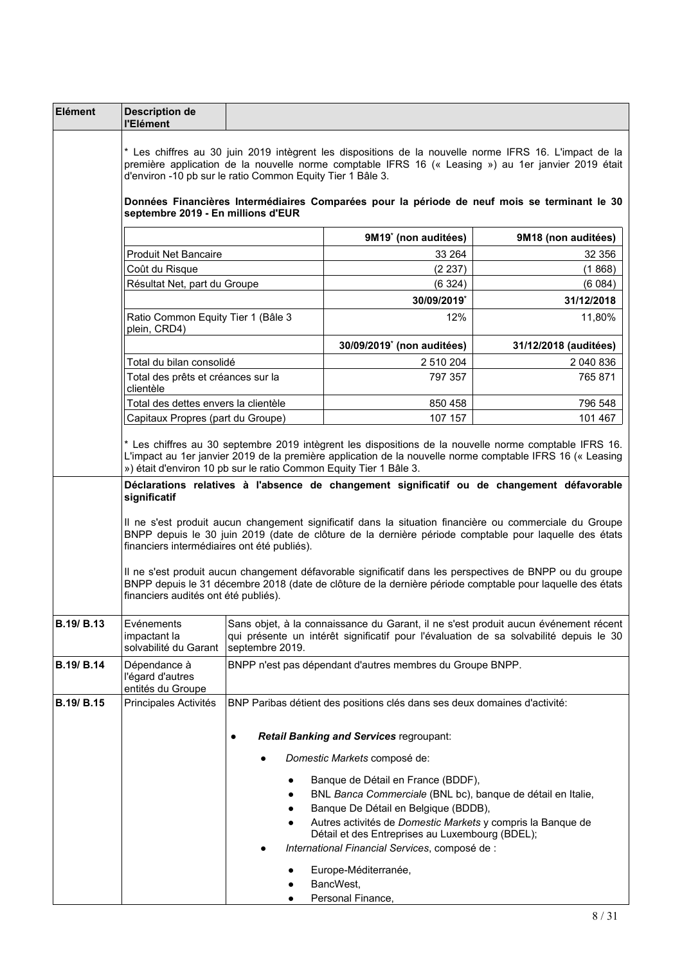| Elément    | <b>Description de</b><br>l'Elément                                                                                                                                        |                 |                                                                                                                                                                                                                                                                                                                                                                                                                                                                                                                                         |                       |
|------------|---------------------------------------------------------------------------------------------------------------------------------------------------------------------------|-----------------|-----------------------------------------------------------------------------------------------------------------------------------------------------------------------------------------------------------------------------------------------------------------------------------------------------------------------------------------------------------------------------------------------------------------------------------------------------------------------------------------------------------------------------------------|-----------------------|
|            | d'environ -10 pb sur le ratio Common Equity Tier 1 Bâle 3.<br>septembre 2019 - En millions d'EUR                                                                          |                 | * Les chiffres au 30 juin 2019 intègrent les dispositions de la nouvelle norme IFRS 16. L'impact de la<br>première application de la nouvelle norme comptable IFRS 16 (« Leasing ») au 1er janvier 2019 était<br>Données Financières Intermédiaires Comparées pour la période de neuf mois se terminant le 30                                                                                                                                                                                                                           |                       |
|            |                                                                                                                                                                           |                 | 9M19 <sup>*</sup> (non auditées)                                                                                                                                                                                                                                                                                                                                                                                                                                                                                                        | 9M18 (non auditées)   |
|            | <b>Produit Net Bancaire</b>                                                                                                                                               |                 | 33 264                                                                                                                                                                                                                                                                                                                                                                                                                                                                                                                                  | 32 356                |
|            | Coût du Risque                                                                                                                                                            |                 | (2 237)                                                                                                                                                                                                                                                                                                                                                                                                                                                                                                                                 | (1868)                |
|            | Résultat Net, part du Groupe                                                                                                                                              |                 | (6324)                                                                                                                                                                                                                                                                                                                                                                                                                                                                                                                                  | (6084)                |
|            |                                                                                                                                                                           |                 | 30/09/2019*                                                                                                                                                                                                                                                                                                                                                                                                                                                                                                                             | 31/12/2018            |
|            | Ratio Common Equity Tier 1 (Bâle 3<br>plein, CRD4)                                                                                                                        |                 | 12%                                                                                                                                                                                                                                                                                                                                                                                                                                                                                                                                     | 11,80%                |
|            |                                                                                                                                                                           |                 | 30/09/2019 <sup>*</sup> (non auditées)                                                                                                                                                                                                                                                                                                                                                                                                                                                                                                  | 31/12/2018 (auditées) |
|            | Total du bilan consolidé<br>Total des prêts et créances sur la<br>clientèle                                                                                               |                 | 2 510 204<br>797 357                                                                                                                                                                                                                                                                                                                                                                                                                                                                                                                    | 2 040 836<br>765 871  |
|            | Total des dettes envers la clientèle                                                                                                                                      |                 | 850 458                                                                                                                                                                                                                                                                                                                                                                                                                                                                                                                                 | 796 548               |
|            | Capitaux Propres (part du Groupe)                                                                                                                                         |                 | 107 157                                                                                                                                                                                                                                                                                                                                                                                                                                                                                                                                 | 101 467               |
|            | ») était d'environ 10 pb sur le ratio Common Equity Tier 1 Bâle 3.<br>significatif<br>financiers intermédiaires ont été publiés).<br>financiers audités ont été publiés). |                 | Déclarations relatives à l'absence de changement significatif ou de changement défavorable<br>Il ne s'est produit aucun changement significatif dans la situation financière ou commerciale du Groupe<br>BNPP depuis le 30 juin 2019 (date de clôture de la dernière période comptable pour laquelle des états<br>Il ne s'est produit aucun changement défavorable significatif dans les perspectives de BNPP ou du groupe<br>BNPP depuis le 31 décembre 2018 (date de clôture de la dernière période comptable pour laquelle des états |                       |
| B.19/ B.13 | Evénements<br>impactant la<br>solvabilité du Garant                                                                                                                       | septembre 2019. | Sans objet, à la connaissance du Garant, il ne s'est produit aucun événement récent<br>qui présente un intérêt significatif pour l'évaluation de sa solvabilité depuis le 30                                                                                                                                                                                                                                                                                                                                                            |                       |
| B.19/ B.14 | Dépendance à<br>l'égard d'autres<br>entités du Groupe                                                                                                                     |                 | BNPP n'est pas dépendant d'autres membres du Groupe BNPP.                                                                                                                                                                                                                                                                                                                                                                                                                                                                               |                       |
| B.19/ B.15 | Principales Activités                                                                                                                                                     | ٠               | BNP Paribas détient des positions clés dans ses deux domaines d'activité:<br><b>Retail Banking and Services regroupant:</b><br>Domestic Markets composé de:<br>Banque de Détail en France (BDDF),<br>BNL Banca Commerciale (BNL bc), banque de détail en Italie,                                                                                                                                                                                                                                                                        |                       |
|            |                                                                                                                                                                           | ٠<br>$\bullet$  | Banque De Détail en Belgique (BDDB),<br>Autres activités de Domestic Markets y compris la Banque de<br>Détail et des Entreprises au Luxembourg (BDEL);<br>International Financial Services, composé de :<br>Europe-Méditerranée,<br>BancWest,<br>Personal Finance,                                                                                                                                                                                                                                                                      |                       |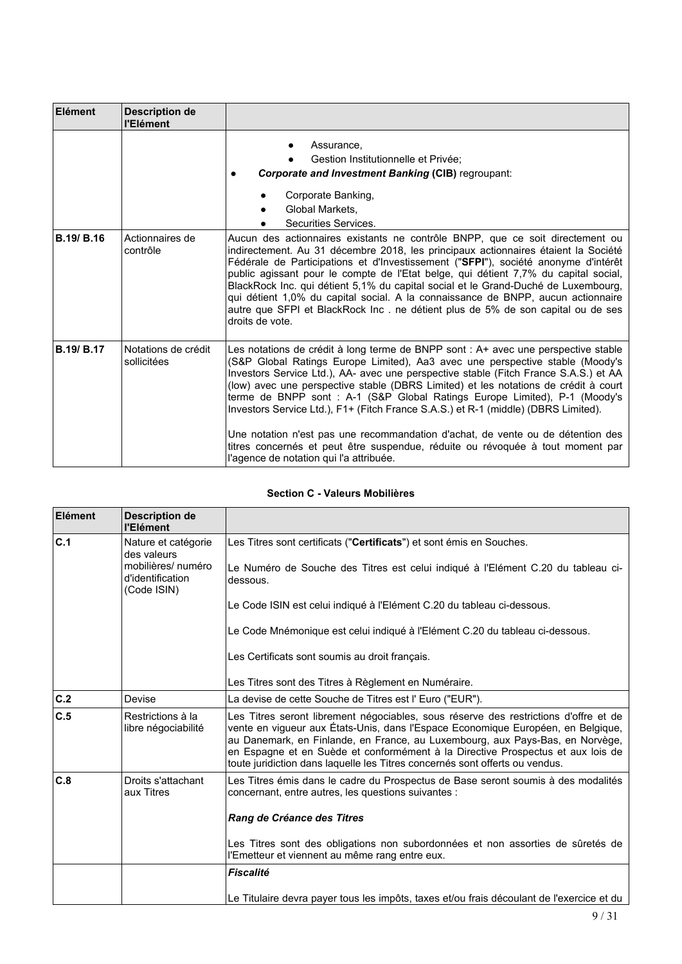| <b>Elément</b>    | <b>Description de</b><br>l'Elément |                                                                                                                                                                                                                                                                                                                                                                                                                                                                                                                                                                                                                                                                                                                                        |
|-------------------|------------------------------------|----------------------------------------------------------------------------------------------------------------------------------------------------------------------------------------------------------------------------------------------------------------------------------------------------------------------------------------------------------------------------------------------------------------------------------------------------------------------------------------------------------------------------------------------------------------------------------------------------------------------------------------------------------------------------------------------------------------------------------------|
|                   |                                    | Assurance.<br>Gestion Institutionnelle et Privée:<br><b>Corporate and Investment Banking (CIB) regroupant:</b><br>Corporate Banking,<br>Global Markets.<br>Securities Services.                                                                                                                                                                                                                                                                                                                                                                                                                                                                                                                                                        |
| <b>B.19/ B.16</b> | Actionnaires de<br>contrôle        | Aucun des actionnaires existants ne contrôle BNPP, que ce soit directement ou<br>indirectement. Au 31 décembre 2018, les principaux actionnaires étaient la Société<br>Fédérale de Participations et d'Investissement ("SFPI"), société anonyme d'intérêt<br>public agissant pour le compte de l'Etat belge, qui détient 7,7% du capital social,<br>BlackRock Inc. qui détient 5,1% du capital social et le Grand-Duché de Luxembourg,<br>qui détient 1,0% du capital social. A la connaissance de BNPP, aucun actionnaire<br>autre que SFPI et BlackRock Inc. ne détient plus de 5% de son capital ou de ses<br>droits de vote.                                                                                                       |
| <b>B.19/ B.17</b> | Notations de crédit<br>sollicitées | Les notations de crédit à long terme de BNPP sont : A+ avec une perspective stable<br>(S&P Global Ratings Europe Limited), Aa3 avec une perspective stable (Moody's<br>Investors Service Ltd.), AA- avec une perspective stable (Fitch France S.A.S.) et AA<br>(low) avec une perspective stable (DBRS Limited) et les notations de crédit à court<br>terme de BNPP sont : A-1 (S&P Global Ratings Europe Limited), P-1 (Moody's<br>Investors Service Ltd.), F1+ (Fitch France S.A.S.) et R-1 (middle) (DBRS Limited).<br>Une notation n'est pas une recommandation d'achat, de vente ou de détention des<br>titres concernés et peut être suspendue, réduite ou révoquée à tout moment par<br>l'agence de notation qui l'a attribuée. |

# **Section C - Valeurs Mobilières**

| Elément | <b>Description de</b><br>l'Elément                    |                                                                                                                                                                                                                                                                                                                                                                                                                              |
|---------|-------------------------------------------------------|------------------------------------------------------------------------------------------------------------------------------------------------------------------------------------------------------------------------------------------------------------------------------------------------------------------------------------------------------------------------------------------------------------------------------|
| c.1     | Nature et catégorie<br>des valeurs                    | Les Titres sont certificats ("Certificats") et sont émis en Souches.                                                                                                                                                                                                                                                                                                                                                         |
|         | mobilières/ numéro<br>d'identification<br>(Code ISIN) | Le Numéro de Souche des Titres est celui indiqué à l'Elément C.20 du tableau ci-<br>dessous.                                                                                                                                                                                                                                                                                                                                 |
|         |                                                       | Le Code ISIN est celui indiqué à l'Elément C.20 du tableau ci-dessous.                                                                                                                                                                                                                                                                                                                                                       |
|         |                                                       | Le Code Mnémonique est celui indiqué à l'Elément C.20 du tableau ci-dessous.                                                                                                                                                                                                                                                                                                                                                 |
|         |                                                       | Les Certificats sont soumis au droit français.                                                                                                                                                                                                                                                                                                                                                                               |
|         |                                                       | Les Titres sont des Titres à Règlement en Numéraire.                                                                                                                                                                                                                                                                                                                                                                         |
| C.2     | Devise                                                | La devise de cette Souche de Titres est l'Euro ("EUR").                                                                                                                                                                                                                                                                                                                                                                      |
| C.5     | Restrictions à la<br>libre négociabilité              | Les Titres seront librement négociables, sous réserve des restrictions d'offre et de<br>vente en vigueur aux États-Unis, dans l'Espace Economique Européen, en Belgique,<br>au Danemark, en Finlande, en France, au Luxembourg, aux Pays-Bas, en Norvège,<br>en Espagne et en Suède et conformément à la Directive Prospectus et aux lois de<br>toute juridiction dans laquelle les Titres concernés sont offerts ou vendus. |
| C.8     | Droits s'attachant<br>aux Titres                      | Les Titres émis dans le cadre du Prospectus de Base seront soumis à des modalités<br>concernant, entre autres, les questions suivantes :                                                                                                                                                                                                                                                                                     |
|         |                                                       | Rang de Créance des Titres                                                                                                                                                                                                                                                                                                                                                                                                   |
|         |                                                       | Les Titres sont des obligations non subordonnées et non assorties de sûretés de<br>l'Emetteur et viennent au même rang entre eux.                                                                                                                                                                                                                                                                                            |
|         |                                                       | <b>Fiscalité</b>                                                                                                                                                                                                                                                                                                                                                                                                             |
|         |                                                       | Le Titulaire devra payer tous les impôts, taxes et/ou frais découlant de l'exercice et du                                                                                                                                                                                                                                                                                                                                    |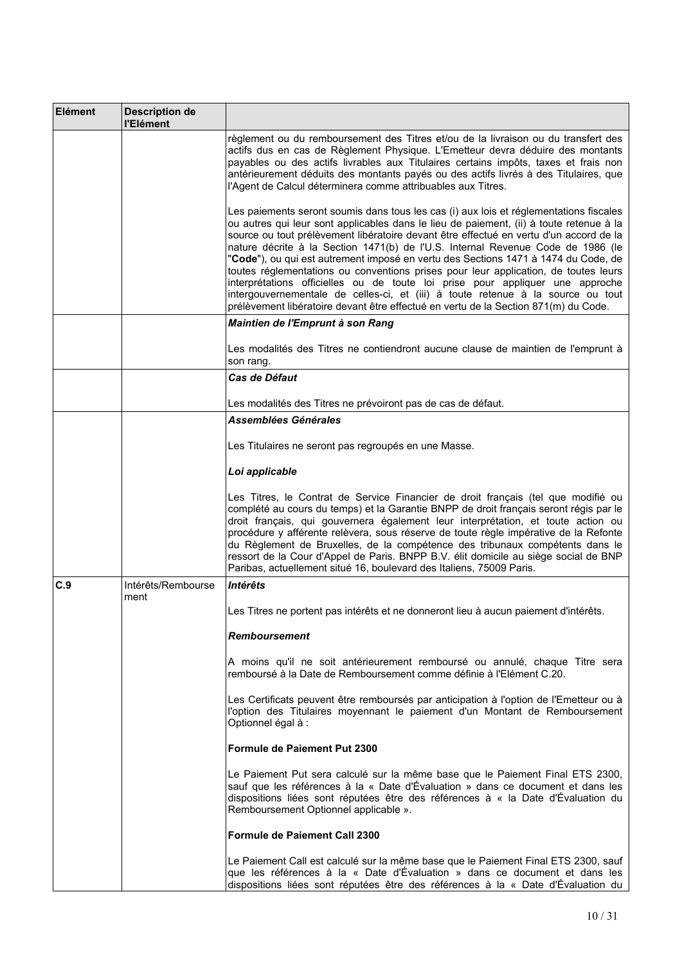| Elément | <b>Description de</b><br>l'Elément |                                                                                                                                                                                                                                                                                                                                                                                                                                                                                                                                                                                                                                                                                                                                                                                                        |
|---------|------------------------------------|--------------------------------------------------------------------------------------------------------------------------------------------------------------------------------------------------------------------------------------------------------------------------------------------------------------------------------------------------------------------------------------------------------------------------------------------------------------------------------------------------------------------------------------------------------------------------------------------------------------------------------------------------------------------------------------------------------------------------------------------------------------------------------------------------------|
|         |                                    | règlement ou du remboursement des Titres et/ou de la livraison ou du transfert des<br>actifs dus en cas de Règlement Physique. L'Emetteur devra déduire des montants<br>payables ou des actifs livrables aux Titulaires certains impôts, taxes et frais non<br>antérieurement déduits des montants payés ou des actifs livrés à des Titulaires, que<br>l'Agent de Calcul déterminera comme attribuables aux Titres.                                                                                                                                                                                                                                                                                                                                                                                    |
|         |                                    | Les paiements seront soumis dans tous les cas (i) aux lois et réglementations fiscales<br>ou autres qui leur sont applicables dans le lieu de paiement, (ii) à toute retenue à la<br>source ou tout prélèvement libératoire devant être effectué en vertu d'un accord de la<br>nature décrite à la Section 1471(b) de l'U.S. Internal Revenue Code de 1986 (le<br>"Code"), ou qui est autrement imposé en vertu des Sections 1471 à 1474 du Code, de<br>toutes réglementations ou conventions prises pour leur application, de toutes leurs<br>interprétations officielles ou de toute loi prise pour appliquer une approche<br>intergouvernementale de celles-ci, et (iii) à toute retenue à la source ou tout<br>prélèvement libératoire devant être effectué en vertu de la Section 871(m) du Code. |
|         |                                    | Maintien de l'Emprunt à son Rang                                                                                                                                                                                                                                                                                                                                                                                                                                                                                                                                                                                                                                                                                                                                                                       |
|         |                                    | Les modalités des Titres ne contiendront aucune clause de maintien de l'emprunt à<br>son rang.                                                                                                                                                                                                                                                                                                                                                                                                                                                                                                                                                                                                                                                                                                         |
|         |                                    | <i><b>Cas de Défaut</b></i>                                                                                                                                                                                                                                                                                                                                                                                                                                                                                                                                                                                                                                                                                                                                                                            |
|         |                                    | Les modalités des Titres ne prévoiront pas de cas de défaut.                                                                                                                                                                                                                                                                                                                                                                                                                                                                                                                                                                                                                                                                                                                                           |
|         |                                    | Assemblées Générales                                                                                                                                                                                                                                                                                                                                                                                                                                                                                                                                                                                                                                                                                                                                                                                   |
|         |                                    | Les Titulaires ne seront pas regroupés en une Masse.                                                                                                                                                                                                                                                                                                                                                                                                                                                                                                                                                                                                                                                                                                                                                   |
|         |                                    | Loi applicable                                                                                                                                                                                                                                                                                                                                                                                                                                                                                                                                                                                                                                                                                                                                                                                         |
|         |                                    | Les Titres, le Contrat de Service Financier de droit français (tel que modifié ou<br>complété au cours du temps) et la Garantie BNPP de droit français seront régis par le<br>droit français, qui gouvernera également leur interprétation, et toute action ou<br>procédure y afférente relèvera, sous réserve de toute règle impérative de la Refonte<br>du Règlement de Bruxelles, de la compétence des tribunaux compétents dans le<br>ressort de la Cour d'Appel de Paris. BNPP B.V. élit domicile au siège social de BNP<br>Paribas, actuellement situé 16, boulevard des Italiens, 75009 Paris.                                                                                                                                                                                                  |
| C.9     | Intérêts/Rembourse<br>ment         | <b>Intérêts</b>                                                                                                                                                                                                                                                                                                                                                                                                                                                                                                                                                                                                                                                                                                                                                                                        |
|         |                                    | Les Titres ne portent pas intérêts et ne donneront lieu à aucun paiement d'intérêts.                                                                                                                                                                                                                                                                                                                                                                                                                                                                                                                                                                                                                                                                                                                   |
|         |                                    | <b>Remboursement</b>                                                                                                                                                                                                                                                                                                                                                                                                                                                                                                                                                                                                                                                                                                                                                                                   |
|         |                                    | A moins qu'il ne soit antérieurement remboursé ou annulé, chaque Titre sera<br>remboursé à la Date de Remboursement comme définie à l'Elément C.20.                                                                                                                                                                                                                                                                                                                                                                                                                                                                                                                                                                                                                                                    |
|         |                                    | Les Certificats peuvent être remboursés par anticipation à l'option de l'Emetteur ou à<br>l'option des Titulaires moyennant le paiement d'un Montant de Remboursement<br>Optionnel égal à :                                                                                                                                                                                                                                                                                                                                                                                                                                                                                                                                                                                                            |
|         |                                    | Formule de Paiement Put 2300                                                                                                                                                                                                                                                                                                                                                                                                                                                                                                                                                                                                                                                                                                                                                                           |
|         |                                    | Le Paiement Put sera calculé sur la même base que le Paiement Final ETS 2300,<br>sauf que les références à la « Date d'Évaluation » dans ce document et dans les<br>dispositions liées sont réputées être des références à « la Date d'Évaluation du<br>Remboursement Optionnel applicable ».                                                                                                                                                                                                                                                                                                                                                                                                                                                                                                          |
|         |                                    | <b>Formule de Paiement Call 2300</b>                                                                                                                                                                                                                                                                                                                                                                                                                                                                                                                                                                                                                                                                                                                                                                   |
|         |                                    | Le Paiement Call est calculé sur la même base que le Paiement Final ETS 2300, sauf<br>que les références à la « Date d'Évaluation » dans ce document et dans les<br>dispositions liées sont réputées être des références à la « Date d'Évaluation du                                                                                                                                                                                                                                                                                                                                                                                                                                                                                                                                                   |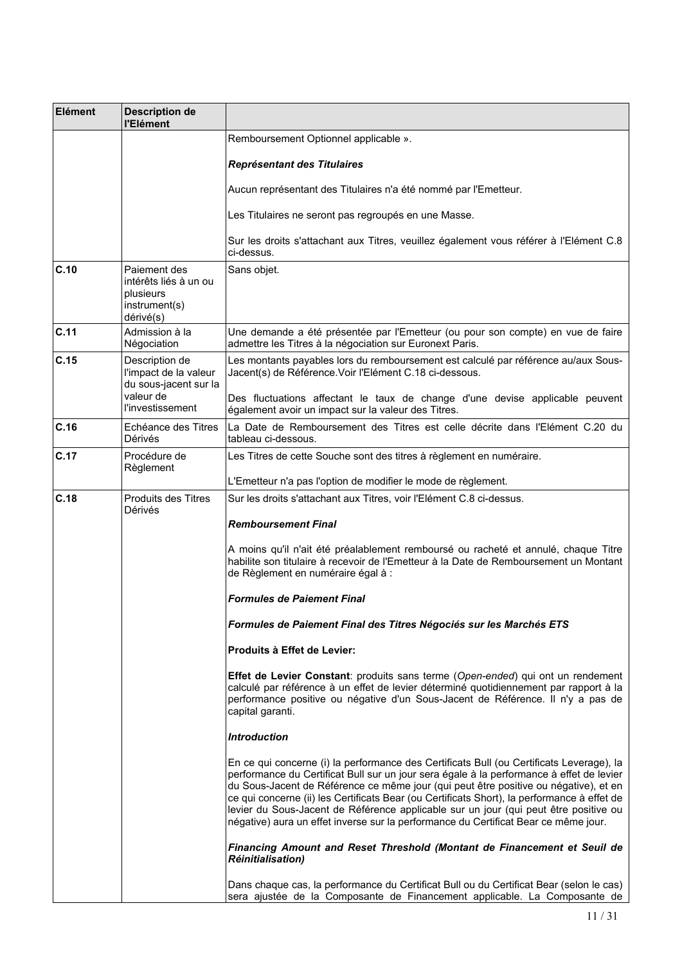| Elément | <b>Description de</b><br>l'Elément                                               |                                                                                                                                                                                                                                                                                                                                                                                                                                                                                                                                                            |
|---------|----------------------------------------------------------------------------------|------------------------------------------------------------------------------------------------------------------------------------------------------------------------------------------------------------------------------------------------------------------------------------------------------------------------------------------------------------------------------------------------------------------------------------------------------------------------------------------------------------------------------------------------------------|
|         |                                                                                  | Remboursement Optionnel applicable ».                                                                                                                                                                                                                                                                                                                                                                                                                                                                                                                      |
|         |                                                                                  | Représentant des Titulaires                                                                                                                                                                                                                                                                                                                                                                                                                                                                                                                                |
|         |                                                                                  | Aucun représentant des Titulaires n'a été nommé par l'Emetteur.                                                                                                                                                                                                                                                                                                                                                                                                                                                                                            |
|         |                                                                                  | Les Titulaires ne seront pas regroupés en une Masse.                                                                                                                                                                                                                                                                                                                                                                                                                                                                                                       |
|         |                                                                                  | Sur les droits s'attachant aux Titres, veuillez également vous référer à l'Elément C.8<br>ci-dessus.                                                                                                                                                                                                                                                                                                                                                                                                                                                       |
| C.10    | Paiement des<br>intérêts liés à un ou<br>plusieurs<br>instrument(s)<br>dérivé(s) | Sans objet.                                                                                                                                                                                                                                                                                                                                                                                                                                                                                                                                                |
| C.11    | Admission à la<br>Négociation                                                    | Une demande a été présentée par l'Emetteur (ou pour son compte) en vue de faire<br>admettre les Titres à la négociation sur Euronext Paris.                                                                                                                                                                                                                                                                                                                                                                                                                |
| C.15    | Description de<br>l'impact de la valeur<br>du sous-jacent sur la<br>valeur de    | Les montants payables lors du remboursement est calculé par référence au/aux Sous-<br>Jacent(s) de Référence. Voir l'Elément C.18 ci-dessous.<br>Des fluctuations affectant le taux de change d'une devise applicable peuvent                                                                                                                                                                                                                                                                                                                              |
| C.16    | <b>l'investissement</b><br>Echéance des Titres                                   | également avoir un impact sur la valeur des Titres.<br>La Date de Remboursement des Titres est celle décrite dans l'Elément C.20 du                                                                                                                                                                                                                                                                                                                                                                                                                        |
|         | Dérivés                                                                          | tableau ci-dessous.                                                                                                                                                                                                                                                                                                                                                                                                                                                                                                                                        |
| C.17    | Procédure de<br>Règlement                                                        | Les Titres de cette Souche sont des titres à règlement en numéraire.                                                                                                                                                                                                                                                                                                                                                                                                                                                                                       |
|         |                                                                                  | L'Emetteur n'a pas l'option de modifier le mode de règlement.                                                                                                                                                                                                                                                                                                                                                                                                                                                                                              |
| C.18    | Produits des Titres<br>Dérivés                                                   | Sur les droits s'attachant aux Titres, voir l'Elément C.8 ci-dessus.                                                                                                                                                                                                                                                                                                                                                                                                                                                                                       |
|         |                                                                                  | <b>Remboursement Final</b>                                                                                                                                                                                                                                                                                                                                                                                                                                                                                                                                 |
|         |                                                                                  | A moins qu'il n'ait été préalablement remboursé ou racheté et annulé, chaque Titre<br>habilite son titulaire à recevoir de l'Emetteur à la Date de Remboursement un Montant<br>de Règlement en numéraire égal à :                                                                                                                                                                                                                                                                                                                                          |
|         |                                                                                  | <b>Formules de Paiement Final</b>                                                                                                                                                                                                                                                                                                                                                                                                                                                                                                                          |
|         |                                                                                  | Formules de Paiement Final des Titres Négociés sur les Marchés ETS                                                                                                                                                                                                                                                                                                                                                                                                                                                                                         |
|         |                                                                                  | Produits à Effet de Levier:                                                                                                                                                                                                                                                                                                                                                                                                                                                                                                                                |
|         |                                                                                  | Effet de Levier Constant: produits sans terme (Open-ended) qui ont un rendement<br>calculé par référence à un effet de levier déterminé quotidiennement par rapport à la<br>performance positive ou négative d'un Sous-Jacent de Référence. Il n'y a pas de<br>capital garanti.                                                                                                                                                                                                                                                                            |
|         |                                                                                  | <b>Introduction</b>                                                                                                                                                                                                                                                                                                                                                                                                                                                                                                                                        |
|         |                                                                                  | En ce qui concerne (i) la performance des Certificats Bull (ou Certificats Leverage), la<br>performance du Certificat Bull sur un jour sera égale à la performance à effet de levier<br>du Sous-Jacent de Référence ce même jour (qui peut être positive ou négative), et en<br>ce qui concerne (ii) les Certificats Bear (ou Certificats Short), la performance à effet de<br>levier du Sous-Jacent de Référence applicable sur un jour (qui peut être positive ou<br>négative) aura un effet inverse sur la performance du Certificat Bear ce même jour. |
|         |                                                                                  | Financing Amount and Reset Threshold (Montant de Financement et Seuil de<br><b>Réinitialisation)</b>                                                                                                                                                                                                                                                                                                                                                                                                                                                       |
|         |                                                                                  | Dans chaque cas, la performance du Certificat Bull ou du Certificat Bear (selon le cas)<br>sera ajustée de la Composante de Financement applicable. La Composante de                                                                                                                                                                                                                                                                                                                                                                                       |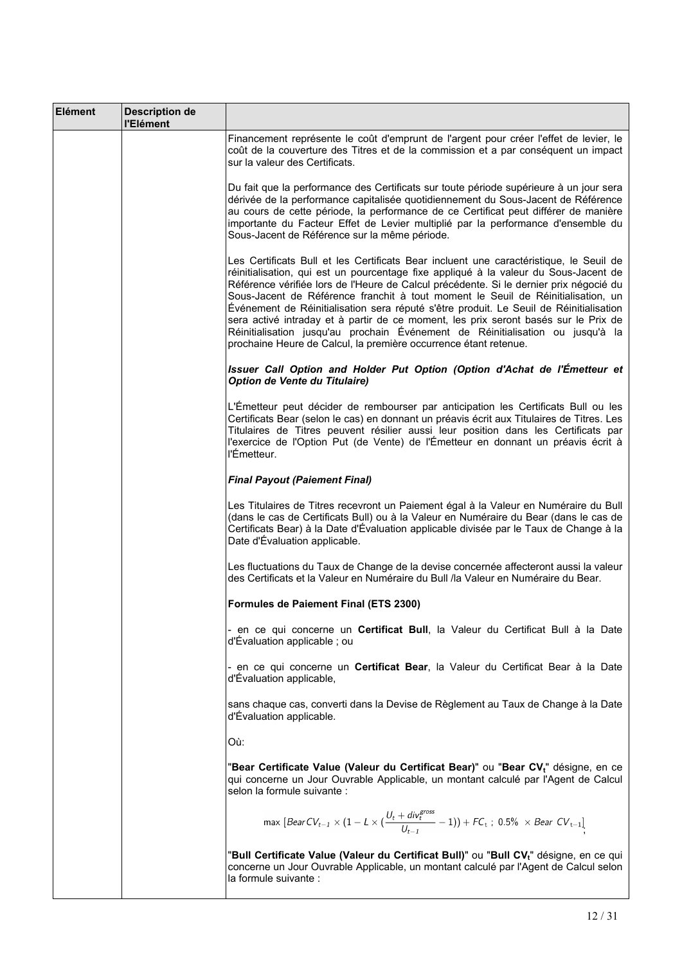| Elément | <b>Description de</b><br>l'Elément |                                                                                                                                                                                                                                                                                                                                                                                                                                                                                                                                                                                                                                                                                                     |
|---------|------------------------------------|-----------------------------------------------------------------------------------------------------------------------------------------------------------------------------------------------------------------------------------------------------------------------------------------------------------------------------------------------------------------------------------------------------------------------------------------------------------------------------------------------------------------------------------------------------------------------------------------------------------------------------------------------------------------------------------------------------|
|         |                                    | Financement représente le coût d'emprunt de l'argent pour créer l'effet de levier, le<br>coût de la couverture des Titres et de la commission et a par conséquent un impact<br>sur la valeur des Certificats.                                                                                                                                                                                                                                                                                                                                                                                                                                                                                       |
|         |                                    | Du fait que la performance des Certificats sur toute période supérieure à un jour sera<br>dérivée de la performance capitalisée quotidiennement du Sous-Jacent de Référence<br>au cours de cette période, la performance de ce Certificat peut différer de manière<br>importante du Facteur Effet de Levier multiplié par la performance d'ensemble du<br>Sous-Jacent de Référence sur la même période.                                                                                                                                                                                                                                                                                             |
|         |                                    | Les Certificats Bull et les Certificats Bear incluent une caractéristique, le Seuil de<br>réinitialisation, qui est un pourcentage fixe appliqué à la valeur du Sous-Jacent de<br>Référence vérifiée lors de l'Heure de Calcul précédente. Si le dernier prix négocié du<br>Sous-Jacent de Référence franchit à tout moment le Seuil de Réinitialisation, un<br>Événement de Réinitialisation sera réputé s'être produit. Le Seuil de Réinitialisation<br>sera activé intraday et à partir de ce moment, les prix seront basés sur le Prix de<br>Réinitialisation jusqu'au prochain Événement de Réinitialisation ou jusqu'à la<br>prochaine Heure de Calcul, la première occurrence étant retenue. |
|         |                                    | Issuer Call Option and Holder Put Option (Option d'Achat de l'Émetteur et<br>Option de Vente du Titulaire)                                                                                                                                                                                                                                                                                                                                                                                                                                                                                                                                                                                          |
|         |                                    | L'Émetteur peut décider de rembourser par anticipation les Certificats Bull ou les<br>Certificats Bear (selon le cas) en donnant un préavis écrit aux Titulaires de Titres. Les<br>Titulaires de Titres peuvent résilier aussi leur position dans les Certificats par<br>l'exercice de l'Option Put (de Vente) de l'Émetteur en donnant un préavis écrit à<br>l'Émetteur.                                                                                                                                                                                                                                                                                                                           |
|         |                                    | <b>Final Payout (Paiement Final)</b>                                                                                                                                                                                                                                                                                                                                                                                                                                                                                                                                                                                                                                                                |
|         |                                    | Les Titulaires de Titres recevront un Paiement égal à la Valeur en Numéraire du Bull<br>(dans le cas de Certificats Bull) ou à la Valeur en Numéraire du Bear (dans le cas de<br>Certificats Bear) à la Date d'Évaluation applicable divisée par le Taux de Change à la<br>Date d'Évaluation applicable.                                                                                                                                                                                                                                                                                                                                                                                            |
|         |                                    | Les fluctuations du Taux de Change de la devise concernée affecteront aussi la valeur<br>des Certificats et la Valeur en Numéraire du Bull /la Valeur en Numéraire du Bear.                                                                                                                                                                                                                                                                                                                                                                                                                                                                                                                         |
|         |                                    | Formules de Paiement Final (ETS 2300)                                                                                                                                                                                                                                                                                                                                                                                                                                                                                                                                                                                                                                                               |
|         |                                    | - en ce qui concerne un <b>Certificat Bull</b> , la Valeur du Certificat Bull à la Date<br>d'Évaluation applicable ; ou                                                                                                                                                                                                                                                                                                                                                                                                                                                                                                                                                                             |
|         |                                    | - en ce qui concerne un Certificat Bear, la Valeur du Certificat Bear à la Date<br>d'Évaluation applicable,                                                                                                                                                                                                                                                                                                                                                                                                                                                                                                                                                                                         |
|         |                                    | sans chaque cas, converti dans la Devise de Règlement au Taux de Change à la Date<br>d'Évaluation applicable.                                                                                                                                                                                                                                                                                                                                                                                                                                                                                                                                                                                       |
|         |                                    | Où:                                                                                                                                                                                                                                                                                                                                                                                                                                                                                                                                                                                                                                                                                                 |
|         |                                    | "Bear Certificate Value (Valeur du Certificat Bear)" ou "Bear CV $_{\rm t}$ " désigne, en ce<br>qui concerne un Jour Ouvrable Applicable, un montant calculé par l'Agent de Calcul<br>selon la formule suivante :                                                                                                                                                                                                                                                                                                                                                                                                                                                                                   |
|         |                                    | max $[BearCV_{t-1} \times (1 - L \times (\frac{U_t + div_t^{cross}}{U_{t-1}} - 1)) + FC_t$ ; 0.5% $\times$ Bear $CV_{t-1}$ ]                                                                                                                                                                                                                                                                                                                                                                                                                                                                                                                                                                        |
|         |                                    | "Bull Certificate Value (Valeur du Certificat Bull)" ou "Bull CV <sub>t</sub> " désigne, en ce qui<br>concerne un Jour Ouvrable Applicable, un montant calculé par l'Agent de Calcul selon<br>la formule suivante :                                                                                                                                                                                                                                                                                                                                                                                                                                                                                 |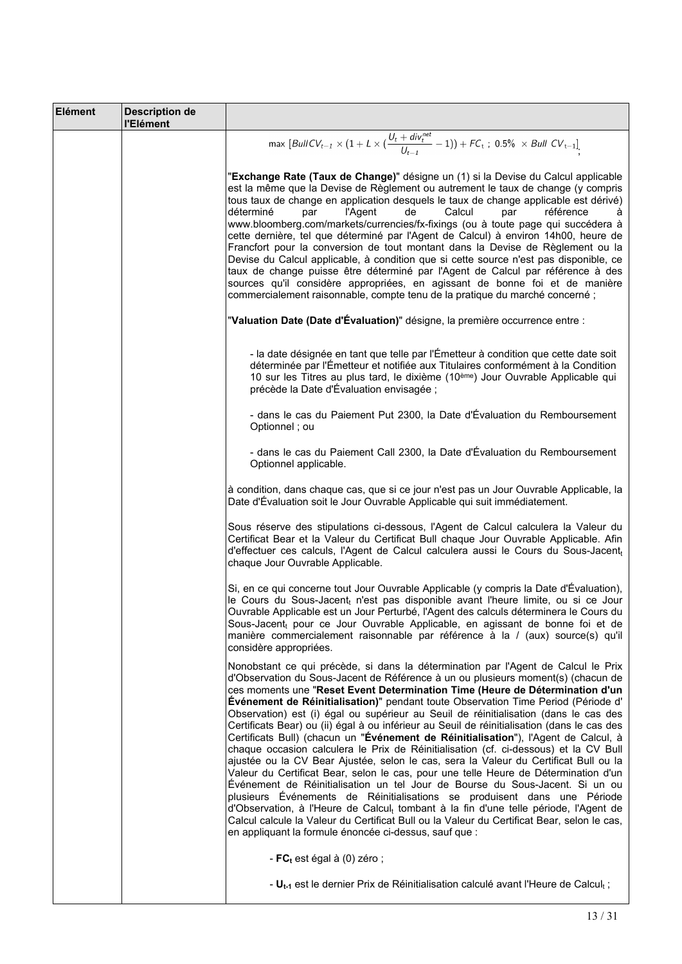| Elément | <b>Description de</b><br>l'Elément |                                                                                                                                                                                                                                                                                                                                                                                                                                                                                                                                                                                                                                                                                                                                                                                                                                                                                                                                                                                                                                                                                                                                                                                                                                                                                                                         |
|---------|------------------------------------|-------------------------------------------------------------------------------------------------------------------------------------------------------------------------------------------------------------------------------------------------------------------------------------------------------------------------------------------------------------------------------------------------------------------------------------------------------------------------------------------------------------------------------------------------------------------------------------------------------------------------------------------------------------------------------------------------------------------------------------------------------------------------------------------------------------------------------------------------------------------------------------------------------------------------------------------------------------------------------------------------------------------------------------------------------------------------------------------------------------------------------------------------------------------------------------------------------------------------------------------------------------------------------------------------------------------------|
|         |                                    | max $[BullCV_{t-1} \times (1 + L \times (\frac{U_t + div_t^{net}}{U_{t-1}} - 1)) + FC_t$ ; 0.5% $\times Bull CV_{t-1}$                                                                                                                                                                                                                                                                                                                                                                                                                                                                                                                                                                                                                                                                                                                                                                                                                                                                                                                                                                                                                                                                                                                                                                                                  |
|         |                                    | "Exchange Rate (Taux de Change)" désigne un (1) si la Devise du Calcul applicable<br>est la même que la Devise de Règlement ou autrement le taux de change (y compris<br>tous taux de change en application desquels le taux de change applicable est dérivé)<br>déterminé<br>l'Agent<br>de<br>Calcul<br>par<br>référence<br>par<br>à<br>www.bloomberg.com/markets/currencies/fx-fixings (ou à toute page qui succédera à<br>cette dernière, tel que déterminé par l'Agent de Calcul) à environ 14h00, heure de<br>Francfort pour la conversion de tout montant dans la Devise de Règlement ou la<br>Devise du Calcul applicable, à condition que si cette source n'est pas disponible, ce<br>taux de change puisse être déterminé par l'Agent de Calcul par référence à des<br>sources qu'il considère appropriées, en agissant de bonne foi et de manière<br>commercialement raisonnable, compte tenu de la pratique du marché concerné ;                                                                                                                                                                                                                                                                                                                                                                             |
|         |                                    | "Valuation Date (Date d'Évaluation)" désigne, la première occurrence entre :                                                                                                                                                                                                                                                                                                                                                                                                                                                                                                                                                                                                                                                                                                                                                                                                                                                                                                                                                                                                                                                                                                                                                                                                                                            |
|         |                                    | - la date désignée en tant que telle par l'Émetteur à condition que cette date soit<br>déterminée par l'Émetteur et notifiée aux Titulaires conformément à la Condition<br>10 sur les Titres au plus tard, le dixième (10 <sup>ème</sup> ) Jour Ouvrable Applicable qui<br>précède la Date d'Évaluation envisagée ;                                                                                                                                                                                                                                                                                                                                                                                                                                                                                                                                                                                                                                                                                                                                                                                                                                                                                                                                                                                                     |
|         |                                    | - dans le cas du Paiement Put 2300, la Date d'Évaluation du Remboursement<br>Optionnel; ou                                                                                                                                                                                                                                                                                                                                                                                                                                                                                                                                                                                                                                                                                                                                                                                                                                                                                                                                                                                                                                                                                                                                                                                                                              |
|         |                                    | - dans le cas du Paiement Call 2300, la Date d'Évaluation du Remboursement<br>Optionnel applicable.                                                                                                                                                                                                                                                                                                                                                                                                                                                                                                                                                                                                                                                                                                                                                                                                                                                                                                                                                                                                                                                                                                                                                                                                                     |
|         |                                    | à condition, dans chaque cas, que si ce jour n'est pas un Jour Ouvrable Applicable, la<br>Date d'Évaluation soit le Jour Ouvrable Applicable qui suit immédiatement.                                                                                                                                                                                                                                                                                                                                                                                                                                                                                                                                                                                                                                                                                                                                                                                                                                                                                                                                                                                                                                                                                                                                                    |
|         |                                    | Sous réserve des stipulations ci-dessous, l'Agent de Calcul calculera la Valeur du<br>Certificat Bear et la Valeur du Certificat Bull chaque Jour Ouvrable Applicable. Afin<br>d'effectuer ces calculs, l'Agent de Calcul calculera aussi le Cours du Sous-Jacentt<br>chaque Jour Ouvrable Applicable.                                                                                                                                                                                                                                                                                                                                                                                                                                                                                                                                                                                                                                                                                                                                                                                                                                                                                                                                                                                                                  |
|         |                                    | Si, en ce qui concerne tout Jour Ouvrable Applicable (y compris la Date d'Évaluation),<br>le Cours du Sous-Jacent <sub>t</sub> n'est pas disponible avant l'heure limite, ou si ce Jour<br>Ouvrable Applicable est un Jour Perturbé, l'Agent des calculs déterminera le Cours du<br>Sous-Jacent <sub>t</sub> pour ce Jour Ouvrable Applicable, en agissant de bonne foi et de<br>manière commercialement raisonnable par référence à la / (aux) source(s) qu'il<br>considère appropriées.                                                                                                                                                                                                                                                                                                                                                                                                                                                                                                                                                                                                                                                                                                                                                                                                                               |
|         |                                    | Nonobstant ce qui précède, si dans la détermination par l'Agent de Calcul le Prix<br>d'Observation du Sous-Jacent de Référence à un ou plusieurs moment(s) (chacun de<br>ces moments une "Reset Event Determination Time (Heure de Détermination d'un<br>Evénement de Réinitialisation)" pendant toute Observation Time Period (Période d'<br>Observation) est (i) égal ou supérieur au Seuil de réinitialisation (dans le cas des<br>Certificats Bear) ou (ii) égal à ou inférieur au Seuil de réinitialisation (dans le cas des<br>Certificats Bull) (chacun un "Evénement de Réinitialisation"), l'Agent de Calcul, à<br>chaque occasion calculera le Prix de Réinitialisation (cf. ci-dessous) et la CV Bull<br>ajustée ou la CV Bear Ajustée, selon le cas, sera la Valeur du Certificat Bull ou la<br>Valeur du Certificat Bear, selon le cas, pour une telle Heure de Détermination d'un<br>Evénement de Réinitialisation un tel Jour de Bourse du Sous-Jacent. Si un ou<br>plusieurs Événements de Réinitialisations se produisent dans une Période<br>d'Observation, à l'Heure de Calcul <sub>t</sub> tombant à la fin d'une telle période, l'Agent de<br>Calcul calcule la Valeur du Certificat Bull ou la Valeur du Certificat Bear, selon le cas,<br>en appliquant la formule énoncée ci-dessus, sauf que : |
|         |                                    | - $FC_t$ est égal à (0) zéro;                                                                                                                                                                                                                                                                                                                                                                                                                                                                                                                                                                                                                                                                                                                                                                                                                                                                                                                                                                                                                                                                                                                                                                                                                                                                                           |
|         |                                    | - $U_{t-1}$ est le dernier Prix de Réinitialisation calculé avant l'Heure de Calcul <sub>t</sub> ;                                                                                                                                                                                                                                                                                                                                                                                                                                                                                                                                                                                                                                                                                                                                                                                                                                                                                                                                                                                                                                                                                                                                                                                                                      |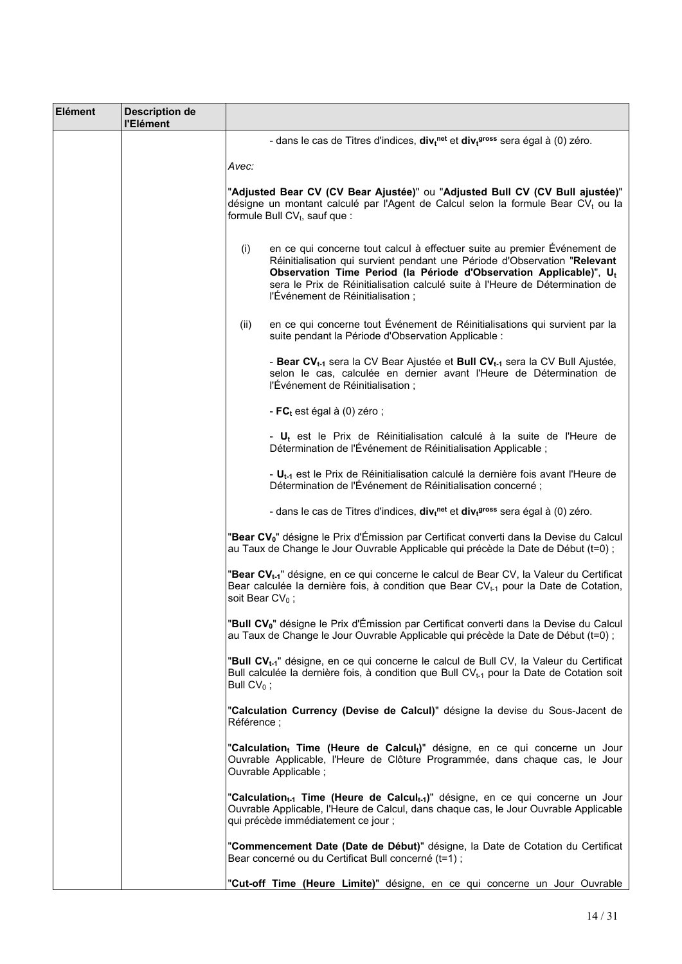| <b>Elément</b> | <b>Description de</b><br>l'Elément |                                                                                                                                                                                                                                                                                                                                                        |
|----------------|------------------------------------|--------------------------------------------------------------------------------------------------------------------------------------------------------------------------------------------------------------------------------------------------------------------------------------------------------------------------------------------------------|
|                |                                    | - dans le cas de Titres d'indices, $div_t^{net}$ et $div_t^{gross}$ sera égal à (0) zéro.                                                                                                                                                                                                                                                              |
|                |                                    | Avec:                                                                                                                                                                                                                                                                                                                                                  |
|                |                                    | "Adjusted Bear CV (CV Bear Ajustée)" ou "Adjusted Bull CV (CV Bull ajustée)"<br>désigne un montant calculé par l'Agent de Calcul selon la formule Bear CVt ou la<br>formule Bull $CV_t$ , sauf que :                                                                                                                                                   |
|                |                                    | en ce qui concerne tout calcul à effectuer suite au premier Événement de<br>(i)<br>Réinitialisation qui survient pendant une Période d'Observation "Relevant<br>Observation Time Period (la Période d'Observation Applicable)", Ut<br>sera le Prix de Réinitialisation calculé suite à l'Heure de Détermination de<br>l'Événement de Réinitialisation; |
|                |                                    | en ce qui concerne tout Événement de Réinitialisations qui survient par la<br>(ii)<br>suite pendant la Période d'Observation Applicable :                                                                                                                                                                                                              |
|                |                                    | - Bear CV <sub>t-1</sub> sera la CV Bear Ajustée et Bull CV <sub>t-1</sub> sera la CV Bull Ajustée,<br>selon le cas, calculée en dernier avant l'Heure de Détermination de<br>l'Événement de Réinitialisation;                                                                                                                                         |
|                |                                    | - $FC_t$ est égal à (0) zéro ;                                                                                                                                                                                                                                                                                                                         |
|                |                                    | - $U_t$ est le Prix de Réinitialisation calculé à la suite de l'Heure de<br>Détermination de l'Événement de Réinitialisation Applicable ;                                                                                                                                                                                                              |
|                |                                    | - U <sub>t-1</sub> est le Prix de Réinitialisation calculé la dernière fois avant l'Heure de<br>Détermination de l'Événement de Réinitialisation concerné;                                                                                                                                                                                             |
|                |                                    | - dans le cas de Titres d'indices, $div_t^{net}$ et $div_t^{gross}$ sera égal à (0) zéro.                                                                                                                                                                                                                                                              |
|                |                                    | "Bear CV <sub>0</sub> " désigne le Prix d'Émission par Certificat converti dans la Devise du Calcul<br>au Taux de Change le Jour Ouvrable Applicable qui précède la Date de Début (t=0) ;                                                                                                                                                              |
|                |                                    | "Bear CV <sub>t-1</sub> " désigne, en ce qui concerne le calcul de Bear CV, la Valeur du Certificat<br>Bear calculée la dernière fois, à condition que Bear CV <sub>t-1</sub> pour la Date de Cotation,<br>soit Bear $CV_0$ ;                                                                                                                          |
|                |                                    | "Bull CV <sub>0</sub> " désigne le Prix d'Émission par Certificat converti dans la Devise du Calcul<br>au Taux de Change le Jour Ouvrable Applicable qui précède la Date de Début (t=0) ;                                                                                                                                                              |
|                |                                    | "Bull CV <sub>t-1</sub> " désigne, en ce qui concerne le calcul de Bull CV, la Valeur du Certificat<br>Bull calculée la dernière fois, à condition que Bull CV <sub>t-1</sub> pour la Date de Cotation soit<br>Bull $CV_0$ ;                                                                                                                           |
|                |                                    | "Calculation Currency (Devise de Calcul)" désigne la devise du Sous-Jacent de<br>Référence ;                                                                                                                                                                                                                                                           |
|                |                                    | "Calculation <sub>t</sub> Time (Heure de Calcul <sub>t</sub> )" désigne, en ce qui concerne un Jour<br>Ouvrable Applicable, l'Heure de Clôture Programmée, dans chaque cas, le Jour<br>Ouvrable Applicable;                                                                                                                                            |
|                |                                    | "Calculation <sub>t-1</sub> Time (Heure de Calcul <sub>t-1</sub> )" désigne, en ce qui concerne un Jour<br>Ouvrable Applicable, l'Heure de Calcul, dans chaque cas, le Jour Ouvrable Applicable<br>qui précède immédiatement ce jour ;                                                                                                                 |
|                |                                    | "Commencement Date (Date de Début)" désigne, la Date de Cotation du Certificat<br>Bear concerné ou du Certificat Bull concerné (t=1) ;                                                                                                                                                                                                                 |
|                |                                    | "Cut-off Time (Heure Limite)" désigne, en ce qui concerne un Jour Ouvrable                                                                                                                                                                                                                                                                             |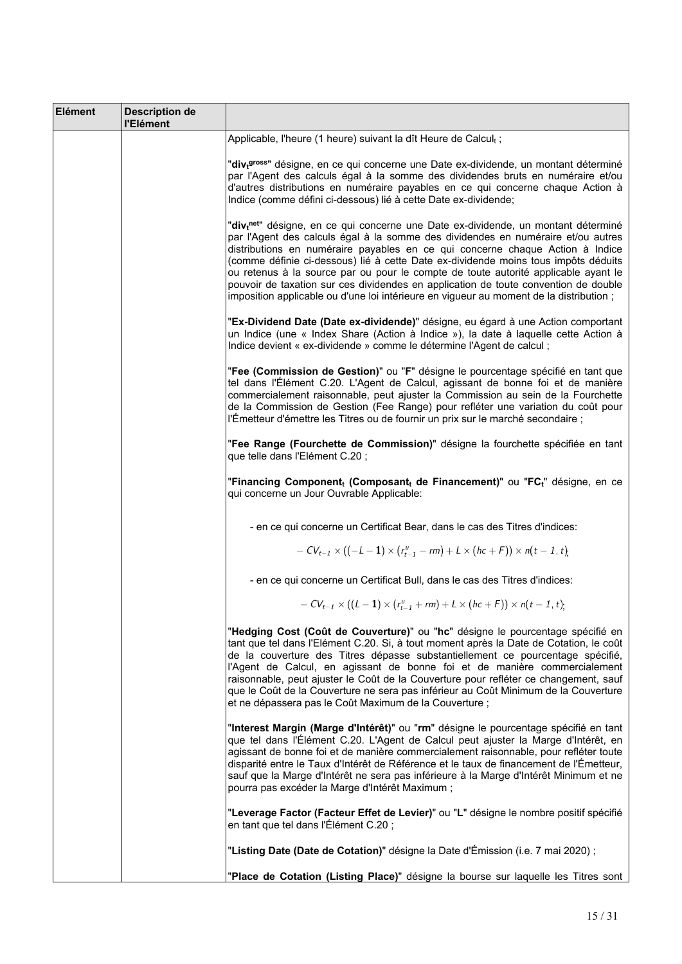| Elément | <b>Description de</b><br>l'Elément |                                                                                                                                                                                                                                                                                                                                                                                                                                                                                                                                                                                                                                   |
|---------|------------------------------------|-----------------------------------------------------------------------------------------------------------------------------------------------------------------------------------------------------------------------------------------------------------------------------------------------------------------------------------------------------------------------------------------------------------------------------------------------------------------------------------------------------------------------------------------------------------------------------------------------------------------------------------|
|         |                                    | Applicable, l'heure (1 heure) suivant la dît Heure de Calcult;                                                                                                                                                                                                                                                                                                                                                                                                                                                                                                                                                                    |
|         |                                    | "div <sub>t</sub> gross" désigne, en ce qui concerne une Date ex-dividende, un montant déterminé<br>par l'Agent des calculs égal à la somme des dividendes bruts en numéraire et/ou<br>d'autres distributions en numéraire payables en ce qui concerne chaque Action à<br>Indice (comme défini ci-dessous) lié à cette Date ex-dividende;                                                                                                                                                                                                                                                                                         |
|         |                                    | "div <sub>t</sub> net" désigne, en ce qui concerne une Date ex-dividende, un montant déterminé<br>par l'Agent des calculs égal à la somme des dividendes en numéraire et/ou autres<br>distributions en numéraire payables en ce qui concerne chaque Action à Indice<br>(comme définie ci-dessous) lié à cette Date ex-dividende moins tous impôts déduits<br>ou retenus à la source par ou pour le compte de toute autorité applicable ayant le<br>pouvoir de taxation sur ces dividendes en application de toute convention de double<br>imposition applicable ou d'une loi intérieure en vigueur au moment de la distribution ; |
|         |                                    | "Ex-Dividend Date (Date ex-dividende)" désigne, eu égard à une Action comportant<br>un Indice (une « Index Share (Action à Indice »), la date à laquelle cette Action à<br>Indice devient « ex-dividende » comme le détermine l'Agent de calcul ;                                                                                                                                                                                                                                                                                                                                                                                 |
|         |                                    | "Fee (Commission de Gestion)" ou "F" désigne le pourcentage spécifié en tant que<br>tel dans l'Élément C.20. L'Agent de Calcul, agissant de bonne foi et de manière<br>commercialement raisonnable, peut ajuster la Commission au sein de la Fourchette<br>de la Commission de Gestion (Fee Range) pour refléter une variation du coût pour<br>l'Émetteur d'émettre les Titres ou de fournir un prix sur le marché secondaire ;                                                                                                                                                                                                   |
|         |                                    | "Fee Range (Fourchette de Commission)" désigne la fourchette spécifiée en tant<br>que telle dans l'Elément C.20;                                                                                                                                                                                                                                                                                                                                                                                                                                                                                                                  |
|         |                                    | "Financing Component <sub>t</sub> (Composant <sub>t</sub> de Financement)" ou "FC <sub>t</sub> " désigne, en ce<br>qui concerne un Jour Ouvrable Applicable:                                                                                                                                                                                                                                                                                                                                                                                                                                                                      |
|         |                                    | - en ce qui concerne un Certificat Bear, dans le cas des Titres d'indices:                                                                                                                                                                                                                                                                                                                                                                                                                                                                                                                                                        |
|         |                                    | $-CV_{t-1} \times ((-L-1) \times (r_{t-1}^u - rm) + L \times (hc + F)) \times n(t-1, t).$                                                                                                                                                                                                                                                                                                                                                                                                                                                                                                                                         |
|         |                                    | - en ce qui concerne un Certificat Bull, dans le cas des Titres d'indices:                                                                                                                                                                                                                                                                                                                                                                                                                                                                                                                                                        |
|         |                                    | $-CV_{t-1} \times ((L-1) \times (r_{t-1}^u + rm) + L \times (hc+F)) \times n(t-1, t).$                                                                                                                                                                                                                                                                                                                                                                                                                                                                                                                                            |
|         |                                    | "Hedging Cost (Coût de Couverture)" ou "hc" désigne le pourcentage spécifié en<br>tant que tel dans l'Elément C.20. Si, à tout moment après la Date de Cotation, le coût<br>de la couverture des Titres dépasse substantiellement ce pourcentage spécifié,<br>l'Agent de Calcul, en agissant de bonne foi et de manière commercialement<br>raisonnable, peut ajuster le Coût de la Couverture pour refléter ce changement, sauf<br>que le Coût de la Couverture ne sera pas inférieur au Coût Minimum de la Couverture<br>et ne dépassera pas le Coût Maximum de la Couverture ;                                                  |
|         |                                    | "Interest Margin (Marge d'Intérêt)" ou "rm" désigne le pourcentage spécifié en tant<br>que tel dans l'Élément C.20. L'Agent de Calcul peut ajuster la Marge d'Intérêt, en<br>agissant de bonne foi et de manière commercialement raisonnable, pour refléter toute<br>disparité entre le Taux d'Intérêt de Référence et le taux de financement de l'Émetteur,<br>sauf que la Marge d'Intérêt ne sera pas inférieure à la Marge d'Intérêt Minimum et ne<br>pourra pas excéder la Marge d'Intérêt Maximum ;                                                                                                                          |
|         |                                    | "Leverage Factor (Facteur Effet de Levier)" ou "L" désigne le nombre positif spécifié<br>en tant que tel dans l'Élément C.20;                                                                                                                                                                                                                                                                                                                                                                                                                                                                                                     |
|         |                                    | "Listing Date (Date de Cotation)" désigne la Date d'Émission (i.e. 7 mai 2020) ;                                                                                                                                                                                                                                                                                                                                                                                                                                                                                                                                                  |
|         |                                    | "Place de Cotation (Listing Place)" désigne la bourse sur laquelle les Titres sont                                                                                                                                                                                                                                                                                                                                                                                                                                                                                                                                                |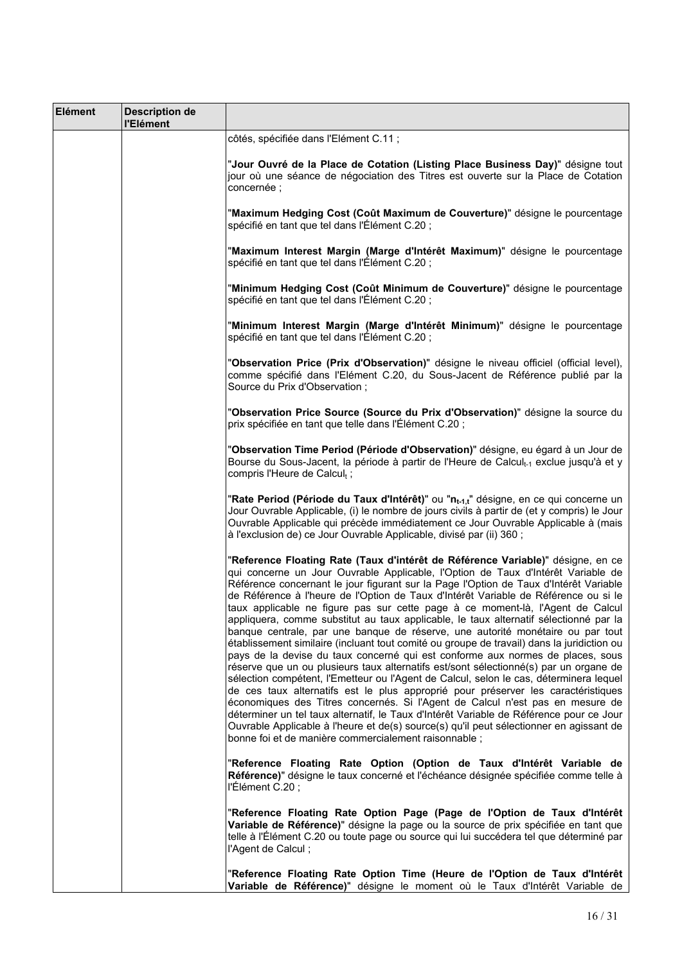| Elément | <b>Description de</b><br>l'Elément |                                                                                                                                                                                                                                                                                                                                                                                                                                                                                                                                                                                                                                                                                                                                                                                                                                                                                                                                                                                                                                                                                                                                                                                                                                                                                                                                                                                                          |
|---------|------------------------------------|----------------------------------------------------------------------------------------------------------------------------------------------------------------------------------------------------------------------------------------------------------------------------------------------------------------------------------------------------------------------------------------------------------------------------------------------------------------------------------------------------------------------------------------------------------------------------------------------------------------------------------------------------------------------------------------------------------------------------------------------------------------------------------------------------------------------------------------------------------------------------------------------------------------------------------------------------------------------------------------------------------------------------------------------------------------------------------------------------------------------------------------------------------------------------------------------------------------------------------------------------------------------------------------------------------------------------------------------------------------------------------------------------------|
|         |                                    | côtés, spécifiée dans l'Elément C.11 ;                                                                                                                                                                                                                                                                                                                                                                                                                                                                                                                                                                                                                                                                                                                                                                                                                                                                                                                                                                                                                                                                                                                                                                                                                                                                                                                                                                   |
|         |                                    | "Jour Ouvré de la Place de Cotation (Listing Place Business Day)" désigne tout<br>jour où une séance de négociation des Titres est ouverte sur la Place de Cotation<br>concernée;                                                                                                                                                                                                                                                                                                                                                                                                                                                                                                                                                                                                                                                                                                                                                                                                                                                                                                                                                                                                                                                                                                                                                                                                                        |
|         |                                    | "Maximum Hedging Cost (Coût Maximum de Couverture)" désigne le pourcentage<br>spécifié en tant que tel dans l'Élément C.20;                                                                                                                                                                                                                                                                                                                                                                                                                                                                                                                                                                                                                                                                                                                                                                                                                                                                                                                                                                                                                                                                                                                                                                                                                                                                              |
|         |                                    | "Maximum Interest Margin (Marge d'Intérêt Maximum)" désigne le pourcentage<br>spécifié en tant que tel dans l'Élément C.20;                                                                                                                                                                                                                                                                                                                                                                                                                                                                                                                                                                                                                                                                                                                                                                                                                                                                                                                                                                                                                                                                                                                                                                                                                                                                              |
|         |                                    | "Minimum Hedging Cost (Coût Minimum de Couverture)" désigne le pourcentage<br>spécifié en tant que tel dans l'Élément C.20;                                                                                                                                                                                                                                                                                                                                                                                                                                                                                                                                                                                                                                                                                                                                                                                                                                                                                                                                                                                                                                                                                                                                                                                                                                                                              |
|         |                                    | "Minimum Interest Margin (Marge d'Intérêt Minimum)" désigne le pourcentage<br>spécifié en tant que tel dans l'Élément C.20;                                                                                                                                                                                                                                                                                                                                                                                                                                                                                                                                                                                                                                                                                                                                                                                                                                                                                                                                                                                                                                                                                                                                                                                                                                                                              |
|         |                                    | "Observation Price (Prix d'Observation)" désigne le niveau officiel (official level),<br>comme spécifié dans l'Elément C.20, du Sous-Jacent de Référence publié par la<br>Source du Prix d'Observation ;                                                                                                                                                                                                                                                                                                                                                                                                                                                                                                                                                                                                                                                                                                                                                                                                                                                                                                                                                                                                                                                                                                                                                                                                 |
|         |                                    | "Observation Price Source (Source du Prix d'Observation)" désigne la source du<br>prix spécifiée en tant que telle dans l'Élément C.20;                                                                                                                                                                                                                                                                                                                                                                                                                                                                                                                                                                                                                                                                                                                                                                                                                                                                                                                                                                                                                                                                                                                                                                                                                                                                  |
|         |                                    | "Observation Time Period (Période d'Observation)" désigne, eu égard à un Jour de<br>Bourse du Sous-Jacent, la période à partir de l'Heure de Calcul <sub>t-1</sub> exclue jusqu'à et y<br>compris l'Heure de Calcul <sub>t</sub> ;                                                                                                                                                                                                                                                                                                                                                                                                                                                                                                                                                                                                                                                                                                                                                                                                                                                                                                                                                                                                                                                                                                                                                                       |
|         |                                    | "Rate Period (Période du Taux d'Intérêt)" ou "n <sub>t-1,t</sub> " désigne, en ce qui concerne un<br>Jour Ouvrable Applicable, (i) le nombre de jours civils à partir de (et y compris) le Jour<br>Ouvrable Applicable qui précède immédiatement ce Jour Ouvrable Applicable à (mais<br>à l'exclusion de) ce Jour Ouvrable Applicable, divisé par (ii) 360 ;                                                                                                                                                                                                                                                                                                                                                                                                                                                                                                                                                                                                                                                                                                                                                                                                                                                                                                                                                                                                                                             |
|         |                                    | "Reference Floating Rate (Taux d'intérêt de Référence Variable)" désigne, en ce<br>qui concerne un Jour Ouvrable Applicable, l'Option de Taux d'Intérêt Variable de<br>Référence concernant le jour figurant sur la Page l'Option de Taux d'Intérêt Variable<br>de Référence à l'heure de l'Option de Taux d'Intérêt Variable de Référence ou si le<br>taux applicable ne figure pas sur cette page à ce moment-là, l'Agent de Calcul<br>appliquera, comme substitut au taux applicable, le taux alternatif sélectionné par la<br>banque centrale, par une banque de réserve, une autorité monétaire ou par tout<br>établissement similaire (incluant tout comité ou groupe de travail) dans la juridiction ou<br>pays de la devise du taux concerné qui est conforme aux normes de places, sous<br>réserve que un ou plusieurs taux alternatifs est/sont sélectionné(s) par un organe de<br>sélection compétent, l'Emetteur ou l'Agent de Calcul, selon le cas, déterminera lequel<br>de ces taux alternatifs est le plus approprié pour préserver les caractéristiques<br>économiques des Titres concernés. Si l'Agent de Calcul n'est pas en mesure de<br>déterminer un tel taux alternatif, le Taux d'Intérêt Variable de Référence pour ce Jour<br>Ouvrable Applicable à l'heure et de(s) source(s) qu'il peut sélectionner en agissant de<br>bonne foi et de manière commercialement raisonnable ; |
|         |                                    | "Reference Floating Rate Option (Option de Taux d'Intérêt Variable de<br>Référence)" désigne le taux concerné et l'échéance désignée spécifiée comme telle à<br>l'Élément C.20;                                                                                                                                                                                                                                                                                                                                                                                                                                                                                                                                                                                                                                                                                                                                                                                                                                                                                                                                                                                                                                                                                                                                                                                                                          |
|         |                                    | "Reference Floating Rate Option Page (Page de l'Option de Taux d'Intérêt<br>Variable de Référence)" désigne la page ou la source de prix spécifiée en tant que<br>telle à l'Élément C.20 ou toute page ou source qui lui succédera tel que déterminé par<br>l'Agent de Calcul;                                                                                                                                                                                                                                                                                                                                                                                                                                                                                                                                                                                                                                                                                                                                                                                                                                                                                                                                                                                                                                                                                                                           |
|         |                                    | "Reference Floating Rate Option Time (Heure de l'Option de Taux d'Intérêt<br>Variable de Référence)" désigne le moment où le Taux d'Intérêt Variable de                                                                                                                                                                                                                                                                                                                                                                                                                                                                                                                                                                                                                                                                                                                                                                                                                                                                                                                                                                                                                                                                                                                                                                                                                                                  |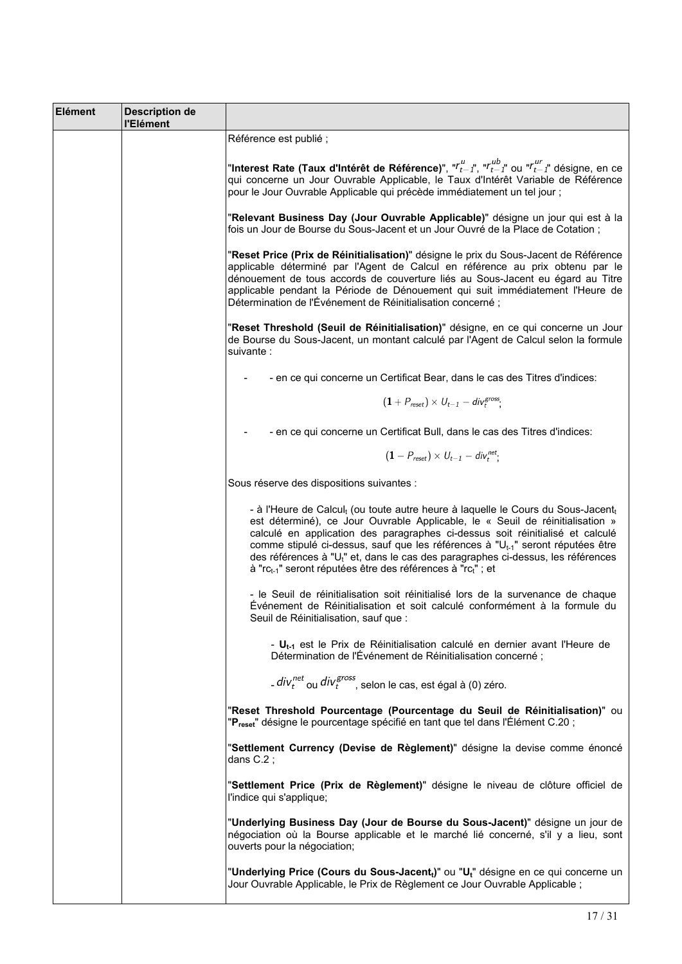| Elément | <b>Description de</b><br>l'Elément |                                                                                                                                                                                                                                                                                                                                                                                                                                                                                                                                                                  |
|---------|------------------------------------|------------------------------------------------------------------------------------------------------------------------------------------------------------------------------------------------------------------------------------------------------------------------------------------------------------------------------------------------------------------------------------------------------------------------------------------------------------------------------------------------------------------------------------------------------------------|
|         |                                    | Référence est publié ;                                                                                                                                                                                                                                                                                                                                                                                                                                                                                                                                           |
|         |                                    | "Interest Rate (Taux d'Intérêt de Référence)", " $r_{t-1}^\mu$ ", " $r_{t-1}^{\mu b}$ " ou " $r_{t-1}^{\mu r}$ " désigne, en ce<br>qui concerne un Jour Ouvrable Applicable, le Taux d'Intérêt Variable de Référence<br>pour le Jour Ouvrable Applicable qui précède immédiatement un tel jour ;                                                                                                                                                                                                                                                                 |
|         |                                    | "Relevant Business Day (Jour Ouvrable Applicable)" désigne un jour qui est à la<br>fois un Jour de Bourse du Sous-Jacent et un Jour Ouvré de la Place de Cotation;                                                                                                                                                                                                                                                                                                                                                                                               |
|         |                                    | "Reset Price (Prix de Réinitialisation)" désigne le prix du Sous-Jacent de Référence<br>applicable déterminé par l'Agent de Calcul en référence au prix obtenu par le<br>dénouement de tous accords de couverture liés au Sous-Jacent eu égard au Titre<br>applicable pendant la Période de Dénouement qui suit immédiatement l'Heure de<br>Détermination de l'Événement de Réinitialisation concerné;                                                                                                                                                           |
|         |                                    | "Reset Threshold (Seuil de Réinitialisation)" désigne, en ce qui concerne un Jour<br>de Bourse du Sous-Jacent, un montant calculé par l'Agent de Calcul selon la formule<br>suivante :                                                                                                                                                                                                                                                                                                                                                                           |
|         |                                    | - en ce qui concerne un Certificat Bear, dans le cas des Titres d'indices:                                                                                                                                                                                                                                                                                                                                                                                                                                                                                       |
|         |                                    | $(1+P_{reset}) \times U_{t-1} - div_t^{gross}$                                                                                                                                                                                                                                                                                                                                                                                                                                                                                                                   |
|         |                                    | - en ce qui concerne un Certificat Bull, dans le cas des Titres d'indices:                                                                                                                                                                                                                                                                                                                                                                                                                                                                                       |
|         |                                    | $(1 - P_{reset}) \times U_{t-1} - div_t^{net}$                                                                                                                                                                                                                                                                                                                                                                                                                                                                                                                   |
|         |                                    | Sous réserve des dispositions suivantes :                                                                                                                                                                                                                                                                                                                                                                                                                                                                                                                        |
|         |                                    | - à l'Heure de Calcul <sub>t</sub> (ou toute autre heure à laquelle le Cours du Sous-Jacent <sub>t</sub><br>est déterminé), ce Jour Ouvrable Applicable, le « Seuil de réinitialisation »<br>calculé en application des paragraphes ci-dessus soit réinitialisé et calculé<br>comme stipulé ci-dessus, sauf que les références à "U <sub>t-1</sub> " seront réputées être<br>des références à "U <sub>t</sub> " et, dans le cas des paragraphes ci-dessus, les références<br>à "rc <sub>t-1</sub> " seront réputées être des références à "rc <sub>t</sub> "; et |
|         |                                    | - le Seuil de réinitialisation soit réinitialisé lors de la survenance de chaque<br>Événement de Réinitialisation et soit calculé conformément à la formule du<br>Seuil de Réinitialisation, sauf que :                                                                                                                                                                                                                                                                                                                                                          |
|         |                                    | - $U_{t-1}$ est le Prix de Réinitialisation calculé en dernier avant l'Heure de<br>Détermination de l'Événement de Réinitialisation concerné;                                                                                                                                                                                                                                                                                                                                                                                                                    |
|         |                                    | $1.$ div $_{t}^{\text{net}}$ ou div $_{t}^{\text{gross}}$ , selon le cas, est égal à (0) zéro.                                                                                                                                                                                                                                                                                                                                                                                                                                                                   |
|         |                                    | "Reset Threshold Pourcentage (Pourcentage du Seuil de Réinitialisation)" ou<br>" <b>P<sub>reset</sub>" désigne le pourcentage spécifié en tant que tel dans l'Élément C.20 ;</b>                                                                                                                                                                                                                                                                                                                                                                                 |
|         |                                    | "Settlement Currency (Devise de Règlement)" désigne la devise comme énoncé<br>dans $C.2$ ;                                                                                                                                                                                                                                                                                                                                                                                                                                                                       |
|         |                                    | "Settlement Price (Prix de Règlement)" désigne le niveau de clôture officiel de<br>l'indice qui s'applique;                                                                                                                                                                                                                                                                                                                                                                                                                                                      |
|         |                                    | "Underlying Business Day (Jour de Bourse du Sous-Jacent)" désigne un jour de<br>négociation où la Bourse applicable et le marché lié concerné, s'il y a lieu, sont<br>ouverts pour la négociation;                                                                                                                                                                                                                                                                                                                                                               |
|         |                                    | "Underlying Price (Cours du Sous-Jacent <sub>t</sub> )" ou "U <sub>t</sub> " désigne en ce qui concerne un<br>Jour Ouvrable Applicable, le Prix de Règlement ce Jour Ouvrable Applicable ;                                                                                                                                                                                                                                                                                                                                                                       |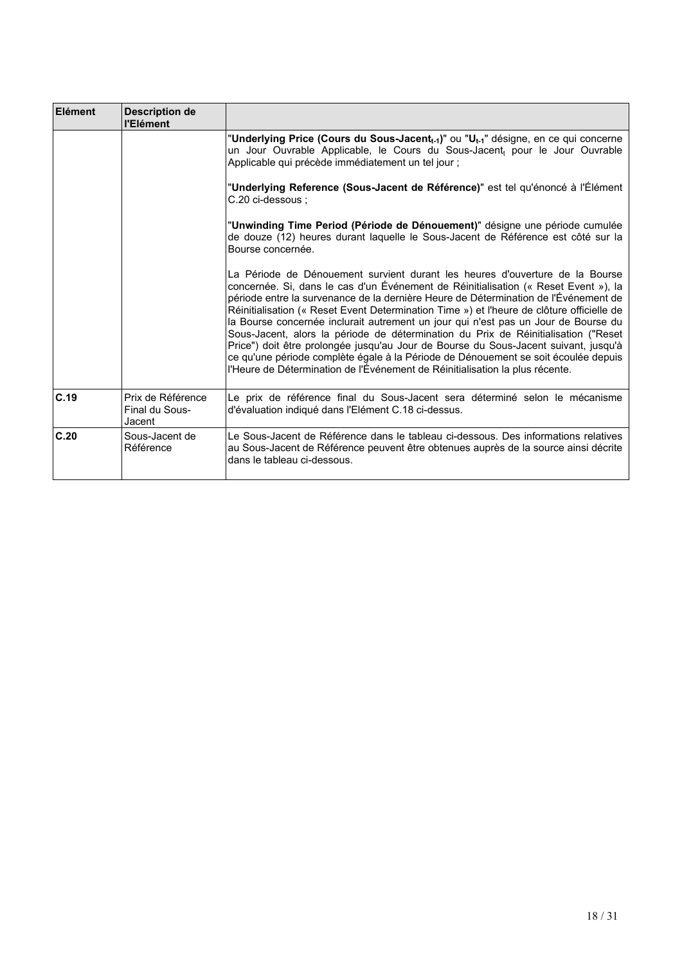| Elément | <b>Description de</b><br>l'Elément            |                                                                                                                                                                                                                                                                                                                                                                                                                                                                                                                                                                                                                                                                                                                                                                                                  |
|---------|-----------------------------------------------|--------------------------------------------------------------------------------------------------------------------------------------------------------------------------------------------------------------------------------------------------------------------------------------------------------------------------------------------------------------------------------------------------------------------------------------------------------------------------------------------------------------------------------------------------------------------------------------------------------------------------------------------------------------------------------------------------------------------------------------------------------------------------------------------------|
|         |                                               | "Underlying Price (Cours du Sous-Jacent <sub>t-1</sub> )" ou "U <sub>t-1</sub> " désigne, en ce qui concerne<br>un Jour Ouvrable Applicable, le Cours du Sous-Jacent, pour le Jour Ouvrable<br>Applicable qui précède immédiatement un tel jour ;                                                                                                                                                                                                                                                                                                                                                                                                                                                                                                                                                |
|         |                                               | "Underlying Reference (Sous-Jacent de Référence)" est tel qu'énoncé à l'Élément<br>C.20 ci-dessous :                                                                                                                                                                                                                                                                                                                                                                                                                                                                                                                                                                                                                                                                                             |
|         |                                               | "Unwinding Time Period (Période de Dénouement)" désigne une période cumulée<br>de douze (12) heures durant laquelle le Sous-Jacent de Référence est côté sur la<br>Bourse concernée.                                                                                                                                                                                                                                                                                                                                                                                                                                                                                                                                                                                                             |
|         |                                               | La Période de Dénouement survient durant les heures d'ouverture de la Bourse<br>concernée. Si, dans le cas d'un Événement de Réinitialisation (« Reset Event »), la<br>période entre la survenance de la dernière Heure de Détermination de l'Événement de<br>Réinitialisation (« Reset Event Determination Time ») et l'heure de clôture officielle de<br>la Bourse concernée inclurait autrement un jour qui n'est pas un Jour de Bourse du<br>Sous-Jacent, alors la période de détermination du Prix de Réinitialisation ("Reset<br>Price") doit être prolongée jusqu'au Jour de Bourse du Sous-Jacent suivant, jusqu'à<br>ce qu'une période complète égale à la Période de Dénouement se soit écoulée depuis<br>l'Heure de Détermination de l'Événement de Réinitialisation la plus récente. |
| C.19    | Prix de Référence<br>Final du Sous-<br>Jacent | Le prix de référence final du Sous-Jacent sera déterminé selon le mécanisme<br>d'évaluation indiqué dans l'Elément C.18 ci-dessus.                                                                                                                                                                                                                                                                                                                                                                                                                                                                                                                                                                                                                                                               |
| C.20    | Sous-Jacent de<br>Référence                   | Le Sous-Jacent de Référence dans le tableau ci-dessous. Des informations relatives<br>au Sous-Jacent de Référence peuvent être obtenues auprès de la source ainsi décrite<br>dans le tableau ci-dessous.                                                                                                                                                                                                                                                                                                                                                                                                                                                                                                                                                                                         |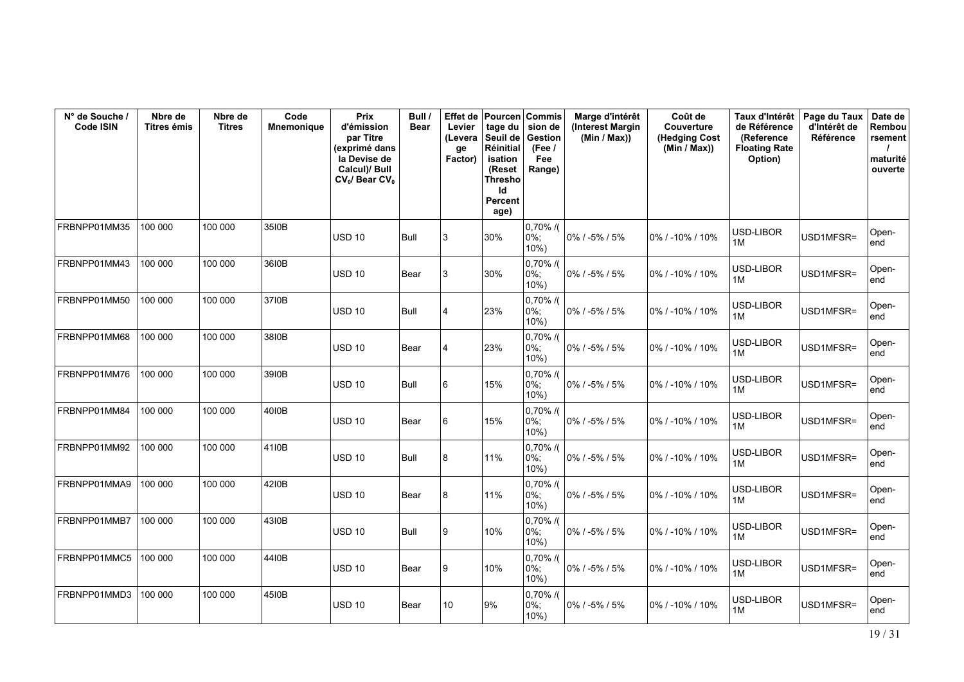| N° de Souche /<br>Code ISIN | Nbre de<br>Titres émis | Nbre de<br><b>Titres</b> | Code<br><b>Mnemonique</b> | <b>Prix</b><br>d'émission<br>par Titre<br>(exprimé dans<br>la Devise de<br>Calcul)/ Bull<br>$CV_0$ / Bear $CV_0$ | Bull /<br><b>Bear</b> | <b>Effet</b> de<br>Levier<br>(Levera<br>ge<br>Factor) | <b>Pourcen</b><br>tage du<br>Seuil de<br>Réinitial<br>isation<br>(Reset<br><b>Thresho</b><br>ld<br>Percent<br>age) | <b>Commis</b><br>sion de<br>Gestion<br>(Fee)<br>Fee<br>Range) | Marge d'intérêt<br>(Interest Margin<br>(Min / Max)) | Coût de<br>Couverture<br>(Hedging Cost<br>(Min / Max)) | Taux d'Intérêt<br>de Référence<br>(Reference<br><b>Floating Rate</b><br>Option) | Page du Taux<br>d'Intérêt de<br><b>Référence</b> | Date de<br>Rembou<br>rsement<br>maturité<br>ouverte |
|-----------------------------|------------------------|--------------------------|---------------------------|------------------------------------------------------------------------------------------------------------------|-----------------------|-------------------------------------------------------|--------------------------------------------------------------------------------------------------------------------|---------------------------------------------------------------|-----------------------------------------------------|--------------------------------------------------------|---------------------------------------------------------------------------------|--------------------------------------------------|-----------------------------------------------------|
| FRBNPP01MM35                | 100 000                | 100 000                  | 3510B                     | <b>USD 10</b>                                                                                                    | <b>Bull</b>           | 3                                                     | 30%                                                                                                                | $0,70\%$ /(<br>0%;<br>$10%$ )                                 | 0% / -5% / 5%                                       | 0% / -10% / 10%                                        | USD-LIBOR<br>1M                                                                 | USD1MFSR=                                        | Open-<br>end                                        |
| FRBNPP01MM43                | 100 000                | 100 000                  | 36I0B                     | <b>USD 10</b>                                                                                                    | Bear                  | 3                                                     | 30%                                                                                                                | $0,70\%$ /(<br>$0\%$ ;<br>$10%$ )                             | 0% / -5% / 5%                                       | 0% / -10% / 10%                                        | USD-LIBOR<br>1M                                                                 | USD1MFSR=                                        | Open-<br>end                                        |
| FRBNPP01MM50                | 100 000                | 100 000                  | 3710B                     | <b>USD 10</b>                                                                                                    | Bull                  | 14                                                    | 23%                                                                                                                | $0,70\%$ /(<br>$0\%$ ;<br>$10%$ )                             | $0\%$ / -5% / 5%                                    | 0% / -10% / 10%                                        | USD-LIBOR<br>1M                                                                 | USD1MFSR=                                        | Open-<br>end                                        |
| FRBNPP01MM68                | 100 000                | 100 000                  | 3810B                     | <b>USD 10</b>                                                                                                    | Bear                  | 14                                                    | 23%                                                                                                                | $0,70\%$ /(<br>0%;<br>10%                                     | 0% / -5% / 5%                                       | 0% / -10% / 10%                                        | USD-LIBOR<br>1M                                                                 | USD1MFSR=                                        | Open-<br>end                                        |
| FRBNPP01MM76                | 100 000                | 100 000                  | 3910B                     | <b>USD 10</b>                                                                                                    | Bull                  | 6                                                     | 15%                                                                                                                | $0,70\%$ /(<br>$0\%$ ;<br>$10%$ )                             | 0% / -5% / 5%                                       | 0% / -10% / 10%                                        | USD-LIBOR<br>1M                                                                 | USD1MFSR=                                        | Open-<br>end                                        |
| FRBNPP01MM84                | 100 000                | 100 000                  | 4010B                     | <b>USD 10</b>                                                                                                    | Bear                  | 6                                                     | 15%                                                                                                                | $0,70\%$ /(<br>$0\%$ ;<br>$10%$ )                             | 0% / -5% / 5%                                       | 0% / -10% / 10%                                        | USD-LIBOR<br>1M                                                                 | USD1MFSR=                                        | Open-<br>end                                        |
| FRBNPP01MM92                | 100 000                | 100 000                  | 41I0B                     | <b>USD 10</b>                                                                                                    | Bull                  | 8                                                     | 11%                                                                                                                | $0,70\%$ /(<br>0%;<br>$10%$ )                                 | $0\%$ / -5% / 5%                                    | 0% / -10% / 10%                                        | USD-LIBOR<br>1M                                                                 | USD1MFSR=                                        | Open-<br>end                                        |
| FRBNPP01MMA9                | 100 000                | 100 000                  | 4210B                     | <b>USD 10</b>                                                                                                    | Bear                  | 8                                                     | 11%                                                                                                                | $0,70\%$ /(<br>$0\%$ ;<br>$10%$ )                             | 0% / -5% / 5%                                       | 0% / -10% / 10%                                        | USD-LIBOR<br>1M                                                                 | USD1MFSR=                                        | Open-<br>end                                        |
| FRBNPP01MMB7                | 100 000                | 100 000                  | 4310B                     | <b>USD 10</b>                                                                                                    | <b>Bull</b>           | 9                                                     | 10%                                                                                                                | $0,70\%$ /(<br>$0\%$ ;<br>$10%$ )                             | 0% / -5% / 5%                                       | 0% / -10% / 10%                                        | USD-LIBOR<br>1M                                                                 | USD1MFSR=                                        | Open-<br>end                                        |
| FRBNPP01MMC5                | 100 000                | 100 000                  | 4410B                     | <b>USD 10</b>                                                                                                    | Bear                  | 9                                                     | 10%                                                                                                                | $0,70\%$ /(<br>0%;<br>10%                                     | 0% / -5% / 5%                                       | 0% / -10% / 10%                                        | USD-LIBOR<br>1M                                                                 | USD1MFSR=                                        | Open-<br>end                                        |
| FRBNPP01MMD3                | 100 000                | 100 000                  | 4510B                     | <b>USD 10</b>                                                                                                    | Bear                  | 10                                                    | 9%                                                                                                                 | $0,70\%$ /(<br>$0\%$ ;<br>10%                                 | 0% / -5% / 5%                                       | 0% / -10% / 10%                                        | USD-LIBOR<br>1M                                                                 | USD1MFSR=                                        | Open-<br>end                                        |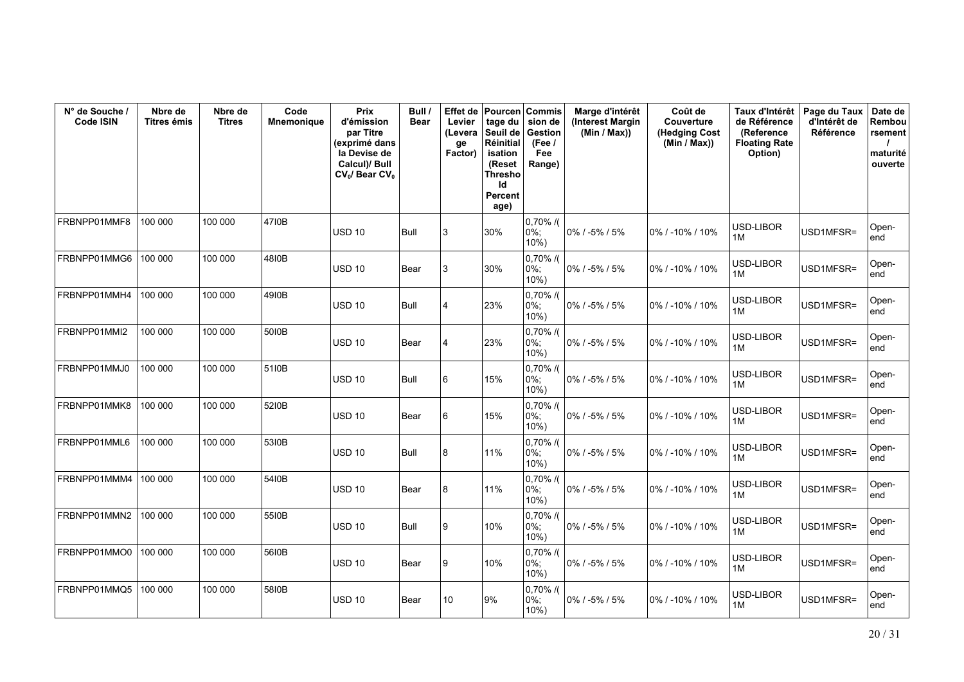| N° de Souche /<br><b>Code ISIN</b> | Nbre de<br>Titres émis | Nbre de<br><b>Titres</b> | Code<br><b>Mnemonique</b> | Prix<br>d'émission<br>par Titre<br>(exprimé dans<br>la Devise de<br>Calcul)/ Bull<br>$CV_0$ / Bear $CV_0$ | Bull /<br><b>Bear</b> | Effet de<br>Levier<br>(Levera<br>ge<br>Factor) | Pourcen Commis<br>tage du $\vert$ sion de<br>Seuil de<br><b>Réinitial</b><br>isation<br>(Reset<br>Thresho<br>ld<br><b>Percent</b><br>age) | Gestion<br>(Fee)<br>Fee<br>Range) | Marge d'intérêt<br>(Interest Margin<br>(Min / Max)) | Coût de<br>Couverture<br>(Hedging Cost<br>(Min / Max)) | Taux d'Intérêt<br>de Référence<br>(Reference<br><b>Floating Rate</b><br>Option) | Page du Taux<br>d'Intérêt de<br>Référence | Date de<br>Rembou<br>rsement<br>maturité<br>ouverte |
|------------------------------------|------------------------|--------------------------|---------------------------|-----------------------------------------------------------------------------------------------------------|-----------------------|------------------------------------------------|-------------------------------------------------------------------------------------------------------------------------------------------|-----------------------------------|-----------------------------------------------------|--------------------------------------------------------|---------------------------------------------------------------------------------|-------------------------------------------|-----------------------------------------------------|
| FRBNPP01MMF8                       | 100 000                | 100 000                  | 4710B                     | <b>USD 10</b>                                                                                             | Bull                  | 3                                              | 30%                                                                                                                                       | $0,70\%$ /(<br>0%;<br>10%         | 0% / -5% / 5%                                       | 0% / -10% / 10%                                        | USD-LIBOR<br>1M                                                                 | USD1MFSR=                                 | Open-<br>end                                        |
| FRBNPP01MMG6                       | 100 000                | 100 000                  | 4810B                     | <b>USD 10</b>                                                                                             | Bear                  | 3                                              | 30%                                                                                                                                       | 0,70% /(<br>0%;<br>$10%$ )        | 0% / -5% / 5%                                       | 0% / -10% / 10%                                        | USD-LIBOR<br>1M                                                                 | USD1MFSR=                                 | Open-<br>end                                        |
| FRBNPP01MMH4                       | 100 000                | 100 000                  | 4910B                     | <b>USD 10</b>                                                                                             | Bull                  | 4                                              | 23%                                                                                                                                       | $0,70\%$ /(<br>$0\%$ ;<br>$10%$ ) | 0% / -5% / 5%                                       | 0% / -10% / 10%                                        | USD-LIBOR<br>1M                                                                 | USD1MFSR=                                 | Open-<br>end                                        |
| FRBNPP01MMI2                       | 100 000                | 100 000                  | 5010B                     | <b>USD 10</b>                                                                                             | Bear                  | 4                                              | 23%                                                                                                                                       | $0,70\%$ /(<br>0%;<br>$10%$ )     | $0\%$ / -5% / 5%                                    | 0% / -10% / 10%                                        | USD-LIBOR<br>1M                                                                 | USD1MFSR=                                 | Open-<br>end                                        |
| FRBNPP01MMJ0                       | 100 000                | 100 000                  | 51I0B                     | <b>USD 10</b>                                                                                             | Bull                  | 6                                              | 15%                                                                                                                                       | 0,70% /(<br>0%;<br>10%            | 0% / -5% / 5%                                       | 0% / -10% / 10%                                        | USD-LIBOR<br>1M                                                                 | USD1MFSR=                                 | Open-<br>end                                        |
| FRBNPP01MMK8                       | 100 000                | 100 000                  | 5210B                     | <b>USD 10</b>                                                                                             | Bear                  | 6                                              | 15%                                                                                                                                       | $0,70\%$ /(<br>$0\%$ ;<br>$10%$ ) | 0% / -5% / 5%                                       | 0% / -10% / 10%                                        | USD-LIBOR<br>1M                                                                 | USD1MFSR=                                 | Open-<br>end                                        |
| FRBNPP01MML6                       | 100 000                | 100 000                  | 5310B                     | <b>USD 10</b>                                                                                             | Bull                  | 8                                              | 11%                                                                                                                                       | $0,70\%$ /(<br>0%;<br>$10%$ )     | $0\%$ / -5% / 5%                                    | 0% / -10% / 10%                                        | USD-LIBOR<br>1M                                                                 | USD1MFSR=                                 | Open-<br>end                                        |
| FRBNPP01MMM4                       | 100 000                | 100 000                  | 5410B                     | <b>USD 10</b>                                                                                             | Bear                  | 8                                              | 11%                                                                                                                                       | $0,70\%$ /(<br>0%;<br>$10%$ )     | 0% / -5% / 5%                                       | 0% / -10% / 10%                                        | USD-LIBOR<br>1M                                                                 | USD1MFSR=                                 | Open-<br>end                                        |
| FRBNPP01MMN2                       | 100 000                | 100 000                  | 5510B                     | <b>USD 10</b>                                                                                             | Bull                  | 9                                              | 10%                                                                                                                                       | $0,70\%$ /(<br>$0\%$ :<br>$10%$ ) | $0\%$ / -5% / 5%                                    | 0% / -10% / 10%                                        | USD-LIBOR<br>1M                                                                 | USD1MFSR=                                 | Open-<br>end                                        |
| FRBNPP01MMO0                       | 100 000                | 100 000                  | 5610B                     | <b>USD 10</b>                                                                                             | Bear                  | 9                                              | 10%                                                                                                                                       | $0,70\%$ /(<br>0%;<br>$10%$ )     | $0\%$ / -5% / 5%                                    | 0% / -10% / 10%                                        | USD-LIBOR<br>1M                                                                 | USD1MFSR=                                 | Open-<br>end                                        |
| FRBNPP01MMQ5                       | 100 000                | 100 000                  | 5810B                     | <b>USD 10</b>                                                                                             | Bear                  | 10                                             | 9%                                                                                                                                        | $0,70\%$ /(<br>$0\%$ ;<br>$10%$ ) | 0% / -5% / 5%                                       | 0% / -10% / 10%                                        | USD-LIBOR<br>1M                                                                 | USD1MFSR=                                 | Open-<br>end                                        |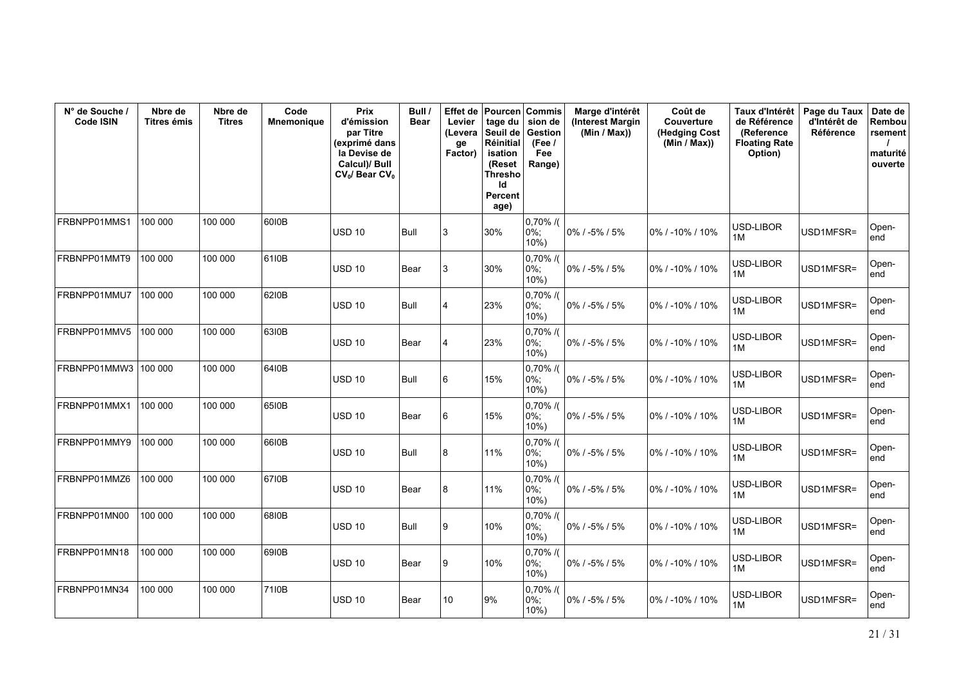| N° de Souche /<br><b>Code ISIN</b> | Nbre de<br>Titres émis | Nbre de<br><b>Titres</b> | Code<br><b>Mnemonique</b> | Prix<br>d'émission<br>par Titre<br>(exprimé dans<br>la Devise de<br>Calcul)/ Bull<br>$CV_0$ / Bear $CV_0$ | Bull /<br><b>Bear</b> | Effet de<br>Levier<br>(Levera<br>ge<br>Factor) | Seuil de<br><b>Réinitial</b><br>isation<br>(Reset<br>Thresho<br>ld<br>Percent<br>age) | Pourcen Commis<br>tage du $\vert$ sion de<br>Gestion<br>(Fee)<br>Fee<br>Range) | Marge d'intérêt<br>(Interest Margin<br>(Min / Max)) | Coût de<br>Couverture<br>(Hedging Cost<br>(Min / Max)) | Taux d'Intérêt<br>de Référence<br>(Reference<br><b>Floating Rate</b><br>Option) | Page du Taux<br>d'Intérêt de<br>Référence | Date de<br>Rembou<br>rsement<br>maturité<br>ouverte |
|------------------------------------|------------------------|--------------------------|---------------------------|-----------------------------------------------------------------------------------------------------------|-----------------------|------------------------------------------------|---------------------------------------------------------------------------------------|--------------------------------------------------------------------------------|-----------------------------------------------------|--------------------------------------------------------|---------------------------------------------------------------------------------|-------------------------------------------|-----------------------------------------------------|
| FRBNPP01MMS1                       | 100 000                | 100 000                  | 6010B                     | <b>USD 10</b>                                                                                             | Bull                  | 3                                              | 30%                                                                                   | $0,70\%$ /(<br>0%;<br>$10%$ )                                                  | 0% / -5% / 5%                                       | 0% / -10% / 10%                                        | USD-LIBOR<br>1M                                                                 | USD1MFSR=                                 | Open-<br>end                                        |
| FRBNPP01MMT9                       | 100 000                | 100 000                  | 61I0B                     | <b>USD 10</b>                                                                                             | Bear                  | 3                                              | 30%                                                                                   | $0,70\%$ /(<br>$0\%$ :<br>$10%$ )                                              | 0% / -5% / 5%                                       | 0% / -10% / 10%                                        | USD-LIBOR<br>1M                                                                 | USD1MFSR=                                 | Open-<br>end                                        |
| FRBNPP01MMU7                       | 100 000                | 100 000                  | 6210B                     | <b>USD 10</b>                                                                                             | Bull                  | $\overline{4}$                                 | 23%                                                                                   | $0,70\%$ /(<br>$0\%$ ;<br>$10%$ )                                              | 0% / -5% / 5%                                       | 0% / -10% / 10%                                        | USD-LIBOR<br>1M                                                                 | USD1MFSR=                                 | Open-<br>end                                        |
| FRBNPP01MMV5                       | 100 000                | 100 000                  | 6310B                     | <b>USD 10</b>                                                                                             | Bear                  | 4                                              | 23%                                                                                   | $0,70\%$ /(<br>$0\%$ :<br>$10%$ )                                              | 0% / -5% / 5%                                       | 0% / -10% / 10%                                        | USD-LIBOR<br>1M                                                                 | USD1MFSR=                                 | Open-<br>end                                        |
| FRBNPP01MMW3                       | 100 000                | 100 000                  | 6410B                     | <b>USD 10</b>                                                                                             | Bull                  | 6                                              | 15%                                                                                   | $0,70\%$ /(<br>0%;<br>$10%$ )                                                  | 0% / -5% / 5%                                       | 0% / -10% / 10%                                        | USD-LIBOR<br>1M                                                                 | USD1MFSR=                                 | Open-<br>end                                        |
| FRBNPP01MMX1                       | 100 000                | 100 000                  | 6510B                     | <b>USD 10</b>                                                                                             | Bear                  | 6                                              | 15%                                                                                   | $0,70\%$ /(<br>0%;<br>10%                                                      | 0% / -5% / 5%                                       | 0% / -10% / 10%                                        | USD-LIBOR<br>1M                                                                 | USD1MFSR=                                 | Open-<br>end                                        |
| FRBNPP01MMY9                       | 100 000                | 100 000                  | 6610B                     | <b>USD 10</b>                                                                                             | Bull                  | 8                                              | 11%                                                                                   | 0,70% /(<br>$0\%$ ;<br>10%                                                     | 0% / -5% / 5%                                       | 0% / -10% / 10%                                        | USD-LIBOR<br>1M                                                                 | USD1MFSR=                                 | Open-<br>end                                        |
| FRBNPP01MMZ6                       | 100 000                | 100 000                  | 6710B                     | <b>USD 10</b>                                                                                             | Bear                  | 8                                              | 11%                                                                                   | $0,70\%$ /(<br>0%;<br>$10%$ )                                                  | 0% / -5% / 5%                                       | 0% / -10% / 10%                                        | USD-LIBOR<br>1M                                                                 | USD1MFSR=                                 | Open-<br>end                                        |
| FRBNPP01MN00                       | 100 000                | 100 000                  | 6810B                     | <b>USD 10</b>                                                                                             | Bull                  | 9                                              | 10%                                                                                   | $0,70\%$ /(<br>0%;<br>$10%$ )                                                  | 0% / -5% / 5%                                       | 0% / -10% / 10%                                        | USD-LIBOR<br>1M                                                                 | USD1MFSR=                                 | Open-<br>end                                        |
| FRBNPP01MN18                       | 100 000                | 100 000                  | 6910B                     | <b>USD 10</b>                                                                                             | Bear                  | 9                                              | 10%                                                                                   | $0,70\%$ /(<br>0%;<br>$10%$ )                                                  | 0% / -5% / 5%                                       | 0% / -10% / 10%                                        | USD-LIBOR<br>1M                                                                 | USD1MFSR=                                 | Open-<br>end                                        |
| FRBNPP01MN34                       | 100 000                | 100 000                  | 71I0B                     | <b>USD 10</b>                                                                                             | Bear                  | 10                                             | 9%                                                                                    | $0,70\%$ /(<br>0%;<br>$10%$ )                                                  | 0% / -5% / 5%                                       | 0% / -10% / 10%                                        | USD-LIBOR<br>1M                                                                 | USD1MFSR=                                 | Open-<br>end                                        |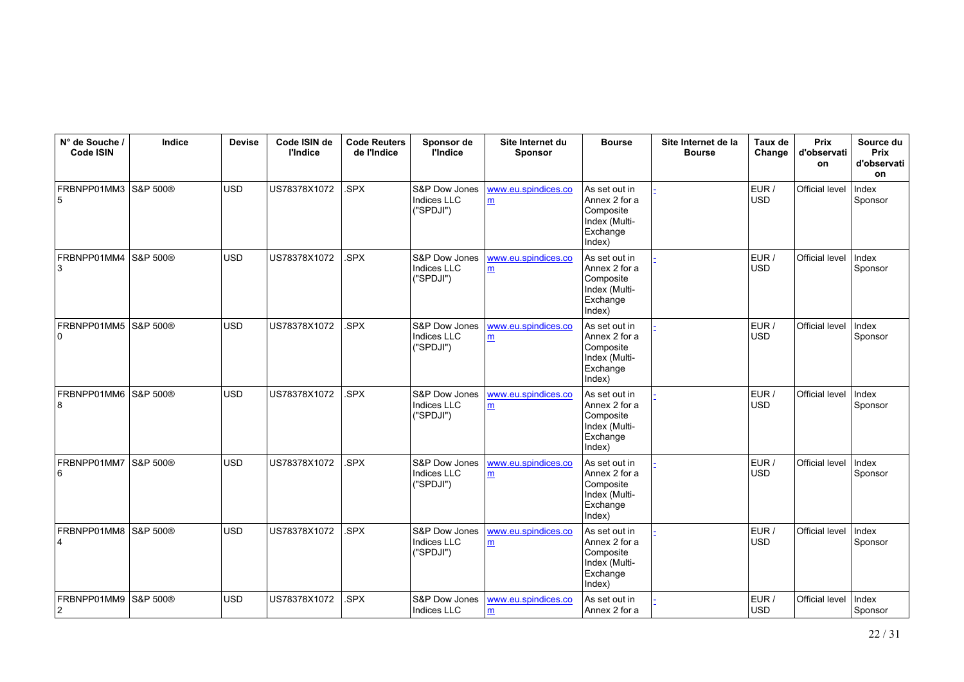| N° de Souche /<br><b>Code ISIN</b> | Indice   | <b>Devise</b> | Code ISIN de<br><b>l'Indice</b> | <b>Code Reuters</b><br>de l'Indice | Sponsor de<br><b>l'Indice</b>                    | Site Internet du<br>Sponsor | <b>Bourse</b>                                                                      | Site Internet de la<br><b>Bourse</b> | Taux de<br>Change   | <b>Prix</b><br>d'observati<br>on | Source du<br>Prix<br>d'observati<br>on |
|------------------------------------|----------|---------------|---------------------------------|------------------------------------|--------------------------------------------------|-----------------------------|------------------------------------------------------------------------------------|--------------------------------------|---------------------|----------------------------------|----------------------------------------|
| FRBNPP01MM3<br>5                   | S&P 500® | <b>USD</b>    | US78378X1072                    | SPX                                | S&P Dow Jones<br><b>Indices LLC</b><br>("SPDJI") | www.eu.spindices.co<br>m    | As set out in<br>Annex 2 for a<br>Composite<br>Index (Multi-<br>Exchange<br>Index) |                                      | EUR /<br><b>USD</b> | Official level                   | Index<br>Sponsor                       |
| FRBNPP01MM4<br>3                   | S&P 500® | <b>USD</b>    | US78378X1072                    | SPX                                | S&P Dow Jones<br>Indices LLC<br>("SPDJI")        | www.eu.spindices.co<br>m    | As set out in<br>Annex 2 for a<br>Composite<br>Index (Multi-<br>Exchange<br>Index) |                                      | EUR /<br><b>USD</b> | Official level                   | Index<br>Sponsor                       |
| FRBNPP01MM5<br>$\Omega$            | S&P 500® | <b>USD</b>    | US78378X1072                    | SPX                                | S&P Dow Jones<br><b>Indices LLC</b><br>("SPDJI") | www.eu.spindices.co<br>m    | As set out in<br>Annex 2 for a<br>Composite<br>Index (Multi-<br>Exchange<br>Index) |                                      | EUR /<br><b>USD</b> | <b>Official level</b>            | Index<br>Sponsor                       |
| FRBNPP01MM6<br>8                   | S&P 500® | <b>USD</b>    | US78378X1072                    | SPX                                | S&P Dow Jones<br>Indices LLC<br>("SPDJI")        | www.eu.spindices.co<br>m    | As set out in<br>Annex 2 for a<br>Composite<br>Index (Multi-<br>Exchange<br>Index) |                                      | EUR/<br><b>USD</b>  | <b>Official level</b>            | Index<br>Sponsor                       |
| FRBNPP01MM7<br>6                   | S&P 500® | <b>USD</b>    | US78378X1072                    | .SPX                               | S&P Dow Jones<br>Indices LLC<br>("SPDJI")        | www.eu.spindices.co<br>m    | As set out in<br>Annex 2 for a<br>Composite<br>Index (Multi-<br>Exchange<br>Index) |                                      | EUR /<br><b>USD</b> | Official level                   | Index<br>Sponsor                       |
| FRBNPP01MM8<br>4                   | S&P 500® | <b>USD</b>    | US78378X1072                    | SPX.                               | S&P Dow Jones<br>Indices LLC<br>("SPDJI")        | www.eu.spindices.co<br>m    | As set out in<br>Annex 2 for a<br>Composite<br>Index (Multi-<br>Exchange<br>Index) |                                      | EUR/<br><b>USD</b>  | Official level                   | Index<br>Sponsor                       |
| FRBNPP01MM9<br>$\overline{2}$      | S&P 500® | <b>USD</b>    | US78378X1072                    | SPX.                               | S&P Dow Jones<br>Indices LLC                     | www.eu.spindices.co<br>m    | As set out in<br>Annex 2 for a                                                     |                                      | EUR /<br><b>USD</b> | Official level                   | Index<br>Sponsor                       |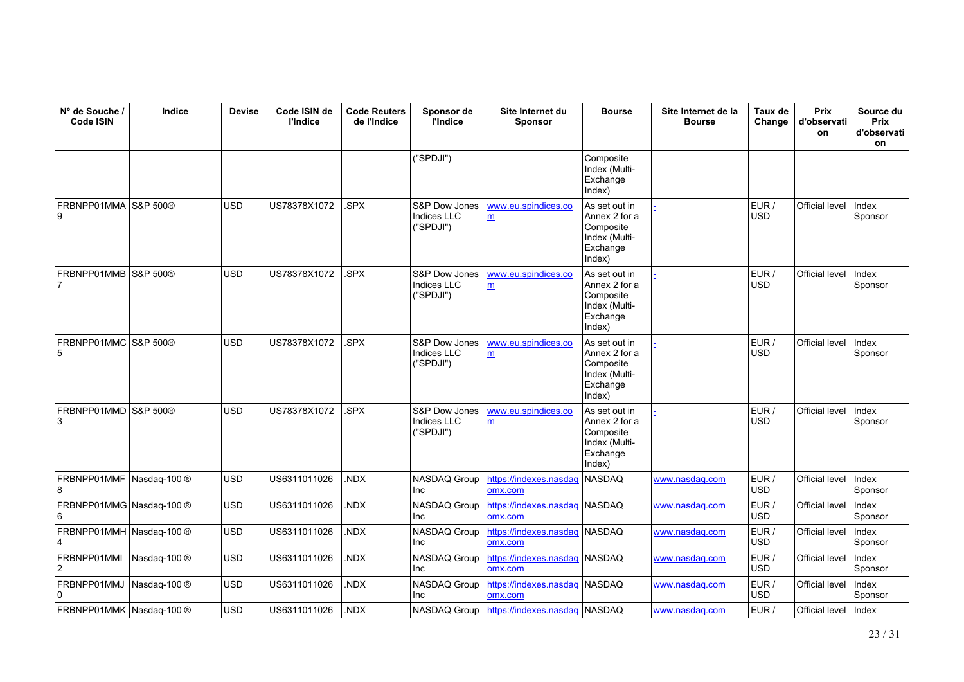| N° de Souche /<br><b>Code ISIN</b> | Indice       | <b>Devise</b> | Code ISIN de<br><b>l'Indice</b> | <b>Code Reuters</b><br>de l'Indice | Sponsor de<br><b>l'Indice</b>                    | Site Internet du<br><b>Sponsor</b>    | <b>Bourse</b>                                                                      | Site Internet de la<br><b>Bourse</b> | Taux de<br>Change   | Prix<br>d'observati<br>on | Source du<br>Prix<br>d'observati<br>on |
|------------------------------------|--------------|---------------|---------------------------------|------------------------------------|--------------------------------------------------|---------------------------------------|------------------------------------------------------------------------------------|--------------------------------------|---------------------|---------------------------|----------------------------------------|
|                                    |              |               |                                 |                                    | ("SPDJI")                                        |                                       | Composite<br>Index (Multi-<br>Exchange<br>Index)                                   |                                      |                     |                           |                                        |
| FRBNPP01MMA S&P 500®<br>9          |              | <b>USD</b>    | US78378X1072                    | .SPX                               | S&P Dow Jones<br><b>Indices LLC</b><br>("SPDJI") | www.eu.spindices.co<br>m              | As set out in<br>Annex 2 for a<br>Composite<br>Index (Multi-<br>Exchange<br>Index) |                                      | EUR /<br><b>USD</b> | Official level            | Index<br>Sponsor                       |
| FRBNPP01MMB<br>7                   | S&P 500®     | <b>USD</b>    | US78378X1072                    | SPX.                               | S&P Dow Jones<br><b>Indices LLC</b><br>("SPDJI") | www.eu.spindices.co<br>m              | As set out in<br>Annex 2 for a<br>Composite<br>Index (Multi-<br>Exchange<br>Index) |                                      | EUR /<br>USD        | <b>Official level</b>     | Index<br>Sponsor                       |
| FRBNPP01MMC S&P 500®<br>5          |              | <b>USD</b>    | US78378X1072                    | .SPX                               | S&P Dow Jones<br><b>Indices LLC</b><br>("SPDJI") | www.eu.spindices.co<br>m              | As set out in<br>Annex 2 for a<br>Composite<br>Index (Multi-<br>Exchange<br>Index) |                                      | EUR /<br>USD        | Official level            | Index<br>Sponsor                       |
| FRBNPP01MMD S&P 500®<br>3          |              | <b>USD</b>    | US78378X1072                    | .SPX                               | S&P Dow Jones<br><b>Indices LLC</b><br>("SPDJI") | www.eu.spindices.co<br>m              | As set out in<br>Annex 2 for a<br>Composite<br>Index (Multi-<br>Exchange<br>Index) |                                      | EUR /<br><b>USD</b> | Official level            | Index<br>Sponsor                       |
| FRBNPP01MMF<br>8                   | Nasdag-100 ® | USD           | US6311011026                    | NDX.                               | NASDAQ Group<br>Inc                              | https://indexes.nasdaq<br>omx.com     | NASDAQ                                                                             | www.nasdaq.com                       | EUR /<br><b>USD</b> | Official level            | Index<br>Sponsor                       |
| FRBNPP01MMG Nasdaq-100 ®<br>6      |              | <b>USD</b>    | US6311011026                    | NDX.                               | NASDAQ Group<br><b>Inc</b>                       | https://indexes.nasdag<br>omx.com     | <b>NASDAQ</b>                                                                      | www.nasdag.com                       | EUR /<br><b>USD</b> | Official level            | Index<br>Sponsor                       |
| FRBNPP01MMH Nasdaq-100 ®<br>4      |              | <b>USD</b>    | US6311011026                    | NDX.                               | <b>NASDAQ Group</b><br>Inc                       | https://indexes.nasdag<br>omx.com     | <b>NASDAQ</b>                                                                      | www.nasdag.com                       | EUR /<br><b>USD</b> | Official level            | Index<br>Sponsor                       |
| FRBNPP01MMI<br>2                   | Nasdag-100 ® | <b>USD</b>    | US6311011026                    | NDX.                               | NASDAQ Group<br>Inc                              | https://indexes.nasdaq<br>omx.com     | <b>NASDAQ</b>                                                                      | www.nasdag.com                       | EUR /<br><b>USD</b> | Official level            | Index<br>Sponsor                       |
| FRBNPP01MMJ<br>$\Omega$            | Nasdag-100 ® | <b>USD</b>    | US6311011026                    | NDX.                               | NASDAQ Group<br>Inc                              | https://indexes.nasdaq<br>omx.com     | NASDAQ                                                                             | www.nasdaq.com                       | EUR /<br>USD        | Official level            | Index<br>Sponsor                       |
| FRBNPP01MMK Nasdaq-100 ®           |              | <b>USD</b>    | US6311011026                    | .NDX                               |                                                  | NASDAQ Group   https://indexes.nasdaq | NASDAQ                                                                             | www.nasdaq.com                       | EUR /               | Official level            | <b>Index</b>                           |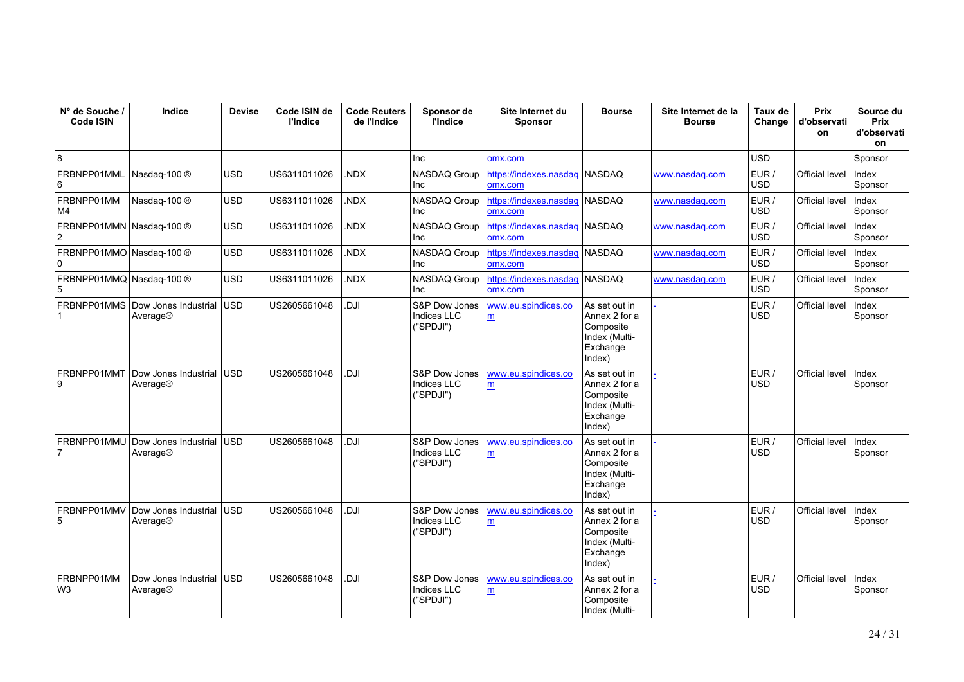| N° de Souche /<br>Code ISIN                | Indice                           | <b>Devise</b> | Code ISIN de<br><b>l'Indice</b> | <b>Code Reuters</b><br>de l'Indice | Sponsor de<br><b>l'Indice</b>                    | Site Internet du<br><b>Sponsor</b> | <b>Bourse</b>                                                                      | Site Internet de la<br><b>Bourse</b> | Taux de<br>Change   | Prix<br>d'observati<br>on | Source du<br><b>Prix</b><br>d'observati<br>on |
|--------------------------------------------|----------------------------------|---------------|---------------------------------|------------------------------------|--------------------------------------------------|------------------------------------|------------------------------------------------------------------------------------|--------------------------------------|---------------------|---------------------------|-----------------------------------------------|
| 8                                          |                                  |               |                                 |                                    | Inc                                              | omx.com                            |                                                                                    |                                      | <b>USD</b>          |                           | Sponsor                                       |
| FRBNPP01MML<br>6                           | Nasdag-100 ®                     | USD           | US6311011026                    | NDX.                               | <b>NASDAQ Group</b><br>Inc                       | https://indexes.nasdaq<br>omx.com  | <b>NASDAO</b>                                                                      | www.nasdag.com                       | EUR/<br><b>USD</b>  | Official level            | Index<br>Sponsor                              |
| FRBNPP01MM<br>M4                           | Nasdaq-100 ®                     | USD           | US6311011026                    | .NDX                               | NASDAQ Group<br>Inc                              | https://indexes.nasdaq<br>omx.com  | <b>NASDAQ</b>                                                                      | www.nasdag.com                       | EUR /<br><b>USD</b> | <b>Official level</b>     | Index<br>Sponsor                              |
| FRBNPP01MMN Nasdaq-100 ®<br>$\overline{2}$ |                                  | <b>USD</b>    | US6311011026                    | NDX.                               | NASDAQ Group<br>Inc                              | https://indexes.nasdag<br>omx.com  | <b>NASDAQ</b>                                                                      | www.nasdag.com                       | EUR /<br><b>USD</b> | Official level            | Index<br>Sponsor                              |
| FRBNPP01MMO Nasdaq-100 ®<br>l 0            |                                  | <b>USD</b>    | US6311011026                    | NDX.                               | NASDAQ Group<br>Inc                              | https://indexes.nasdag<br>omx.com  | NASDAQ                                                                             | www.nasdag.com                       | EUR /<br><b>USD</b> | Official level            | Index<br>Sponsor                              |
| FRBNPP01MMQ Nasdaq-100 ®<br>5              |                                  | USD           | US6311011026                    | NDX.                               | NASDAQ Group<br>Inc                              | https://indexes.nasdaq<br>omx.com  | <b>NASDAQ</b>                                                                      | www.nasdag.com                       | EUR/<br><b>USD</b>  | <b>Official level</b>     | Index<br>Sponsor                              |
| FRBNPP01MMS                                | Dow Jones Industrial<br>Average® | <b>USD</b>    | US2605661048                    | IU.                                | S&P Dow Jones<br><b>Indices LLC</b><br>("SPDJI") | www.eu.spindices.co<br>m           | As set out in<br>Annex 2 for a<br>Composite<br>Index (Multi-<br>Exchange<br>Index) |                                      | EUR /<br><b>USD</b> | <b>Official level</b>     | Index<br>Sponsor                              |
| FRBNPP01MMT<br>9                           | Dow Jones Industrial<br>Average® | <b>USD</b>    | US2605661048                    | Il D                               | S&P Dow Jones<br><b>Indices LLC</b><br>("SPDJI") | www.eu.spindices.co<br>m           | As set out in<br>Annex 2 for a<br>Composite<br>Index (Multi-<br>Exchange<br>Index) |                                      | EUR/<br><b>USD</b>  | <b>Official level</b>     | Index<br>Sponsor                              |
| FRBNPP01MMU                                | Dow Jones Industrial<br>Average® | <b>USD</b>    | US2605661048                    | Il D                               | S&P Dow Jones<br><b>Indices LLC</b><br>("SPDJI") | www.eu.spindices.co<br>m           | As set out in<br>Annex 2 for a<br>Composite<br>Index (Multi-<br>Exchange<br>Index) |                                      | EUR /<br><b>USD</b> | Official level            | Index<br>Sponsor                              |
| FRBNPP01MMV<br>5                           | Dow Jones Industrial<br>Average® | <b>USD</b>    | US2605661048                    | Il D                               | S&P Dow Jones<br><b>Indices LLC</b><br>("SPDJI") | www.eu.spindices.co<br>m           | As set out in<br>Annex 2 for a<br>Composite<br>Index (Multi-<br>Exchange<br>Index) |                                      | EUR /<br><b>USD</b> | Official level            | Index<br>Sponsor                              |
| FRBNPP01MM<br>W <sub>3</sub>               | Dow Jones Industrial<br>Average® | <b>USD</b>    | US2605661048                    | IU.                                | S&P Dow Jones<br><b>Indices LLC</b><br>("SPDJI") | www.eu.spindices.co<br>m           | As set out in<br>Annex 2 for a<br>Composite<br>Index (Multi-                       |                                      | EUR /<br><b>USD</b> | Official level            | Index<br>Sponsor                              |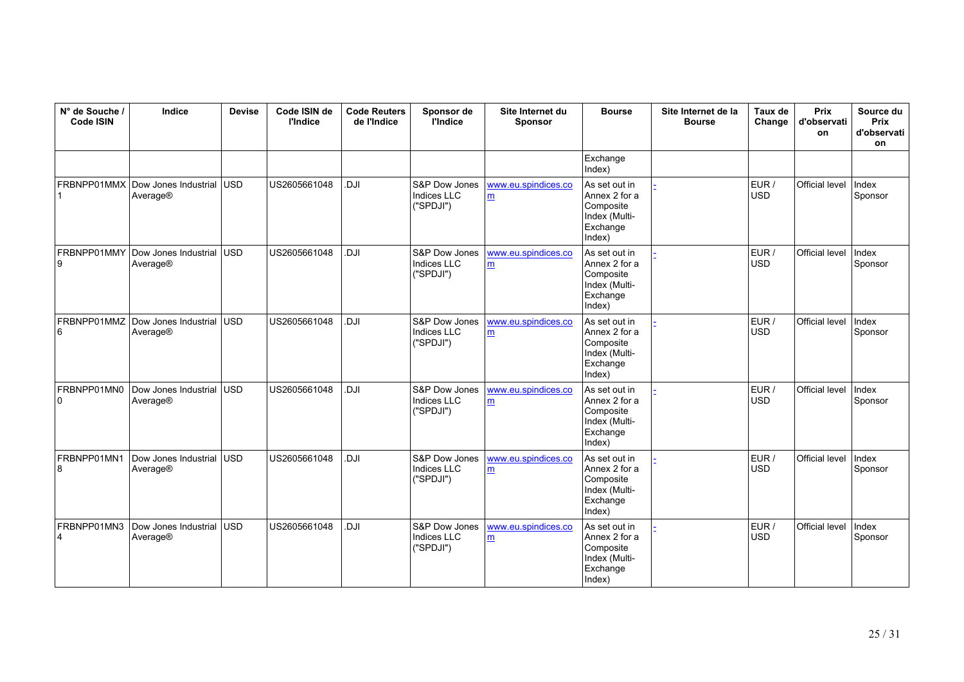| N° de Souche /<br>Code ISIN | Indice                           | <b>Devise</b> | Code ISIN de<br><b>l'Indice</b> | <b>Code Reuters</b><br>de l'Indice | Sponsor de<br><b>l'Indice</b>                    | Site Internet du<br><b>Sponsor</b> | <b>Bourse</b>                                                                      | Site Internet de la<br><b>Bourse</b> | Taux de<br>Change   | <b>Prix</b><br>d'observati<br>on | Source du<br>Prix<br>d'observati<br>on |
|-----------------------------|----------------------------------|---------------|---------------------------------|------------------------------------|--------------------------------------------------|------------------------------------|------------------------------------------------------------------------------------|--------------------------------------|---------------------|----------------------------------|----------------------------------------|
|                             |                                  |               |                                 |                                    |                                                  |                                    | Exchange<br>Index)                                                                 |                                      |                     |                                  |                                        |
| FRBNPP01MMX                 | Dow Jones Industrial<br>Average® | <b>USD</b>    | US2605661048                    | ILC.                               | S&P Dow Jones<br>Indices LLC<br>("SPDJI")        | www.eu.spindices.co<br>m           | As set out in<br>Annex 2 for a<br>Composite<br>Index (Multi-<br>Exchange<br>Index) |                                      | EUR /<br><b>USD</b> | Official level                   | Index<br>Sponsor                       |
| FRBNPP01MMY<br>9            | Dow Jones Industrial<br>Average® | lusd.         | US2605661048                    | ILC.                               | S&P Dow Jones<br>Indices LLC<br>("SPDJI")        | www.eu.spindices.co<br>m           | As set out in<br>Annex 2 for a<br>Composite<br>Index (Multi-<br>Exchange<br>Index) |                                      | EUR /<br><b>USD</b> | Official level                   | Index<br>Sponsor                       |
| FRBNPP01MMZ<br>6            | Dow Jones Industrial<br>Average® | <b>USD</b>    | US2605661048                    | ILC.                               | S&P Dow Jones<br>Indices LLC<br>("SPDJI")        | www.eu.spindices.co<br>m           | As set out in<br>Annex 2 for a<br>Composite<br>Index (Multi-<br>Exchange<br>Index) |                                      | EUR /<br><b>USD</b> | Official level                   | Index<br>Sponsor                       |
| FRBNPP01MN0<br>0            | Dow Jones Industrial<br>Average® | <b>USD</b>    | US2605661048                    | ILC.                               | S&P Dow Jones<br>Indices LLC<br>("SPDJI")        | www.eu.spindices.co<br>m           | As set out in<br>Annex 2 for a<br>Composite<br>Index (Multi-<br>Exchange<br>Index) |                                      | EUR /<br><b>USD</b> | Official level                   | Index<br>Sponsor                       |
| FRBNPP01MN1<br>8            | Dow Jones Industrial<br>Average® | USD           | US2605661048                    | ILC.                               | S&P Dow Jones<br>Indices LLC<br>("SPDJI")        | www.eu.spindices.co<br>m           | As set out in<br>Annex 2 for a<br>Composite<br>Index (Multi-<br>Exchange<br>Index) |                                      | EUR /<br><b>USD</b> | Official level                   | Index<br>Sponsor                       |
| FRBNPP01MN3<br>4            | Dow Jones Industrial<br>Average® | <b>USD</b>    | US2605661048                    | <b>IU.</b>                         | S&P Dow Jones<br><b>Indices LLC</b><br>("SPDJI") | www.eu.spindices.co<br>m           | As set out in<br>Annex 2 for a<br>Composite<br>Index (Multi-<br>Exchange<br>Index) |                                      | EUR /<br><b>USD</b> | Official level                   | Index<br>Sponsor                       |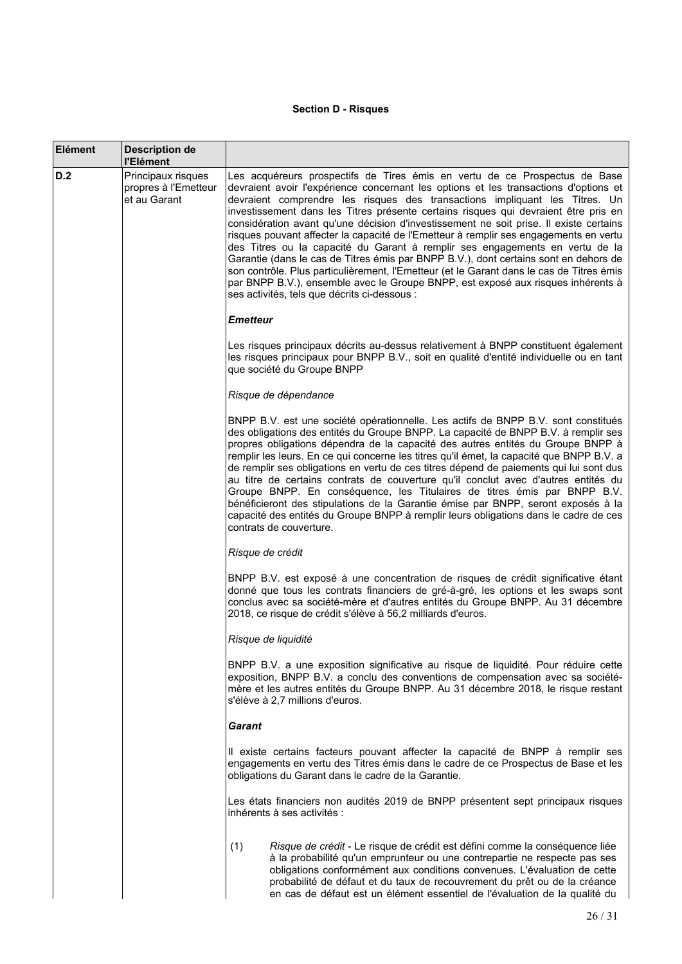# **Section D - Risques**

| Elément | Description de<br>l'Elément                                |                                                                                                                                                                                                                                                                                                                                                                                                                                                                                                                                                                                                                                                                                                                                                                                                                                                                                                                                     |  |  |  |  |
|---------|------------------------------------------------------------|-------------------------------------------------------------------------------------------------------------------------------------------------------------------------------------------------------------------------------------------------------------------------------------------------------------------------------------------------------------------------------------------------------------------------------------------------------------------------------------------------------------------------------------------------------------------------------------------------------------------------------------------------------------------------------------------------------------------------------------------------------------------------------------------------------------------------------------------------------------------------------------------------------------------------------------|--|--|--|--|
| D.2     | Principaux risques<br>propres à l'Emetteur<br>et au Garant | Les acquéreurs prospectifs de Tires émis en vertu de ce Prospectus de Base<br>devraient avoir l'expérience concernant les options et les transactions d'options et<br>devraient comprendre les risques des transactions impliquant les Titres. Un<br>investissement dans les Titres présente certains risques qui devraient être pris en<br>considération avant qu'une décision d'investissement ne soit prise. Il existe certains<br>risques pouvant affecter la capacité de l'Emetteur à remplir ses engagements en vertu<br>des Titres ou la capacité du Garant à remplir ses engagements en vertu de la<br>Garantie (dans le cas de Titres émis par BNPP B.V.), dont certains sont en dehors de<br>son contrôle. Plus particulièrement, l'Emetteur (et le Garant dans le cas de Titres émis<br>par BNPP B.V.), ensemble avec le Groupe BNPP, est exposé aux risques inhérents à<br>ses activités, tels que décrits ci-dessous : |  |  |  |  |
|         |                                                            | <b>Emetteur</b>                                                                                                                                                                                                                                                                                                                                                                                                                                                                                                                                                                                                                                                                                                                                                                                                                                                                                                                     |  |  |  |  |
|         |                                                            | Les risques principaux décrits au-dessus relativement à BNPP constituent également<br>les risques principaux pour BNPP B.V., soit en qualité d'entité individuelle ou en tant<br>que société du Groupe BNPP                                                                                                                                                                                                                                                                                                                                                                                                                                                                                                                                                                                                                                                                                                                         |  |  |  |  |
|         |                                                            | Risque de dépendance                                                                                                                                                                                                                                                                                                                                                                                                                                                                                                                                                                                                                                                                                                                                                                                                                                                                                                                |  |  |  |  |
|         |                                                            | BNPP B.V. est une société opérationnelle. Les actifs de BNPP B.V. sont constitués<br>des obligations des entités du Groupe BNPP. La capacité de BNPP B.V. à remplir ses<br>propres obligations dépendra de la capacité des autres entités du Groupe BNPP à<br>remplir les leurs. En ce qui concerne les titres qu'il émet, la capacité que BNPP B.V. a<br>de remplir ses obligations en vertu de ces titres dépend de paiements qui lui sont dus<br>au titre de certains contrats de couverture qu'il conclut avec d'autres entités du<br>Groupe BNPP. En conséquence, les Titulaires de titres émis par BNPP B.V.<br>bénéficieront des stipulations de la Garantie émise par BNPP, seront exposés à la<br>capacité des entités du Groupe BNPP à remplir leurs obligations dans le cadre de ces<br>contrats de couverture.                                                                                                          |  |  |  |  |
|         |                                                            | Risque de crédit                                                                                                                                                                                                                                                                                                                                                                                                                                                                                                                                                                                                                                                                                                                                                                                                                                                                                                                    |  |  |  |  |
|         |                                                            | BNPP B.V. est exposé à une concentration de risques de crédit significative étant<br>donné que tous les contrats financiers de gré-à-gré, les options et les swaps sont<br>conclus avec sa société-mère et d'autres entités du Groupe BNPP. Au 31 décembre<br>2018, ce risque de crédit s'élève à 56,2 milliards d'euros.                                                                                                                                                                                                                                                                                                                                                                                                                                                                                                                                                                                                           |  |  |  |  |
|         |                                                            | Risque de liquidité                                                                                                                                                                                                                                                                                                                                                                                                                                                                                                                                                                                                                                                                                                                                                                                                                                                                                                                 |  |  |  |  |
|         |                                                            | BNPP B.V. a une exposition significative au risque de liquidité. Pour réduire cette<br>exposition, BNPP B.V. a conclu des conventions de compensation avec sa société-<br>mère et les autres entités du Groupe BNPP. Au 31 décembre 2018, le risque restant<br>s'élève à 2,7 millions d'euros.                                                                                                                                                                                                                                                                                                                                                                                                                                                                                                                                                                                                                                      |  |  |  |  |
|         |                                                            | <b>Garant</b>                                                                                                                                                                                                                                                                                                                                                                                                                                                                                                                                                                                                                                                                                                                                                                                                                                                                                                                       |  |  |  |  |
|         |                                                            | Il existe certains facteurs pouvant affecter la capacité de BNPP à remplir ses<br>engagements en vertu des Titres émis dans le cadre de ce Prospectus de Base et les<br>obligations du Garant dans le cadre de la Garantie.                                                                                                                                                                                                                                                                                                                                                                                                                                                                                                                                                                                                                                                                                                         |  |  |  |  |
|         |                                                            | Les états financiers non audités 2019 de BNPP présentent sept principaux risques<br>inhérents à ses activités :                                                                                                                                                                                                                                                                                                                                                                                                                                                                                                                                                                                                                                                                                                                                                                                                                     |  |  |  |  |
|         |                                                            | Risque de crédit - Le risque de crédit est défini comme la conséquence liée<br>(1)<br>à la probabilité qu'un emprunteur ou une contrepartie ne respecte pas ses<br>obligations conformément aux conditions convenues. L'évaluation de cette<br>probabilité de défaut et du taux de recouvrement du prêt ou de la créance<br>en cas de défaut est un élément essentiel de l'évaluation de la qualité du                                                                                                                                                                                                                                                                                                                                                                                                                                                                                                                              |  |  |  |  |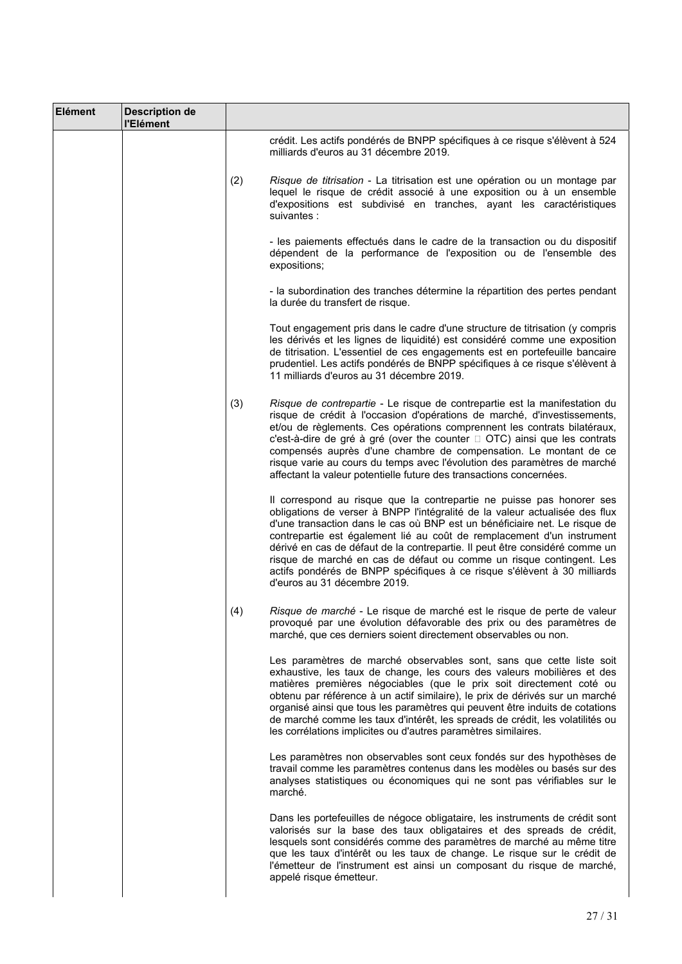| Elément | <b>Description de</b><br>l'Elément |     |                                                                                                                                                                                                                                                                                                                                                                                                                                                                                                                                                                                 |
|---------|------------------------------------|-----|---------------------------------------------------------------------------------------------------------------------------------------------------------------------------------------------------------------------------------------------------------------------------------------------------------------------------------------------------------------------------------------------------------------------------------------------------------------------------------------------------------------------------------------------------------------------------------|
|         |                                    |     | crédit. Les actifs pondérés de BNPP spécifiques à ce risque s'élèvent à 524<br>milliards d'euros au 31 décembre 2019.                                                                                                                                                                                                                                                                                                                                                                                                                                                           |
|         |                                    | (2) | Risque de titrisation - La titrisation est une opération ou un montage par<br>lequel le risque de crédit associé à une exposition ou à un ensemble<br>d'expositions est subdivisé en tranches, ayant les caractéristiques<br>suivantes :                                                                                                                                                                                                                                                                                                                                        |
|         |                                    |     | - les paiements effectués dans le cadre de la transaction ou du dispositif<br>dépendent de la performance de l'exposition ou de l'ensemble des<br>expositions;                                                                                                                                                                                                                                                                                                                                                                                                                  |
|         |                                    |     | - la subordination des tranches détermine la répartition des pertes pendant<br>la durée du transfert de risque.                                                                                                                                                                                                                                                                                                                                                                                                                                                                 |
|         |                                    |     | Tout engagement pris dans le cadre d'une structure de titrisation (y compris<br>les dérivés et les lignes de liquidité) est considéré comme une exposition<br>de titrisation. L'essentiel de ces engagements est en portefeuille bancaire<br>prudentiel. Les actifs pondérés de BNPP spécifiques à ce risque s'élèvent à<br>11 milliards d'euros au 31 décembre 2019.                                                                                                                                                                                                           |
|         |                                    | (3) | Risque de contrepartie - Le risque de contrepartie est la manifestation du<br>risque de crédit à l'occasion d'opérations de marché, d'investissements,<br>et/ou de règlements. Ces opérations comprennent les contrats bilatéraux,<br>c'est-à-dire de gré à gré (over the counter $\Box$ OTC) ainsi que les contrats<br>compensés auprès d'une chambre de compensation. Le montant de ce<br>risque varie au cours du temps avec l'évolution des paramètres de marché<br>affectant la valeur potentielle future des transactions concernées.                                     |
|         |                                    |     | Il correspond au risque que la contrepartie ne puisse pas honorer ses<br>obligations de verser à BNPP l'intégralité de la valeur actualisée des flux<br>d'une transaction dans le cas où BNP est un bénéficiaire net. Le risque de<br>contrepartie est également lié au coût de remplacement d'un instrument<br>dérivé en cas de défaut de la contrepartie. Il peut être considéré comme un<br>risque de marché en cas de défaut ou comme un risque contingent. Les<br>actifs pondérés de BNPP spécifiques à ce risque s'élèvent à 30 milliards<br>d'euros au 31 décembre 2019. |
|         |                                    | (4) | Risque de marché - Le risque de marché est le risque de perte de valeur<br>provoqué par une évolution défavorable des prix ou des paramètres de<br>marché, que ces derniers soient directement observables ou non.                                                                                                                                                                                                                                                                                                                                                              |
|         |                                    |     | Les paramètres de marché observables sont, sans que cette liste soit<br>exhaustive, les taux de change, les cours des valeurs mobilières et des<br>matières premières négociables (que le prix soit directement coté ou<br>obtenu par référence à un actif similaire), le prix de dérivés sur un marché<br>organisé ainsi que tous les paramètres qui peuvent être induits de cotations<br>de marché comme les taux d'intérêt, les spreads de crédit, les volatilités ou<br>les corrélations implicites ou d'autres paramètres similaires.                                      |
|         |                                    |     | Les paramètres non observables sont ceux fondés sur des hypothèses de<br>travail comme les paramètres contenus dans les modèles ou basés sur des<br>analyses statistiques ou économiques qui ne sont pas vérifiables sur le<br>marché.                                                                                                                                                                                                                                                                                                                                          |
|         |                                    |     | Dans les portefeuilles de négoce obligataire, les instruments de crédit sont<br>valorisés sur la base des taux obligataires et des spreads de crédit,<br>lesquels sont considérés comme des paramètres de marché au même titre<br>que les taux d'intérêt ou les taux de change. Le risque sur le crédit de<br>l'émetteur de l'instrument est ainsi un composant du risque de marché,<br>appelé risque émetteur.                                                                                                                                                                 |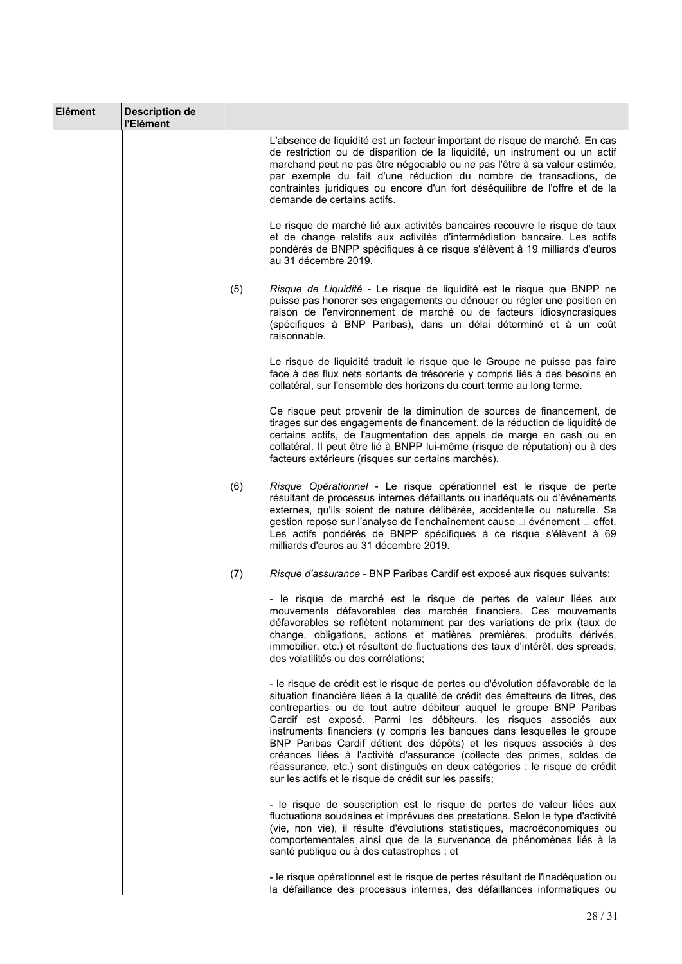| Elément | <b>Description de</b><br>l'Elément |     |                                                                                                                                                                                                                                                                                                                                                                                                                                                                                                                                                                                                                                                                                     |
|---------|------------------------------------|-----|-------------------------------------------------------------------------------------------------------------------------------------------------------------------------------------------------------------------------------------------------------------------------------------------------------------------------------------------------------------------------------------------------------------------------------------------------------------------------------------------------------------------------------------------------------------------------------------------------------------------------------------------------------------------------------------|
|         |                                    |     | L'absence de liquidité est un facteur important de risque de marché. En cas<br>de restriction ou de disparition de la liquidité, un instrument ou un actif<br>marchand peut ne pas être négociable ou ne pas l'être à sa valeur estimée,<br>par exemple du fait d'une réduction du nombre de transactions, de<br>contraintes juridiques ou encore d'un fort déséquilibre de l'offre et de la<br>demande de certains actifs.                                                                                                                                                                                                                                                         |
|         |                                    |     | Le risque de marché lié aux activités bancaires recouvre le risque de taux<br>et de change relatifs aux activités d'intermédiation bancaire. Les actifs<br>pondérés de BNPP spécifiques à ce risque s'élèvent à 19 milliards d'euros<br>au 31 décembre 2019.                                                                                                                                                                                                                                                                                                                                                                                                                        |
|         |                                    | (5) | Risque de Liquidité - Le risque de liquidité est le risque que BNPP ne<br>puisse pas honorer ses engagements ou dénouer ou régler une position en<br>raison de l'environnement de marché ou de facteurs idiosyncrasiques<br>(spécifiques à BNP Paribas), dans un délai déterminé et à un coût<br>raisonnable.                                                                                                                                                                                                                                                                                                                                                                       |
|         |                                    |     | Le risque de liquidité traduit le risque que le Groupe ne puisse pas faire<br>face à des flux nets sortants de trésorerie y compris liés à des besoins en<br>collatéral, sur l'ensemble des horizons du court terme au long terme.                                                                                                                                                                                                                                                                                                                                                                                                                                                  |
|         |                                    |     | Ce risque peut provenir de la diminution de sources de financement, de<br>tirages sur des engagements de financement, de la réduction de liquidité de<br>certains actifs, de l'augmentation des appels de marge en cash ou en<br>collatéral. Il peut être lié à BNPP lui-même (risque de réputation) ou à des<br>facteurs extérieurs (risques sur certains marchés).                                                                                                                                                                                                                                                                                                                |
|         |                                    | (6) | Risque Opérationnel - Le risque opérationnel est le risque de perte<br>résultant de processus internes défaillants ou inadéquats ou d'événements<br>externes, qu'ils soient de nature délibérée, accidentelle ou naturelle. Sa<br>gestion repose sur l'analyse de l'enchaînement cause □ événement □ effet.<br>Les actifs pondérés de BNPP spécifiques à ce risque s'élèvent à 69<br>milliards d'euros au 31 décembre 2019.                                                                                                                                                                                                                                                         |
|         |                                    | (7) | Risque d'assurance - BNP Paribas Cardif est exposé aux risques suivants:                                                                                                                                                                                                                                                                                                                                                                                                                                                                                                                                                                                                            |
|         |                                    |     | - le risque de marché est le risque de pertes de valeur liées aux<br>mouvements défavorables des marchés financiers. Ces mouvements<br>défavorables se reflètent notamment par des variations de prix (taux de<br>change, obligations, actions et matières premières, produits dérivés,<br>immobilier, etc.) et résultent de fluctuations des taux d'intérêt, des spreads,<br>des volatilités ou des corrélations;                                                                                                                                                                                                                                                                  |
|         |                                    |     | - le risque de crédit est le risque de pertes ou d'évolution défavorable de la<br>situation financière liées à la qualité de crédit des émetteurs de titres, des<br>contreparties ou de tout autre débiteur auquel le groupe BNP Paribas<br>Cardif est exposé. Parmi les débiteurs, les risques associés aux<br>instruments financiers (y compris les banques dans lesquelles le groupe<br>BNP Paribas Cardif détient des dépôts) et les risques associés à des<br>créances liées à l'activité d'assurance (collecte des primes, soldes de<br>réassurance, etc.) sont distingués en deux catégories : le risque de crédit<br>sur les actifs et le risque de crédit sur les passifs; |
|         |                                    |     | - le risque de souscription est le risque de pertes de valeur liées aux<br>fluctuations soudaines et imprévues des prestations. Selon le type d'activité<br>(vie, non vie), il résulte d'évolutions statistiques, macroéconomiques ou<br>comportementales ainsi que de la survenance de phénomènes liés à la<br>santé publique ou à des catastrophes ; et                                                                                                                                                                                                                                                                                                                           |
|         |                                    |     | - le risque opérationnel est le risque de pertes résultant de l'inadéquation ou<br>la défaillance des processus internes, des défaillances informatiques ou                                                                                                                                                                                                                                                                                                                                                                                                                                                                                                                         |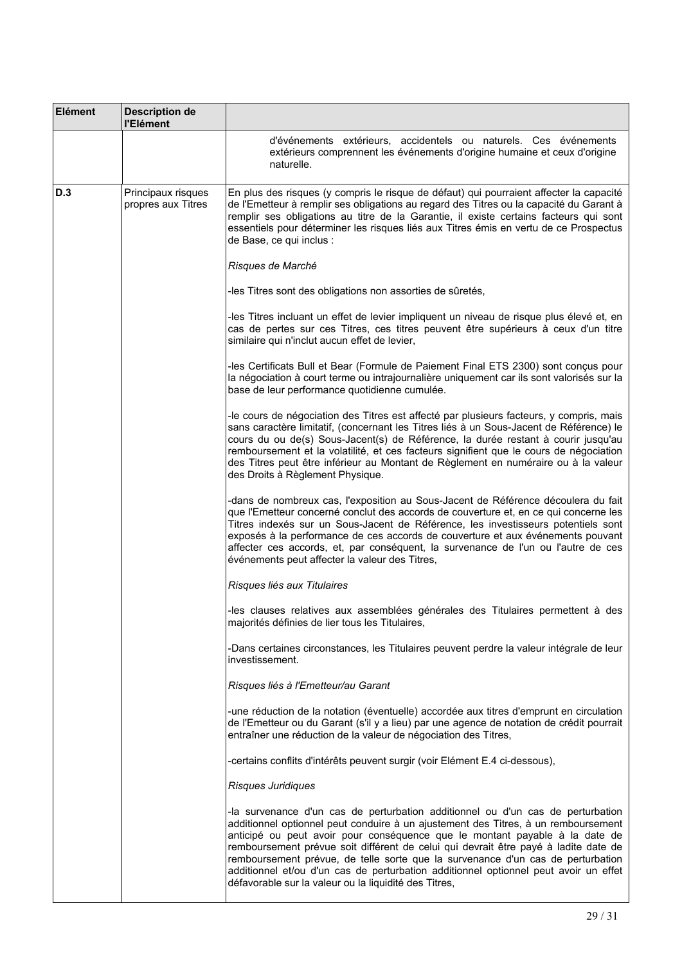| Elément | <b>Description de</b><br>l'Elément       |                                                                                                                                                                                                                                                                                                                                                                                                                                                                                                                                                                                 |
|---------|------------------------------------------|---------------------------------------------------------------------------------------------------------------------------------------------------------------------------------------------------------------------------------------------------------------------------------------------------------------------------------------------------------------------------------------------------------------------------------------------------------------------------------------------------------------------------------------------------------------------------------|
|         |                                          | d'événements extérieurs, accidentels ou naturels. Ces événements<br>extérieurs comprennent les événements d'origine humaine et ceux d'origine<br>naturelle.                                                                                                                                                                                                                                                                                                                                                                                                                     |
| D.3     | Principaux risques<br>propres aux Titres | En plus des risques (y compris le risque de défaut) qui pourraient affecter la capacité<br>de l'Emetteur à remplir ses obligations au regard des Titres ou la capacité du Garant à<br>remplir ses obligations au titre de la Garantie, il existe certains facteurs qui sont<br>essentiels pour déterminer les risques liés aux Titres émis en vertu de ce Prospectus<br>de Base, ce qui inclus :                                                                                                                                                                                |
|         |                                          | Risques de Marché                                                                                                                                                                                                                                                                                                                                                                                                                                                                                                                                                               |
|         |                                          | -les Titres sont des obligations non assorties de sûretés,                                                                                                                                                                                                                                                                                                                                                                                                                                                                                                                      |
|         |                                          | -les Titres incluant un effet de levier impliquent un niveau de risque plus élevé et, en<br>cas de pertes sur ces Titres, ces titres peuvent être supérieurs à ceux d'un titre<br>similaire qui n'inclut aucun effet de levier,                                                                                                                                                                                                                                                                                                                                                 |
|         |                                          | -les Certificats Bull et Bear (Formule de Paiement Final ETS 2300) sont conçus pour<br>la négociation à court terme ou intrajournalière uniquement car ils sont valorisés sur la<br>base de leur performance quotidienne cumulée.                                                                                                                                                                                                                                                                                                                                               |
|         |                                          | -le cours de négociation des Titres est affecté par plusieurs facteurs, y compris, mais<br>sans caractère limitatif, (concernant les Titres liés à un Sous-Jacent de Référence) le<br>cours du ou de(s) Sous-Jacent(s) de Référence, la durée restant à courir jusqu'au<br>remboursement et la volatilité, et ces facteurs signifient que le cours de négociation<br>des Titres peut être inférieur au Montant de Règlement en numéraire ou à la valeur<br>des Droits à Règlement Physique.                                                                                     |
|         |                                          | -dans de nombreux cas, l'exposition au Sous-Jacent de Référence découlera du fait<br>que l'Emetteur concerné conclut des accords de couverture et, en ce qui concerne les<br>Titres indexés sur un Sous-Jacent de Référence, les investisseurs potentiels sont<br>exposés à la performance de ces accords de couverture et aux événements pouvant<br>affecter ces accords, et, par conséquent, la survenance de l'un ou l'autre de ces<br>événements peut affecter la valeur des Titres,                                                                                        |
|         |                                          | Risques liés aux Titulaires                                                                                                                                                                                                                                                                                                                                                                                                                                                                                                                                                     |
|         |                                          | -les clauses relatives aux assemblées générales des Titulaires permettent à des<br>majorités définies de lier tous les Titulaires,                                                                                                                                                                                                                                                                                                                                                                                                                                              |
|         |                                          | -Dans certaines circonstances, les Titulaires peuvent perdre la valeur intégrale de leur<br>investissement.                                                                                                                                                                                                                                                                                                                                                                                                                                                                     |
|         |                                          | Risques liés à l'Emetteur/au Garant                                                                                                                                                                                                                                                                                                                                                                                                                                                                                                                                             |
|         |                                          | -une réduction de la notation (éventuelle) accordée aux titres d'emprunt en circulation<br>de l'Emetteur ou du Garant (s'il y a lieu) par une agence de notation de crédit pourrait<br>entraîner une réduction de la valeur de négociation des Titres,                                                                                                                                                                                                                                                                                                                          |
|         |                                          | -certains conflits d'intérêts peuvent surgir (voir Elément E.4 ci-dessous),                                                                                                                                                                                                                                                                                                                                                                                                                                                                                                     |
|         |                                          | Risques Juridiques                                                                                                                                                                                                                                                                                                                                                                                                                                                                                                                                                              |
|         |                                          | -la survenance d'un cas de perturbation additionnel ou d'un cas de perturbation<br>additionnel optionnel peut conduire à un ajustement des Titres, à un remboursement<br>anticipé ou peut avoir pour conséquence que le montant payable à la date de<br>remboursement prévue soit différent de celui qui devrait être payé à ladite date de<br>remboursement prévue, de telle sorte que la survenance d'un cas de perturbation<br>additionnel et/ou d'un cas de perturbation additionnel optionnel peut avoir un effet<br>défavorable sur la valeur ou la liquidité des Titres, |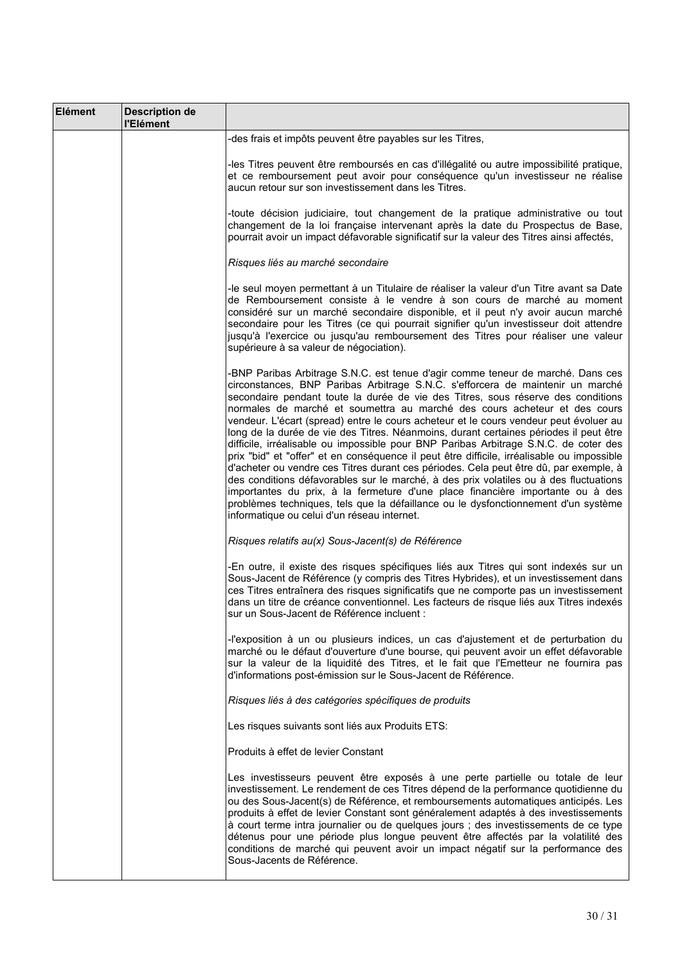| Elément | <b>Description de</b><br>l'Elément |                                                                                                                                                                                                                                                                                                                                                                                                                                                                                                                                                                                                                                                                                                                                                                                                                                                                                                                                                                                                                                                                                                                     |
|---------|------------------------------------|---------------------------------------------------------------------------------------------------------------------------------------------------------------------------------------------------------------------------------------------------------------------------------------------------------------------------------------------------------------------------------------------------------------------------------------------------------------------------------------------------------------------------------------------------------------------------------------------------------------------------------------------------------------------------------------------------------------------------------------------------------------------------------------------------------------------------------------------------------------------------------------------------------------------------------------------------------------------------------------------------------------------------------------------------------------------------------------------------------------------|
|         |                                    | -des frais et impôts peuvent être payables sur les Titres,                                                                                                                                                                                                                                                                                                                                                                                                                                                                                                                                                                                                                                                                                                                                                                                                                                                                                                                                                                                                                                                          |
|         |                                    | -les Titres peuvent être remboursés en cas d'illégalité ou autre impossibilité pratique,<br>et ce remboursement peut avoir pour conséquence qu'un investisseur ne réalise<br>aucun retour sur son investissement dans les Titres.                                                                                                                                                                                                                                                                                                                                                                                                                                                                                                                                                                                                                                                                                                                                                                                                                                                                                   |
|         |                                    | -toute décision judiciaire, tout changement de la pratique administrative ou tout<br>changement de la loi française intervenant après la date du Prospectus de Base,<br>pourrait avoir un impact défavorable significatif sur la valeur des Titres ainsi affectés,                                                                                                                                                                                                                                                                                                                                                                                                                                                                                                                                                                                                                                                                                                                                                                                                                                                  |
|         |                                    | Risques liés au marché secondaire                                                                                                                                                                                                                                                                                                                                                                                                                                                                                                                                                                                                                                                                                                                                                                                                                                                                                                                                                                                                                                                                                   |
|         |                                    | -le seul moyen permettant à un Titulaire de réaliser la valeur d'un Titre avant sa Date<br>de Remboursement consiste à le vendre à son cours de marché au moment<br>considéré sur un marché secondaire disponible, et il peut n'y avoir aucun marché<br>secondaire pour les Titres (ce qui pourrait signifier qu'un investisseur doit attendre<br>jusqu'à l'exercice ou jusqu'au remboursement des Titres pour réaliser une valeur<br>supérieure à sa valeur de négociation).                                                                                                                                                                                                                                                                                                                                                                                                                                                                                                                                                                                                                                       |
|         |                                    | -BNP Paribas Arbitrage S.N.C. est tenue d'agir comme teneur de marché. Dans ces<br>circonstances, BNP Paribas Arbitrage S.N.C. s'efforcera de maintenir un marché<br>secondaire pendant toute la durée de vie des Titres, sous réserve des conditions<br>normales de marché et soumettra au marché des cours acheteur et des cours<br>vendeur. L'écart (spread) entre le cours acheteur et le cours vendeur peut évoluer au<br>long de la durée de vie des Titres. Néanmoins, durant certaines périodes il peut être<br>difficile, irréalisable ou impossible pour BNP Paribas Arbitrage S.N.C. de coter des<br>prix "bid" et "offer" et en conséquence il peut être difficile, irréalisable ou impossible<br>d'acheter ou vendre ces Titres durant ces périodes. Cela peut être dû, par exemple, à<br>des conditions défavorables sur le marché, à des prix volatiles ou à des fluctuations<br>importantes du prix, à la fermeture d'une place financière importante ou à des<br>problèmes techniques, tels que la défaillance ou le dysfonctionnement d'un système<br>informatique ou celui d'un réseau internet. |
|         |                                    | Risques relatifs au(x) Sous-Jacent(s) de Référence                                                                                                                                                                                                                                                                                                                                                                                                                                                                                                                                                                                                                                                                                                                                                                                                                                                                                                                                                                                                                                                                  |
|         |                                    | -En outre, il existe des risques spécifiques liés aux Titres qui sont indexés sur un<br>Sous-Jacent de Référence (y compris des Titres Hybrides), et un investissement dans<br>ces Titres entraînera des risques significatifs que ne comporte pas un investissement<br>dans un titre de créance conventionnel. Les facteurs de risque liés aux Titres indexés<br>sur un Sous-Jacent de Référence incluent :                                                                                                                                                                                                                                                                                                                                                                                                                                                                                                                                                                                                                                                                                                        |
|         |                                    | -l'exposition à un ou plusieurs indices, un cas d'ajustement et de perturbation du<br>marché ou le défaut d'ouverture d'une bourse, qui peuvent avoir un effet défavorable<br>sur la valeur de la liquidité des Titres, et le fait que l'Emetteur ne fournira pas<br>d'informations post-émission sur le Sous-Jacent de Référence.                                                                                                                                                                                                                                                                                                                                                                                                                                                                                                                                                                                                                                                                                                                                                                                  |
|         |                                    | Risques liés à des catégories spécifiques de produits                                                                                                                                                                                                                                                                                                                                                                                                                                                                                                                                                                                                                                                                                                                                                                                                                                                                                                                                                                                                                                                               |
|         |                                    | Les risques suivants sont liés aux Produits ETS:                                                                                                                                                                                                                                                                                                                                                                                                                                                                                                                                                                                                                                                                                                                                                                                                                                                                                                                                                                                                                                                                    |
|         |                                    | Produits à effet de levier Constant                                                                                                                                                                                                                                                                                                                                                                                                                                                                                                                                                                                                                                                                                                                                                                                                                                                                                                                                                                                                                                                                                 |
|         |                                    | Les investisseurs peuvent être exposés à une perte partielle ou totale de leur<br>investissement. Le rendement de ces Titres dépend de la performance quotidienne du<br>ou des Sous-Jacent(s) de Référence, et remboursements automatiques anticipés. Les<br>produits à effet de levier Constant sont généralement adaptés à des investissements<br>à court terme intra journalier ou de quelques jours ; des investissements de ce type<br>détenus pour une période plus longue peuvent être affectés par la volatilité des<br>conditions de marché qui peuvent avoir un impact négatif sur la performance des<br>Sous-Jacents de Référence.                                                                                                                                                                                                                                                                                                                                                                                                                                                                       |